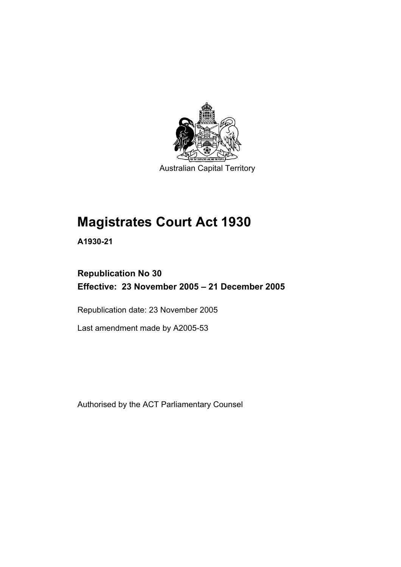

Australian Capital Territory

# **Magistrates Court Act 1930**

**A1930-21** 

# **Republication No 30 Effective: 23 November 2005 – 21 December 2005**

Republication date: 23 November 2005

Last amendment made by A2005-53

Authorised by the ACT Parliamentary Counsel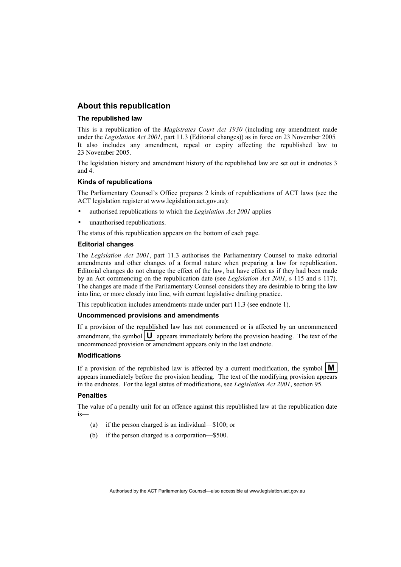#### **About this republication**

#### **The republished law**

This is a republication of the *Magistrates Court Act 1930* (including any amendment made under the *Legislation Act 2001*, part 11.3 (Editorial changes)) as in force on 23 November 2005*.*  It also includes any amendment, repeal or expiry affecting the republished law to 23 November 2005.

The legislation history and amendment history of the republished law are set out in endnotes 3 and 4.

#### **Kinds of republications**

The Parliamentary Counsel's Office prepares 2 kinds of republications of ACT laws (see the ACT legislation register at www.legislation.act.gov.au):

- authorised republications to which the *Legislation Act 2001* applies
- unauthorised republications.

The status of this republication appears on the bottom of each page.

#### **Editorial changes**

The *Legislation Act 2001*, part 11.3 authorises the Parliamentary Counsel to make editorial amendments and other changes of a formal nature when preparing a law for republication. Editorial changes do not change the effect of the law, but have effect as if they had been made by an Act commencing on the republication date (see *Legislation Act 2001*, s 115 and s 117). The changes are made if the Parliamentary Counsel considers they are desirable to bring the law into line, or more closely into line, with current legislative drafting practice.

This republication includes amendments made under part 11.3 (see endnote 1).

#### **Uncommenced provisions and amendments**

If a provision of the republished law has not commenced or is affected by an uncommenced amendment, the symbol  $\mathbf{U}$  appears immediately before the provision heading. The text of the uncommenced provision or amendment appears only in the last endnote.

#### **Modifications**

If a provision of the republished law is affected by a current modification, the symbol  $\mathbf{M}$ appears immediately before the provision heading. The text of the modifying provision appears in the endnotes. For the legal status of modifications, see *Legislation Act 2001*, section 95.

#### **Penalties**

The value of a penalty unit for an offence against this republished law at the republication date is—

- (a) if the person charged is an individual—\$100; or
- (b) if the person charged is a corporation—\$500.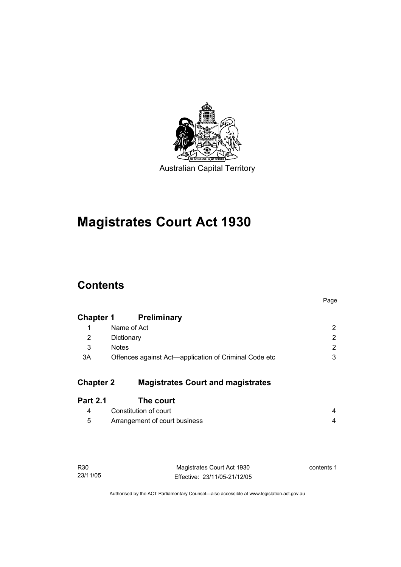

# **Magistrates Court Act 1930**

# **Contents**

|                  |                                                       | Page           |
|------------------|-------------------------------------------------------|----------------|
| <b>Chapter 1</b> | <b>Preliminary</b>                                    |                |
| 1                | Name of Act                                           | $\overline{2}$ |
| 2                | Dictionary                                            | $\overline{2}$ |
| 3                | <b>Notes</b>                                          | $\overline{2}$ |
| 3A               | Offences against Act-application of Criminal Code etc | 3              |
|                  |                                                       |                |
| <b>Chapter 2</b> | <b>Magistrates Court and magistrates</b>              |                |
| <b>Part 2.1</b>  | The court                                             |                |
| 4                | Constitution of court                                 | 4              |
| 5                | Arrangement of court business                         | 4              |
|                  |                                                       |                |

| R30      |  |
|----------|--|
| 23/11/05 |  |

Magistrates Court Act 1930 Effective: 23/11/05-21/12/05 contents 1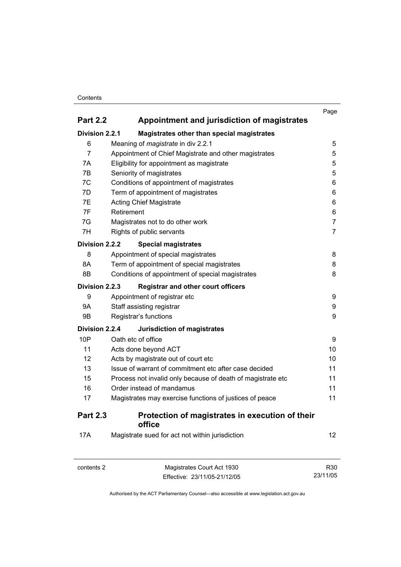#### **Contents**

|                 |                                                             | Page           |
|-----------------|-------------------------------------------------------------|----------------|
| <b>Part 2.2</b> | Appointment and jurisdiction of magistrates                 |                |
| Division 2.2.1  | Magistrates other than special magistrates                  |                |
| 6               | Meaning of <i>magistrate</i> in div 2.2.1                   | 5              |
| $\overline{7}$  | Appointment of Chief Magistrate and other magistrates       | 5              |
| 7A              | Eligibility for appointment as magistrate                   | 5              |
| 7B              | Seniority of magistrates                                    | 5              |
| 7C              | Conditions of appointment of magistrates                    | 6              |
| 7D              | Term of appointment of magistrates                          | 6              |
| 7E              | <b>Acting Chief Magistrate</b>                              | 6              |
| 7F              | Retirement                                                  | 6              |
| 7G              | Magistrates not to do other work                            | $\overline{7}$ |
| 7H              | Rights of public servants                                   | $\overline{7}$ |
| Division 2.2.2  | <b>Special magistrates</b>                                  |                |
| 8               | Appointment of special magistrates                          | 8              |
| 8A              | Term of appointment of special magistrates                  | 8              |
| 8B              | Conditions of appointment of special magistrates            | 8              |
| Division 2.2.3  | <b>Registrar and other court officers</b>                   |                |
| 9               | Appointment of registrar etc                                | 9              |
| <b>9A</b>       | Staff assisting registrar                                   | 9              |
| 9B              | Registrar's functions                                       | 9              |
| Division 2.2.4  | <b>Jurisdiction of magistrates</b>                          |                |
| 10P             | Oath etc of office                                          | 9              |
| 11              | Acts done beyond ACT                                        | 10             |
| 12              | Acts by magistrate out of court etc                         | 10             |
| 13              | Issue of warrant of commitment etc after case decided       | 11             |
| 15              | Process not invalid only because of death of magistrate etc | 11             |
| 16              | Order instead of mandamus                                   | 11             |
| 17              | Magistrates may exercise functions of justices of peace     | 11             |
| <b>Part 2.3</b> | Protection of magistrates in execution of their<br>office   |                |
| 17A             | Magistrate sued for act not within jurisdiction             | 12             |

| contents 2 | Magistrates Court Act 1930   | R30      |
|------------|------------------------------|----------|
|            | Effective: 23/11/05-21/12/05 | 23/11/05 |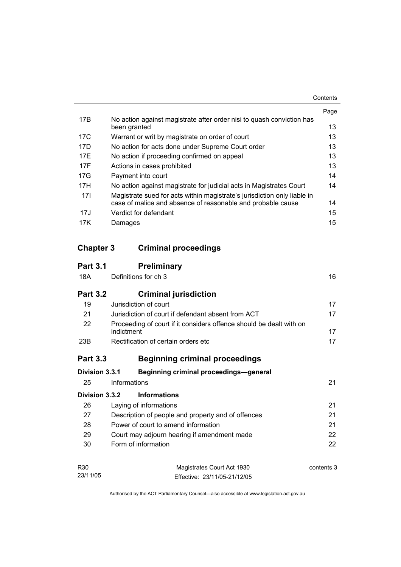|     |                                                                                       | Page |
|-----|---------------------------------------------------------------------------------------|------|
| 17B | No action against magistrate after order nisi to quash conviction has<br>been granted | 13   |
| 17C | Warrant or writ by magistrate on order of court                                       | 13   |
| 17D | No action for acts done under Supreme Court order                                     | 13   |
| 17F | No action if proceeding confirmed on appeal                                           | 13   |
| 17F | Actions in cases prohibited                                                           | 13   |
| 17G | Payment into court                                                                    | 14   |
| 17H | No action against magistrate for judicial acts in Magistrates Court                   | 14   |
| 17I | Magistrate sued for acts within magistrate's jurisdiction only liable in              |      |
|     | case of malice and absence of reasonable and probable cause                           | 14   |
| 17J | Verdict for defendant                                                                 | 15   |
| 17K | Damages                                                                               | 15   |

# **Chapter 3 Criminal proceedings**

| <b>Part 3.1</b> | <b>Preliminary</b>                                                                |            |
|-----------------|-----------------------------------------------------------------------------------|------------|
| 18A             | Definitions for ch 3                                                              | 16         |
| <b>Part 3.2</b> | <b>Criminal jurisdiction</b>                                                      |            |
| 19              | Jurisdiction of court                                                             | 17         |
| 21              | Jurisdiction of court if defendant absent from ACT                                | 17         |
| 22              | Proceeding of court if it considers offence should be dealt with on<br>indictment | 17         |
| 23B             | Rectification of certain orders etc                                               | 17         |
| <b>Part 3.3</b> | <b>Beginning criminal proceedings</b>                                             |            |
| Division 3.3.1  | <b>Beginning criminal proceedings-general</b>                                     |            |
| 25              | Informations                                                                      | 21         |
| Division 3.3.2  | <b>Informations</b>                                                               |            |
| 26              | Laying of informations                                                            | 21         |
| 27              | Description of people and property and of offences                                | 21         |
| 28              | Power of court to amend information                                               | 21         |
| 29              | Court may adjourn hearing if amendment made                                       | 22         |
| 30              | Form of information                                                               | 22         |
| R <sub>30</sub> | Magistrates Court Act 1930                                                        | contents 3 |
| 23/11/05        | Effective: 23/11/05-21/12/05                                                      |            |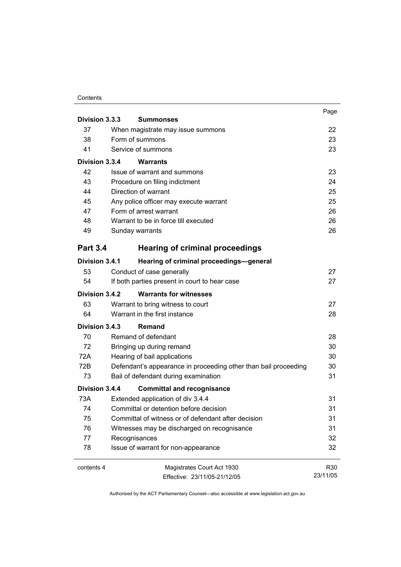#### **Contents**

|                 |                                                                 | Page     |
|-----------------|-----------------------------------------------------------------|----------|
| Division 3.3.3  | <b>Summonses</b>                                                |          |
| 37              | When magistrate may issue summons                               | 22       |
| 38              | Form of summons                                                 | 23       |
| 41              | Service of summons                                              | 23       |
| Division 3.3.4  | Warrants                                                        |          |
| 42              | Issue of warrant and summons                                    | 23       |
| 43              | Procedure on filing indictment                                  | 24       |
| 44              | Direction of warrant                                            | 25       |
| 45              | Any police officer may execute warrant                          | 25       |
| 47              | Form of arrest warrant                                          | 26       |
| 48              | Warrant to be in force till executed                            | 26       |
| 49              | Sunday warrants                                                 | 26       |
| <b>Part 3.4</b> | <b>Hearing of criminal proceedings</b>                          |          |
| Division 3.4.1  | Hearing of criminal proceedings-general                         |          |
| 53              | Conduct of case generally                                       | 27       |
| 54              | If both parties present in court to hear case                   | 27       |
| Division 3.4.2  | <b>Warrants for witnesses</b>                                   |          |
| 63              | Warrant to bring witness to court                               | 27       |
| 64              | Warrant in the first instance                                   | 28       |
| Division 3.4.3  | <b>Remand</b>                                                   |          |
| 70              | Remand of defendant                                             | 28       |
| 72              | Bringing up during remand                                       | 30       |
| 72A             | Hearing of bail applications                                    | 30       |
| 72B             | Defendant's appearance in proceeding other than bail proceeding | 30       |
| 73              | Bail of defendant during examination                            | 31       |
| Division 3.4.4  | <b>Committal and recognisance</b>                               |          |
| 73A             | Extended application of div 3.4.4                               | 31       |
| 74              | Committal or detention before decision                          | 31       |
| 75              | Committal of witness or of defendant after decision             | 31       |
| 76              | Witnesses may be discharged on recognisance                     | 31       |
| 77              | Recognisances                                                   | 32       |
| 78              | Issue of warrant for non-appearance                             | 32       |
| contents 4      | Magistrates Court Act 1930                                      | R30      |
|                 | Effective: 23/11/05-21/12/05                                    | 23/11/05 |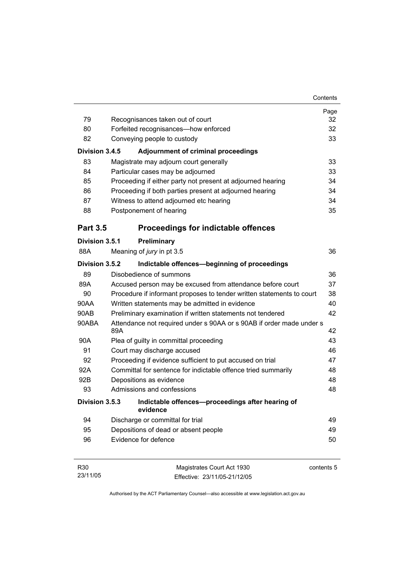| 79<br>80<br>82<br>Division 3.4.5<br>83<br>84 | Recognisances taken out of court<br>Forfeited recognisances-how enforced<br>Conveying people to custody<br><b>Adjournment of criminal proceedings</b><br>Magistrate may adjourn court generally<br>Particular cases may be adjourned<br>Proceeding if either party not present at adjourned hearing<br>Proceeding if both parties present at adjourned hearing<br>Witness to attend adjourned etc hearing | Page<br>32<br>32<br>33<br>33<br>33<br>34<br>34<br>34 |
|----------------------------------------------|-----------------------------------------------------------------------------------------------------------------------------------------------------------------------------------------------------------------------------------------------------------------------------------------------------------------------------------------------------------------------------------------------------------|------------------------------------------------------|
|                                              |                                                                                                                                                                                                                                                                                                                                                                                                           |                                                      |
|                                              |                                                                                                                                                                                                                                                                                                                                                                                                           |                                                      |
|                                              |                                                                                                                                                                                                                                                                                                                                                                                                           |                                                      |
|                                              |                                                                                                                                                                                                                                                                                                                                                                                                           |                                                      |
|                                              |                                                                                                                                                                                                                                                                                                                                                                                                           |                                                      |
|                                              |                                                                                                                                                                                                                                                                                                                                                                                                           |                                                      |
|                                              |                                                                                                                                                                                                                                                                                                                                                                                                           |                                                      |
| 85                                           |                                                                                                                                                                                                                                                                                                                                                                                                           |                                                      |
| 86                                           |                                                                                                                                                                                                                                                                                                                                                                                                           |                                                      |
| 87                                           |                                                                                                                                                                                                                                                                                                                                                                                                           |                                                      |
| 88                                           | Postponement of hearing                                                                                                                                                                                                                                                                                                                                                                                   | 35                                                   |
| <b>Part 3.5</b>                              | <b>Proceedings for indictable offences</b>                                                                                                                                                                                                                                                                                                                                                                |                                                      |
| Division 3.5.1                               | Preliminary                                                                                                                                                                                                                                                                                                                                                                                               |                                                      |
| 88A                                          | Meaning of jury in pt 3.5                                                                                                                                                                                                                                                                                                                                                                                 | 36                                                   |
| Division 3.5.2                               | Indictable offences-beginning of proceedings                                                                                                                                                                                                                                                                                                                                                              |                                                      |
| 89                                           | Disobedience of summons                                                                                                                                                                                                                                                                                                                                                                                   | 36                                                   |
| 89A                                          | Accused person may be excused from attendance before court                                                                                                                                                                                                                                                                                                                                                | 37                                                   |
| 90                                           | Procedure if informant proposes to tender written statements to court                                                                                                                                                                                                                                                                                                                                     | 38                                                   |
| 90AA                                         | Written statements may be admitted in evidence                                                                                                                                                                                                                                                                                                                                                            | 40                                                   |
| 90AB                                         | 42<br>Preliminary examination if written statements not tendered                                                                                                                                                                                                                                                                                                                                          |                                                      |
| 90ABA                                        | Attendance not required under s 90AA or s 90AB if order made under s<br>89A                                                                                                                                                                                                                                                                                                                               | 42                                                   |
| 90A                                          | Plea of guilty in committal proceeding                                                                                                                                                                                                                                                                                                                                                                    | 43                                                   |
| 91                                           | Court may discharge accused                                                                                                                                                                                                                                                                                                                                                                               | 46                                                   |
| 92                                           | Proceeding if evidence sufficient to put accused on trial                                                                                                                                                                                                                                                                                                                                                 | 47                                                   |
| 92A                                          | Committal for sentence for indictable offence tried summarily                                                                                                                                                                                                                                                                                                                                             | 48                                                   |
| 92B                                          | Depositions as evidence                                                                                                                                                                                                                                                                                                                                                                                   | 48                                                   |
| 93                                           | Admissions and confessions                                                                                                                                                                                                                                                                                                                                                                                | 48                                                   |
| Division 3.5.3                               | Indictable offences-proceedings after hearing of<br>evidence                                                                                                                                                                                                                                                                                                                                              |                                                      |
| 94                                           | Discharge or committal for trial                                                                                                                                                                                                                                                                                                                                                                          | 49                                                   |
| 95                                           | Depositions of dead or absent people                                                                                                                                                                                                                                                                                                                                                                      | 49                                                   |
| 96                                           | Evidence for defence                                                                                                                                                                                                                                                                                                                                                                                      | 50                                                   |
|                                              |                                                                                                                                                                                                                                                                                                                                                                                                           |                                                      |

| R30      | Magistrates Court Act 1930   | contents 5 |
|----------|------------------------------|------------|
| 23/11/05 | Effective: 23/11/05-21/12/05 |            |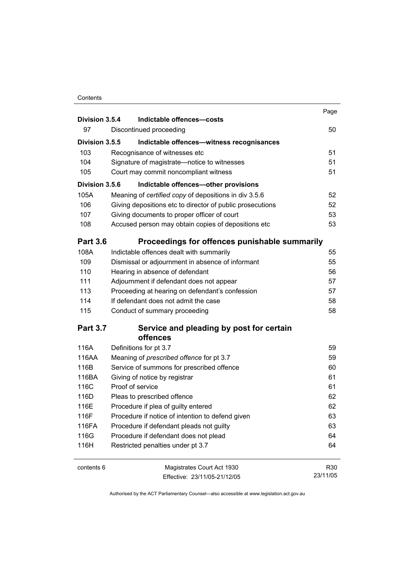#### **Contents**

| Division 3.5.4  | Indictable offences-costs                                                               | Page     |
|-----------------|-----------------------------------------------------------------------------------------|----------|
| 97              | Discontinued proceeding                                                                 | 50       |
| Division 3.5.5  | Indictable offences-witness recognisances                                               |          |
| 103             | Recognisance of witnesses etc                                                           | 51       |
| 104             | Signature of magistrate-notice to witnesses                                             | 51       |
| 105             | Court may commit noncompliant witness                                                   | 51       |
| Division 3.5.6  | Indictable offences-other provisions                                                    |          |
| 105A            | Meaning of certified copy of depositions in div 3.5.6                                   | 52       |
| 106             | Giving depositions etc to director of public prosecutions                               | 52       |
| 107             | Giving documents to proper officer of court                                             | 53       |
| 108             | Accused person may obtain copies of depositions etc                                     | 53       |
| <b>Part 3.6</b> | Proceedings for offences punishable summarily                                           |          |
| 108A            | Indictable offences dealt with summarily                                                | 55       |
| 109             | Dismissal or adjournment in absence of informant                                        | 55       |
| 110             | Hearing in absence of defendant                                                         | 56       |
| 111             | Adjournment if defendant does not appear                                                | 57       |
| 113             | Proceeding at hearing on defendant's confession                                         | 57       |
| 114             | If defendant does not admit the case                                                    | 58       |
| 115             | Conduct of summary proceeding                                                           | 58       |
| <b>Part 3.7</b> | Service and pleading by post for certain                                                |          |
|                 | offences                                                                                |          |
| 116A            | Definitions for pt 3.7                                                                  | 59       |
| 116AA           | Meaning of prescribed offence for pt 3.7                                                | 59       |
| 116B            | Service of summons for prescribed offence                                               | 60       |
| 116BA<br>116C   | Giving of notice by registrar<br>Proof of service                                       | 61<br>61 |
| 116D            | Pleas to prescribed offence                                                             | 62       |
| 116E            |                                                                                         | 62       |
| 116F            | Procedure if plea of guilty entered<br>Procedure if notice of intention to defend given | 63       |
| 116FA           | Procedure if defendant pleads not guilty                                                | 63       |
| 116G            | Procedure if defendant does not plead                                                   | 64       |
| 116H            | Restricted penalties under pt 3.7                                                       | 64       |
| contents 6      | Magistrates Court Act 1930                                                              | R30      |
|                 | Fffective: 23/11/05-21/12/05                                                            | 23/11/05 |

Effective: 23/11/05-21/12/05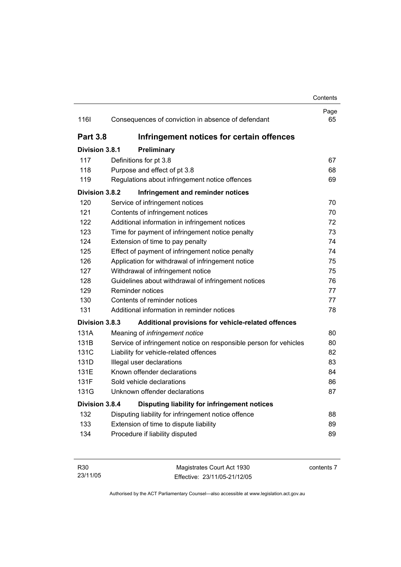### **Contents** Page 116I Consequences of conviction in absence of defendant 65 **Part 3.8 Infringement notices for certain offences Division 3.8.1 Preliminary** 117 Definitions for pt 3.8 67 118 Purpose and effect of pt 3.8 68 119 Regulations about infringement notice offences 69 **Division 3.8.2 Infringement and reminder notices** 120 Service of infringement notices 70 121 Contents of infringement notices 70 122 Additional information in infringement notices 72 123 Time for payment of infringement notice penalty 73 124 Extension of time to pay penalty 124 Extension of time to pay penalty 125 Effect of payment of infringement notice penalty 74 126 Application for withdrawal of infringement notice 75 127 Withdrawal of infringement notice 75 128 Guidelines about withdrawal of infringement notices 76 129 Reminder notices 77 130 Contents of reminder notices 77 131 Additional information in reminder notices 78 **Division 3.8.3 Additional provisions for vehicle-related offences** 131A Meaning of *infringement notice* 80 131B Service of infringement notice on responsible person for vehicles 80 131C Liability for vehicle-related offences 82 131D Illegal user declarations 83 131E Known offender declarations 84 131F Sold vehicle declarations 86 131G Unknown offender declarations 87 **Division 3.8.4 Disputing liability for infringement notices** 132 Disputing liability for infringement notice offence 88 133 Extension of time to dispute liability **133** Extension of time to dispute liability 134 Procedure if liability disputed 89

| R30      | Magistrates Court Act 1930   | contents 7 |
|----------|------------------------------|------------|
| 23/11/05 | Effective: 23/11/05-21/12/05 |            |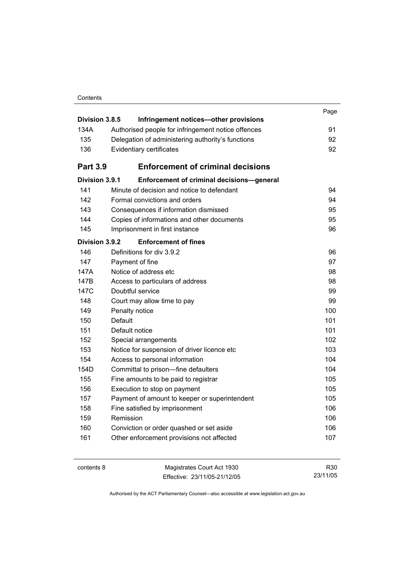|                 |                                                    | Page |
|-----------------|----------------------------------------------------|------|
| Division 3.8.5  | Infringement notices-other provisions              |      |
| 134A            | Authorised people for infringement notice offences | 91   |
| 135             | Delegation of administering authority's functions  | 92   |
| 136             | Evidentiary certificates                           | 92   |
| <b>Part 3.9</b> | <b>Enforcement of criminal decisions</b>           |      |
| Division 3.9.1  | Enforcement of criminal decisions-general          |      |
| 141             | Minute of decision and notice to defendant         | 94   |
| 142             | Formal convictions and orders                      | 94   |
| 143             | Consequences if information dismissed              | 95   |
| 144             | Copies of informations and other documents         | 95   |
| 145             | Imprisonment in first instance                     | 96   |
| Division 3.9.2  | <b>Enforcement of fines</b>                        |      |
| 146             | Definitions for div 3.9.2                          | 96   |
| 147             | Payment of fine                                    | 97   |
| 147A            | Notice of address etc                              | 98   |
| 147B            | Access to particulars of address                   | 98   |
| 147C            | Doubtful service                                   | 99   |
| 148             | Court may allow time to pay                        | 99   |
| 149             | Penalty notice                                     | 100  |
| 150             | <b>Default</b>                                     | 101  |
| 151             | Default notice                                     | 101  |
| 152             | Special arrangements                               | 102  |
| 153             | Notice for suspension of driver licence etc        | 103  |
| 154             | Access to personal information                     | 104  |
| 154D            | Committal to prison—fine defaulters                | 104  |
| 155             | Fine amounts to be paid to registrar               | 105  |
| 156             | Execution to stop on payment                       | 105  |
| 157             | Payment of amount to keeper or superintendent      | 105  |
| 158             | Fine satisfied by imprisonment                     | 106  |
| 159             | Remission                                          | 106  |
| 160             | Conviction or order quashed or set aside           | 106  |
| 161             | Other enforcement provisions not affected          | 107  |
|                 |                                                    |      |

| contents 8 | Magistrates Court Act 1930   | R30      |
|------------|------------------------------|----------|
|            | Effective: 23/11/05-21/12/05 | 23/11/05 |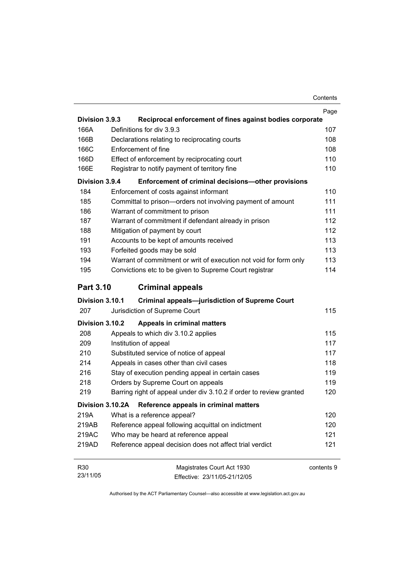|                  |                                                                     | Page       |
|------------------|---------------------------------------------------------------------|------------|
| Division 3.9.3   | Reciprocal enforcement of fines against bodies corporate            |            |
| 166A             | Definitions for div 3.9.3                                           | 107        |
| 166B             | Declarations relating to reciprocating courts                       | 108        |
| 166C             | Enforcement of fine                                                 | 108        |
| 166D             | Effect of enforcement by reciprocating court                        | 110        |
| 166E             | Registrar to notify payment of territory fine                       | 110        |
| Division 3.9.4   | Enforcement of criminal decisions-other provisions                  |            |
| 184              | Enforcement of costs against informant                              | 110        |
| 185              | Committal to prison-orders not involving payment of amount          | 111        |
| 186              | Warrant of commitment to prison                                     | 111        |
| 187              | Warrant of commitment if defendant already in prison                | 112        |
| 188              | Mitigation of payment by court                                      | 112        |
| 191              | Accounts to be kept of amounts received                             | 113        |
| 193              | Forfeited goods may be sold                                         | 113        |
| 194              | Warrant of commitment or writ of execution not void for form only   | 113        |
| 195              | Convictions etc to be given to Supreme Court registrar              | 114        |
| <b>Part 3.10</b> | <b>Criminal appeals</b>                                             |            |
| Division 3.10.1  | <b>Criminal appeals-jurisdiction of Supreme Court</b>               |            |
| 207              | Jurisdiction of Supreme Court                                       | 115        |
| Division 3.10.2  | Appeals in criminal matters                                         |            |
| 208              | Appeals to which div 3.10.2 applies                                 | 115        |
| 209              | Institution of appeal                                               | 117        |
| 210              | Substituted service of notice of appeal                             | 117        |
| 214              | Appeals in cases other than civil cases                             | 118        |
| 216              | Stay of execution pending appeal in certain cases                   | 119        |
| 218              | Orders by Supreme Court on appeals                                  | 119        |
| 219              | Barring right of appeal under div 3.10.2 if order to review granted | 120        |
| Division 3.10.2A | Reference appeals in criminal matters                               |            |
| 219A             | What is a reference appeal?                                         | 120        |
| 219AB            | Reference appeal following acquittal on indictment                  | 120        |
| 219AC            | Who may be heard at reference appeal                                | 121        |
| 219AD            | Reference appeal decision does not affect trial verdict             | 121        |
| R30              | Magistrates Court Act 1930                                          | contents 9 |

| R30      | Magistrates Court Act 1930   | contents |
|----------|------------------------------|----------|
| 23/11/05 | Effective: 23/11/05-21/12/05 |          |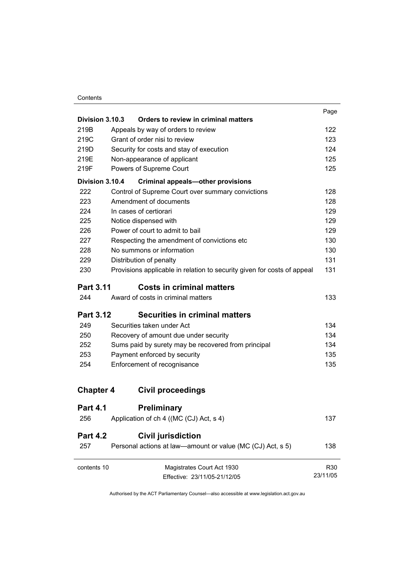#### **Contents**

|                  |                                                                           | Page     |
|------------------|---------------------------------------------------------------------------|----------|
| Division 3.10.3  | Orders to review in criminal matters                                      |          |
| 219B             | Appeals by way of orders to review                                        | 122      |
| 219C             | Grant of order nisi to review<br>Security for costs and stay of execution | 123      |
| 219D             |                                                                           | 124      |
| 219E             | Non-appearance of applicant                                               | 125      |
| 219F             | Powers of Supreme Court                                                   | 125      |
| Division 3.10.4  | <b>Criminal appeals-other provisions</b>                                  |          |
| 222              | Control of Supreme Court over summary convictions                         | 128      |
| 223              | Amendment of documents                                                    | 128      |
| 224              | In cases of certiorari                                                    | 129      |
| 225              | Notice dispensed with                                                     | 129      |
| 226              | Power of court to admit to bail                                           | 129      |
| 227              | Respecting the amendment of convictions etc                               | 130      |
| 228              | No summons or information                                                 | 130      |
| 229              | Distribution of penalty                                                   | 131      |
| 230              | Provisions applicable in relation to security given for costs of appeal   | 131      |
| <b>Part 3.11</b> | <b>Costs in criminal matters</b>                                          |          |
| 244              | Award of costs in criminal matters                                        | 133      |
| <b>Part 3.12</b> | <b>Securities in criminal matters</b>                                     |          |
| 249              | Securities taken under Act                                                | 134      |
| 250              | Recovery of amount due under security                                     | 134      |
| 252              | Sums paid by surety may be recovered from principal                       | 134      |
| 253              | Payment enforced by security                                              | 135      |
| 254              | Enforcement of recognisance                                               | 135      |
| <b>Chapter 4</b> | <b>Civil proceedings</b>                                                  |          |
| <b>Part 4.1</b>  | <b>Preliminary</b>                                                        |          |
| 256              | Application of ch 4 ((MC (CJ) Act, s 4)                                   | 137      |
| <b>Part 4.2</b>  | <b>Civil jurisdiction</b>                                                 |          |
| 257              | Personal actions at law—amount or value (MC (CJ) Act, s 5)                | 138      |
| contents 10      | Magistrates Court Act 1930                                                | R30      |
|                  | Effective: 23/11/05-21/12/05                                              | 23/11/05 |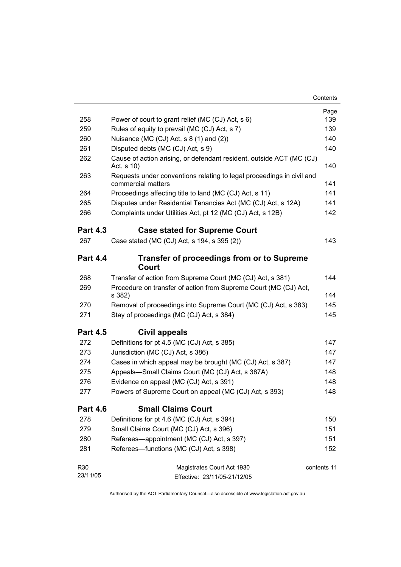|                 |                                                                                             | Page        |
|-----------------|---------------------------------------------------------------------------------------------|-------------|
| 258             | Power of court to grant relief (MC (CJ) Act, s 6)                                           | 139         |
| 259             | Rules of equity to prevail (MC (CJ) Act, s 7)                                               | 139         |
| 260             | Nuisance (MC (CJ) Act, s 8 (1) and (2))                                                     | 140         |
| 261             | Disputed debts (MC (CJ) Act, s 9)                                                           | 140         |
| 262             | Cause of action arising, or defendant resident, outside ACT (MC (CJ)<br>Act, s 10)          | 140         |
| 263             | Requests under conventions relating to legal proceedings in civil and<br>commercial matters | 141         |
| 264             | Proceedings affecting title to land (MC (CJ) Act, s 11)                                     | 141         |
| 265             | Disputes under Residential Tenancies Act (MC (CJ) Act, s 12A)                               | 141         |
| 266             | Complaints under Utilities Act, pt 12 (MC (CJ) Act, s 12B)                                  | 142         |
| <b>Part 4.3</b> | <b>Case stated for Supreme Court</b>                                                        |             |
| 267             | Case stated (MC (CJ) Act, s 194, s 395 (2))                                                 | 143         |
| <b>Part 4.4</b> | <b>Transfer of proceedings from or to Supreme</b><br>Court                                  |             |
| 268             | Transfer of action from Supreme Court (MC (CJ) Act, s 381)                                  | 144         |
| 269             | Procedure on transfer of action from Supreme Court (MC (CJ) Act,<br>s 382)                  | 144         |
| 270             | Removal of proceedings into Supreme Court (MC (CJ) Act, s 383)                              | 145         |
| 271             | Stay of proceedings (MC (CJ) Act, s 384)                                                    | 145         |
|                 |                                                                                             |             |
| <b>Part 4.5</b> | Civil appeals                                                                               |             |
| 272             | Definitions for pt 4.5 (MC (CJ) Act, s 385)                                                 | 147         |
| 273             | Jurisdiction (MC (CJ) Act, s 386)                                                           | 147         |
| 274             | Cases in which appeal may be brought (MC (CJ) Act, s 387)                                   | 147         |
| 275             | Appeals-Small Claims Court (MC (CJ) Act, s 387A)                                            | 148         |
| 276             | Evidence on appeal (MC (CJ) Act, s 391)                                                     | 148         |
| 277             | Powers of Supreme Court on appeal (MC (CJ) Act, s 393)                                      | 148         |
| <b>Part 4.6</b> | <b>Small Claims Court</b>                                                                   |             |
| 278             | Definitions for pt 4.6 (MC (CJ) Act, s 394)                                                 | 150         |
| 279             | Small Claims Court (MC (CJ) Act, s 396)                                                     | 151         |
| 280             | Referees—appointment (MC (CJ) Act, s 397)                                                   | 151         |
| 281             | Referees-functions (MC (CJ) Act, s 398)                                                     | 152         |
| R30             | Magistrates Court Act 1930                                                                  | contents 11 |
| 23/11/05        | Effective: 23/11/05-21/12/05                                                                |             |
|                 |                                                                                             |             |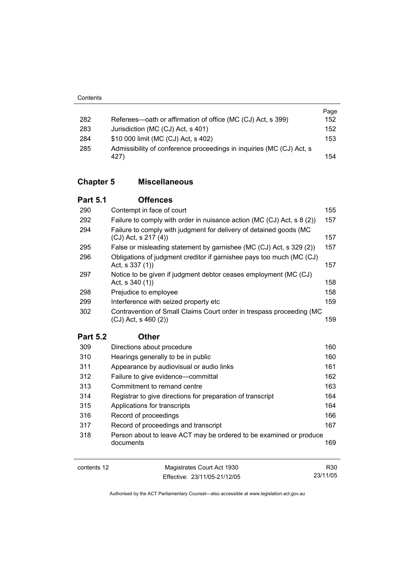|     |                                                                      | Page |
|-----|----------------------------------------------------------------------|------|
| 282 | Referees—oath or affirmation of office (MC (CJ) Act, s 399)          | 152  |
| 283 | Jurisdiction (MC (CJ) Act, s 401)                                    | 152  |
| 284 | \$10 000 limit (MC (CJ) Act, s 402)                                  | 153  |
| 285 | Admissibility of conference proceedings in inquiries (MC (CJ) Act, s |      |
|     | 427)                                                                 | 154  |

### **Chapter 5 Miscellaneous**

| <b>Part 5.1</b> | <b>Offences</b>                                                                               |     |
|-----------------|-----------------------------------------------------------------------------------------------|-----|
| 290             | Contempt in face of court                                                                     | 155 |
| 292             | Failure to comply with order in nuisance action (MC (CJ) Act, s 8 (2))                        | 157 |
| 294             | Failure to comply with judgment for delivery of detained goods (MC<br>$(CJ)$ Act, s 217 $(4)$ | 157 |
| 295             | False or misleading statement by garnishee (MC (CJ) Act, s 329 (2))                           | 157 |
| 296             | Obligations of judgment creditor if garnishee pays too much (MC (CJ)<br>Act, s $337(1)$       | 157 |
| 297             | Notice to be given if judgment debtor ceases employment (MC (CJ)<br>Act, s 340 (1))           | 158 |
| 298             | Prejudice to employee                                                                         | 158 |
| 299             | Interference with seized property etc                                                         | 159 |
| 302             | Contravention of Small Claims Court order in trespass proceeding (MC<br>(CJ) Act, s 460 (2))  | 159 |

### **Part 5.2 Other**

| 309 | Directions about procedure                                         | 160 |
|-----|--------------------------------------------------------------------|-----|
| 310 | Hearings generally to be in public                                 | 160 |
| 311 | Appearance by audiovisual or audio links                           | 161 |
| 312 | Failure to give evidence—committal                                 | 162 |
| 313 | Commitment to remand centre                                        | 163 |
| 314 | Registrar to give directions for preparation of transcript         | 164 |
| 315 | Applications for transcripts                                       | 164 |
| 316 | Record of proceedings                                              | 166 |
| 317 | Record of proceedings and transcript                               | 167 |
| 318 | Person about to leave ACT may be ordered to be examined or produce |     |
|     | documents                                                          | 169 |
|     |                                                                    |     |

contents 12 Magistrates Court Act 1930 Effective: 23/11/05-21/12/05

Authorised by the ACT Parliamentary Counsel—also accessible at www.legislation.act.gov.au

R30 23/11/05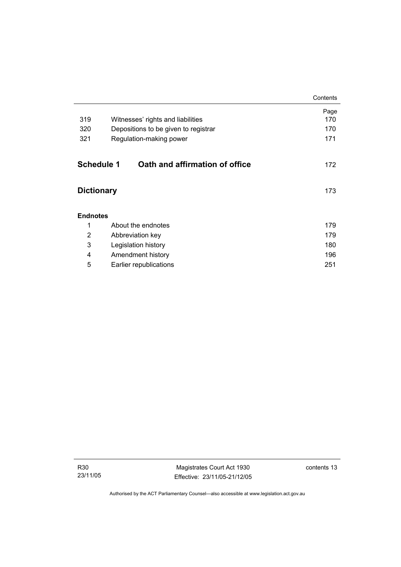|                                |                                      | Contents    |
|--------------------------------|--------------------------------------|-------------|
| 319                            | Witnesses' rights and liabilities    | Page<br>170 |
| 320                            | Depositions to be given to registrar | 170         |
| 321<br>Regulation-making power |                                      | 171         |
|                                |                                      |             |
| Schedule 1                     | Oath and affirmation of office       | 172         |
|                                |                                      |             |
| <b>Dictionary</b>              |                                      | 173         |
|                                |                                      |             |
| <b>Endnotes</b>                |                                      |             |
| 1                              | About the endnotes                   | 179         |
| 2                              | Abbreviation key                     | 179         |
| 3                              | Legislation history                  | 180         |
| 4                              | Amendment history                    | 196         |
| 5                              | Earlier republications               | 251         |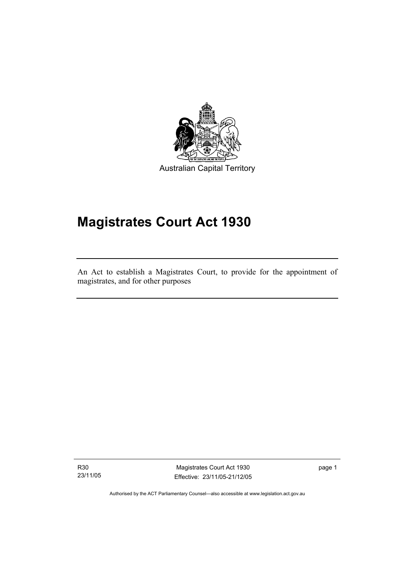

Australian Capital Territory

# **Magistrates Court Act 1930**

An Act to establish a Magistrates Court, to provide for the appointment of magistrates, and for other purposes

R30 23/11/05

I

Magistrates Court Act 1930 Effective: 23/11/05-21/12/05 page 1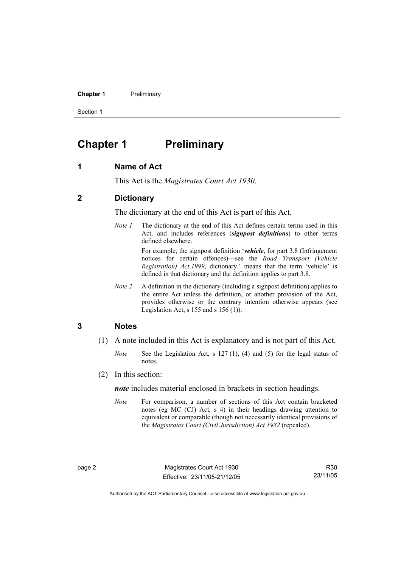**Chapter 1** Preliminary

Section 1

### **Chapter 1 Preliminary**

#### **1 Name of Act**

This Act is the *Magistrates Court Act 1930*.

#### **2 Dictionary**

The dictionary at the end of this Act is part of this Act.

*Note 1* The dictionary at the end of this Act defines certain terms used in this Act, and includes references (*signpost definitions*) to other terms defined elsewhere.

> For example, the signpost definition '*vehicle*, for part 3.8 (Infringement notices for certain offences)—see the *Road Transport (Vehicle Registration) Act 1999*, dictionary.' means that the term 'vehicle' is defined in that dictionary and the definition applies to part 3.8.

*Note 2* A definition in the dictionary (including a signpost definition) applies to the entire Act unless the definition, or another provision of the Act, provides otherwise or the contrary intention otherwise appears (see Legislation Act,  $s$  155 and  $s$  156 (1)).

#### **3 Notes**

- (1) A note included in this Act is explanatory and is not part of this Act.
	- *Note* See the Legislation Act, s 127 (1), (4) and (5) for the legal status of notes.
- (2) In this section:

*note* includes material enclosed in brackets in section headings.

*Note* For comparison, a number of sections of this Act contain bracketed notes (eg MC (CJ) Act, s 4) in their headings drawing attention to equivalent or comparable (though not necessarily identical provisions of the *Magistrates Court (Civil Jurisdiction) Act 1982* (repealed).

R30 23/11/05

Authorised by the ACT Parliamentary Counsel—also accessible at www.legislation.act.gov.au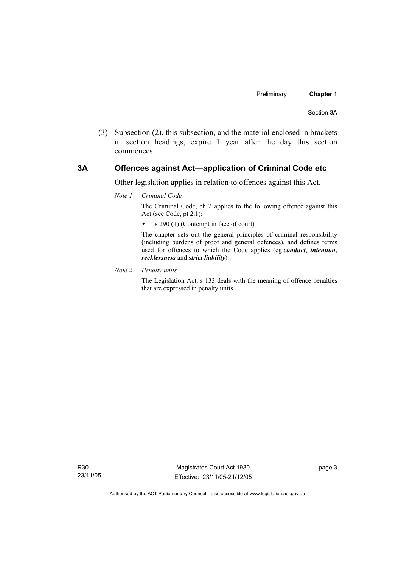(3) Subsection (2), this subsection, and the material enclosed in brackets in section headings, expire 1 year after the day this section commences.

#### **3A Offences against Act—application of Criminal Code etc**

Other legislation applies in relation to offences against this Act.

*Note 1 Criminal Code*

The Criminal Code, ch 2 applies to the following offence against this Act (see Code, pt 2.1):

• s 290 (1) (Contempt in face of court)

The chapter sets out the general principles of criminal responsibility (including burdens of proof and general defences), and defines terms used for offences to which the Code applies (eg *conduct*, *intention*, *recklessness* and *strict liability*).

*Note 2 Penalty units* 

The Legislation Act, s 133 deals with the meaning of offence penalties that are expressed in penalty units.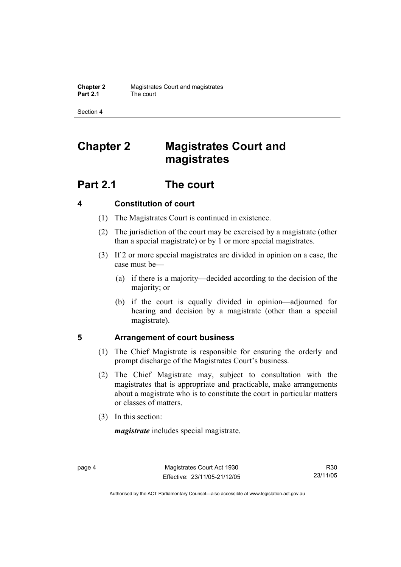Section 4

# **Chapter 2 Magistrates Court and magistrates**

# **Part 2.1 The court**

### **4 Constitution of court**

- (1) The Magistrates Court is continued in existence.
- (2) The jurisdiction of the court may be exercised by a magistrate (other than a special magistrate) or by 1 or more special magistrates.
- (3) If 2 or more special magistrates are divided in opinion on a case, the case must be—
	- (a) if there is a majority—decided according to the decision of the majority; or
	- (b) if the court is equally divided in opinion—adjourned for hearing and decision by a magistrate (other than a special magistrate).

### **5 Arrangement of court business**

- (1) The Chief Magistrate is responsible for ensuring the orderly and prompt discharge of the Magistrates Court's business.
- (2) The Chief Magistrate may, subject to consultation with the magistrates that is appropriate and practicable, make arrangements about a magistrate who is to constitute the court in particular matters or classes of matters.
- (3) In this section:

*magistrate* includes special magistrate.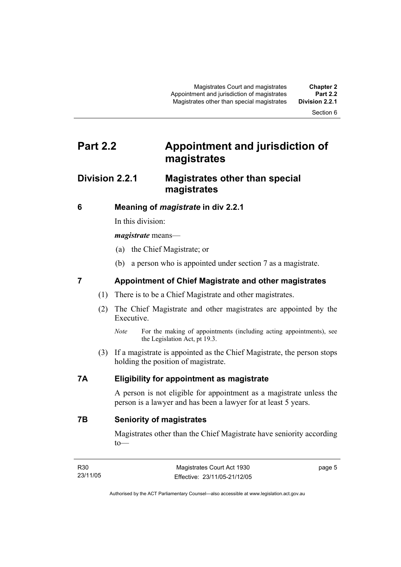Section 6

# **Part 2.2 Appointment and jurisdiction of magistrates**

### **Division 2.2.1 Magistrates other than special magistrates**

#### **6 Meaning of** *magistrate* **in div 2.2.1**

In this division:

#### *magistrate* means—

- (a) the Chief Magistrate; or
- (b) a person who is appointed under section 7 as a magistrate.

### **7 Appointment of Chief Magistrate and other magistrates**

- (1) There is to be a Chief Magistrate and other magistrates.
- (2) The Chief Magistrate and other magistrates are appointed by the Executive.
	- *Note* For the making of appointments (including acting appointments), see the Legislation Act, pt 19.3.
- (3) If a magistrate is appointed as the Chief Magistrate, the person stops holding the position of magistrate.

#### **7A Eligibility for appointment as magistrate**

A person is not eligible for appointment as a magistrate unless the person is a lawyer and has been a lawyer for at least 5 years.

**7B Seniority of magistrates** 

Magistrates other than the Chief Magistrate have seniority according to—

| R30      | Magistrates Court Act 1930   | page 5 |
|----------|------------------------------|--------|
| 23/11/05 | Effective: 23/11/05-21/12/05 |        |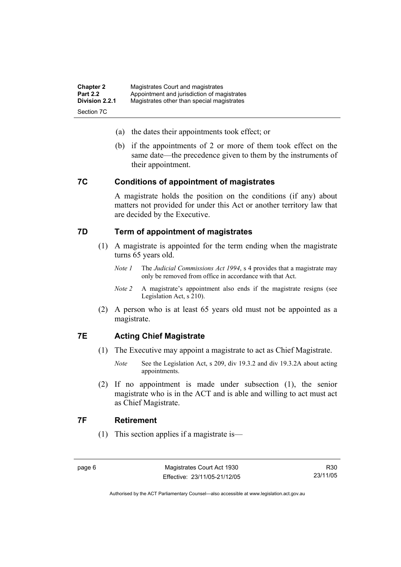| <b>Chapter 2</b> | Magistrates Court and magistrates           |
|------------------|---------------------------------------------|
| <b>Part 2.2</b>  | Appointment and jurisdiction of magistrates |
| Division 2.2.1   | Magistrates other than special magistrates  |
| Section 7C       |                                             |

- (a) the dates their appointments took effect; or
- (b) if the appointments of 2 or more of them took effect on the same date—the precedence given to them by the instruments of their appointment.

#### **7C Conditions of appointment of magistrates**

A magistrate holds the position on the conditions (if any) about matters not provided for under this Act or another territory law that are decided by the Executive.

#### **7D Term of appointment of magistrates**

- (1) A magistrate is appointed for the term ending when the magistrate turns 65 years old.
	- *Note 1* The *Judicial Commissions Act 1994*, s 4 provides that a magistrate may only be removed from office in accordance with that Act.
	- *Note 2* A magistrate's appointment also ends if the magistrate resigns (see Legislation Act, s 210).
- (2) A person who is at least 65 years old must not be appointed as a magistrate.

### **7E Acting Chief Magistrate**

- (1) The Executive may appoint a magistrate to act as Chief Magistrate.
	- *Note* See the Legislation Act, s 209, div 19.3.2 and div 19.3.2A about acting appointments.
- (2) If no appointment is made under subsection (1), the senior magistrate who is in the ACT and is able and willing to act must act as Chief Magistrate.

#### **7F Retirement**

(1) This section applies if a magistrate is—

R30 23/11/05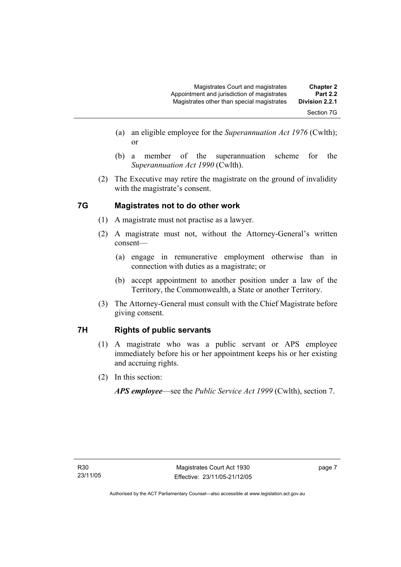- (a) an eligible employee for the *Superannuation Act 1976* (Cwlth); or
- (b) a member of the superannuation scheme for the *Superannuation Act 1990* (Cwlth).
- (2) The Executive may retire the magistrate on the ground of invalidity with the magistrate's consent.

### **7G Magistrates not to do other work**

- (1) A magistrate must not practise as a lawyer.
- (2) A magistrate must not, without the Attorney-General's written consent—
	- (a) engage in remunerative employment otherwise than in connection with duties as a magistrate; or
	- (b) accept appointment to another position under a law of the Territory, the Commonwealth, a State or another Territory.
- (3) The Attorney-General must consult with the Chief Magistrate before giving consent.

### **7H Rights of public servants**

- (1) A magistrate who was a public servant or APS employee immediately before his or her appointment keeps his or her existing and accruing rights.
- (2) In this section:

*APS employee*—see the *Public Service Act 1999* (Cwlth), section 7.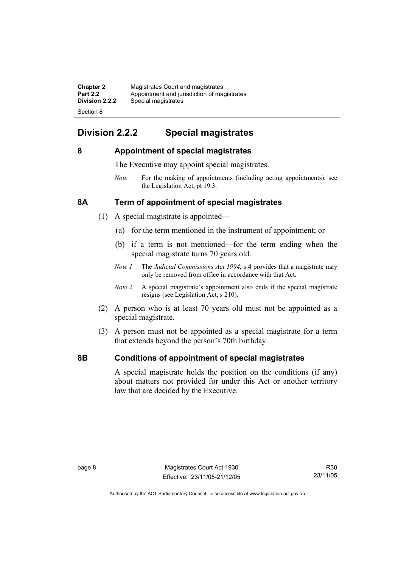| <b>Chapter 2</b> | Magistrates Court and magistrates           |
|------------------|---------------------------------------------|
| <b>Part 2.2</b>  | Appointment and jurisdiction of magistrates |
| Division 2.2.2   | Special magistrates                         |
| Section 8        |                                             |

### **Division 2.2.2 Special magistrates**

#### **8 Appointment of special magistrates**

The Executive may appoint special magistrates.

*Note* For the making of appointments (including acting appointments), see the Legislation Act, pt 19.3.

#### **8A Term of appointment of special magistrates**

- (1) A special magistrate is appointed—
	- (a) for the term mentioned in the instrument of appointment; or
	- (b) if a term is not mentioned—for the term ending when the special magistrate turns 70 years old.
	- *Note 1* The *Judicial Commissions Act 1994*, s 4 provides that a magistrate may only be removed from office in accordance with that Act.
	- *Note 2* A special magistrate's appointment also ends if the special magistrate resigns (see Legislation Act, s 210).
- (2) A person who is at least 70 years old must not be appointed as a special magistrate.
- (3) A person must not be appointed as a special magistrate for a term that extends beyond the person's 70th birthday.

#### **8B Conditions of appointment of special magistrates**

A special magistrate holds the position on the conditions (if any) about matters not provided for under this Act or another territory law that are decided by the Executive.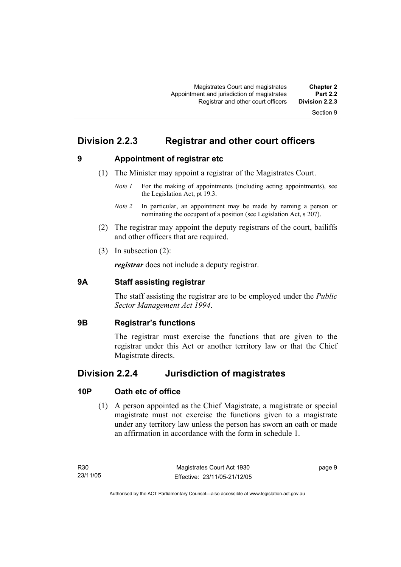### **Division 2.2.3 Registrar and other court officers**

**9 Appointment of registrar etc** 

- (1) The Minister may appoint a registrar of the Magistrates Court.
	- *Note 1* For the making of appointments (including acting appointments), see the Legislation Act, pt 19.3.
	- *Note 2* In particular, an appointment may be made by naming a person or nominating the occupant of a position (see Legislation Act, s 207).
- (2) The registrar may appoint the deputy registrars of the court, bailiffs and other officers that are required.
- (3) In subsection (2):

*registrar* does not include a deputy registrar.

#### **9A Staff assisting registrar**

The staff assisting the registrar are to be employed under the *Public Sector Management Act 1994*.

#### **9B Registrar's functions**

The registrar must exercise the functions that are given to the registrar under this Act or another territory law or that the Chief Magistrate directs.

### **Division 2.2.4 Jurisdiction of magistrates**

#### **10P Oath etc of office**

 (1) A person appointed as the Chief Magistrate, a magistrate or special magistrate must not exercise the functions given to a magistrate under any territory law unless the person has sworn an oath or made an affirmation in accordance with the form in schedule 1.

page 9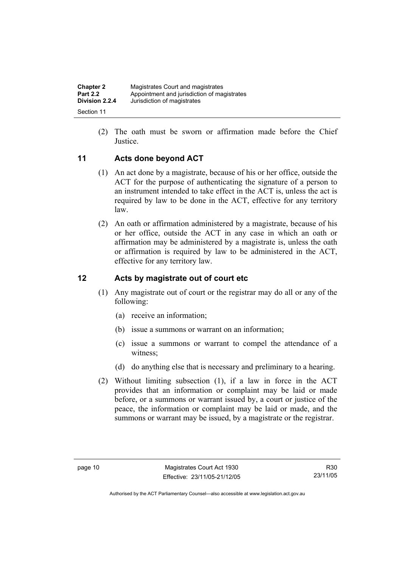| <b>Chapter 2</b> | Magistrates Court and magistrates           |
|------------------|---------------------------------------------|
| <b>Part 2.2</b>  | Appointment and jurisdiction of magistrates |
| Division 2.2.4   | Jurisdiction of magistrates                 |
| Section 11       |                                             |

 (2) The oath must be sworn or affirmation made before the Chief Justice.

### **11 Acts done beyond ACT**

- (1) An act done by a magistrate, because of his or her office, outside the ACT for the purpose of authenticating the signature of a person to an instrument intended to take effect in the ACT is, unless the act is required by law to be done in the ACT, effective for any territory law.
- (2) An oath or affirmation administered by a magistrate, because of his or her office, outside the ACT in any case in which an oath or affirmation may be administered by a magistrate is, unless the oath or affirmation is required by law to be administered in the ACT, effective for any territory law.

#### **12 Acts by magistrate out of court etc**

- (1) Any magistrate out of court or the registrar may do all or any of the following:
	- (a) receive an information;
	- (b) issue a summons or warrant on an information;
	- (c) issue a summons or warrant to compel the attendance of a witness;
	- (d) do anything else that is necessary and preliminary to a hearing.
- (2) Without limiting subsection (1), if a law in force in the ACT provides that an information or complaint may be laid or made before, or a summons or warrant issued by, a court or justice of the peace, the information or complaint may be laid or made, and the summons or warrant may be issued, by a magistrate or the registrar.

R30 23/11/05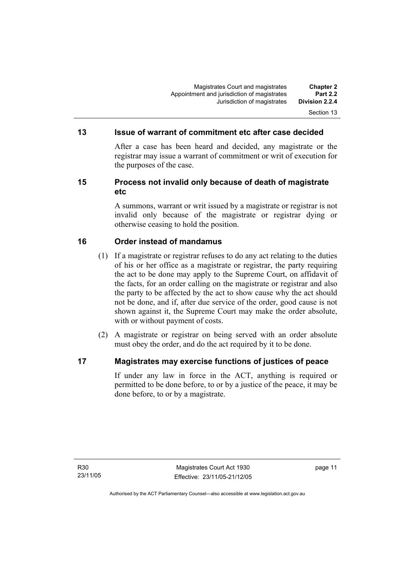#### **13 Issue of warrant of commitment etc after case decided**

After a case has been heard and decided, any magistrate or the registrar may issue a warrant of commitment or writ of execution for the purposes of the case.

#### **15 Process not invalid only because of death of magistrate etc**

A summons, warrant or writ issued by a magistrate or registrar is not invalid only because of the magistrate or registrar dying or otherwise ceasing to hold the position.

#### **16 Order instead of mandamus**

- (1) If a magistrate or registrar refuses to do any act relating to the duties of his or her office as a magistrate or registrar, the party requiring the act to be done may apply to the Supreme Court, on affidavit of the facts, for an order calling on the magistrate or registrar and also the party to be affected by the act to show cause why the act should not be done, and if, after due service of the order, good cause is not shown against it, the Supreme Court may make the order absolute, with or without payment of costs.
- (2) A magistrate or registrar on being served with an order absolute must obey the order, and do the act required by it to be done.

#### **17 Magistrates may exercise functions of justices of peace**

If under any law in force in the ACT, anything is required or permitted to be done before, to or by a justice of the peace, it may be done before, to or by a magistrate.

page 11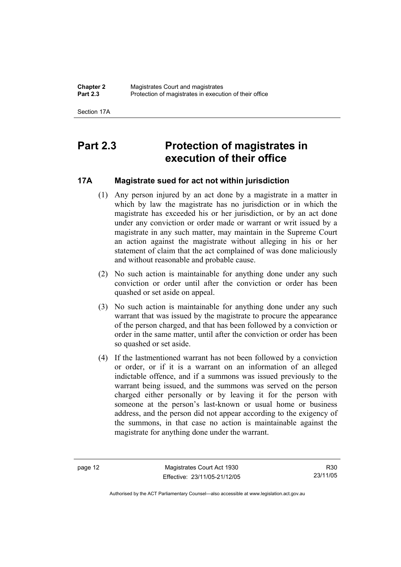Section 17A

# **Part 2.3 Protection of magistrates in execution of their office**

### **17A Magistrate sued for act not within jurisdiction**

- (1) Any person injured by an act done by a magistrate in a matter in which by law the magistrate has no jurisdiction or in which the magistrate has exceeded his or her jurisdiction, or by an act done under any conviction or order made or warrant or writ issued by a magistrate in any such matter, may maintain in the Supreme Court an action against the magistrate without alleging in his or her statement of claim that the act complained of was done maliciously and without reasonable and probable cause.
- (2) No such action is maintainable for anything done under any such conviction or order until after the conviction or order has been quashed or set aside on appeal.
- (3) No such action is maintainable for anything done under any such warrant that was issued by the magistrate to procure the appearance of the person charged, and that has been followed by a conviction or order in the same matter, until after the conviction or order has been so quashed or set aside.
- (4) If the lastmentioned warrant has not been followed by a conviction or order, or if it is a warrant on an information of an alleged indictable offence, and if a summons was issued previously to the warrant being issued, and the summons was served on the person charged either personally or by leaving it for the person with someone at the person's last-known or usual home or business address, and the person did not appear according to the exigency of the summons, in that case no action is maintainable against the magistrate for anything done under the warrant.

page 12 Magistrates Court Act 1930 Effective: 23/11/05-21/12/05

R30 23/11/05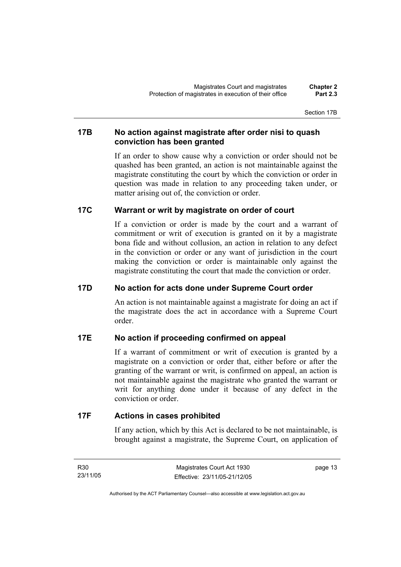Section 17B

#### **17B No action against magistrate after order nisi to quash conviction has been granted**

If an order to show cause why a conviction or order should not be quashed has been granted, an action is not maintainable against the magistrate constituting the court by which the conviction or order in question was made in relation to any proceeding taken under, or matter arising out of, the conviction or order.

#### **17C Warrant or writ by magistrate on order of court**

If a conviction or order is made by the court and a warrant of commitment or writ of execution is granted on it by a magistrate bona fide and without collusion, an action in relation to any defect in the conviction or order or any want of jurisdiction in the court making the conviction or order is maintainable only against the magistrate constituting the court that made the conviction or order.

### **17D No action for acts done under Supreme Court order**

An action is not maintainable against a magistrate for doing an act if the magistrate does the act in accordance with a Supreme Court order.

#### **17E No action if proceeding confirmed on appeal**

If a warrant of commitment or writ of execution is granted by a magistrate on a conviction or order that, either before or after the granting of the warrant or writ, is confirmed on appeal, an action is not maintainable against the magistrate who granted the warrant or writ for anything done under it because of any defect in the conviction or order.

#### **17F Actions in cases prohibited**

If any action, which by this Act is declared to be not maintainable, is brought against a magistrate, the Supreme Court, on application of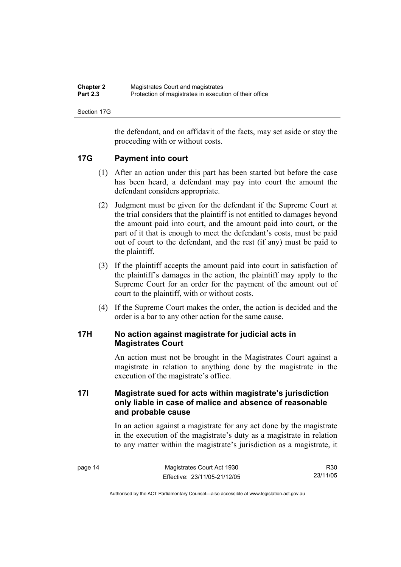| <b>Chapter 2</b> | Magistrates Court and magistrates                      |
|------------------|--------------------------------------------------------|
| <b>Part 2.3</b>  | Protection of magistrates in execution of their office |

Section 17G

the defendant, and on affidavit of the facts, may set aside or stay the proceeding with or without costs.

#### **17G Payment into court**

- (1) After an action under this part has been started but before the case has been heard, a defendant may pay into court the amount the defendant considers appropriate.
- (2) Judgment must be given for the defendant if the Supreme Court at the trial considers that the plaintiff is not entitled to damages beyond the amount paid into court, and the amount paid into court, or the part of it that is enough to meet the defendant's costs, must be paid out of court to the defendant, and the rest (if any) must be paid to the plaintiff.
- (3) If the plaintiff accepts the amount paid into court in satisfaction of the plaintiff's damages in the action, the plaintiff may apply to the Supreme Court for an order for the payment of the amount out of court to the plaintiff, with or without costs.
- (4) If the Supreme Court makes the order, the action is decided and the order is a bar to any other action for the same cause.

#### **17H No action against magistrate for judicial acts in Magistrates Court**

An action must not be brought in the Magistrates Court against a magistrate in relation to anything done by the magistrate in the execution of the magistrate's office.

### **17I Magistrate sued for acts within magistrate's jurisdiction only liable in case of malice and absence of reasonable and probable cause**

In an action against a magistrate for any act done by the magistrate in the execution of the magistrate's duty as a magistrate in relation to any matter within the magistrate's jurisdiction as a magistrate, it

| page 14 | Magistrates Court Act 1930   |  |
|---------|------------------------------|--|
|         | Effective: 23/11/05-21/12/05 |  |

R30 23/11/05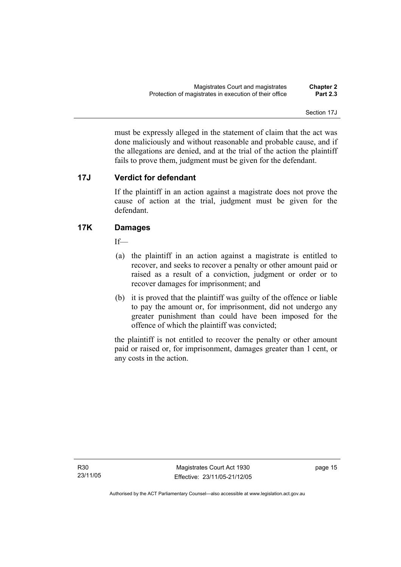Section 17J

must be expressly alleged in the statement of claim that the act was done maliciously and without reasonable and probable cause, and if the allegations are denied, and at the trial of the action the plaintiff fails to prove them, judgment must be given for the defendant.

#### **17J Verdict for defendant**

If the plaintiff in an action against a magistrate does not prove the cause of action at the trial, judgment must be given for the defendant.

#### **17K Damages**

If—

- (a) the plaintiff in an action against a magistrate is entitled to recover, and seeks to recover a penalty or other amount paid or raised as a result of a conviction, judgment or order or to recover damages for imprisonment; and
- (b) it is proved that the plaintiff was guilty of the offence or liable to pay the amount or, for imprisonment, did not undergo any greater punishment than could have been imposed for the offence of which the plaintiff was convicted;

the plaintiff is not entitled to recover the penalty or other amount paid or raised or, for imprisonment, damages greater than 1 cent, or any costs in the action.

R30 23/11/05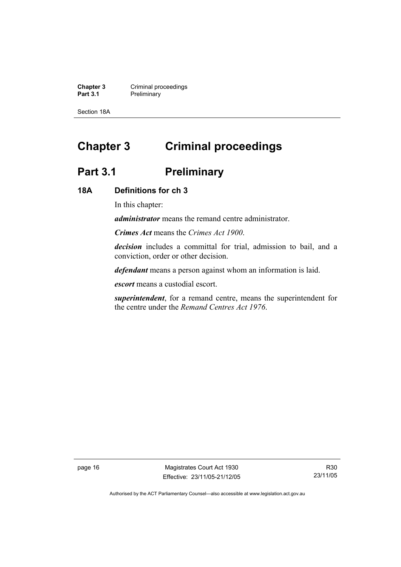**Chapter 3 Criminal proceedings**<br> **Part 3.1 Preliminary Preliminary** 

Section 18A

# **Chapter 3 Criminal proceedings**

# Part 3.1 **Preliminary**

#### **18A Definitions for ch 3**

In this chapter:

*administrator* means the remand centre administrator.

*Crimes Act* means the *Crimes Act 1900*.

*decision* includes a committal for trial, admission to bail, and a conviction, order or other decision.

*defendant* means a person against whom an information is laid.

*escort* means a custodial escort.

*superintendent*, for a remand centre, means the superintendent for the centre under the *Remand Centres Act 1976*.

page 16 Magistrates Court Act 1930 Effective: 23/11/05-21/12/05

R30 23/11/05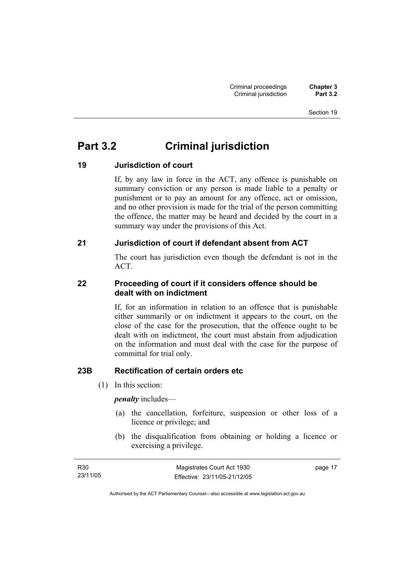# **Part 3.2 Criminal jurisdiction**

### **19 Jurisdiction of court**

If, by any law in force in the ACT, any offence is punishable on summary conviction or any person is made liable to a penalty or punishment or to pay an amount for any offence, act or omission, and no other provision is made for the trial of the person committing the offence, the matter may be heard and decided by the court in a summary way under the provisions of this Act.

### **21 Jurisdiction of court if defendant absent from ACT**

The court has jurisdiction even though the defendant is not in the ACT.

### **22 Proceeding of court if it considers offence should be dealt with on indictment**

If, for an information in relation to an offence that is punishable either summarily or on indictment it appears to the court, on the close of the case for the prosecution, that the offence ought to be dealt with on indictment, the court must abstain from adjudication on the information and must deal with the case for the purpose of committal for trial only.

### **23B Rectification of certain orders etc**

(1) In this section:

*penalty* includes—

- (a) the cancellation, forfeiture, suspension or other loss of a licence or privilege; and
- (b) the disqualification from obtaining or holding a licence or exercising a privilege.

| R <sub>30</sub> | Magistrates Court Act 1930   | page 17 |
|-----------------|------------------------------|---------|
| 23/11/05        | Effective: 23/11/05-21/12/05 |         |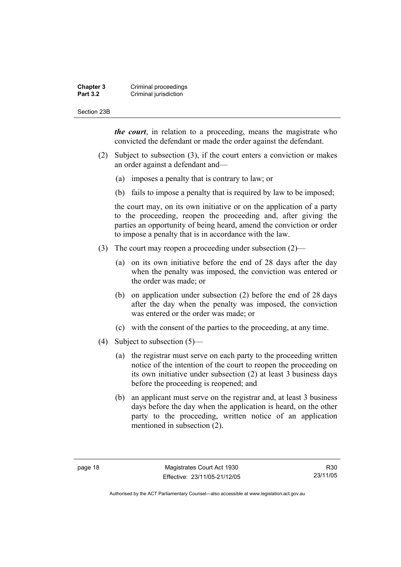#### **Chapter 3 Criminal proceedings**<br>**Part 3.2 Criminal jurisdiction Criminal jurisdiction**

#### Section 23B

*the court*, in relation to a proceeding, means the magistrate who convicted the defendant or made the order against the defendant.

- (2) Subject to subsection (3), if the court enters a conviction or makes an order against a defendant and—
	- (a) imposes a penalty that is contrary to law; or
	- (b) fails to impose a penalty that is required by law to be imposed;

the court may, on its own initiative or on the application of a party to the proceeding, reopen the proceeding and, after giving the parties an opportunity of being heard, amend the conviction or order to impose a penalty that is in accordance with the law.

- (3) The court may reopen a proceeding under subsection (2)—
	- (a) on its own initiative before the end of 28 days after the day when the penalty was imposed, the conviction was entered or the order was made; or
	- (b) on application under subsection (2) before the end of 28 days after the day when the penalty was imposed, the conviction was entered or the order was made; or
	- (c) with the consent of the parties to the proceeding, at any time.
- (4) Subject to subsection (5)—
	- (a) the registrar must serve on each party to the proceeding written notice of the intention of the court to reopen the proceeding on its own initiative under subsection (2) at least 3 business days before the proceeding is reopened; and
	- (b) an applicant must serve on the registrar and, at least 3 business days before the day when the application is heard, on the other party to the proceeding, written notice of an application mentioned in subsection (2).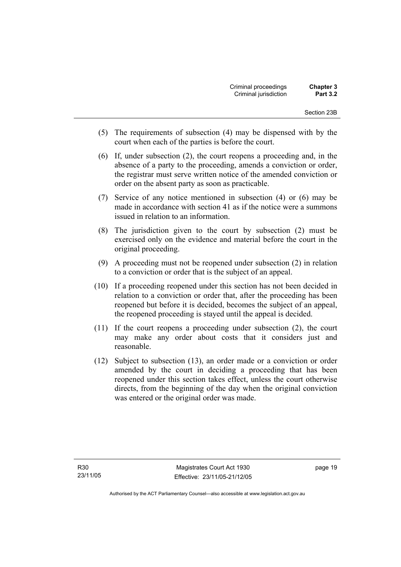- (5) The requirements of subsection (4) may be dispensed with by the court when each of the parties is before the court.
- (6) If, under subsection (2), the court reopens a proceeding and, in the absence of a party to the proceeding, amends a conviction or order, the registrar must serve written notice of the amended conviction or order on the absent party as soon as practicable.
- (7) Service of any notice mentioned in subsection (4) or (6) may be made in accordance with section 41 as if the notice were a summons issued in relation to an information.
- (8) The jurisdiction given to the court by subsection (2) must be exercised only on the evidence and material before the court in the original proceeding.
- (9) A proceeding must not be reopened under subsection (2) in relation to a conviction or order that is the subject of an appeal.
- (10) If a proceeding reopened under this section has not been decided in relation to a conviction or order that, after the proceeding has been reopened but before it is decided, becomes the subject of an appeal, the reopened proceeding is stayed until the appeal is decided.
- (11) If the court reopens a proceeding under subsection (2), the court may make any order about costs that it considers just and reasonable.
- (12) Subject to subsection (13), an order made or a conviction or order amended by the court in deciding a proceeding that has been reopened under this section takes effect, unless the court otherwise directs, from the beginning of the day when the original conviction was entered or the original order was made.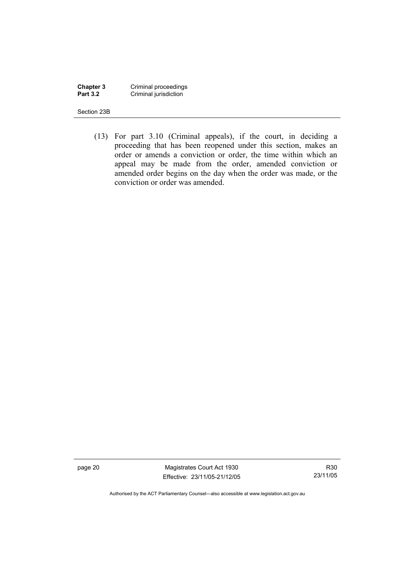**Chapter 3** Criminal proceedings **Part 3.2 Criminal jurisdiction** 

Section 23B

 (13) For part 3.10 (Criminal appeals), if the court, in deciding a proceeding that has been reopened under this section, makes an order or amends a conviction or order, the time within which an appeal may be made from the order, amended conviction or amended order begins on the day when the order was made, or the conviction or order was amended.

page 20 Magistrates Court Act 1930 Effective: 23/11/05-21/12/05

R30 23/11/05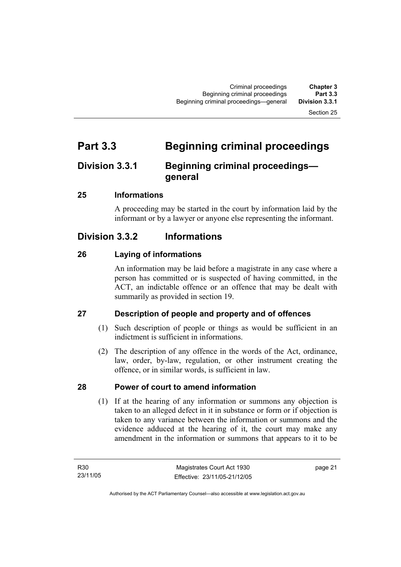## **Part 3.3 Beginning criminal proceedings**

## **Division 3.3.1 Beginning criminal proceedings general**

#### **25 Informations**

A proceeding may be started in the court by information laid by the informant or by a lawyer or anyone else representing the informant.

## **Division 3.3.2 Informations**

#### **26 Laying of informations**

An information may be laid before a magistrate in any case where a person has committed or is suspected of having committed, in the ACT, an indictable offence or an offence that may be dealt with summarily as provided in section 19.

## **27 Description of people and property and of offences**

- (1) Such description of people or things as would be sufficient in an indictment is sufficient in informations.
- (2) The description of any offence in the words of the Act, ordinance, law, order, by-law, regulation, or other instrument creating the offence, or in similar words, is sufficient in law.

## **28 Power of court to amend information**

 (1) If at the hearing of any information or summons any objection is taken to an alleged defect in it in substance or form or if objection is taken to any variance between the information or summons and the evidence adduced at the hearing of it, the court may make any amendment in the information or summons that appears to it to be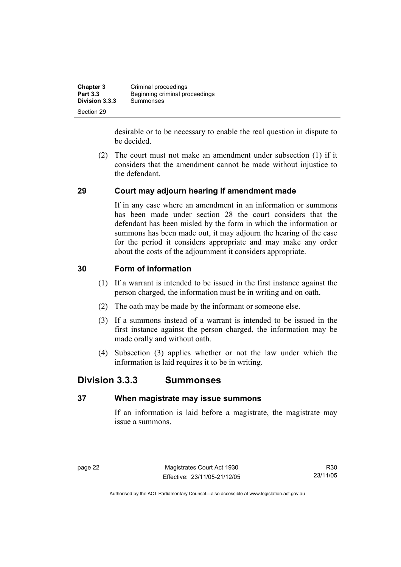| <b>Chapter 3</b> | Criminal proceedings           |
|------------------|--------------------------------|
| <b>Part 3.3</b>  | Beginning criminal proceedings |
| Division 3.3.3   | Summonses                      |
| Section 29       |                                |

desirable or to be necessary to enable the real question in dispute to be decided.

 (2) The court must not make an amendment under subsection (1) if it considers that the amendment cannot be made without injustice to the defendant.

#### **29 Court may adjourn hearing if amendment made**

If in any case where an amendment in an information or summons has been made under section 28 the court considers that the defendant has been misled by the form in which the information or summons has been made out, it may adjourn the hearing of the case for the period it considers appropriate and may make any order about the costs of the adjournment it considers appropriate.

#### **30 Form of information**

- (1) If a warrant is intended to be issued in the first instance against the person charged, the information must be in writing and on oath.
- (2) The oath may be made by the informant or someone else.
- (3) If a summons instead of a warrant is intended to be issued in the first instance against the person charged, the information may be made orally and without oath.
- (4) Subsection (3) applies whether or not the law under which the information is laid requires it to be in writing.

## **Division 3.3.3 Summonses**

#### **37 When magistrate may issue summons**

If an information is laid before a magistrate, the magistrate may issue a summons.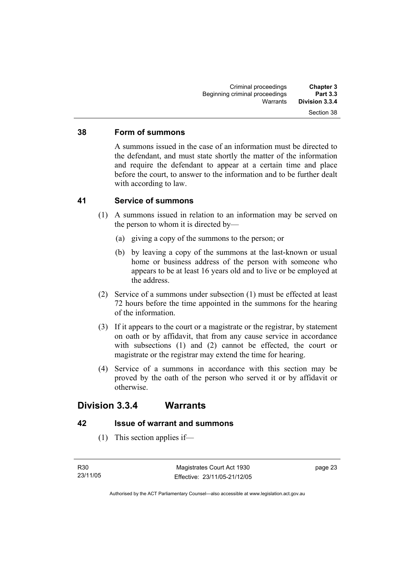#### **38 Form of summons**

A summons issued in the case of an information must be directed to the defendant, and must state shortly the matter of the information and require the defendant to appear at a certain time and place before the court, to answer to the information and to be further dealt with according to law.

#### **41 Service of summons**

- (1) A summons issued in relation to an information may be served on the person to whom it is directed by—
	- (a) giving a copy of the summons to the person; or
	- (b) by leaving a copy of the summons at the last-known or usual home or business address of the person with someone who appears to be at least 16 years old and to live or be employed at the address.
- (2) Service of a summons under subsection (1) must be effected at least 72 hours before the time appointed in the summons for the hearing of the information.
- (3) If it appears to the court or a magistrate or the registrar, by statement on oath or by affidavit, that from any cause service in accordance with subsections (1) and (2) cannot be effected, the court or magistrate or the registrar may extend the time for hearing.
- (4) Service of a summons in accordance with this section may be proved by the oath of the person who served it or by affidavit or otherwise.

## **Division 3.3.4 Warrants**

#### **42 Issue of warrant and summons**

(1) This section applies if—

page 23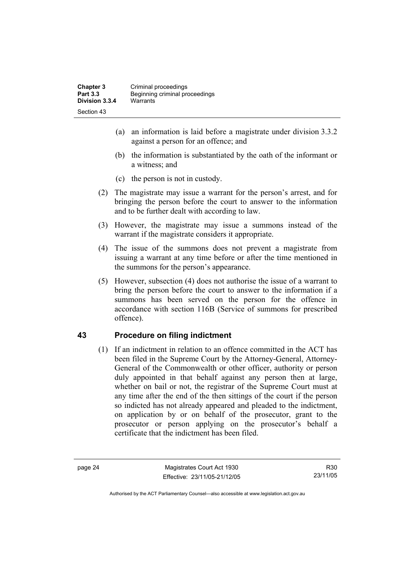- (a) an information is laid before a magistrate under division 3.3.2 against a person for an offence; and
- (b) the information is substantiated by the oath of the informant or a witness; and
- (c) the person is not in custody.
- (2) The magistrate may issue a warrant for the person's arrest, and for bringing the person before the court to answer to the information and to be further dealt with according to law.
- (3) However, the magistrate may issue a summons instead of the warrant if the magistrate considers it appropriate.
- (4) The issue of the summons does not prevent a magistrate from issuing a warrant at any time before or after the time mentioned in the summons for the person's appearance.
- (5) However, subsection (4) does not authorise the issue of a warrant to bring the person before the court to answer to the information if a summons has been served on the person for the offence in accordance with section 116B (Service of summons for prescribed offence).

#### **43 Procedure on filing indictment**

 (1) If an indictment in relation to an offence committed in the ACT has been filed in the Supreme Court by the Attorney-General, Attorney-General of the Commonwealth or other officer, authority or person duly appointed in that behalf against any person then at large, whether on bail or not, the registrar of the Supreme Court must at any time after the end of the then sittings of the court if the person so indicted has not already appeared and pleaded to the indictment, on application by or on behalf of the prosecutor, grant to the prosecutor or person applying on the prosecutor's behalf a certificate that the indictment has been filed.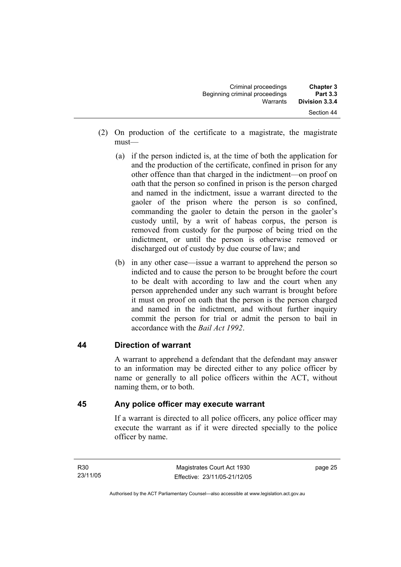| <b>Chapter 3</b><br><b>Part 3.3</b> | Criminal proceedings<br>Beginning criminal proceedings |  |
|-------------------------------------|--------------------------------------------------------|--|
| Division 3.3.4                      | Warrants                                               |  |
| Section 44                          |                                                        |  |

- (2) On production of the certificate to a magistrate, the magistrate must—
	- (a) if the person indicted is, at the time of both the application for and the production of the certificate, confined in prison for any other offence than that charged in the indictment—on proof on oath that the person so confined in prison is the person charged and named in the indictment, issue a warrant directed to the gaoler of the prison where the person is so confined, commanding the gaoler to detain the person in the gaoler's custody until, by a writ of habeas corpus, the person is removed from custody for the purpose of being tried on the indictment, or until the person is otherwise removed or discharged out of custody by due course of law; and
	- (b) in any other case—issue a warrant to apprehend the person so indicted and to cause the person to be brought before the court to be dealt with according to law and the court when any person apprehended under any such warrant is brought before it must on proof on oath that the person is the person charged and named in the indictment, and without further inquiry commit the person for trial or admit the person to bail in accordance with the *Bail Act 1992*.

#### **44 Direction of warrant**

A warrant to apprehend a defendant that the defendant may answer to an information may be directed either to any police officer by name or generally to all police officers within the ACT, without naming them, or to both.

#### **45 Any police officer may execute warrant**

If a warrant is directed to all police officers, any police officer may execute the warrant as if it were directed specially to the police officer by name.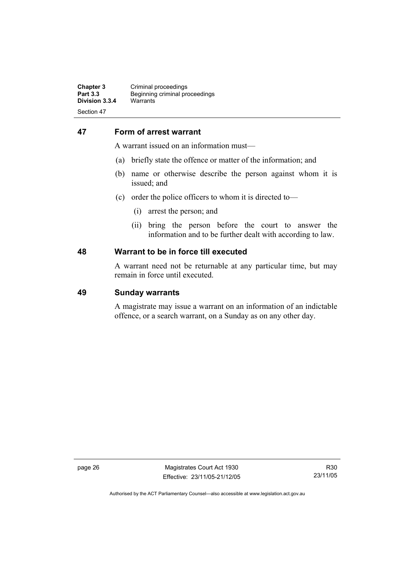#### **47 Form of arrest warrant**

A warrant issued on an information must—

- (a) briefly state the offence or matter of the information; and
- (b) name or otherwise describe the person against whom it is issued; and
- (c) order the police officers to whom it is directed to—
	- (i) arrest the person; and
	- (ii) bring the person before the court to answer the information and to be further dealt with according to law.

#### **48 Warrant to be in force till executed**

A warrant need not be returnable at any particular time, but may remain in force until executed.

#### **49 Sunday warrants**

A magistrate may issue a warrant on an information of an indictable offence, or a search warrant, on a Sunday as on any other day.

page 26 Magistrates Court Act 1930 Effective: 23/11/05-21/12/05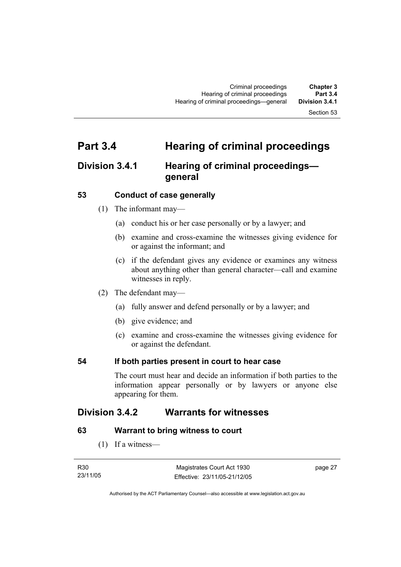## **Part 3.4 Hearing of criminal proceedings**

## **Division 3.4.1 Hearing of criminal proceedings general**

#### **53 Conduct of case generally**

- (1) The informant may—
	- (a) conduct his or her case personally or by a lawyer; and
	- (b) examine and cross-examine the witnesses giving evidence for or against the informant; and
	- (c) if the defendant gives any evidence or examines any witness about anything other than general character—call and examine witnesses in reply.
- (2) The defendant may—
	- (a) fully answer and defend personally or by a lawyer; and
	- (b) give evidence; and
	- (c) examine and cross-examine the witnesses giving evidence for or against the defendant.

#### **54 If both parties present in court to hear case**

The court must hear and decide an information if both parties to the information appear personally or by lawyers or anyone else appearing for them.

## **Division 3.4.2 Warrants for witnesses**

#### **63 Warrant to bring witness to court**

(1) If a witness—

| R30      | Magistrates Court Act 1930   | page 27 |
|----------|------------------------------|---------|
| 23/11/05 | Effective: 23/11/05-21/12/05 |         |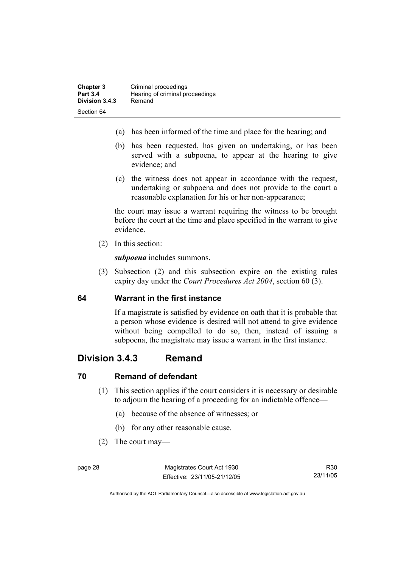- (a) has been informed of the time and place for the hearing; and
- (b) has been requested, has given an undertaking, or has been served with a subpoena, to appear at the hearing to give evidence; and
- (c) the witness does not appear in accordance with the request, undertaking or subpoena and does not provide to the court a reasonable explanation for his or her non-appearance;

the court may issue a warrant requiring the witness to be brought before the court at the time and place specified in the warrant to give evidence.

(2) In this section:

*subpoena* includes summons.

 (3) Subsection (2) and this subsection expire on the existing rules expiry day under the *Court Procedures Act 2004*, section 60 (3).

#### **64 Warrant in the first instance**

If a magistrate is satisfied by evidence on oath that it is probable that a person whose evidence is desired will not attend to give evidence without being compelled to do so, then, instead of issuing a subpoena, the magistrate may issue a warrant in the first instance.

## **Division 3.4.3 Remand**

#### **70 Remand of defendant**

- (1) This section applies if the court considers it is necessary or desirable to adjourn the hearing of a proceeding for an indictable offence—
	- (a) because of the absence of witnesses; or
	- (b) for any other reasonable cause.
- (2) The court may—

R30 23/11/05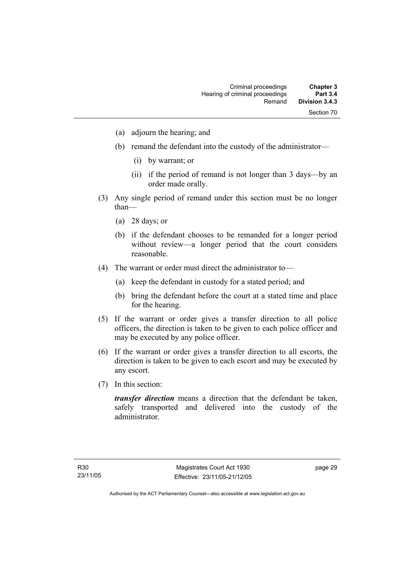- (a) adjourn the hearing; and
- (b) remand the defendant into the custody of the administrator—
	- (i) by warrant; or
	- (ii) if the period of remand is not longer than 3 days—by an order made orally.
- (3) Any single period of remand under this section must be no longer than—
	- (a) 28 days; or
	- (b) if the defendant chooses to be remanded for a longer period without review—a longer period that the court considers reasonable.
- (4) The warrant or order must direct the administrator to—
	- (a) keep the defendant in custody for a stated period; and
	- (b) bring the defendant before the court at a stated time and place for the hearing.
- (5) If the warrant or order gives a transfer direction to all police officers, the direction is taken to be given to each police officer and may be executed by any police officer.
- (6) If the warrant or order gives a transfer direction to all escorts, the direction is taken to be given to each escort and may be executed by any escort.
- (7) In this section:

*transfer direction* means a direction that the defendant be taken, safely transported and delivered into the custody of the administrator.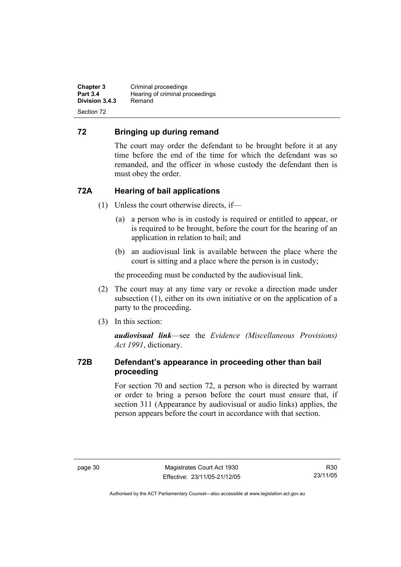**Chapter 3 Criminal proceedings**<br>**Part 3.4 Hearing of criminal property Hearing of criminal proceedings**<br>Remand **Division 3.4.3** Section 72

#### **72 Bringing up during remand**

The court may order the defendant to be brought before it at any time before the end of the time for which the defendant was so remanded, and the officer in whose custody the defendant then is must obey the order.

## **72A Hearing of bail applications**

- (1) Unless the court otherwise directs, if—
	- (a) a person who is in custody is required or entitled to appear, or is required to be brought, before the court for the hearing of an application in relation to bail; and
	- (b) an audiovisual link is available between the place where the court is sitting and a place where the person is in custody;

the proceeding must be conducted by the audiovisual link.

- (2) The court may at any time vary or revoke a direction made under subsection (1), either on its own initiative or on the application of a party to the proceeding.
- (3) In this section:

*audiovisual link*—see the *Evidence (Miscellaneous Provisions) Act 1991*, dictionary.

#### **72B Defendant's appearance in proceeding other than bail proceeding**

For section 70 and section 72, a person who is directed by warrant or order to bring a person before the court must ensure that, if section 311 (Appearance by audiovisual or audio links) applies, the person appears before the court in accordance with that section.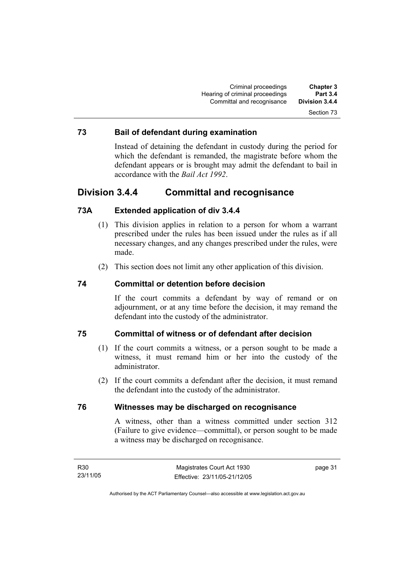#### **73 Bail of defendant during examination**

Instead of detaining the defendant in custody during the period for which the defendant is remanded, the magistrate before whom the defendant appears or is brought may admit the defendant to bail in accordance with the *Bail Act 1992*.

## **Division 3.4.4 Committal and recognisance**

#### **73A Extended application of div 3.4.4**

- (1) This division applies in relation to a person for whom a warrant prescribed under the rules has been issued under the rules as if all necessary changes, and any changes prescribed under the rules, were made.
- (2) This section does not limit any other application of this division.

#### **74 Committal or detention before decision**

If the court commits a defendant by way of remand or on adjournment, or at any time before the decision, it may remand the defendant into the custody of the administrator.

#### **75 Committal of witness or of defendant after decision**

- (1) If the court commits a witness, or a person sought to be made a witness, it must remand him or her into the custody of the administrator.
- (2) If the court commits a defendant after the decision, it must remand the defendant into the custody of the administrator.

#### **76 Witnesses may be discharged on recognisance**

A witness, other than a witness committed under section 312 (Failure to give evidence—committal), or person sought to be made a witness may be discharged on recognisance.

page 31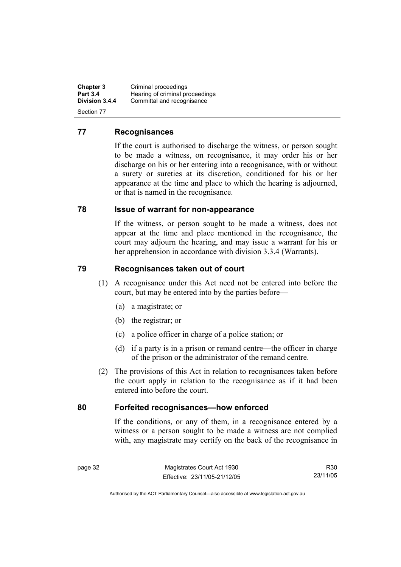**Chapter 3 Criminal proceedings**<br>**Part 3.4 Hearing of criminal property Part 3.4 Hearing of criminal proceedings**<br>**Division 3.4.4** Committal and recognisance Committal and recognisance Section 77

#### **77 Recognisances**

If the court is authorised to discharge the witness, or person sought to be made a witness, on recognisance, it may order his or her discharge on his or her entering into a recognisance, with or without a surety or sureties at its discretion, conditioned for his or her appearance at the time and place to which the hearing is adjourned, or that is named in the recognisance.

#### **78 Issue of warrant for non-appearance**

If the witness, or person sought to be made a witness, does not appear at the time and place mentioned in the recognisance, the court may adjourn the hearing, and may issue a warrant for his or her apprehension in accordance with division 3.3.4 (Warrants).

#### **79 Recognisances taken out of court**

- (1) A recognisance under this Act need not be entered into before the court, but may be entered into by the parties before—
	- (a) a magistrate; or
	- (b) the registrar; or
	- (c) a police officer in charge of a police station; or
	- (d) if a party is in a prison or remand centre—the officer in charge of the prison or the administrator of the remand centre.
- (2) The provisions of this Act in relation to recognisances taken before the court apply in relation to the recognisance as if it had been entered into before the court.

#### **80 Forfeited recognisances—how enforced**

If the conditions, or any of them, in a recognisance entered by a witness or a person sought to be made a witness are not complied with, any magistrate may certify on the back of the recognisance in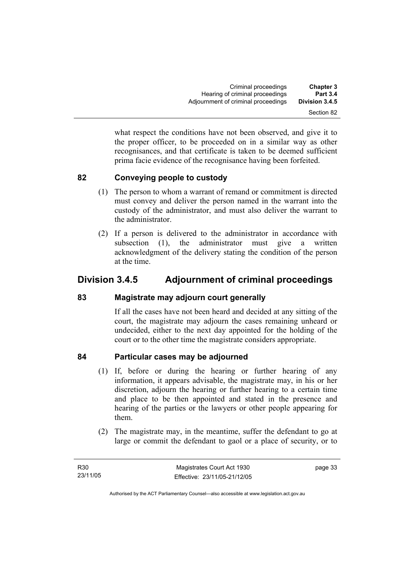what respect the conditions have not been observed, and give it to the proper officer, to be proceeded on in a similar way as other recognisances, and that certificate is taken to be deemed sufficient prima facie evidence of the recognisance having been forfeited.

#### **82 Conveying people to custody**

- (1) The person to whom a warrant of remand or commitment is directed must convey and deliver the person named in the warrant into the custody of the administrator, and must also deliver the warrant to the administrator.
- (2) If a person is delivered to the administrator in accordance with subsection (1), the administrator must give a written acknowledgment of the delivery stating the condition of the person at the time.

## **Division 3.4.5 Adjournment of criminal proceedings**

#### **83 Magistrate may adjourn court generally**

If all the cases have not been heard and decided at any sitting of the court, the magistrate may adjourn the cases remaining unheard or undecided, either to the next day appointed for the holding of the court or to the other time the magistrate considers appropriate.

## **84 Particular cases may be adjourned**

- (1) If, before or during the hearing or further hearing of any information, it appears advisable, the magistrate may, in his or her discretion, adjourn the hearing or further hearing to a certain time and place to be then appointed and stated in the presence and hearing of the parties or the lawyers or other people appearing for them.
- (2) The magistrate may, in the meantime, suffer the defendant to go at large or commit the defendant to gaol or a place of security, or to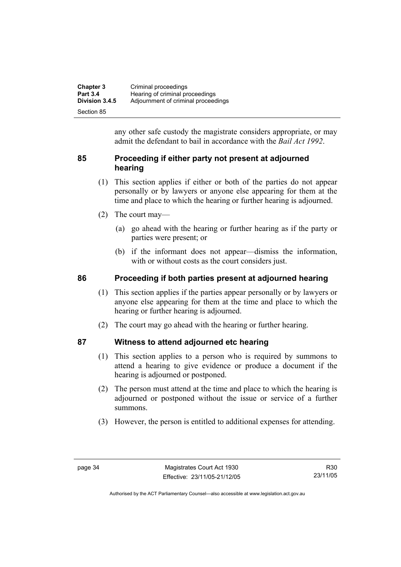| <b>Chapter 3</b> | Criminal proceedings                |
|------------------|-------------------------------------|
| <b>Part 3.4</b>  | Hearing of criminal proceedings     |
| Division 3.4.5   | Adjournment of criminal proceedings |
| Section 85       |                                     |

any other safe custody the magistrate considers appropriate, or may admit the defendant to bail in accordance with the *Bail Act 1992*.

#### **85 Proceeding if either party not present at adjourned hearing**

- (1) This section applies if either or both of the parties do not appear personally or by lawyers or anyone else appearing for them at the time and place to which the hearing or further hearing is adjourned.
- (2) The court may—
	- (a) go ahead with the hearing or further hearing as if the party or parties were present; or
	- (b) if the informant does not appear—dismiss the information, with or without costs as the court considers just.

#### **86 Proceeding if both parties present at adjourned hearing**

- (1) This section applies if the parties appear personally or by lawyers or anyone else appearing for them at the time and place to which the hearing or further hearing is adjourned.
- (2) The court may go ahead with the hearing or further hearing.

#### **87 Witness to attend adjourned etc hearing**

- (1) This section applies to a person who is required by summons to attend a hearing to give evidence or produce a document if the hearing is adjourned or postponed.
- (2) The person must attend at the time and place to which the hearing is adjourned or postponed without the issue or service of a further summons.
- (3) However, the person is entitled to additional expenses for attending.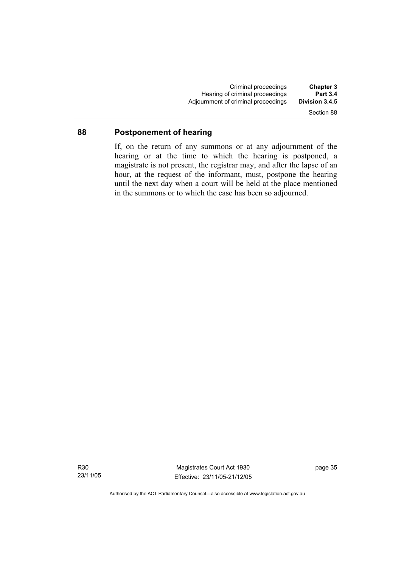Criminal proceedings **Chapter 3**  Hearing of criminal proceedings **Part 3.4**  Adjournment of criminal proceedings Section 88

#### **88 Postponement of hearing**

If, on the return of any summons or at any adjournment of the hearing or at the time to which the hearing is postponed, a magistrate is not present, the registrar may, and after the lapse of an hour, at the request of the informant, must, postpone the hearing until the next day when a court will be held at the place mentioned in the summons or to which the case has been so adjourned.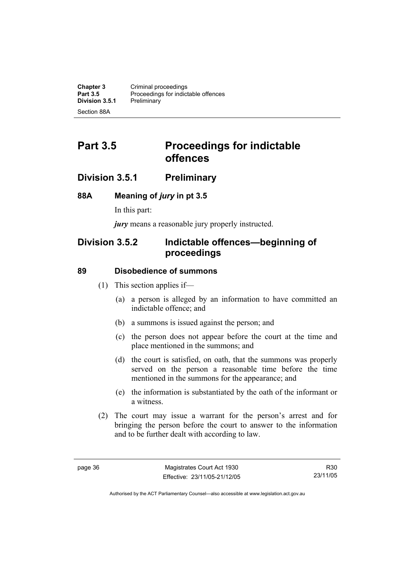**Chapter 3 Criminal proceedings**<br>**Part 3.5 Proceedings for indict** Proceedings for indictable offences<br>Preliminary **Division 3.5.1** Section 88A

# **Part 3.5** Proceedings for indictable **offences**

## **Division 3.5.1 Preliminary**

#### **88A Meaning of** *jury* **in pt 3.5**

In this part:

*jury* means a reasonable jury properly instructed.

## **Division 3.5.2 Indictable offences—beginning of proceedings**

#### **89 Disobedience of summons**

- (1) This section applies if—
	- (a) a person is alleged by an information to have committed an indictable offence; and
	- (b) a summons is issued against the person; and
	- (c) the person does not appear before the court at the time and place mentioned in the summons; and
	- (d) the court is satisfied, on oath, that the summons was properly served on the person a reasonable time before the time mentioned in the summons for the appearance; and
	- (e) the information is substantiated by the oath of the informant or a witness.
- (2) The court may issue a warrant for the person's arrest and for bringing the person before the court to answer to the information and to be further dealt with according to law.

R30 23/11/05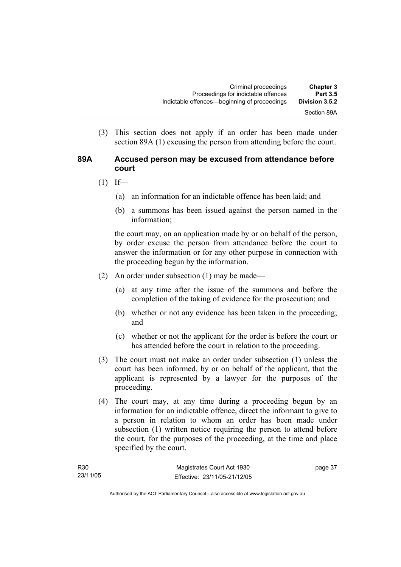(3) This section does not apply if an order has been made under section 89A (1) excusing the person from attending before the court.

#### **89A Accused person may be excused from attendance before court**

- $(1)$  If—
	- (a) an information for an indictable offence has been laid; and
	- (b) a summons has been issued against the person named in the information;

the court may, on an application made by or on behalf of the person, by order excuse the person from attendance before the court to answer the information or for any other purpose in connection with the proceeding begun by the information.

- (2) An order under subsection (1) may be made—
	- (a) at any time after the issue of the summons and before the completion of the taking of evidence for the prosecution; and
	- (b) whether or not any evidence has been taken in the proceeding; and
	- (c) whether or not the applicant for the order is before the court or has attended before the court in relation to the proceeding.
- (3) The court must not make an order under subsection (1) unless the court has been informed, by or on behalf of the applicant, that the applicant is represented by a lawyer for the purposes of the proceeding.
- (4) The court may, at any time during a proceeding begun by an information for an indictable offence, direct the informant to give to a person in relation to whom an order has been made under subsection (1) written notice requiring the person to attend before the court, for the purposes of the proceeding, at the time and place specified by the court.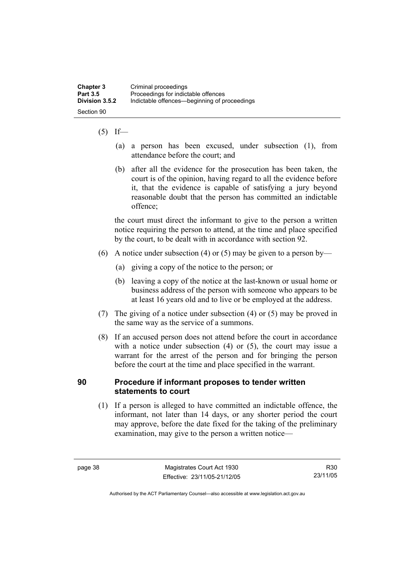#### $(5)$  If—

- (a) a person has been excused, under subsection (1), from attendance before the court; and
- (b) after all the evidence for the prosecution has been taken, the court is of the opinion, having regard to all the evidence before it, that the evidence is capable of satisfying a jury beyond reasonable doubt that the person has committed an indictable offence;

the court must direct the informant to give to the person a written notice requiring the person to attend, at the time and place specified by the court, to be dealt with in accordance with section 92.

- (6) A notice under subsection (4) or (5) may be given to a person by—
	- (a) giving a copy of the notice to the person; or
	- (b) leaving a copy of the notice at the last-known or usual home or business address of the person with someone who appears to be at least 16 years old and to live or be employed at the address.
- (7) The giving of a notice under subsection (4) or (5) may be proved in the same way as the service of a summons.
- (8) If an accused person does not attend before the court in accordance with a notice under subsection (4) or (5), the court may issue a warrant for the arrest of the person and for bringing the person before the court at the time and place specified in the warrant.

#### **90 Procedure if informant proposes to tender written statements to court**

 (1) If a person is alleged to have committed an indictable offence, the informant, not later than 14 days, or any shorter period the court may approve, before the date fixed for the taking of the preliminary examination, may give to the person a written notice—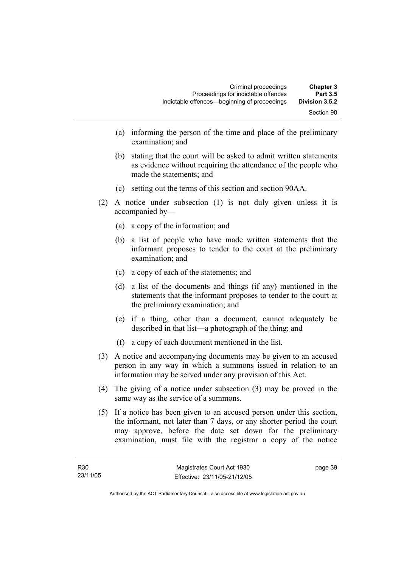- (a) informing the person of the time and place of the preliminary examination; and
- (b) stating that the court will be asked to admit written statements as evidence without requiring the attendance of the people who made the statements; and
- (c) setting out the terms of this section and section 90AA.
- (2) A notice under subsection (1) is not duly given unless it is accompanied by—
	- (a) a copy of the information; and
	- (b) a list of people who have made written statements that the informant proposes to tender to the court at the preliminary examination; and
	- (c) a copy of each of the statements; and
	- (d) a list of the documents and things (if any) mentioned in the statements that the informant proposes to tender to the court at the preliminary examination; and
	- (e) if a thing, other than a document, cannot adequately be described in that list—a photograph of the thing; and
	- (f) a copy of each document mentioned in the list.
- (3) A notice and accompanying documents may be given to an accused person in any way in which a summons issued in relation to an information may be served under any provision of this Act.
- (4) The giving of a notice under subsection (3) may be proved in the same way as the service of a summons.
- (5) If a notice has been given to an accused person under this section, the informant, not later than 7 days, or any shorter period the court may approve, before the date set down for the preliminary examination, must file with the registrar a copy of the notice

page 39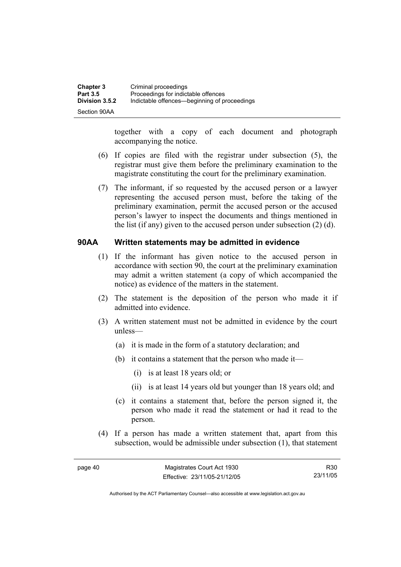| Chapter 3       | Criminal proceedings                         |
|-----------------|----------------------------------------------|
| <b>Part 3.5</b> | Proceedings for indictable offences          |
| Division 3.5.2  | Indictable offences—beginning of proceedings |
| Section 90AA    |                                              |

together with a copy of each document and photograph accompanying the notice.

- (6) If copies are filed with the registrar under subsection (5), the registrar must give them before the preliminary examination to the magistrate constituting the court for the preliminary examination.
- (7) The informant, if so requested by the accused person or a lawyer representing the accused person must, before the taking of the preliminary examination, permit the accused person or the accused person's lawyer to inspect the documents and things mentioned in the list (if any) given to the accused person under subsection (2) (d).

#### **90AA Written statements may be admitted in evidence**

- (1) If the informant has given notice to the accused person in accordance with section 90, the court at the preliminary examination may admit a written statement (a copy of which accompanied the notice) as evidence of the matters in the statement.
- (2) The statement is the deposition of the person who made it if admitted into evidence.
- (3) A written statement must not be admitted in evidence by the court unless—
	- (a) it is made in the form of a statutory declaration; and
	- (b) it contains a statement that the person who made it—
		- (i) is at least 18 years old; or
		- (ii) is at least 14 years old but younger than 18 years old; and
	- (c) it contains a statement that, before the person signed it, the person who made it read the statement or had it read to the person.
- (4) If a person has made a written statement that, apart from this subsection, would be admissible under subsection (1), that statement

R30 23/11/05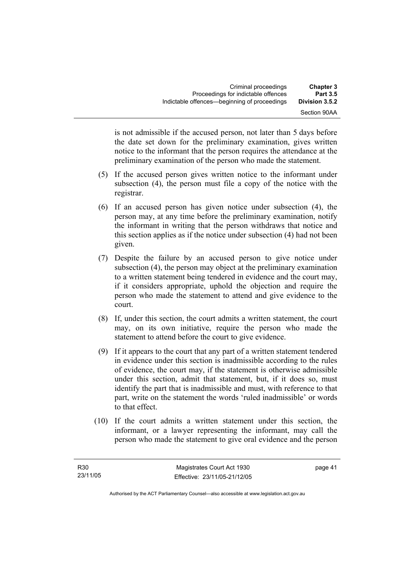is not admissible if the accused person, not later than 5 days before the date set down for the preliminary examination, gives written notice to the informant that the person requires the attendance at the preliminary examination of the person who made the statement.

- (5) If the accused person gives written notice to the informant under subsection (4), the person must file a copy of the notice with the registrar.
- (6) If an accused person has given notice under subsection (4), the person may, at any time before the preliminary examination, notify the informant in writing that the person withdraws that notice and this section applies as if the notice under subsection (4) had not been given.
- (7) Despite the failure by an accused person to give notice under subsection (4), the person may object at the preliminary examination to a written statement being tendered in evidence and the court may, if it considers appropriate, uphold the objection and require the person who made the statement to attend and give evidence to the court.
- (8) If, under this section, the court admits a written statement, the court may, on its own initiative, require the person who made the statement to attend before the court to give evidence.
- (9) If it appears to the court that any part of a written statement tendered in evidence under this section is inadmissible according to the rules of evidence, the court may, if the statement is otherwise admissible under this section, admit that statement, but, if it does so, must identify the part that is inadmissible and must, with reference to that part, write on the statement the words 'ruled inadmissible' or words to that effect.
- (10) If the court admits a written statement under this section, the informant, or a lawyer representing the informant, may call the person who made the statement to give oral evidence and the person

page 41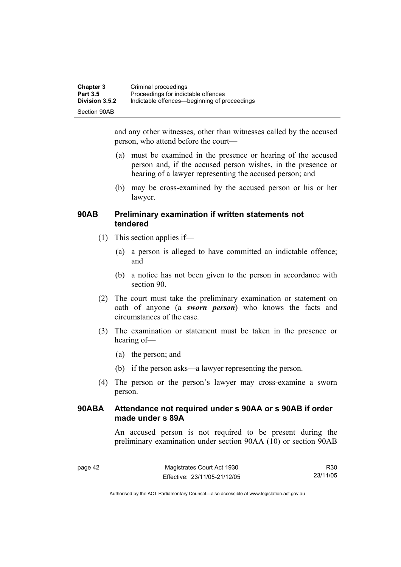| <b>Chapter 3</b> | Criminal proceedings                         |
|------------------|----------------------------------------------|
| <b>Part 3.5</b>  | Proceedings for indictable offences          |
| Division 3.5.2   | Indictable offences—beginning of proceedings |
| Section 90AB     |                                              |

and any other witnesses, other than witnesses called by the accused person, who attend before the court—

- (a) must be examined in the presence or hearing of the accused person and, if the accused person wishes, in the presence or hearing of a lawyer representing the accused person; and
- (b) may be cross-examined by the accused person or his or her lawyer.

#### **90AB Preliminary examination if written statements not tendered**

- (1) This section applies if—
	- (a) a person is alleged to have committed an indictable offence; and
	- (b) a notice has not been given to the person in accordance with section 90.
- (2) The court must take the preliminary examination or statement on oath of anyone (a *sworn person*) who knows the facts and circumstances of the case.
- (3) The examination or statement must be taken in the presence or hearing of—
	- (a) the person; and
	- (b) if the person asks—a lawyer representing the person.
- (4) The person or the person's lawyer may cross-examine a sworn person.

#### **90ABA Attendance not required under s 90AA or s 90AB if order made under s 89A**

An accused person is not required to be present during the preliminary examination under section 90AA (10) or section 90AB

R30 23/11/05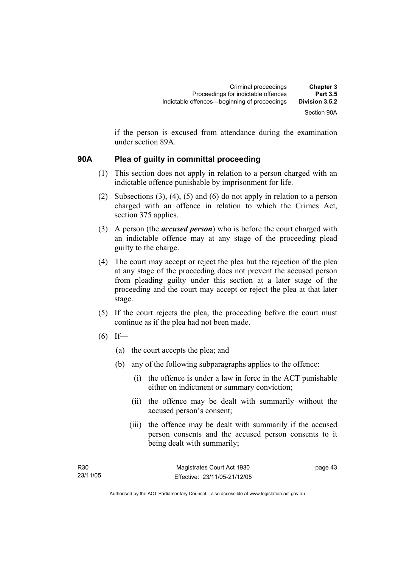if the person is excused from attendance during the examination under section 89A.

#### **90A Plea of guilty in committal proceeding**

- (1) This section does not apply in relation to a person charged with an indictable offence punishable by imprisonment for life.
- (2) Subsections (3), (4), (5) and (6) do not apply in relation to a person charged with an offence in relation to which the Crimes Act, section 375 applies.
- (3) A person (the *accused person*) who is before the court charged with an indictable offence may at any stage of the proceeding plead guilty to the charge.
- (4) The court may accept or reject the plea but the rejection of the plea at any stage of the proceeding does not prevent the accused person from pleading guilty under this section at a later stage of the proceeding and the court may accept or reject the plea at that later stage.
- (5) If the court rejects the plea, the proceeding before the court must continue as if the plea had not been made.
- $(6)$  If—
	- (a) the court accepts the plea; and
	- (b) any of the following subparagraphs applies to the offence:
		- (i) the offence is under a law in force in the ACT punishable either on indictment or summary conviction;
		- (ii) the offence may be dealt with summarily without the accused person's consent;
		- (iii) the offence may be dealt with summarily if the accused person consents and the accused person consents to it being dealt with summarily;

page 43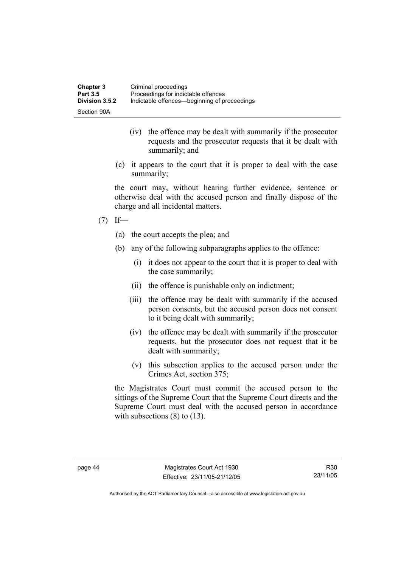| <b>Chapter 3</b> | Criminal proceedings                         |
|------------------|----------------------------------------------|
| <b>Part 3.5</b>  | Proceedings for indictable offences          |
| Division 3.5.2   | Indictable offences—beginning of proceedings |
| Section 90A      |                                              |

- (iv) the offence may be dealt with summarily if the prosecutor requests and the prosecutor requests that it be dealt with summarily; and
- (c) it appears to the court that it is proper to deal with the case summarily;

the court may, without hearing further evidence, sentence or otherwise deal with the accused person and finally dispose of the charge and all incidental matters.

- $(7)$  If—
	- (a) the court accepts the plea; and
	- (b) any of the following subparagraphs applies to the offence:
		- (i) it does not appear to the court that it is proper to deal with the case summarily;
		- (ii) the offence is punishable only on indictment;
		- (iii) the offence may be dealt with summarily if the accused person consents, but the accused person does not consent to it being dealt with summarily;
		- (iv) the offence may be dealt with summarily if the prosecutor requests, but the prosecutor does not request that it be dealt with summarily;
		- (v) this subsection applies to the accused person under the Crimes Act, section 375;

the Magistrates Court must commit the accused person to the sittings of the Supreme Court that the Supreme Court directs and the Supreme Court must deal with the accused person in accordance with subsections  $(8)$  to  $(13)$ .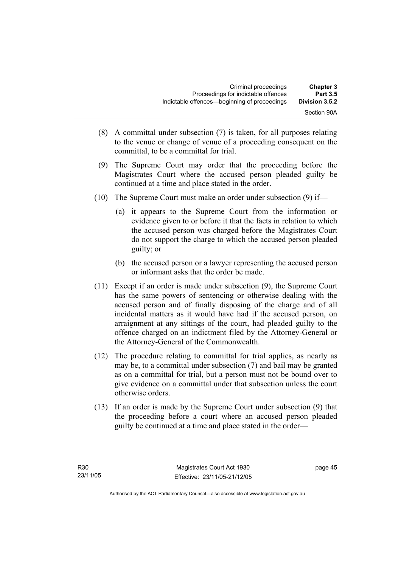| <b>Chapter 3</b><br><b>Part 3.5</b> | Criminal proceedings<br>Proceedings for indictable offences |
|-------------------------------------|-------------------------------------------------------------|
| Division 3.5.2                      | Indictable offences—beginning of proceedings                |
| Section 90A                         |                                                             |

- (8) A committal under subsection (7) is taken, for all purposes relating to the venue or change of venue of a proceeding consequent on the committal, to be a committal for trial.
- (9) The Supreme Court may order that the proceeding before the Magistrates Court where the accused person pleaded guilty be continued at a time and place stated in the order.
- (10) The Supreme Court must make an order under subsection (9) if—
	- (a) it appears to the Supreme Court from the information or evidence given to or before it that the facts in relation to which the accused person was charged before the Magistrates Court do not support the charge to which the accused person pleaded guilty; or
	- (b) the accused person or a lawyer representing the accused person or informant asks that the order be made.
- (11) Except if an order is made under subsection (9), the Supreme Court has the same powers of sentencing or otherwise dealing with the accused person and of finally disposing of the charge and of all incidental matters as it would have had if the accused person, on arraignment at any sittings of the court, had pleaded guilty to the offence charged on an indictment filed by the Attorney-General or the Attorney-General of the Commonwealth.
- (12) The procedure relating to committal for trial applies, as nearly as may be, to a committal under subsection (7) and bail may be granted as on a committal for trial, but a person must not be bound over to give evidence on a committal under that subsection unless the court otherwise orders.
- (13) If an order is made by the Supreme Court under subsection (9) that the proceeding before a court where an accused person pleaded guilty be continued at a time and place stated in the order—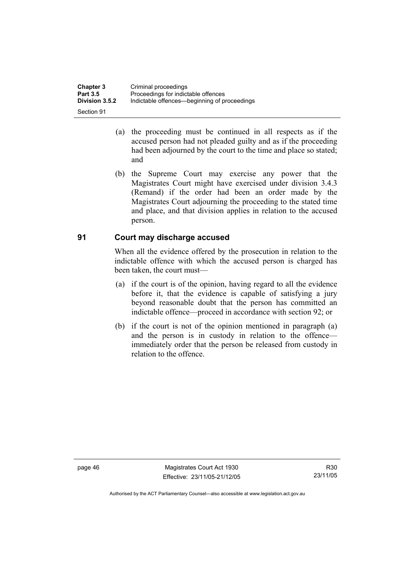| <b>Chapter 3</b> | Criminal proceedings                         |
|------------------|----------------------------------------------|
| <b>Part 3.5</b>  | Proceedings for indictable offences          |
| Division 3.5.2   | Indictable offences—beginning of proceedings |
| Section 91       |                                              |

- (a) the proceeding must be continued in all respects as if the accused person had not pleaded guilty and as if the proceeding had been adjourned by the court to the time and place so stated; and
- (b) the Supreme Court may exercise any power that the Magistrates Court might have exercised under division 3.4.3 (Remand) if the order had been an order made by the Magistrates Court adjourning the proceeding to the stated time and place, and that division applies in relation to the accused person.

#### **91 Court may discharge accused**

When all the evidence offered by the prosecution in relation to the indictable offence with which the accused person is charged has been taken, the court must—

- (a) if the court is of the opinion, having regard to all the evidence before it, that the evidence is capable of satisfying a jury beyond reasonable doubt that the person has committed an indictable offence—proceed in accordance with section 92; or
- (b) if the court is not of the opinion mentioned in paragraph (a) and the person is in custody in relation to the offence immediately order that the person be released from custody in relation to the offence.

page 46 Magistrates Court Act 1930 Effective: 23/11/05-21/12/05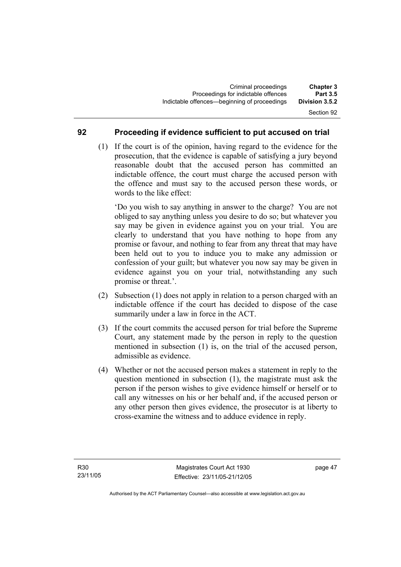#### **92 Proceeding if evidence sufficient to put accused on trial**

 (1) If the court is of the opinion, having regard to the evidence for the prosecution, that the evidence is capable of satisfying a jury beyond reasonable doubt that the accused person has committed an indictable offence, the court must charge the accused person with the offence and must say to the accused person these words, or words to the like effect:

'Do you wish to say anything in answer to the charge? You are not obliged to say anything unless you desire to do so; but whatever you say may be given in evidence against you on your trial. You are clearly to understand that you have nothing to hope from any promise or favour, and nothing to fear from any threat that may have been held out to you to induce you to make any admission or confession of your guilt; but whatever you now say may be given in evidence against you on your trial, notwithstanding any such promise or threat.'.

- (2) Subsection (1) does not apply in relation to a person charged with an indictable offence if the court has decided to dispose of the case summarily under a law in force in the ACT.
- (3) If the court commits the accused person for trial before the Supreme Court, any statement made by the person in reply to the question mentioned in subsection (1) is, on the trial of the accused person, admissible as evidence.
- (4) Whether or not the accused person makes a statement in reply to the question mentioned in subsection (1), the magistrate must ask the person if the person wishes to give evidence himself or herself or to call any witnesses on his or her behalf and, if the accused person or any other person then gives evidence, the prosecutor is at liberty to cross-examine the witness and to adduce evidence in reply.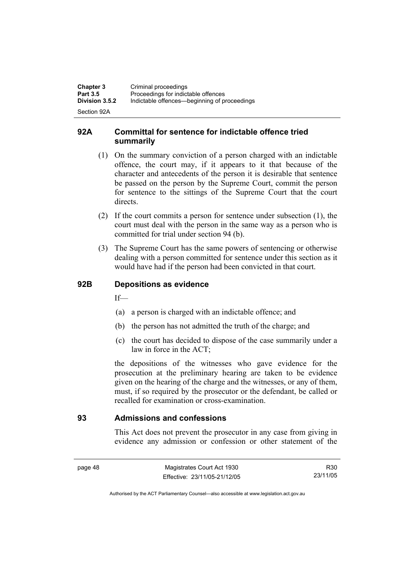| <b>Chapter 3</b>                  | Criminal proceedings                                                                |
|-----------------------------------|-------------------------------------------------------------------------------------|
| <b>Part 3.5</b><br>Division 3.5.2 | Proceedings for indictable offences<br>Indictable offences—beginning of proceedings |
| Section 92A                       |                                                                                     |

#### **92A Committal for sentence for indictable offence tried summarily**

- (1) On the summary conviction of a person charged with an indictable offence, the court may, if it appears to it that because of the character and antecedents of the person it is desirable that sentence be passed on the person by the Supreme Court, commit the person for sentence to the sittings of the Supreme Court that the court directs.
- (2) If the court commits a person for sentence under subsection (1), the court must deal with the person in the same way as a person who is committed for trial under section 94 (b).
- (3) The Supreme Court has the same powers of sentencing or otherwise dealing with a person committed for sentence under this section as it would have had if the person had been convicted in that court.

#### **92B Depositions as evidence**

 $If$ —

- (a) a person is charged with an indictable offence; and
- (b) the person has not admitted the truth of the charge; and
- (c) the court has decided to dispose of the case summarily under a law in force in the ACT;

the depositions of the witnesses who gave evidence for the prosecution at the preliminary hearing are taken to be evidence given on the hearing of the charge and the witnesses, or any of them, must, if so required by the prosecutor or the defendant, be called or recalled for examination or cross-examination.

#### **93 Admissions and confessions**

This Act does not prevent the prosecutor in any case from giving in evidence any admission or confession or other statement of the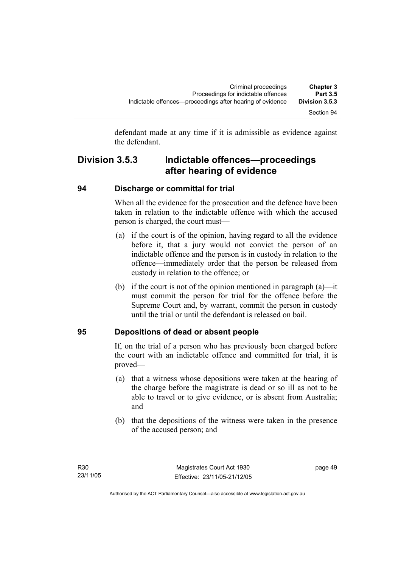defendant made at any time if it is admissible as evidence against the defendant.

## **Division 3.5.3 Indictable offences—proceedings after hearing of evidence**

#### **94 Discharge or committal for trial**

When all the evidence for the prosecution and the defence have been taken in relation to the indictable offence with which the accused person is charged, the court must—

- (a) if the court is of the opinion, having regard to all the evidence before it, that a jury would not convict the person of an indictable offence and the person is in custody in relation to the offence—immediately order that the person be released from custody in relation to the offence; or
- (b) if the court is not of the opinion mentioned in paragraph (a)—it must commit the person for trial for the offence before the Supreme Court and, by warrant, commit the person in custody until the trial or until the defendant is released on bail.

#### **95 Depositions of dead or absent people**

If, on the trial of a person who has previously been charged before the court with an indictable offence and committed for trial, it is proved—

- (a) that a witness whose depositions were taken at the hearing of the charge before the magistrate is dead or so ill as not to be able to travel or to give evidence, or is absent from Australia; and
- (b) that the depositions of the witness were taken in the presence of the accused person; and

page 49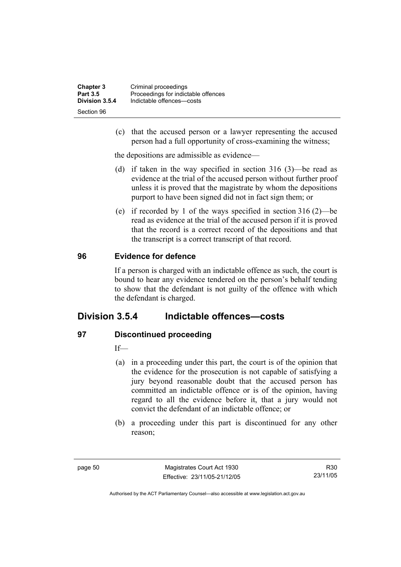| <b>Chapter 3</b> | Criminal proceedings                |
|------------------|-------------------------------------|
| <b>Part 3.5</b>  | Proceedings for indictable offences |
| Division 3.5.4   | Indictable offences-costs           |
| Section 96       |                                     |

 (c) that the accused person or a lawyer representing the accused person had a full opportunity of cross-examining the witness;

the depositions are admissible as evidence—

- (d) if taken in the way specified in section 316 (3)—be read as evidence at the trial of the accused person without further proof unless it is proved that the magistrate by whom the depositions purport to have been signed did not in fact sign them; or
- (e) if recorded by 1 of the ways specified in section 316 (2)—be read as evidence at the trial of the accused person if it is proved that the record is a correct record of the depositions and that the transcript is a correct transcript of that record.

#### **96 Evidence for defence**

If a person is charged with an indictable offence as such, the court is bound to hear any evidence tendered on the person's behalf tending to show that the defendant is not guilty of the offence with which the defendant is charged.

## **Division 3.5.4 Indictable offences—costs**

#### **97 Discontinued proceeding**

If—

- (a) in a proceeding under this part, the court is of the opinion that the evidence for the prosecution is not capable of satisfying a jury beyond reasonable doubt that the accused person has committed an indictable offence or is of the opinion, having regard to all the evidence before it, that a jury would not convict the defendant of an indictable offence; or
- (b) a proceeding under this part is discontinued for any other reason;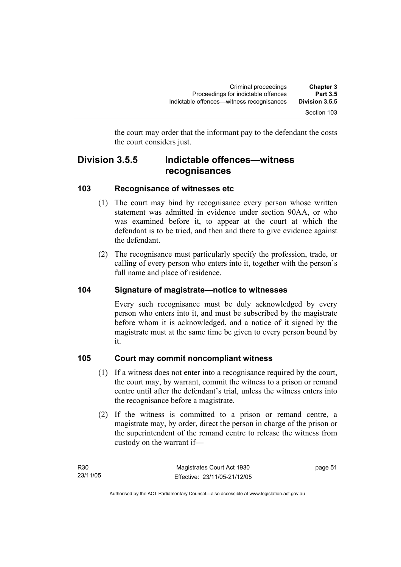the court may order that the informant pay to the defendant the costs the court considers just.

## **Division 3.5.5 Indictable offences—witness recognisances**

#### **103 Recognisance of witnesses etc**

- (1) The court may bind by recognisance every person whose written statement was admitted in evidence under section 90AA, or who was examined before it, to appear at the court at which the defendant is to be tried, and then and there to give evidence against the defendant.
- (2) The recognisance must particularly specify the profession, trade, or calling of every person who enters into it, together with the person's full name and place of residence.

## **104 Signature of magistrate—notice to witnesses**

Every such recognisance must be duly acknowledged by every person who enters into it, and must be subscribed by the magistrate before whom it is acknowledged, and a notice of it signed by the magistrate must at the same time be given to every person bound by it.

#### **105 Court may commit noncompliant witness**

- (1) If a witness does not enter into a recognisance required by the court, the court may, by warrant, commit the witness to a prison or remand centre until after the defendant's trial, unless the witness enters into the recognisance before a magistrate.
- (2) If the witness is committed to a prison or remand centre, a magistrate may, by order, direct the person in charge of the prison or the superintendent of the remand centre to release the witness from custody on the warrant if—

page 51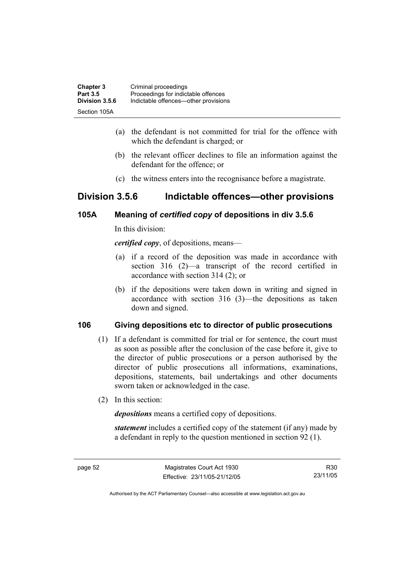| <b>Chapter 3</b> | Criminal proceedings                 |
|------------------|--------------------------------------|
| <b>Part 3.5</b>  | Proceedings for indictable offences  |
| Division 3.5.6   | Indictable offences—other provisions |
| Section 105A     |                                      |

- (a) the defendant is not committed for trial for the offence with which the defendant is charged; or
- (b) the relevant officer declines to file an information against the defendant for the offence; or
- (c) the witness enters into the recognisance before a magistrate.

## **Division 3.5.6 Indictable offences—other provisions**

#### **105A Meaning of** *certified copy* **of depositions in div 3.5.6**

In this division:

*certified copy*, of depositions, means—

- (a) if a record of the deposition was made in accordance with section 316 (2)—a transcript of the record certified in accordance with section 314 (2); or
- (b) if the depositions were taken down in writing and signed in accordance with section 316 (3)—the depositions as taken down and signed.

#### **106 Giving depositions etc to director of public prosecutions**

- (1) If a defendant is committed for trial or for sentence, the court must as soon as possible after the conclusion of the case before it, give to the director of public prosecutions or a person authorised by the director of public prosecutions all informations, examinations, depositions, statements, bail undertakings and other documents sworn taken or acknowledged in the case.
- (2) In this section:

*depositions* means a certified copy of depositions.

*statement* includes a certified copy of the statement (if any) made by a defendant in reply to the question mentioned in section 92 (1).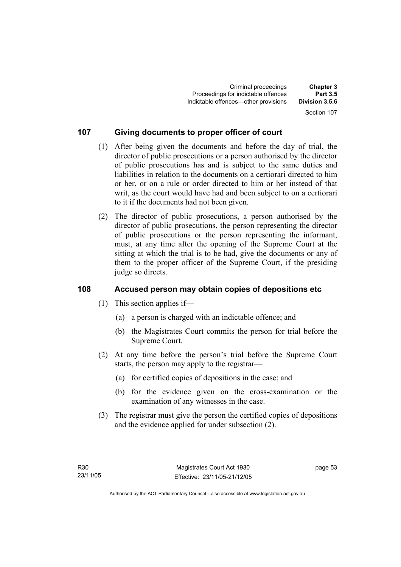## Section 107

#### **107 Giving documents to proper officer of court**

- (1) After being given the documents and before the day of trial, the director of public prosecutions or a person authorised by the director of public prosecutions has and is subject to the same duties and liabilities in relation to the documents on a certiorari directed to him or her, or on a rule or order directed to him or her instead of that writ, as the court would have had and been subject to on a certiorari to it if the documents had not been given.
- (2) The director of public prosecutions, a person authorised by the director of public prosecutions, the person representing the director of public prosecutions or the person representing the informant, must, at any time after the opening of the Supreme Court at the sitting at which the trial is to be had, give the documents or any of them to the proper officer of the Supreme Court, if the presiding judge so directs.

#### **108 Accused person may obtain copies of depositions etc**

- (1) This section applies if—
	- (a) a person is charged with an indictable offence; and
	- (b) the Magistrates Court commits the person for trial before the Supreme Court.
- (2) At any time before the person's trial before the Supreme Court starts, the person may apply to the registrar—
	- (a) for certified copies of depositions in the case; and
	- (b) for the evidence given on the cross-examination or the examination of any witnesses in the case.
- (3) The registrar must give the person the certified copies of depositions and the evidence applied for under subsection (2).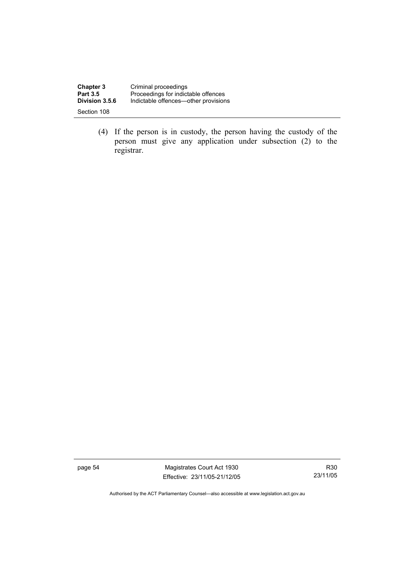| <b>Chapter 3</b> | Criminal proceedings                 |
|------------------|--------------------------------------|
| <b>Part 3.5</b>  | Proceedings for indictable offences  |
| Division 3.5.6   | Indictable offences—other provisions |
| Section 108      |                                      |

 (4) If the person is in custody, the person having the custody of the person must give any application under subsection (2) to the registrar.

page 54 Magistrates Court Act 1930 Effective: 23/11/05-21/12/05

R30 23/11/05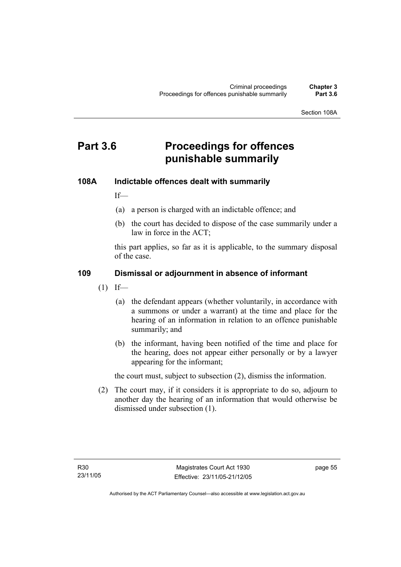Section 108A

# **Part 3.6 Proceedings for offences punishable summarily**

#### **108A Indictable offences dealt with summarily**

If—

- (a) a person is charged with an indictable offence; and
- (b) the court has decided to dispose of the case summarily under a law in force in the ACT;

this part applies, so far as it is applicable, to the summary disposal of the case.

#### **109 Dismissal or adjournment in absence of informant**

- $(1)$  If—
	- (a) the defendant appears (whether voluntarily, in accordance with a summons or under a warrant) at the time and place for the hearing of an information in relation to an offence punishable summarily; and
	- (b) the informant, having been notified of the time and place for the hearing, does not appear either personally or by a lawyer appearing for the informant;

the court must, subject to subsection (2), dismiss the information.

 (2) The court may, if it considers it is appropriate to do so, adjourn to another day the hearing of an information that would otherwise be dismissed under subsection (1).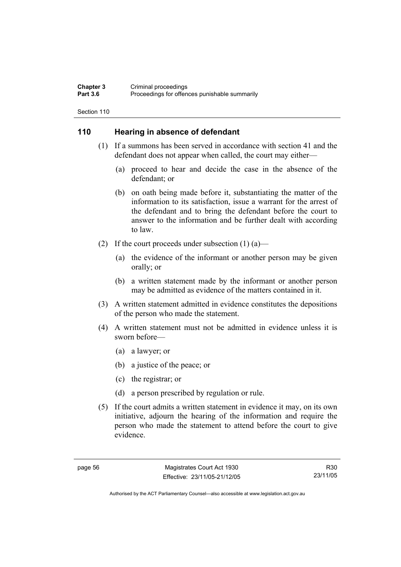#### **Chapter 3** Criminal proceedings<br> **Part 3.6** Proceedings for offen Proceedings for offences punishable summarily

Section 110

#### **110 Hearing in absence of defendant**

- (1) If a summons has been served in accordance with section 41 and the defendant does not appear when called, the court may either—
	- (a) proceed to hear and decide the case in the absence of the defendant; or
	- (b) on oath being made before it, substantiating the matter of the information to its satisfaction, issue a warrant for the arrest of the defendant and to bring the defendant before the court to answer to the information and be further dealt with according to law.
- (2) If the court proceeds under subsection  $(1)$  (a)—
	- (a) the evidence of the informant or another person may be given orally; or
	- (b) a written statement made by the informant or another person may be admitted as evidence of the matters contained in it.
- (3) A written statement admitted in evidence constitutes the depositions of the person who made the statement.
- (4) A written statement must not be admitted in evidence unless it is sworn before—
	- (a) a lawyer; or
	- (b) a justice of the peace; or
	- (c) the registrar; or
	- (d) a person prescribed by regulation or rule.
- (5) If the court admits a written statement in evidence it may, on its own initiative, adjourn the hearing of the information and require the person who made the statement to attend before the court to give evidence.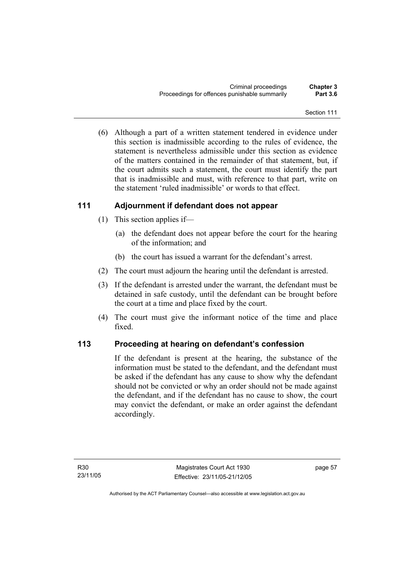(6) Although a part of a written statement tendered in evidence under this section is inadmissible according to the rules of evidence, the statement is nevertheless admissible under this section as evidence of the matters contained in the remainder of that statement, but, if the court admits such a statement, the court must identify the part that is inadmissible and must, with reference to that part, write on the statement 'ruled inadmissible' or words to that effect.

### **111 Adjournment if defendant does not appear**

- (1) This section applies if—
	- (a) the defendant does not appear before the court for the hearing of the information; and
	- (b) the court has issued a warrant for the defendant's arrest.
- (2) The court must adjourn the hearing until the defendant is arrested.
- (3) If the defendant is arrested under the warrant, the defendant must be detained in safe custody, until the defendant can be brought before the court at a time and place fixed by the court.
- (4) The court must give the informant notice of the time and place fixed.

### **113 Proceeding at hearing on defendant's confession**

If the defendant is present at the hearing, the substance of the information must be stated to the defendant, and the defendant must be asked if the defendant has any cause to show why the defendant should not be convicted or why an order should not be made against the defendant, and if the defendant has no cause to show, the court may convict the defendant, or make an order against the defendant accordingly.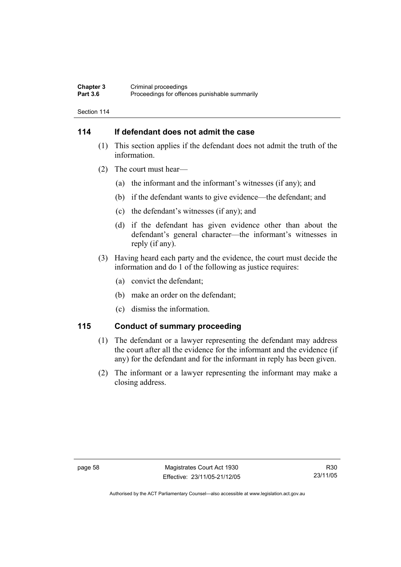#### **Chapter 3** Criminal proceedings<br> **Part 3.6** Proceedings for offen Proceedings for offences punishable summarily

Section 114

### **114 If defendant does not admit the case**

- (1) This section applies if the defendant does not admit the truth of the information.
- (2) The court must hear—
	- (a) the informant and the informant's witnesses (if any); and
	- (b) if the defendant wants to give evidence—the defendant; and
	- (c) the defendant's witnesses (if any); and
	- (d) if the defendant has given evidence other than about the defendant's general character—the informant's witnesses in reply (if any).
- (3) Having heard each party and the evidence, the court must decide the information and do 1 of the following as justice requires:
	- (a) convict the defendant;
	- (b) make an order on the defendant;
	- (c) dismiss the information.

### **115 Conduct of summary proceeding**

- (1) The defendant or a lawyer representing the defendant may address the court after all the evidence for the informant and the evidence (if any) for the defendant and for the informant in reply has been given.
- (2) The informant or a lawyer representing the informant may make a closing address.

R30 23/11/05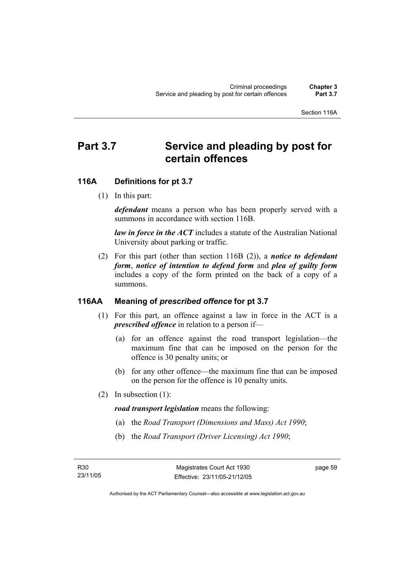# Part 3.7 Service and pleading by post for **certain offences**

### **116A Definitions for pt 3.7**

(1) In this part:

*defendant* means a person who has been properly served with a summons in accordance with section 116B.

*law in force in the ACT* includes a statute of the Australian National University about parking or traffic.

 (2) For this part (other than section 116B (2)), a *notice to defendant form*, *notice of intention to defend form* and *plea of guilty form* includes a copy of the form printed on the back of a copy of a summons.

### **116AA Meaning of** *prescribed offence* **for pt 3.7**

- (1) For this part, an offence against a law in force in the ACT is a *prescribed offence* in relation to a person if—
	- (a) for an offence against the road transport legislation—the maximum fine that can be imposed on the person for the offence is 30 penalty units; or
	- (b) for any other offence—the maximum fine that can be imposed on the person for the offence is 10 penalty units.
- (2) In subsection (1):

*road transport legislation* means the following:

- (a) the *Road Transport (Dimensions and Mass) Act 1990*;
- (b) the *Road Transport (Driver Licensing) Act 1990*;

page 59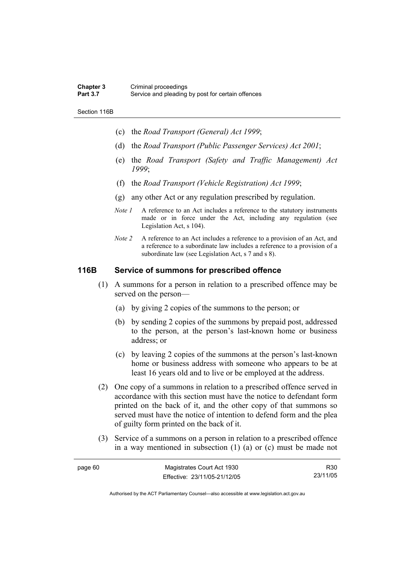#### **Chapter 3** Criminal proceedings<br> **Part 3.7** Service and pleading Service and pleading by post for certain offences

Section 116B

- (c) the *Road Transport (General) Act 1999*;
- (d) the *Road Transport (Public Passenger Services) Act 2001*;
- (e) the *Road Transport (Safety and Traffic Management) Act 1999*;
- (f) the *Road Transport (Vehicle Registration) Act 1999*;
- (g) any other Act or any regulation prescribed by regulation.
- *Note 1* A reference to an Act includes a reference to the statutory instruments made or in force under the Act, including any regulation (see Legislation Act, s 104).
- *Note 2* A reference to an Act includes a reference to a provision of an Act, and a reference to a subordinate law includes a reference to a provision of a subordinate law (see Legislation Act, s 7 and s 8).

### **116B Service of summons for prescribed offence**

- (1) A summons for a person in relation to a prescribed offence may be served on the person—
	- (a) by giving 2 copies of the summons to the person; or
	- (b) by sending 2 copies of the summons by prepaid post, addressed to the person, at the person's last-known home or business address; or
	- (c) by leaving 2 copies of the summons at the person's last-known home or business address with someone who appears to be at least 16 years old and to live or be employed at the address.
- (2) One copy of a summons in relation to a prescribed offence served in accordance with this section must have the notice to defendant form printed on the back of it, and the other copy of that summons so served must have the notice of intention to defend form and the plea of guilty form printed on the back of it.
- (3) Service of a summons on a person in relation to a prescribed offence in a way mentioned in subsection (1) (a) or (c) must be made not

| page 60 | Magistrates Court Act 1930   | R30      |
|---------|------------------------------|----------|
|         | Effective: 23/11/05-21/12/05 | 23/11/05 |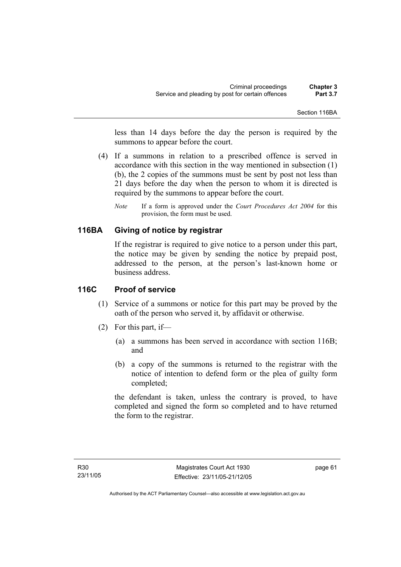less than 14 days before the day the person is required by the summons to appear before the court.

- (4) If a summons in relation to a prescribed offence is served in accordance with this section in the way mentioned in subsection (1) (b), the 2 copies of the summons must be sent by post not less than 21 days before the day when the person to whom it is directed is required by the summons to appear before the court.
	- *Note* If a form is approved under the *Court Procedures Act 2004* for this provision, the form must be used.

### **116BA Giving of notice by registrar**

If the registrar is required to give notice to a person under this part, the notice may be given by sending the notice by prepaid post, addressed to the person, at the person's last-known home or business address.

### **116C Proof of service**

- (1) Service of a summons or notice for this part may be proved by the oath of the person who served it, by affidavit or otherwise.
- (2) For this part, if—
	- (a) a summons has been served in accordance with section 116B; and
	- (b) a copy of the summons is returned to the registrar with the notice of intention to defend form or the plea of guilty form completed;

the defendant is taken, unless the contrary is proved, to have completed and signed the form so completed and to have returned the form to the registrar.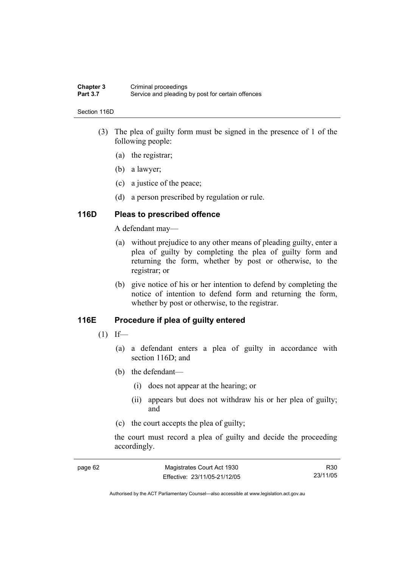#### **Chapter 3** Criminal proceedings<br> **Part 3.7** Service and pleading Service and pleading by post for certain offences

#### Section 116D

- (3) The plea of guilty form must be signed in the presence of 1 of the following people:
	- (a) the registrar;
	- (b) a lawyer;
	- (c) a justice of the peace;
	- (d) a person prescribed by regulation or rule.

### **116D Pleas to prescribed offence**

A defendant may—

- (a) without prejudice to any other means of pleading guilty, enter a plea of guilty by completing the plea of guilty form and returning the form, whether by post or otherwise, to the registrar; or
- (b) give notice of his or her intention to defend by completing the notice of intention to defend form and returning the form, whether by post or otherwise, to the registrar.

### **116E Procedure if plea of guilty entered**

- $(1)$  If—
	- (a) a defendant enters a plea of guilty in accordance with section 116D; and
	- (b) the defendant—
		- (i) does not appear at the hearing; or
		- (ii) appears but does not withdraw his or her plea of guilty; and
	- (c) the court accepts the plea of guilty;

the court must record a plea of guilty and decide the proceeding accordingly.

| page 62 | Magistrates Court Act 1930   | R30      |
|---------|------------------------------|----------|
|         | Effective: 23/11/05-21/12/05 | 23/11/05 |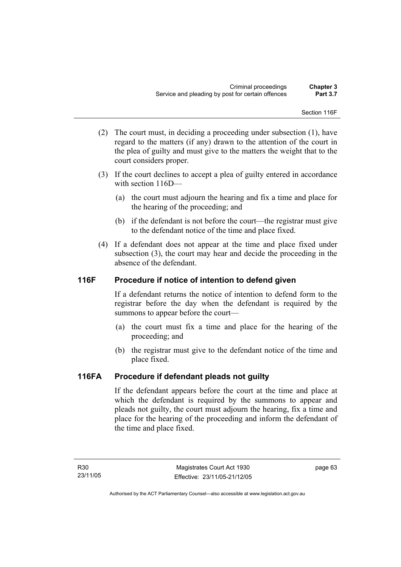Section 116F

- (2) The court must, in deciding a proceeding under subsection (1), have regard to the matters (if any) drawn to the attention of the court in the plea of guilty and must give to the matters the weight that to the court considers proper.
- (3) If the court declines to accept a plea of guilty entered in accordance with section 116D—
	- (a) the court must adjourn the hearing and fix a time and place for the hearing of the proceeding; and
	- (b) if the defendant is not before the court—the registrar must give to the defendant notice of the time and place fixed.
- (4) If a defendant does not appear at the time and place fixed under subsection (3), the court may hear and decide the proceeding in the absence of the defendant.

### **116F Procedure if notice of intention to defend given**

If a defendant returns the notice of intention to defend form to the registrar before the day when the defendant is required by the summons to appear before the court—

- (a) the court must fix a time and place for the hearing of the proceeding; and
- (b) the registrar must give to the defendant notice of the time and place fixed.

### **116FA Procedure if defendant pleads not guilty**

If the defendant appears before the court at the time and place at which the defendant is required by the summons to appear and pleads not guilty, the court must adjourn the hearing, fix a time and place for the hearing of the proceeding and inform the defendant of the time and place fixed.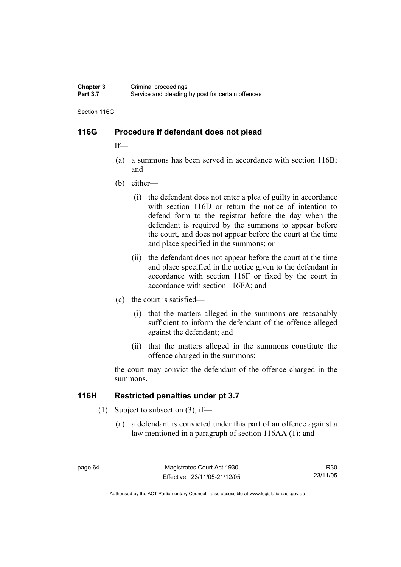#### **Chapter 3** Criminal proceedings<br> **Part 3.7** Service and pleading Service and pleading by post for certain offences

Section 116G

### **116G Procedure if defendant does not plead**

If—

- (a) a summons has been served in accordance with section 116B; and
- (b) either—
	- (i) the defendant does not enter a plea of guilty in accordance with section 116D or return the notice of intention to defend form to the registrar before the day when the defendant is required by the summons to appear before the court, and does not appear before the court at the time and place specified in the summons; or
	- (ii) the defendant does not appear before the court at the time and place specified in the notice given to the defendant in accordance with section 116F or fixed by the court in accordance with section 116FA; and
- (c) the court is satisfied—
	- (i) that the matters alleged in the summons are reasonably sufficient to inform the defendant of the offence alleged against the defendant; and
	- (ii) that the matters alleged in the summons constitute the offence charged in the summons;

the court may convict the defendant of the offence charged in the summons.

### **116H Restricted penalties under pt 3.7**

- (1) Subject to subsection (3), if—
	- (a) a defendant is convicted under this part of an offence against a law mentioned in a paragraph of section 116AA (1); and

R30 23/11/05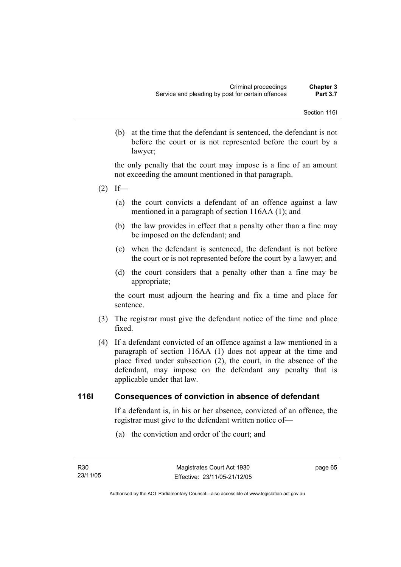(b) at the time that the defendant is sentenced, the defendant is not before the court or is not represented before the court by a lawyer;

the only penalty that the court may impose is a fine of an amount not exceeding the amount mentioned in that paragraph.

- $(2)$  If—
	- (a) the court convicts a defendant of an offence against a law mentioned in a paragraph of section 116AA (1); and
	- (b) the law provides in effect that a penalty other than a fine may be imposed on the defendant; and
	- (c) when the defendant is sentenced, the defendant is not before the court or is not represented before the court by a lawyer; and
	- (d) the court considers that a penalty other than a fine may be appropriate;

the court must adjourn the hearing and fix a time and place for sentence.

- (3) The registrar must give the defendant notice of the time and place fixed.
- (4) If a defendant convicted of an offence against a law mentioned in a paragraph of section 116AA (1) does not appear at the time and place fixed under subsection (2), the court, in the absence of the defendant, may impose on the defendant any penalty that is applicable under that law.

### **116I Consequences of conviction in absence of defendant**

If a defendant is, in his or her absence, convicted of an offence, the registrar must give to the defendant written notice of—

(a) the conviction and order of the court; and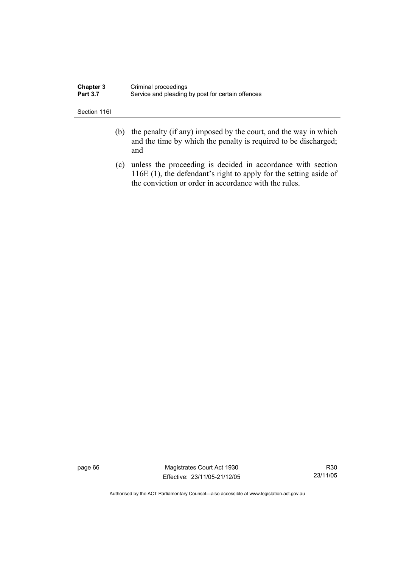| <b>Chapter 3</b> | Criminal proceedings                              |
|------------------|---------------------------------------------------|
| <b>Part 3.7</b>  | Service and pleading by post for certain offences |

Section 116I

- (b) the penalty (if any) imposed by the court, and the way in which and the time by which the penalty is required to be discharged; and
- (c) unless the proceeding is decided in accordance with section 116E (1), the defendant's right to apply for the setting aside of the conviction or order in accordance with the rules.

page 66 Magistrates Court Act 1930 Effective: 23/11/05-21/12/05

R30 23/11/05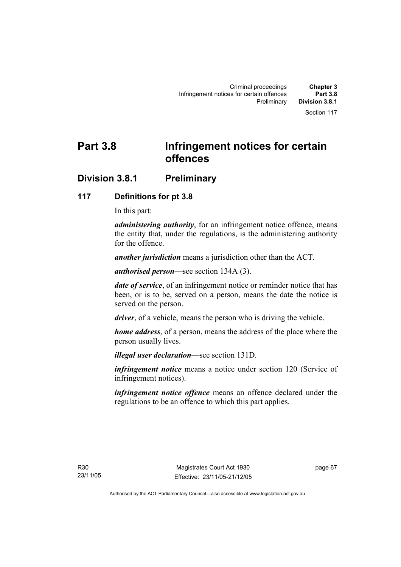# **Part 3.8 Infringement notices for certain offences**

# **Division 3.8.1 Preliminary**

### **117 Definitions for pt 3.8**

In this part:

*administering authority*, for an infringement notice offence, means the entity that, under the regulations, is the administering authority for the offence.

*another jurisdiction* means a jurisdiction other than the ACT.

*authorised person*—see section 134A (3).

*date of service*, of an infringement notice or reminder notice that has been, or is to be, served on a person, means the date the notice is served on the person.

*driver*, of a vehicle, means the person who is driving the vehicle.

*home address*, of a person, means the address of the place where the person usually lives.

*illegal user declaration*—see section 131D.

*infringement notice* means a notice under section 120 (Service of infringement notices).

*infringement notice offence* means an offence declared under the regulations to be an offence to which this part applies.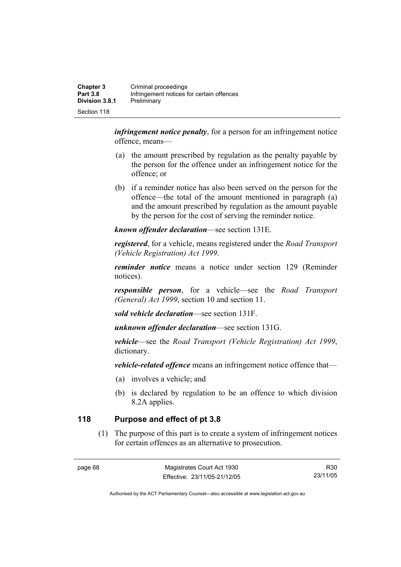| <b>Chapter 3</b><br><b>Part 3.8</b> | Criminal proceedings<br>Infringement notices for certain offences |
|-------------------------------------|-------------------------------------------------------------------|
| <b>Division 3.8.1</b>               | Preliminary                                                       |
| Section 118                         |                                                                   |

*infringement notice penalty*, for a person for an infringement notice offence, means—

- (a) the amount prescribed by regulation as the penalty payable by the person for the offence under an infringement notice for the offence; or
- (b) if a reminder notice has also been served on the person for the offence—the total of the amount mentioned in paragraph (a) and the amount prescribed by regulation as the amount payable by the person for the cost of serving the reminder notice.

*known offender declaration*—see section 131E.

*registered*, for a vehicle, means registered under the *Road Transport (Vehicle Registration) Act 1999*.

*reminder notice* means a notice under section 129 (Reminder notices).

*responsible person*, for a vehicle—see the *Road Transport (General) Act 1999*, section 10 and section 11.

*sold vehicle declaration*—see section 131F.

*unknown offender declaration*—see section 131G.

*vehicle*—see the *Road Transport (Vehicle Registration) Act 1999*, dictionary.

*vehicle-related offence* means an infringement notice offence that—

- (a) involves a vehicle; and
- (b) is declared by regulation to be an offence to which division 8.2A applies.

## **118 Purpose and effect of pt 3.8**

 (1) The purpose of this part is to create a system of infringement notices for certain offences as an alternative to prosecution.

R30 23/11/05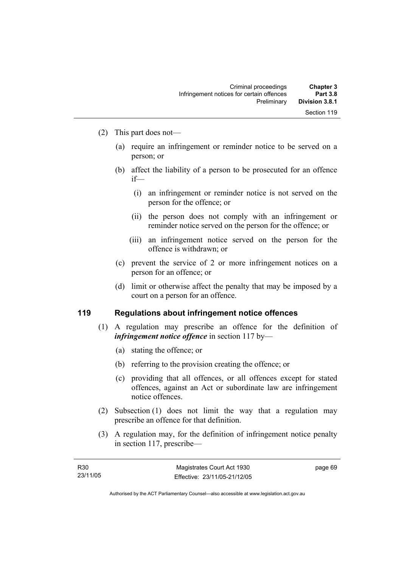- (2) This part does not—
	- (a) require an infringement or reminder notice to be served on a person; or
	- (b) affect the liability of a person to be prosecuted for an offence if—
		- (i) an infringement or reminder notice is not served on the person for the offence; or
		- (ii) the person does not comply with an infringement or reminder notice served on the person for the offence; or
		- (iii) an infringement notice served on the person for the offence is withdrawn; or
	- (c) prevent the service of 2 or more infringement notices on a person for an offence; or
	- (d) limit or otherwise affect the penalty that may be imposed by a court on a person for an offence.

### **119 Regulations about infringement notice offences**

- (1) A regulation may prescribe an offence for the definition of *infringement notice offence* in section 117 by—
	- (a) stating the offence; or
	- (b) referring to the provision creating the offence; or
	- (c) providing that all offences, or all offences except for stated offences, against an Act or subordinate law are infringement notice offences.
- (2) Subsection (1) does not limit the way that a regulation may prescribe an offence for that definition.
- (3) A regulation may, for the definition of infringement notice penalty in section 117, prescribe—

page 69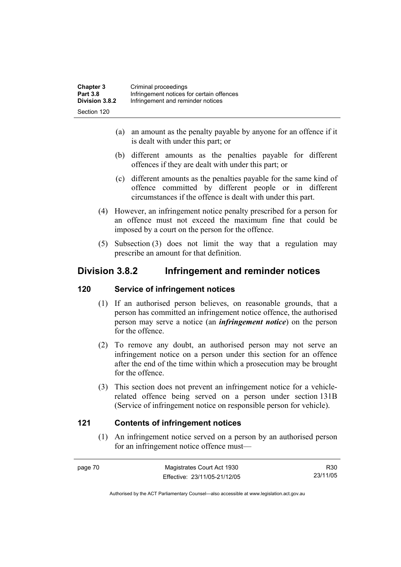| <b>Chapter 3</b> | Criminal proceedings                      |
|------------------|-------------------------------------------|
| <b>Part 3.8</b>  | Infringement notices for certain offences |
| Division 3.8.2   | Infringement and reminder notices         |
| Section 120      |                                           |

- (a) an amount as the penalty payable by anyone for an offence if it is dealt with under this part; or
- (b) different amounts as the penalties payable for different offences if they are dealt with under this part; or
- (c) different amounts as the penalties payable for the same kind of offence committed by different people or in different circumstances if the offence is dealt with under this part.
- (4) However, an infringement notice penalty prescribed for a person for an offence must not exceed the maximum fine that could be imposed by a court on the person for the offence.
- (5) Subsection (3) does not limit the way that a regulation may prescribe an amount for that definition.

# **Division 3.8.2 Infringement and reminder notices**

### **120 Service of infringement notices**

- (1) If an authorised person believes, on reasonable grounds, that a person has committed an infringement notice offence, the authorised person may serve a notice (an *infringement notice*) on the person for the offence.
- (2) To remove any doubt, an authorised person may not serve an infringement notice on a person under this section for an offence after the end of the time within which a prosecution may be brought for the offence.
- (3) This section does not prevent an infringement notice for a vehiclerelated offence being served on a person under section 131B (Service of infringement notice on responsible person for vehicle).

### **121 Contents of infringement notices**

 (1) An infringement notice served on a person by an authorised person for an infringement notice offence must—

page 70 Magistrates Court Act 1930 Effective: 23/11/05-21/12/05

R30 23/11/05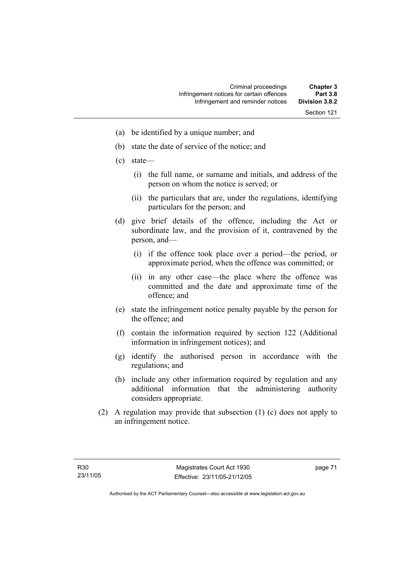- (a) be identified by a unique number; and
- (b) state the date of service of the notice; and
- (c) state—
	- (i) the full name, or surname and initials, and address of the person on whom the notice is served; or
	- (ii) the particulars that are, under the regulations, identifying particulars for the person; and
- (d) give brief details of the offence, including the Act or subordinate law, and the provision of it, contravened by the person, and—
	- (i) if the offence took place over a period—the period, or approximate period, when the offence was committed; or
	- (ii) in any other case—the place where the offence was committed and the date and approximate time of the offence; and
- (e) state the infringement notice penalty payable by the person for the offence; and
- (f) contain the information required by section 122 (Additional information in infringement notices); and
- (g) identify the authorised person in accordance with the regulations; and
- (h) include any other information required by regulation and any additional information that the administering authority considers appropriate.
- (2) A regulation may provide that subsection (1) (c) does not apply to an infringement notice.

page 71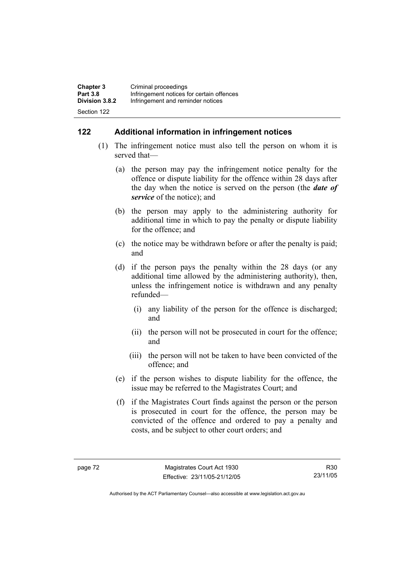| <b>Chapter 3</b> | Criminal proceedings                      |
|------------------|-------------------------------------------|
| <b>Part 3.8</b>  | Infringement notices for certain offences |
| Division 3.8.2   | Infringement and reminder notices         |
| Section 122      |                                           |

### **122 Additional information in infringement notices**

- (1) The infringement notice must also tell the person on whom it is served that—
	- (a) the person may pay the infringement notice penalty for the offence or dispute liability for the offence within 28 days after the day when the notice is served on the person (the *date of service* of the notice); and
	- (b) the person may apply to the administering authority for additional time in which to pay the penalty or dispute liability for the offence; and
	- (c) the notice may be withdrawn before or after the penalty is paid; and
	- (d) if the person pays the penalty within the 28 days (or any additional time allowed by the administering authority), then, unless the infringement notice is withdrawn and any penalty refunded—
		- (i) any liability of the person for the offence is discharged; and
		- (ii) the person will not be prosecuted in court for the offence; and
		- (iii) the person will not be taken to have been convicted of the offence; and
	- (e) if the person wishes to dispute liability for the offence, the issue may be referred to the Magistrates Court; and
	- (f) if the Magistrates Court finds against the person or the person is prosecuted in court for the offence, the person may be convicted of the offence and ordered to pay a penalty and costs, and be subject to other court orders; and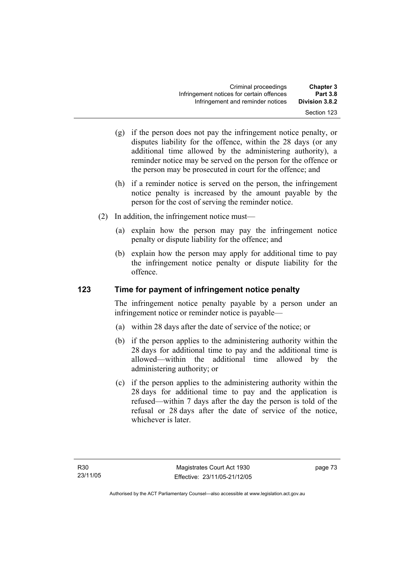- (g) if the person does not pay the infringement notice penalty, or disputes liability for the offence, within the 28 days (or any additional time allowed by the administering authority), a reminder notice may be served on the person for the offence or the person may be prosecuted in court for the offence; and
- (h) if a reminder notice is served on the person, the infringement notice penalty is increased by the amount payable by the person for the cost of serving the reminder notice.
- (2) In addition, the infringement notice must—
	- (a) explain how the person may pay the infringement notice penalty or dispute liability for the offence; and
	- (b) explain how the person may apply for additional time to pay the infringement notice penalty or dispute liability for the offence.

## **123 Time for payment of infringement notice penalty**

The infringement notice penalty payable by a person under an infringement notice or reminder notice is payable—

- (a) within 28 days after the date of service of the notice; or
- (b) if the person applies to the administering authority within the 28 days for additional time to pay and the additional time is allowed—within the additional time allowed by the administering authority; or
- (c) if the person applies to the administering authority within the 28 days for additional time to pay and the application is refused—within 7 days after the day the person is told of the refusal or 28 days after the date of service of the notice, whichever is later.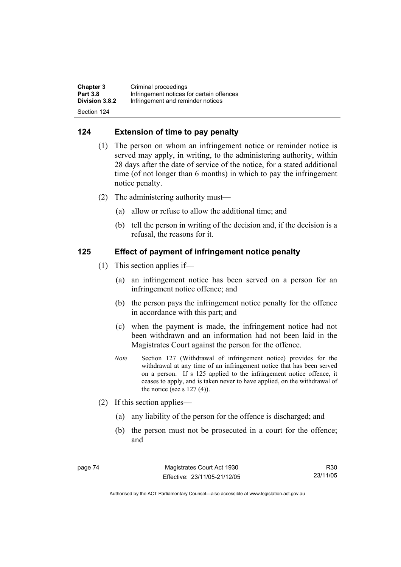| <b>Chapter 3</b> | Criminal proceedings                      |
|------------------|-------------------------------------------|
| <b>Part 3.8</b>  | Infringement notices for certain offences |
| Division 3.8.2   | Infringement and reminder notices         |
| Section 124      |                                           |

### **124 Extension of time to pay penalty**

- (1) The person on whom an infringement notice or reminder notice is served may apply, in writing, to the administering authority, within 28 days after the date of service of the notice, for a stated additional time (of not longer than 6 months) in which to pay the infringement notice penalty.
- (2) The administering authority must—
	- (a) allow or refuse to allow the additional time; and
	- (b) tell the person in writing of the decision and, if the decision is a refusal, the reasons for it.

### **125 Effect of payment of infringement notice penalty**

- (1) This section applies if—
	- (a) an infringement notice has been served on a person for an infringement notice offence; and
	- (b) the person pays the infringement notice penalty for the offence in accordance with this part; and
	- (c) when the payment is made, the infringement notice had not been withdrawn and an information had not been laid in the Magistrates Court against the person for the offence.
	- *Note* Section 127 (Withdrawal of infringement notice) provides for the withdrawal at any time of an infringement notice that has been served on a person. If s 125 applied to the infringement notice offence, it ceases to apply, and is taken never to have applied, on the withdrawal of the notice (see s  $127(4)$ ).
- (2) If this section applies—
	- (a) any liability of the person for the offence is discharged; and
	- (b) the person must not be prosecuted in a court for the offence; and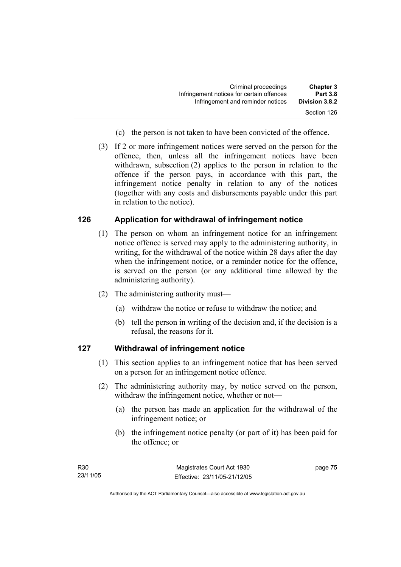| <b>Chapter 3</b> | Criminal proceedings                      |
|------------------|-------------------------------------------|
| <b>Part 3.8</b>  | Infringement notices for certain offences |
| Division 3.8.2   | Infringement and reminder notices         |
| Section 126      |                                           |

- (c) the person is not taken to have been convicted of the offence.
- (3) If 2 or more infringement notices were served on the person for the offence, then, unless all the infringement notices have been withdrawn, subsection (2) applies to the person in relation to the offence if the person pays, in accordance with this part, the infringement notice penalty in relation to any of the notices (together with any costs and disbursements payable under this part in relation to the notice).

### **126 Application for withdrawal of infringement notice**

- (1) The person on whom an infringement notice for an infringement notice offence is served may apply to the administering authority, in writing, for the withdrawal of the notice within 28 days after the day when the infringement notice, or a reminder notice for the offence, is served on the person (or any additional time allowed by the administering authority).
- (2) The administering authority must—
	- (a) withdraw the notice or refuse to withdraw the notice; and
	- (b) tell the person in writing of the decision and, if the decision is a refusal, the reasons for it.

### **127 Withdrawal of infringement notice**

- (1) This section applies to an infringement notice that has been served on a person for an infringement notice offence.
- (2) The administering authority may, by notice served on the person, withdraw the infringement notice, whether or not—
	- (a) the person has made an application for the withdrawal of the infringement notice; or
	- (b) the infringement notice penalty (or part of it) has been paid for the offence; or

page 75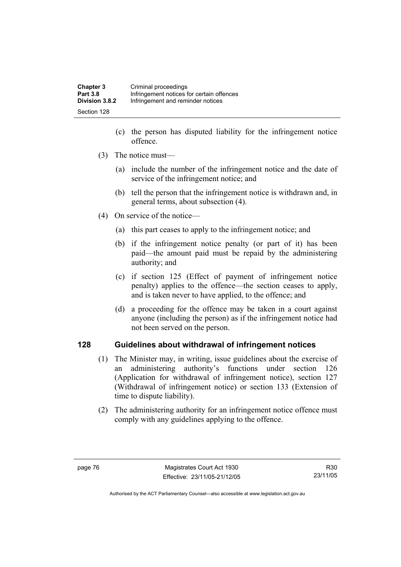| <b>Chapter 3</b> | Criminal proceedings                      |
|------------------|-------------------------------------------|
| <b>Part 3.8</b>  | Infringement notices for certain offences |
| Division 3.8.2   | Infringement and reminder notices         |
| Section 128      |                                           |

- (c) the person has disputed liability for the infringement notice offence.
- (3) The notice must—
	- (a) include the number of the infringement notice and the date of service of the infringement notice; and
	- (b) tell the person that the infringement notice is withdrawn and, in general terms, about subsection (4).
- (4) On service of the notice—
	- (a) this part ceases to apply to the infringement notice; and
	- (b) if the infringement notice penalty (or part of it) has been paid—the amount paid must be repaid by the administering authority; and
	- (c) if section 125 (Effect of payment of infringement notice penalty) applies to the offence—the section ceases to apply, and is taken never to have applied, to the offence; and
	- (d) a proceeding for the offence may be taken in a court against anyone (including the person) as if the infringement notice had not been served on the person.

### **128 Guidelines about withdrawal of infringement notices**

- (1) The Minister may, in writing, issue guidelines about the exercise of an administering authority's functions under section 126 (Application for withdrawal of infringement notice), section 127 (Withdrawal of infringement notice) or section 133 (Extension of time to dispute liability).
- (2) The administering authority for an infringement notice offence must comply with any guidelines applying to the offence.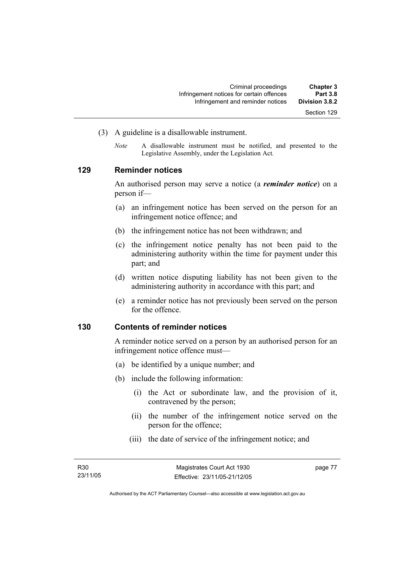- (3) A guideline is a disallowable instrument.
	- *Note* A disallowable instrument must be notified, and presented to the Legislative Assembly, under the Legislation Act*.*

### **129 Reminder notices**

An authorised person may serve a notice (a *reminder notice*) on a person if—

- (a) an infringement notice has been served on the person for an infringement notice offence; and
- (b) the infringement notice has not been withdrawn; and
- (c) the infringement notice penalty has not been paid to the administering authority within the time for payment under this part; and
- (d) written notice disputing liability has not been given to the administering authority in accordance with this part; and
- (e) a reminder notice has not previously been served on the person for the offence.

#### **130 Contents of reminder notices**

A reminder notice served on a person by an authorised person for an infringement notice offence must—

- (a) be identified by a unique number; and
- (b) include the following information:
	- (i) the Act or subordinate law, and the provision of it, contravened by the person;
	- (ii) the number of the infringement notice served on the person for the offence;
	- (iii) the date of service of the infringement notice; and

page 77

Authorised by the ACT Parliamentary Counsel—also accessible at www.legislation.act.gov.au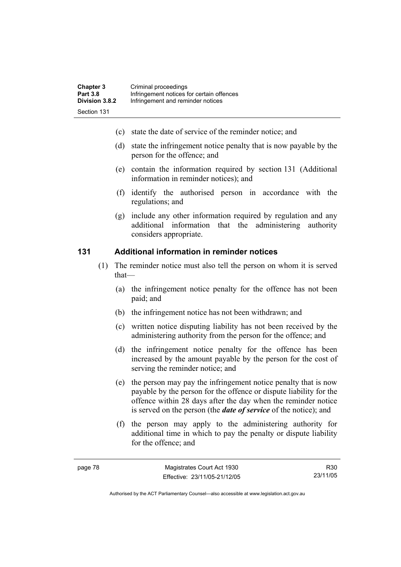- (c) state the date of service of the reminder notice; and
- (d) state the infringement notice penalty that is now payable by the person for the offence; and
- (e) contain the information required by section 131 (Additional information in reminder notices); and
- (f) identify the authorised person in accordance with the regulations; and
- (g) include any other information required by regulation and any additional information that the administering authority considers appropriate.

### **131 Additional information in reminder notices**

- (1) The reminder notice must also tell the person on whom it is served that—
	- (a) the infringement notice penalty for the offence has not been paid; and
	- (b) the infringement notice has not been withdrawn; and
	- (c) written notice disputing liability has not been received by the administering authority from the person for the offence; and
	- (d) the infringement notice penalty for the offence has been increased by the amount payable by the person for the cost of serving the reminder notice; and
	- (e) the person may pay the infringement notice penalty that is now payable by the person for the offence or dispute liability for the offence within 28 days after the day when the reminder notice is served on the person (the *date of service* of the notice); and
	- (f) the person may apply to the administering authority for additional time in which to pay the penalty or dispute liability for the offence; and

R30 23/11/05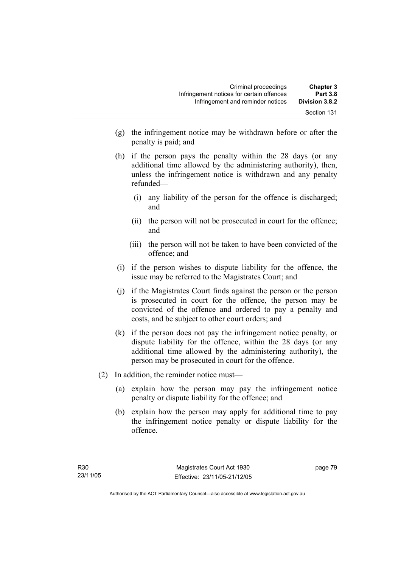- (g) the infringement notice may be withdrawn before or after the penalty is paid; and
- (h) if the person pays the penalty within the 28 days (or any additional time allowed by the administering authority), then, unless the infringement notice is withdrawn and any penalty refunded—
	- (i) any liability of the person for the offence is discharged; and
	- (ii) the person will not be prosecuted in court for the offence; and
	- (iii) the person will not be taken to have been convicted of the offence; and
- (i) if the person wishes to dispute liability for the offence, the issue may be referred to the Magistrates Court; and
- (j) if the Magistrates Court finds against the person or the person is prosecuted in court for the offence, the person may be convicted of the offence and ordered to pay a penalty and costs, and be subject to other court orders; and
- (k) if the person does not pay the infringement notice penalty, or dispute liability for the offence, within the 28 days (or any additional time allowed by the administering authority), the person may be prosecuted in court for the offence.
- (2) In addition, the reminder notice must—
	- (a) explain how the person may pay the infringement notice penalty or dispute liability for the offence; and
	- (b) explain how the person may apply for additional time to pay the infringement notice penalty or dispute liability for the offence.

page 79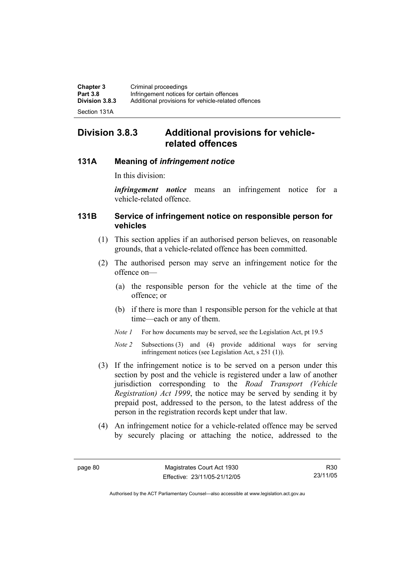| <b>Chapter 3</b> | Criminal proceedings                               |
|------------------|----------------------------------------------------|
| <b>Part 3.8</b>  | Infringement notices for certain offences          |
| Division 3.8.3   | Additional provisions for vehicle-related offences |
|                  |                                                    |

Section 131A

# **Division 3.8.3 Additional provisions for vehiclerelated offences**

### **131A Meaning of** *infringement notice*

In this division:

*infringement notice* means an infringement notice for a vehicle-related offence.

### **131B Service of infringement notice on responsible person for vehicles**

- (1) This section applies if an authorised person believes, on reasonable grounds, that a vehicle-related offence has been committed.
- (2) The authorised person may serve an infringement notice for the offence on—
	- (a) the responsible person for the vehicle at the time of the offence; or
	- (b) if there is more than 1 responsible person for the vehicle at that time—each or any of them.
	- *Note 1* For how documents may be served, see the Legislation Act, pt 19.5
	- *Note 2* Subsections (3) and (4) provide additional ways for serving infringement notices (see Legislation Act, s 251 (1)).
- (3) If the infringement notice is to be served on a person under this section by post and the vehicle is registered under a law of another jurisdiction corresponding to the *Road Transport (Vehicle Registration) Act 1999*, the notice may be served by sending it by prepaid post, addressed to the person, to the latest address of the person in the registration records kept under that law.
- (4) An infringement notice for a vehicle-related offence may be served by securely placing or attaching the notice, addressed to the

R30 23/11/05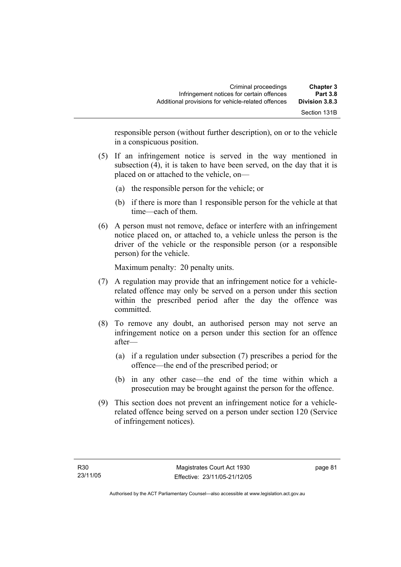| <b>Chapter 3</b><br><b>Part 3.8</b> | Criminal proceedings<br>Infringement notices for certain offences |  |
|-------------------------------------|-------------------------------------------------------------------|--|
| Division 3.8.3                      | Additional provisions for vehicle-related offences                |  |
| Section 131B                        |                                                                   |  |

responsible person (without further description), on or to the vehicle in a conspicuous position.

- (5) If an infringement notice is served in the way mentioned in subsection (4), it is taken to have been served, on the day that it is placed on or attached to the vehicle, on—
	- (a) the responsible person for the vehicle; or
	- (b) if there is more than 1 responsible person for the vehicle at that time—each of them.
- (6) A person must not remove, deface or interfere with an infringement notice placed on, or attached to, a vehicle unless the person is the driver of the vehicle or the responsible person (or a responsible person) for the vehicle.

Maximum penalty: 20 penalty units.

- (7) A regulation may provide that an infringement notice for a vehiclerelated offence may only be served on a person under this section within the prescribed period after the day the offence was committed.
- (8) To remove any doubt, an authorised person may not serve an infringement notice on a person under this section for an offence after—
	- (a) if a regulation under subsection (7) prescribes a period for the offence—the end of the prescribed period; or
	- (b) in any other case—the end of the time within which a prosecution may be brought against the person for the offence.
- (9) This section does not prevent an infringement notice for a vehiclerelated offence being served on a person under section 120 (Service of infringement notices).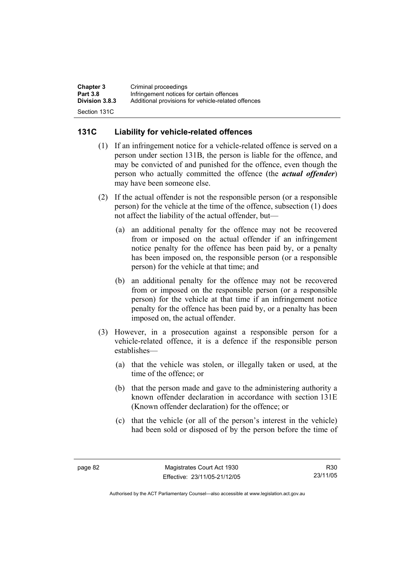| <b>Chapter 3</b>      | Criminal proceedings                               |
|-----------------------|----------------------------------------------------|
| <b>Part 3.8</b>       | Infringement notices for certain offences          |
| <b>Division 3.8.3</b> | Additional provisions for vehicle-related offences |
| Section 131C          |                                                    |

### **131C Liability for vehicle-related offences**

- (1) If an infringement notice for a vehicle-related offence is served on a person under section 131B, the person is liable for the offence, and may be convicted of and punished for the offence, even though the person who actually committed the offence (the *actual offender*) may have been someone else.
- (2) If the actual offender is not the responsible person (or a responsible person) for the vehicle at the time of the offence, subsection (1) does not affect the liability of the actual offender, but—
	- (a) an additional penalty for the offence may not be recovered from or imposed on the actual offender if an infringement notice penalty for the offence has been paid by, or a penalty has been imposed on, the responsible person (or a responsible person) for the vehicle at that time; and
	- (b) an additional penalty for the offence may not be recovered from or imposed on the responsible person (or a responsible person) for the vehicle at that time if an infringement notice penalty for the offence has been paid by, or a penalty has been imposed on, the actual offender.
- (3) However, in a prosecution against a responsible person for a vehicle-related offence, it is a defence if the responsible person establishes—
	- (a) that the vehicle was stolen, or illegally taken or used, at the time of the offence; or
	- (b) that the person made and gave to the administering authority a known offender declaration in accordance with section 131E (Known offender declaration) for the offence; or
	- (c) that the vehicle (or all of the person's interest in the vehicle) had been sold or disposed of by the person before the time of

R30 23/11/05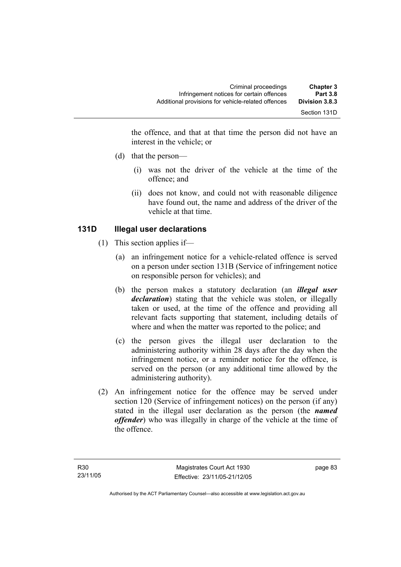the offence, and that at that time the person did not have an interest in the vehicle; or

- (d) that the person—
	- (i) was not the driver of the vehicle at the time of the offence; and
	- (ii) does not know, and could not with reasonable diligence have found out, the name and address of the driver of the vehicle at that time.

### **131D Illegal user declarations**

- (1) This section applies if—
	- (a) an infringement notice for a vehicle-related offence is served on a person under section 131B (Service of infringement notice on responsible person for vehicles); and
	- (b) the person makes a statutory declaration (an *illegal user declaration*) stating that the vehicle was stolen, or illegally taken or used, at the time of the offence and providing all relevant facts supporting that statement, including details of where and when the matter was reported to the police; and
	- (c) the person gives the illegal user declaration to the administering authority within 28 days after the day when the infringement notice, or a reminder notice for the offence, is served on the person (or any additional time allowed by the administering authority).
- (2) An infringement notice for the offence may be served under section 120 (Service of infringement notices) on the person (if any) stated in the illegal user declaration as the person (the *named offender*) who was illegally in charge of the vehicle at the time of the offence.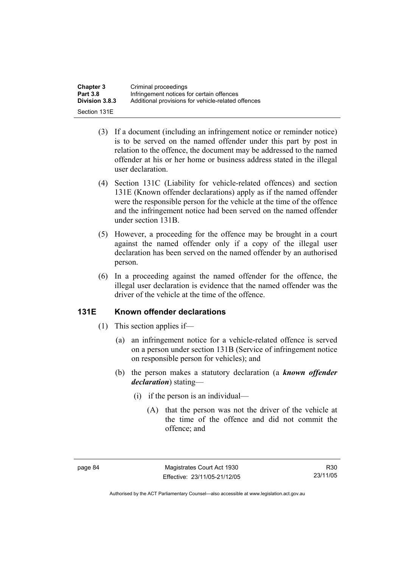| <b>Chapter 3</b> | Criminal proceedings                               |
|------------------|----------------------------------------------------|
| <b>Part 3.8</b>  | Infringement notices for certain offences          |
| Division 3.8.3   | Additional provisions for vehicle-related offences |
| Section 131E     |                                                    |

- (3) If a document (including an infringement notice or reminder notice) is to be served on the named offender under this part by post in relation to the offence, the document may be addressed to the named offender at his or her home or business address stated in the illegal user declaration.
- (4) Section 131C (Liability for vehicle-related offences) and section 131E (Known offender declarations) apply as if the named offender were the responsible person for the vehicle at the time of the offence and the infringement notice had been served on the named offender under section 131B.
- (5) However, a proceeding for the offence may be brought in a court against the named offender only if a copy of the illegal user declaration has been served on the named offender by an authorised person.
- (6) In a proceeding against the named offender for the offence, the illegal user declaration is evidence that the named offender was the driver of the vehicle at the time of the offence.

### **131E Known offender declarations**

- (1) This section applies if—
	- (a) an infringement notice for a vehicle-related offence is served on a person under section 131B (Service of infringement notice on responsible person for vehicles); and
	- (b) the person makes a statutory declaration (a *known offender declaration*) stating—
		- (i) if the person is an individual—
			- (A) that the person was not the driver of the vehicle at the time of the offence and did not commit the offence; and

R30 23/11/05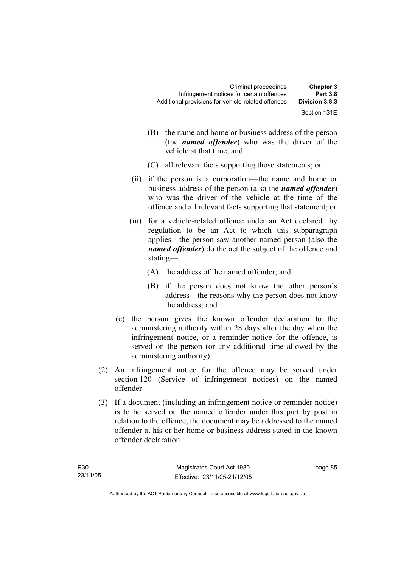| <b>Chapter 3</b><br><b>Part 3.8</b> | Criminal proceedings<br>Infringement notices for certain offences |  |
|-------------------------------------|-------------------------------------------------------------------|--|
| Division 3.8.3                      | Additional provisions for vehicle-related offences                |  |
| Section 131E                        |                                                                   |  |

- (B) the name and home or business address of the person (the *named offender*) who was the driver of the vehicle at that time; and
- (C) all relevant facts supporting those statements; or
- (ii) if the person is a corporation—the name and home or business address of the person (also the *named offender*) who was the driver of the vehicle at the time of the offence and all relevant facts supporting that statement; or
- (iii) for a vehicle-related offence under an Act declared by regulation to be an Act to which this subparagraph applies—the person saw another named person (also the *named offender*) do the act the subject of the offence and stating—
	- (A) the address of the named offender; and
	- (B) if the person does not know the other person's address—the reasons why the person does not know the address; and
- (c) the person gives the known offender declaration to the administering authority within 28 days after the day when the infringement notice, or a reminder notice for the offence, is served on the person (or any additional time allowed by the administering authority).
- (2) An infringement notice for the offence may be served under section 120 (Service of infringement notices) on the named offender.
- (3) If a document (including an infringement notice or reminder notice) is to be served on the named offender under this part by post in relation to the offence, the document may be addressed to the named offender at his or her home or business address stated in the known offender declaration.

page 85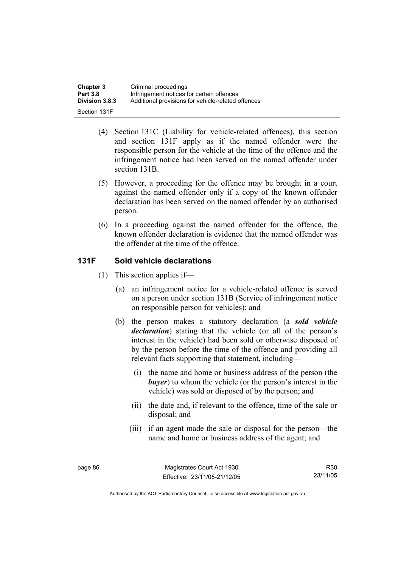| <b>Chapter 3</b> | Criminal proceedings                               |
|------------------|----------------------------------------------------|
| <b>Part 3.8</b>  | Infringement notices for certain offences          |
| Division 3.8.3   | Additional provisions for vehicle-related offences |
| Section 131F     |                                                    |

- (4) Section 131C (Liability for vehicle-related offences), this section and section 131F apply as if the named offender were the responsible person for the vehicle at the time of the offence and the infringement notice had been served on the named offender under section 131B.
- (5) However, a proceeding for the offence may be brought in a court against the named offender only if a copy of the known offender declaration has been served on the named offender by an authorised person.
- (6) In a proceeding against the named offender for the offence, the known offender declaration is evidence that the named offender was the offender at the time of the offence.

### **131F Sold vehicle declarations**

- (1) This section applies if—
	- (a) an infringement notice for a vehicle-related offence is served on a person under section 131B (Service of infringement notice on responsible person for vehicles); and
	- (b) the person makes a statutory declaration (a *sold vehicle declaration*) stating that the vehicle (or all of the person's interest in the vehicle) had been sold or otherwise disposed of by the person before the time of the offence and providing all relevant facts supporting that statement, including—
		- (i) the name and home or business address of the person (the *buyer*) to whom the vehicle (or the person's interest in the vehicle) was sold or disposed of by the person; and
		- (ii) the date and, if relevant to the offence, time of the sale or disposal; and
		- (iii) if an agent made the sale or disposal for the person—the name and home or business address of the agent; and

R30 23/11/05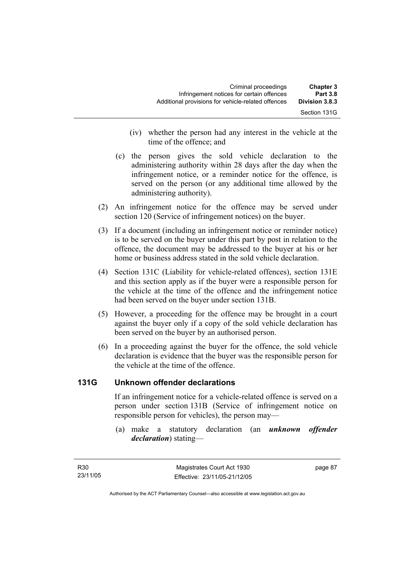| <b>Chapter 3</b><br><b>Part 3.8</b> | Criminal proceedings<br>Infringement notices for certain offences |  |
|-------------------------------------|-------------------------------------------------------------------|--|
| Division 3.8.3                      | Additional provisions for vehicle-related offences                |  |
| Section 131G                        |                                                                   |  |

- (iv) whether the person had any interest in the vehicle at the time of the offence; and
- (c) the person gives the sold vehicle declaration to the administering authority within 28 days after the day when the infringement notice, or a reminder notice for the offence, is served on the person (or any additional time allowed by the administering authority).
- (2) An infringement notice for the offence may be served under section 120 (Service of infringement notices) on the buyer.
- (3) If a document (including an infringement notice or reminder notice) is to be served on the buyer under this part by post in relation to the offence, the document may be addressed to the buyer at his or her home or business address stated in the sold vehicle declaration.
- (4) Section 131C (Liability for vehicle-related offences), section 131E and this section apply as if the buyer were a responsible person for the vehicle at the time of the offence and the infringement notice had been served on the buyer under section 131B.
- (5) However, a proceeding for the offence may be brought in a court against the buyer only if a copy of the sold vehicle declaration has been served on the buyer by an authorised person.
- (6) In a proceeding against the buyer for the offence, the sold vehicle declaration is evidence that the buyer was the responsible person for the vehicle at the time of the offence.

### **131G Unknown offender declarations**

If an infringement notice for a vehicle-related offence is served on a person under section 131B (Service of infringement notice on responsible person for vehicles), the person may—

 (a) make a statutory declaration (an *unknown offender declaration*) stating—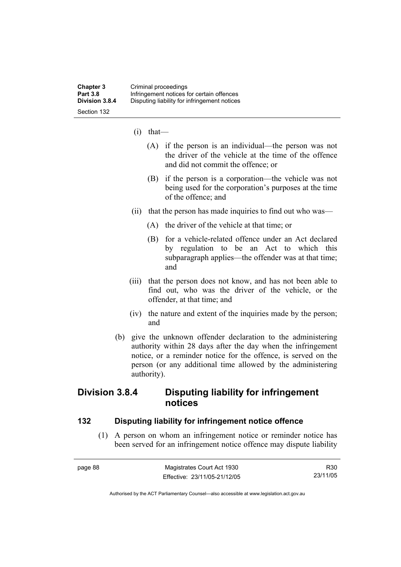- (i) that—
	- (A) if the person is an individual—the person was not the driver of the vehicle at the time of the offence and did not commit the offence; or
	- (B) if the person is a corporation—the vehicle was not being used for the corporation's purposes at the time of the offence; and
- (ii) that the person has made inquiries to find out who was—
	- (A) the driver of the vehicle at that time; or
	- (B) for a vehicle-related offence under an Act declared by regulation to be an Act to which this subparagraph applies—the offender was at that time; and
- (iii) that the person does not know, and has not been able to find out, who was the driver of the vehicle, or the offender, at that time; and
- (iv) the nature and extent of the inquiries made by the person; and
- (b) give the unknown offender declaration to the administering authority within 28 days after the day when the infringement notice, or a reminder notice for the offence, is served on the person (or any additional time allowed by the administering authority).

## **Division 3.8.4 Disputing liability for infringement notices**

#### **132 Disputing liability for infringement notice offence**

 (1) A person on whom an infringement notice or reminder notice has been served for an infringement notice offence may dispute liability

page 88 Magistrates Court Act 1930 Effective: 23/11/05-21/12/05 R30 23/11/05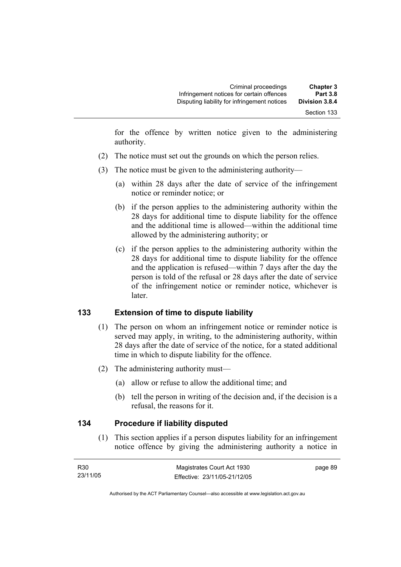for the offence by written notice given to the administering authority.

- (2) The notice must set out the grounds on which the person relies.
- (3) The notice must be given to the administering authority—
	- (a) within 28 days after the date of service of the infringement notice or reminder notice; or
	- (b) if the person applies to the administering authority within the 28 days for additional time to dispute liability for the offence and the additional time is allowed—within the additional time allowed by the administering authority; or
	- (c) if the person applies to the administering authority within the 28 days for additional time to dispute liability for the offence and the application is refused—within 7 days after the day the person is told of the refusal or 28 days after the date of service of the infringement notice or reminder notice, whichever is later.

### **133 Extension of time to dispute liability**

- (1) The person on whom an infringement notice or reminder notice is served may apply, in writing, to the administering authority, within 28 days after the date of service of the notice, for a stated additional time in which to dispute liability for the offence.
- (2) The administering authority must—
	- (a) allow or refuse to allow the additional time; and
	- (b) tell the person in writing of the decision and, if the decision is a refusal, the reasons for it.

### **134 Procedure if liability disputed**

 (1) This section applies if a person disputes liability for an infringement notice offence by giving the administering authority a notice in

| R30      | Magistrates Court Act 1930   | page 89 |
|----------|------------------------------|---------|
| 23/11/05 | Effective: 23/11/05-21/12/05 |         |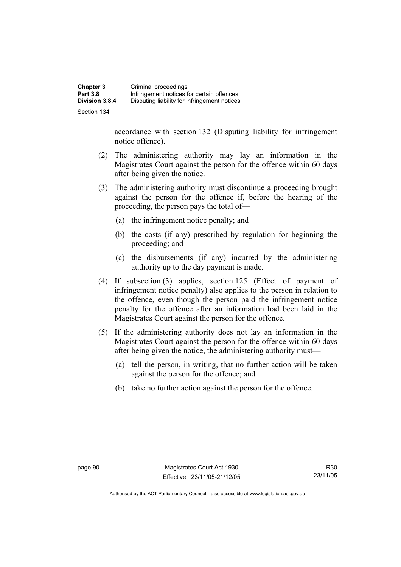accordance with section 132 (Disputing liability for infringement notice offence).

- (2) The administering authority may lay an information in the Magistrates Court against the person for the offence within 60 days after being given the notice.
- (3) The administering authority must discontinue a proceeding brought against the person for the offence if, before the hearing of the proceeding, the person pays the total of—
	- (a) the infringement notice penalty; and
	- (b) the costs (if any) prescribed by regulation for beginning the proceeding; and
	- (c) the disbursements (if any) incurred by the administering authority up to the day payment is made.
- (4) If subsection (3) applies, section 125 (Effect of payment of infringement notice penalty) also applies to the person in relation to the offence, even though the person paid the infringement notice penalty for the offence after an information had been laid in the Magistrates Court against the person for the offence.
- (5) If the administering authority does not lay an information in the Magistrates Court against the person for the offence within 60 days after being given the notice, the administering authority must—
	- (a) tell the person, in writing, that no further action will be taken against the person for the offence; and
	- (b) take no further action against the person for the offence.

R30 23/11/05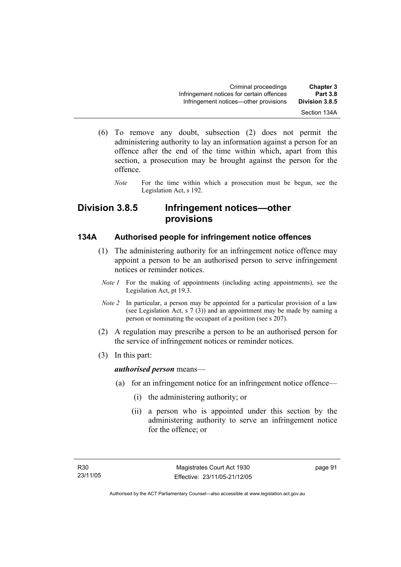- (6) To remove any doubt, subsection (2) does not permit the administering authority to lay an information against a person for an offence after the end of the time within which, apart from this section, a prosecution may be brought against the person for the offence.
	- *Note* For the time within which a prosecution must be begun, see the Legislation Act, s 192.

# **Division 3.8.5 Infringement notices—other provisions**

### **134A Authorised people for infringement notice offences**

- (1) The administering authority for an infringement notice offence may appoint a person to be an authorised person to serve infringement notices or reminder notices.
	- *Note 1* For the making of appointments (including acting appointments), see the Legislation Act, pt 19.3.
	- *Note 2* In particular, a person may be appointed for a particular provision of a law (see Legislation Act, s 7 (3)) and an appointment may be made by naming a person or nominating the occupant of a position (see s 207).
- (2) A regulation may prescribe a person to be an authorised person for the service of infringement notices or reminder notices.
- (3) In this part:

### *authorised person* means—

- (a) for an infringement notice for an infringement notice offence—
	- (i) the administering authority; or
	- (ii) a person who is appointed under this section by the administering authority to serve an infringement notice for the offence; or

page 91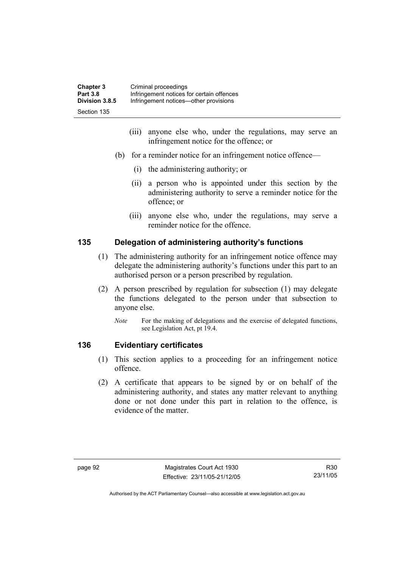| <b>Chapter 3</b> | Criminal proceedings                      |
|------------------|-------------------------------------------|
| <b>Part 3.8</b>  | Infringement notices for certain offences |
| Division 3.8.5   | Infringement notices—other provisions     |
| Section 135      |                                           |

- (iii) anyone else who, under the regulations, may serve an infringement notice for the offence; or
- (b) for a reminder notice for an infringement notice offence—
	- (i) the administering authority; or
	- (ii) a person who is appointed under this section by the administering authority to serve a reminder notice for the offence; or
	- (iii) anyone else who, under the regulations, may serve a reminder notice for the offence.

### **135 Delegation of administering authority's functions**

- (1) The administering authority for an infringement notice offence may delegate the administering authority's functions under this part to an authorised person or a person prescribed by regulation.
- (2) A person prescribed by regulation for subsection (1) may delegate the functions delegated to the person under that subsection to anyone else.
	- *Note* For the making of delegations and the exercise of delegated functions, see Legislation Act, pt 19.4.

### **136 Evidentiary certificates**

- (1) This section applies to a proceeding for an infringement notice offence.
- (2) A certificate that appears to be signed by or on behalf of the administering authority, and states any matter relevant to anything done or not done under this part in relation to the offence, is evidence of the matter.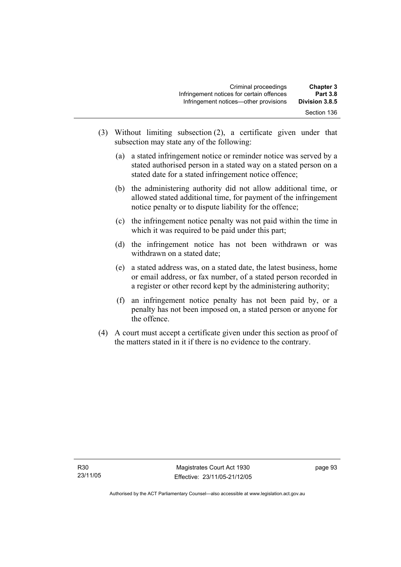| <b>Chapter 3</b><br><b>Part 3.8</b> | Criminal proceedings<br>Infringement notices for certain offences |
|-------------------------------------|-------------------------------------------------------------------|
| Division 3.8.5                      | Infringement notices—other provisions                             |
| Section 136                         |                                                                   |

- (3) Without limiting subsection (2), a certificate given under that subsection may state any of the following:
	- (a) a stated infringement notice or reminder notice was served by a stated authorised person in a stated way on a stated person on a stated date for a stated infringement notice offence;
	- (b) the administering authority did not allow additional time, or allowed stated additional time, for payment of the infringement notice penalty or to dispute liability for the offence;
	- (c) the infringement notice penalty was not paid within the time in which it was required to be paid under this part;
	- (d) the infringement notice has not been withdrawn or was withdrawn on a stated date;
	- (e) a stated address was, on a stated date, the latest business, home or email address, or fax number, of a stated person recorded in a register or other record kept by the administering authority;
	- (f) an infringement notice penalty has not been paid by, or a penalty has not been imposed on, a stated person or anyone for the offence.
- (4) A court must accept a certificate given under this section as proof of the matters stated in it if there is no evidence to the contrary.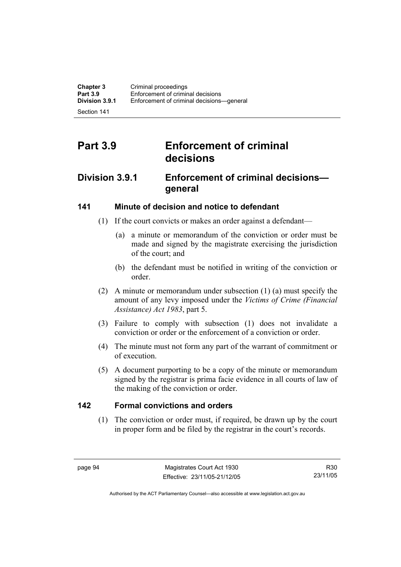Section 141

# **Part 3.9 Enforcement of criminal decisions**

## **Division 3.9.1 Enforcement of criminal decisions general**

## **141 Minute of decision and notice to defendant**

- (1) If the court convicts or makes an order against a defendant—
	- (a) a minute or memorandum of the conviction or order must be made and signed by the magistrate exercising the jurisdiction of the court; and
	- (b) the defendant must be notified in writing of the conviction or order.
- (2) A minute or memorandum under subsection (1) (a) must specify the amount of any levy imposed under the *Victims of Crime (Financial Assistance) Act 1983*, part 5.
- (3) Failure to comply with subsection (1) does not invalidate a conviction or order or the enforcement of a conviction or order.
- (4) The minute must not form any part of the warrant of commitment or of execution.
- (5) A document purporting to be a copy of the minute or memorandum signed by the registrar is prima facie evidence in all courts of law of the making of the conviction or order.

## **142 Formal convictions and orders**

 (1) The conviction or order must, if required, be drawn up by the court in proper form and be filed by the registrar in the court's records.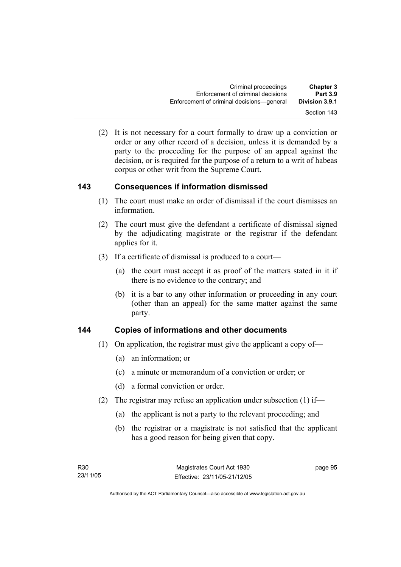(2) It is not necessary for a court formally to draw up a conviction or order or any other record of a decision, unless it is demanded by a party to the proceeding for the purpose of an appeal against the decision, or is required for the purpose of a return to a writ of habeas corpus or other writ from the Supreme Court.

## **143 Consequences if information dismissed**

- (1) The court must make an order of dismissal if the court dismisses an information.
- (2) The court must give the defendant a certificate of dismissal signed by the adjudicating magistrate or the registrar if the defendant applies for it.
- (3) If a certificate of dismissal is produced to a court—
	- (a) the court must accept it as proof of the matters stated in it if there is no evidence to the contrary; and
	- (b) it is a bar to any other information or proceeding in any court (other than an appeal) for the same matter against the same party.

## **144 Copies of informations and other documents**

- (1) On application, the registrar must give the applicant a copy of—
	- (a) an information; or
	- (c) a minute or memorandum of a conviction or order; or
	- (d) a formal conviction or order.
- (2) The registrar may refuse an application under subsection (1) if—
	- (a) the applicant is not a party to the relevant proceeding; and
	- (b) the registrar or a magistrate is not satisfied that the applicant has a good reason for being given that copy.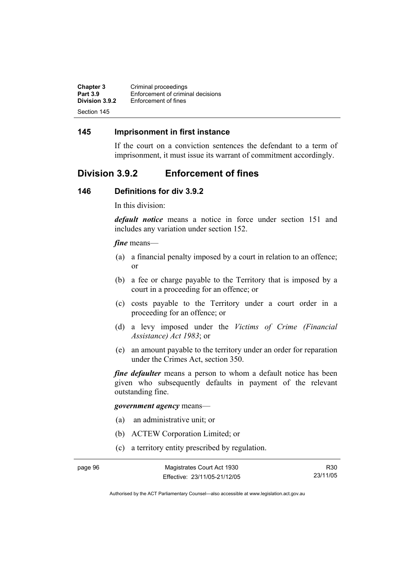| <b>Chapter 3</b> | Criminal proceedings              |
|------------------|-----------------------------------|
| <b>Part 3.9</b>  | Enforcement of criminal decisions |
| Division 3.9.2   | Enforcement of fines              |
| Section 145      |                                   |

### **145 Imprisonment in first instance**

If the court on a conviction sentences the defendant to a term of imprisonment, it must issue its warrant of commitment accordingly.

## **Division 3.9.2 Enforcement of fines**

#### **146 Definitions for div 3.9.2**

In this division:

*default notice* means a notice in force under section 151 and includes any variation under section 152.

#### *fine* means—

- (a) a financial penalty imposed by a court in relation to an offence; or
- (b) a fee or charge payable to the Territory that is imposed by a court in a proceeding for an offence; or
- (c) costs payable to the Territory under a court order in a proceeding for an offence; or
- (d) a levy imposed under the *Victims of Crime (Financial Assistance) Act 1983*; or
- (e) an amount payable to the territory under an order for reparation under the Crimes Act, section 350.

*fine defaulter* means a person to whom a default notice has been given who subsequently defaults in payment of the relevant outstanding fine.

#### *government agency* means—

- (a) an administrative unit; or
- (b) ACTEW Corporation Limited; or
- (c) a territory entity prescribed by regulation.

R30 23/11/05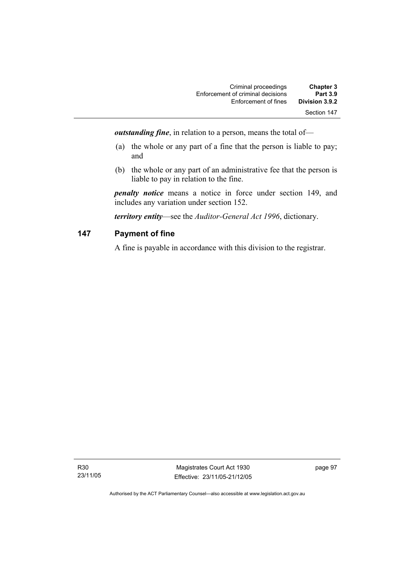| <b>Chapter 3</b> | Criminal proceedings              |
|------------------|-----------------------------------|
| <b>Part 3.9</b>  | Enforcement of criminal decisions |
| Division 3.9.2   | Enforcement of fines              |
| Section 147      |                                   |

*outstanding fine*, in relation to a person, means the total of—

- (a) the whole or any part of a fine that the person is liable to pay; and
- (b) the whole or any part of an administrative fee that the person is liable to pay in relation to the fine.

*penalty notice* means a notice in force under section 149, and includes any variation under section 152.

*territory entity*—see the *Auditor-General Act 1996*, dictionary.

## **147 Payment of fine**

A fine is payable in accordance with this division to the registrar.

R30 23/11/05

Magistrates Court Act 1930 Effective: 23/11/05-21/12/05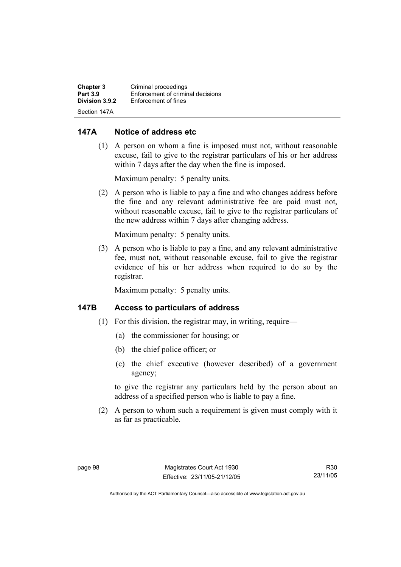| <b>Chapter 3</b> | Criminal proceedings              |
|------------------|-----------------------------------|
| <b>Part 3.9</b>  | Enforcement of criminal decisions |
| Division 3.9.2   | Enforcement of fines              |
| Section 147A     |                                   |

### **147A Notice of address etc**

 (1) A person on whom a fine is imposed must not, without reasonable excuse, fail to give to the registrar particulars of his or her address within 7 days after the day when the fine is imposed.

Maximum penalty: 5 penalty units.

 (2) A person who is liable to pay a fine and who changes address before the fine and any relevant administrative fee are paid must not, without reasonable excuse, fail to give to the registrar particulars of the new address within 7 days after changing address.

Maximum penalty: 5 penalty units.

 (3) A person who is liable to pay a fine, and any relevant administrative fee, must not, without reasonable excuse, fail to give the registrar evidence of his or her address when required to do so by the registrar.

Maximum penalty: 5 penalty units.

### **147B Access to particulars of address**

- (1) For this division, the registrar may, in writing, require—
	- (a) the commissioner for housing; or
	- (b) the chief police officer; or
	- (c) the chief executive (however described) of a government agency;

to give the registrar any particulars held by the person about an address of a specified person who is liable to pay a fine.

 (2) A person to whom such a requirement is given must comply with it as far as practicable.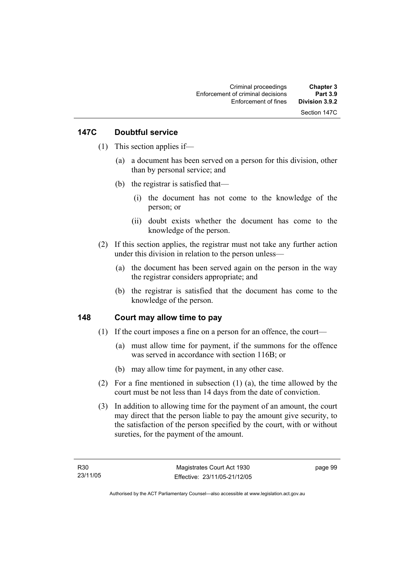## **147C Doubtful service**

- (1) This section applies if—
	- (a) a document has been served on a person for this division, other than by personal service; and
	- (b) the registrar is satisfied that—
		- (i) the document has not come to the knowledge of the person; or
		- (ii) doubt exists whether the document has come to the knowledge of the person.
- (2) If this section applies, the registrar must not take any further action under this division in relation to the person unless—
	- (a) the document has been served again on the person in the way the registrar considers appropriate; and
	- (b) the registrar is satisfied that the document has come to the knowledge of the person.

## **148 Court may allow time to pay**

- (1) If the court imposes a fine on a person for an offence, the court—
	- (a) must allow time for payment, if the summons for the offence was served in accordance with section 116B; or
	- (b) may allow time for payment, in any other case.
- (2) For a fine mentioned in subsection (1) (a), the time allowed by the court must be not less than 14 days from the date of conviction.
- (3) In addition to allowing time for the payment of an amount, the court may direct that the person liable to pay the amount give security, to the satisfaction of the person specified by the court, with or without sureties, for the payment of the amount.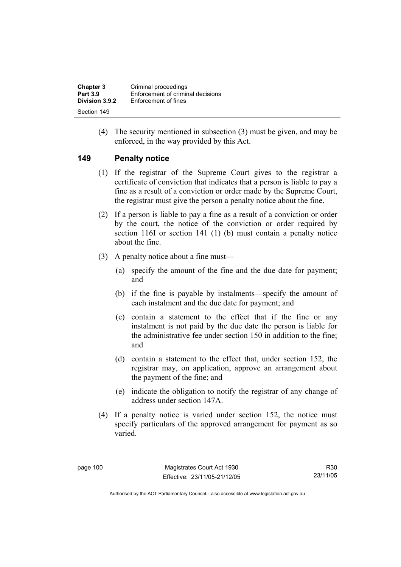| <b>Chapter 3</b> | Criminal proceedings              |
|------------------|-----------------------------------|
| <b>Part 3.9</b>  | Enforcement of criminal decisions |
| Division 3.9.2   | Enforcement of fines              |
| Section 149      |                                   |

 (4) The security mentioned in subsection (3) must be given, and may be enforced, in the way provided by this Act.

#### **149 Penalty notice**

- (1) If the registrar of the Supreme Court gives to the registrar a certificate of conviction that indicates that a person is liable to pay a fine as a result of a conviction or order made by the Supreme Court, the registrar must give the person a penalty notice about the fine.
- (2) If a person is liable to pay a fine as a result of a conviction or order by the court, the notice of the conviction or order required by section 116I or section 141 (1) (b) must contain a penalty notice about the fine.
- (3) A penalty notice about a fine must—
	- (a) specify the amount of the fine and the due date for payment; and
	- (b) if the fine is payable by instalments—specify the amount of each instalment and the due date for payment; and
	- (c) contain a statement to the effect that if the fine or any instalment is not paid by the due date the person is liable for the administrative fee under section 150 in addition to the fine; and
	- (d) contain a statement to the effect that, under section 152, the registrar may, on application, approve an arrangement about the payment of the fine; and
	- (e) indicate the obligation to notify the registrar of any change of address under section 147A.
- (4) If a penalty notice is varied under section 152, the notice must specify particulars of the approved arrangement for payment as so varied.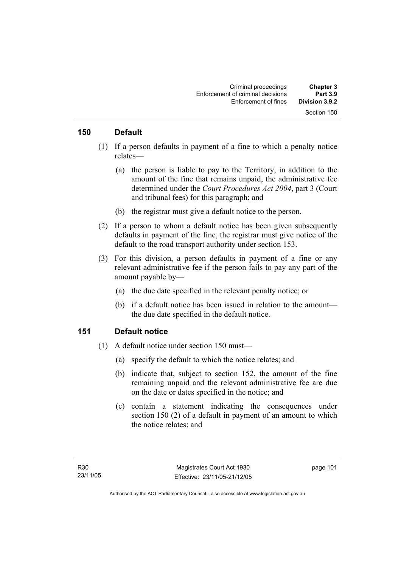#### **150 Default**

- (1) If a person defaults in payment of a fine to which a penalty notice relates—
	- (a) the person is liable to pay to the Territory, in addition to the amount of the fine that remains unpaid, the administrative fee determined under the *Court Procedures Act 2004*, part 3 (Court and tribunal fees) for this paragraph; and
	- (b) the registrar must give a default notice to the person.
- (2) If a person to whom a default notice has been given subsequently defaults in payment of the fine, the registrar must give notice of the default to the road transport authority under section 153.
- (3) For this division, a person defaults in payment of a fine or any relevant administrative fee if the person fails to pay any part of the amount payable by—
	- (a) the due date specified in the relevant penalty notice; or
	- (b) if a default notice has been issued in relation to the amount the due date specified in the default notice.

#### **151 Default notice**

- (1) A default notice under section 150 must—
	- (a) specify the default to which the notice relates; and
	- (b) indicate that, subject to section 152, the amount of the fine remaining unpaid and the relevant administrative fee are due on the date or dates specified in the notice; and
	- (c) contain a statement indicating the consequences under section 150 (2) of a default in payment of an amount to which the notice relates; and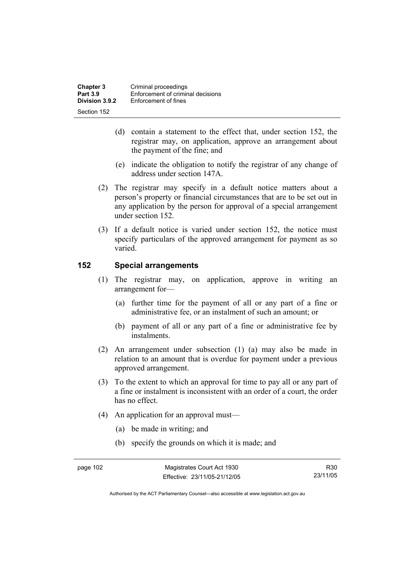| <b>Chapter 3</b> | Criminal proceedings              |
|------------------|-----------------------------------|
| <b>Part 3.9</b>  | Enforcement of criminal decisions |
| Division 3.9.2   | Enforcement of fines              |
| Section 152      |                                   |

- (d) contain a statement to the effect that, under section 152, the registrar may, on application, approve an arrangement about the payment of the fine; and
- (e) indicate the obligation to notify the registrar of any change of address under section 147A.
- (2) The registrar may specify in a default notice matters about a person's property or financial circumstances that are to be set out in any application by the person for approval of a special arrangement under section 152.
- (3) If a default notice is varied under section 152, the notice must specify particulars of the approved arrangement for payment as so varied.

#### **152 Special arrangements**

- (1) The registrar may, on application, approve in writing an arrangement for—
	- (a) further time for the payment of all or any part of a fine or administrative fee, or an instalment of such an amount; or
	- (b) payment of all or any part of a fine or administrative fee by instalments.
- (2) An arrangement under subsection (1) (a) may also be made in relation to an amount that is overdue for payment under a previous approved arrangement.
- (3) To the extent to which an approval for time to pay all or any part of a fine or instalment is inconsistent with an order of a court, the order has no effect.
- (4) An application for an approval must—
	- (a) be made in writing; and
	- (b) specify the grounds on which it is made; and

R30 23/11/05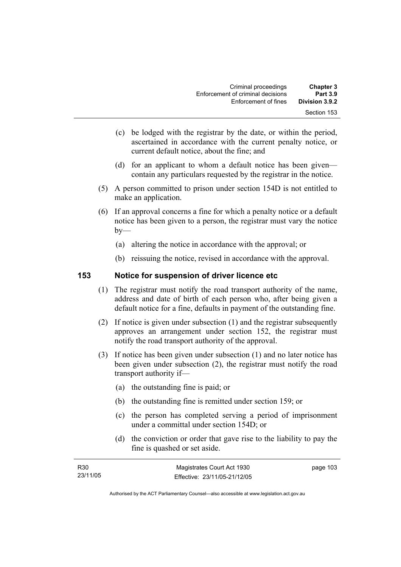| <b>Chapter 3</b><br><b>Part 3.9</b> | Criminal proceedings<br>Enforcement of criminal decisions |
|-------------------------------------|-----------------------------------------------------------|
| Division 3.9.2                      | Enforcement of fines                                      |
| Section 153                         |                                                           |

- (c) be lodged with the registrar by the date, or within the period, ascertained in accordance with the current penalty notice, or current default notice, about the fine; and
- (d) for an applicant to whom a default notice has been given contain any particulars requested by the registrar in the notice.
- (5) A person committed to prison under section 154D is not entitled to make an application.
- (6) If an approval concerns a fine for which a penalty notice or a default notice has been given to a person, the registrar must vary the notice  $by-$ 
	- (a) altering the notice in accordance with the approval; or
	- (b) reissuing the notice, revised in accordance with the approval.

#### **153 Notice for suspension of driver licence etc**

- (1) The registrar must notify the road transport authority of the name, address and date of birth of each person who, after being given a default notice for a fine, defaults in payment of the outstanding fine.
- (2) If notice is given under subsection (1) and the registrar subsequently approves an arrangement under section 152, the registrar must notify the road transport authority of the approval.
- (3) If notice has been given under subsection (1) and no later notice has been given under subsection (2), the registrar must notify the road transport authority if—
	- (a) the outstanding fine is paid; or
	- (b) the outstanding fine is remitted under section 159; or
	- (c) the person has completed serving a period of imprisonment under a committal under section 154D; or
	- (d) the conviction or order that gave rise to the liability to pay the fine is quashed or set aside.

| R <sub>30</sub> | Magistrates Court Act 1930   | page 103 |
|-----------------|------------------------------|----------|
| 23/11/05        | Effective: 23/11/05-21/12/05 |          |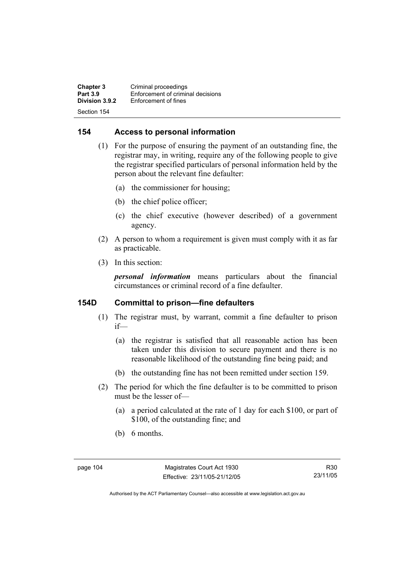**Chapter 3 Criminal proceedings**<br>**Part 3.9 Enforcement of criminal Part 3.9 Enforcement of criminal decisions**<br>**Division 3.9.2 Enforcement of fines Enforcement of fines** Section 154

### **154 Access to personal information**

- (1) For the purpose of ensuring the payment of an outstanding fine, the registrar may, in writing, require any of the following people to give the registrar specified particulars of personal information held by the person about the relevant fine defaulter:
	- (a) the commissioner for housing;
	- (b) the chief police officer;
	- (c) the chief executive (however described) of a government agency.
- (2) A person to whom a requirement is given must comply with it as far as practicable.
- (3) In this section:

*personal information* means particulars about the financial circumstances or criminal record of a fine defaulter.

### **154D Committal to prison—fine defaulters**

- (1) The registrar must, by warrant, commit a fine defaulter to prison if—
	- (a) the registrar is satisfied that all reasonable action has been taken under this division to secure payment and there is no reasonable likelihood of the outstanding fine being paid; and
	- (b) the outstanding fine has not been remitted under section 159.
- (2) The period for which the fine defaulter is to be committed to prison must be the lesser of—
	- (a) a period calculated at the rate of 1 day for each \$100, or part of \$100, of the outstanding fine; and
	- (b) 6 months.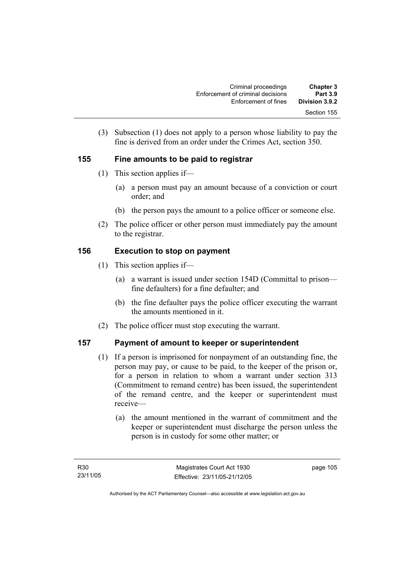| <b>Chapter 3</b><br><b>Part 3.9</b> | Criminal proceedings<br>Enforcement of criminal decisions |
|-------------------------------------|-----------------------------------------------------------|
| Division 3.9.2                      | Enforcement of fines                                      |
| Section 155                         |                                                           |

 (3) Subsection (1) does not apply to a person whose liability to pay the fine is derived from an order under the Crimes Act, section 350.

## **155 Fine amounts to be paid to registrar**

- (1) This section applies if—
	- (a) a person must pay an amount because of a conviction or court order; and
	- (b) the person pays the amount to a police officer or someone else.
- (2) The police officer or other person must immediately pay the amount to the registrar.

## **156 Execution to stop on payment**

- (1) This section applies if—
	- (a) a warrant is issued under section 154D (Committal to prison fine defaulters) for a fine defaulter; and
	- (b) the fine defaulter pays the police officer executing the warrant the amounts mentioned in it.
- (2) The police officer must stop executing the warrant.

## **157 Payment of amount to keeper or superintendent**

- (1) If a person is imprisoned for nonpayment of an outstanding fine, the person may pay, or cause to be paid, to the keeper of the prison or, for a person in relation to whom a warrant under section 313 (Commitment to remand centre) has been issued, the superintendent of the remand centre, and the keeper or superintendent must receive—
	- (a) the amount mentioned in the warrant of commitment and the keeper or superintendent must discharge the person unless the person is in custody for some other matter; or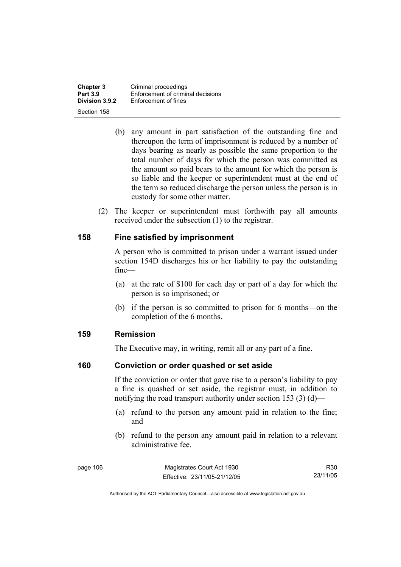**Chapter 3 Criminal proceedings**<br>**Part 3.9 Enforcement of criminal Part 3.9 Enforcement of criminal decisions**<br>**Division 3.9.2 Enforcement of fines Enforcement of fines** Section 158

- (b) any amount in part satisfaction of the outstanding fine and thereupon the term of imprisonment is reduced by a number of days bearing as nearly as possible the same proportion to the total number of days for which the person was committed as the amount so paid bears to the amount for which the person is so liable and the keeper or superintendent must at the end of the term so reduced discharge the person unless the person is in custody for some other matter.
- (2) The keeper or superintendent must forthwith pay all amounts received under the subsection (1) to the registrar.

#### **158 Fine satisfied by imprisonment**

A person who is committed to prison under a warrant issued under section 154D discharges his or her liability to pay the outstanding fine—

- (a) at the rate of \$100 for each day or part of a day for which the person is so imprisoned; or
- (b) if the person is so committed to prison for 6 months—on the completion of the 6 months.

#### **159 Remission**

The Executive may, in writing, remit all or any part of a fine.

#### **160 Conviction or order quashed or set aside**

If the conviction or order that gave rise to a person's liability to pay a fine is quashed or set aside, the registrar must, in addition to notifying the road transport authority under section 153 (3) (d)—

- (a) refund to the person any amount paid in relation to the fine; and
- (b) refund to the person any amount paid in relation to a relevant administrative fee.

R30 23/11/05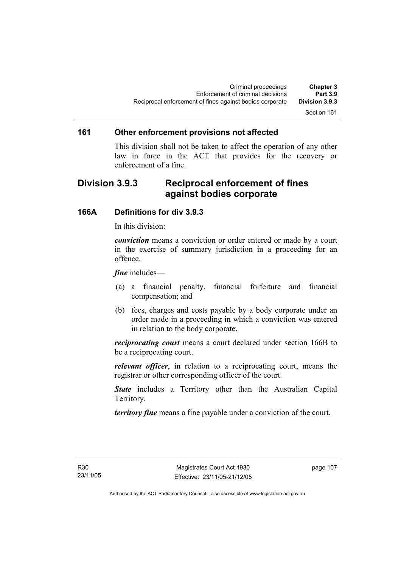### Section 161

#### **161 Other enforcement provisions not affected**

This division shall not be taken to affect the operation of any other law in force in the ACT that provides for the recovery or enforcement of a fine.

## **Division 3.9.3 Reciprocal enforcement of fines against bodies corporate**

#### **166A Definitions for div 3.9.3**

In this division:

*conviction* means a conviction or order entered or made by a court in the exercise of summary jurisdiction in a proceeding for an offence.

*fine* includes—

- (a) a financial penalty, financial forfeiture and financial compensation; and
- (b) fees, charges and costs payable by a body corporate under an order made in a proceeding in which a conviction was entered in relation to the body corporate.

*reciprocating court* means a court declared under section 166B to be a reciprocating court.

*relevant officer*, in relation to a reciprocating court, means the registrar or other corresponding officer of the court.

*State* includes a Territory other than the Australian Capital Territory.

*territory fine* means a fine payable under a conviction of the court.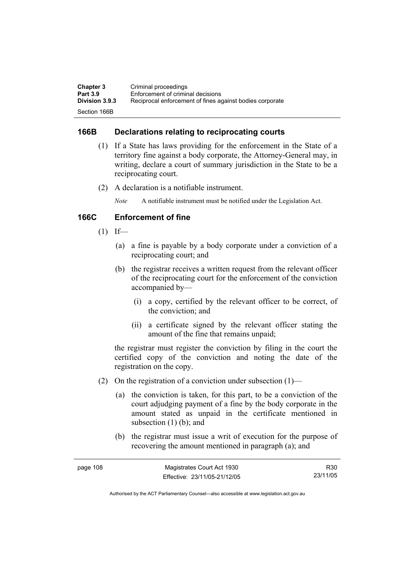| <b>Chapter 3</b>      | Criminal proceedings                                     |
|-----------------------|----------------------------------------------------------|
| <b>Part 3.9</b>       | Enforcement of criminal decisions                        |
| <b>Division 3.9.3</b> | Reciprocal enforcement of fines against bodies corporate |
| Section 166B          |                                                          |

### **166B Declarations relating to reciprocating courts**

- (1) If a State has laws providing for the enforcement in the State of a territory fine against a body corporate, the Attorney-General may, in writing, declare a court of summary jurisdiction in the State to be a reciprocating court.
- (2) A declaration is a notifiable instrument.

*Note* A notifiable instrument must be notified under the Legislation Act.

## **166C Enforcement of fine**

- $(1)$  If—
	- (a) a fine is payable by a body corporate under a conviction of a reciprocating court; and
	- (b) the registrar receives a written request from the relevant officer of the reciprocating court for the enforcement of the conviction accompanied by—
		- (i) a copy, certified by the relevant officer to be correct, of the conviction; and
		- (ii) a certificate signed by the relevant officer stating the amount of the fine that remains unpaid;

the registrar must register the conviction by filing in the court the certified copy of the conviction and noting the date of the registration on the copy.

- (2) On the registration of a conviction under subsection  $(1)$ 
	- (a) the conviction is taken, for this part, to be a conviction of the court adjudging payment of a fine by the body corporate in the amount stated as unpaid in the certificate mentioned in subsection  $(1)$  (b); and
	- (b) the registrar must issue a writ of execution for the purpose of recovering the amount mentioned in paragraph (a); and

| page 108 | Magistrates Court Act 1930   | R30      |
|----------|------------------------------|----------|
|          | Effective: 23/11/05-21/12/05 | 23/11/05 |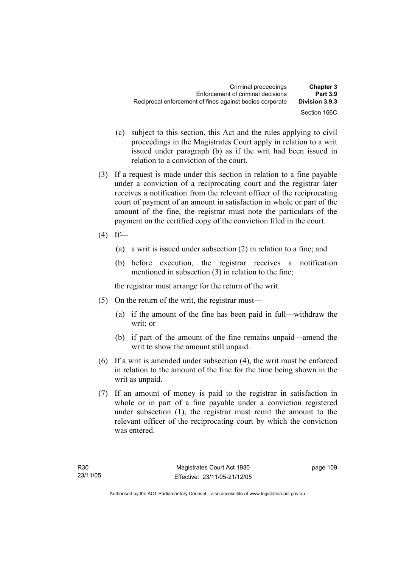- (c) subject to this section, this Act and the rules applying to civil proceedings in the Magistrates Court apply in relation to a writ issued under paragraph (b) as if the writ had been issued in relation to a conviction of the court.
- (3) If a request is made under this section in relation to a fine payable under a conviction of a reciprocating court and the registrar later receives a notification from the relevant officer of the reciprocating court of payment of an amount in satisfaction in whole or part of the amount of the fine, the registrar must note the particulars of the payment on the certified copy of the conviction filed in the court.
- $(4)$  If—
	- (a) a writ is issued under subsection (2) in relation to a fine; and
	- (b) before execution, the registrar receives a notification mentioned in subsection (3) in relation to the fine;

the registrar must arrange for the return of the writ.

- (5) On the return of the writ, the registrar must—
	- (a) if the amount of the fine has been paid in full—withdraw the writ; or
	- (b) if part of the amount of the fine remains unpaid—amend the writ to show the amount still unpaid.
- (6) If a writ is amended under subsection (4), the writ must be enforced in relation to the amount of the fine for the time being shown in the writ as unpaid.
- (7) If an amount of money is paid to the registrar in satisfaction in whole or in part of a fine payable under a conviction registered under subsection (1), the registrar must remit the amount to the relevant officer of the reciprocating court by which the conviction was entered.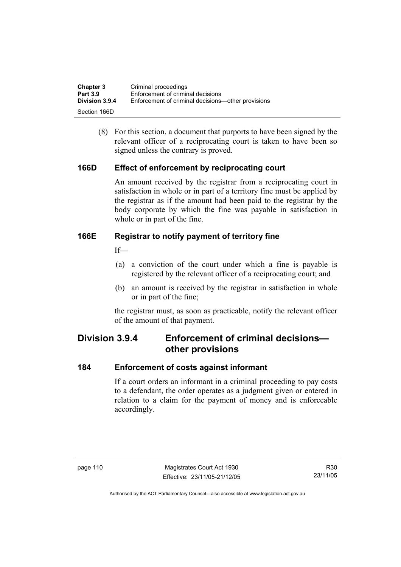| <b>Chapter 3</b> | Criminal proceedings                               |
|------------------|----------------------------------------------------|
| <b>Part 3.9</b>  | Enforcement of criminal decisions                  |
| Division 3.9.4   | Enforcement of criminal decisions—other provisions |
| Section 166D     |                                                    |

 (8) For this section, a document that purports to have been signed by the relevant officer of a reciprocating court is taken to have been so signed unless the contrary is proved.

### **166D Effect of enforcement by reciprocating court**

An amount received by the registrar from a reciprocating court in satisfaction in whole or in part of a territory fine must be applied by the registrar as if the amount had been paid to the registrar by the body corporate by which the fine was payable in satisfaction in whole or in part of the fine.

### **166E Registrar to notify payment of territory fine**

 $If$ <sub> $\equiv$ </sub>

- (a) a conviction of the court under which a fine is payable is registered by the relevant officer of a reciprocating court; and
- (b) an amount is received by the registrar in satisfaction in whole or in part of the fine;

the registrar must, as soon as practicable, notify the relevant officer of the amount of that payment.

## **Division 3.9.4 Enforcement of criminal decisions other provisions**

#### **184 Enforcement of costs against informant**

If a court orders an informant in a criminal proceeding to pay costs to a defendant, the order operates as a judgment given or entered in relation to a claim for the payment of money and is enforceable accordingly.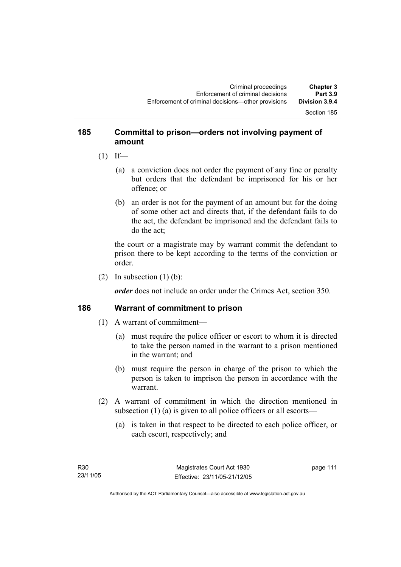#### Section 185

## **185 Committal to prison—orders not involving payment of amount**

- $(1)$  If—
	- (a) a conviction does not order the payment of any fine or penalty but orders that the defendant be imprisoned for his or her offence; or
	- (b) an order is not for the payment of an amount but for the doing of some other act and directs that, if the defendant fails to do the act, the defendant be imprisoned and the defendant fails to do the act;

the court or a magistrate may by warrant commit the defendant to prison there to be kept according to the terms of the conviction or order.

(2) In subsection  $(1)$  (b):

*order* does not include an order under the Crimes Act, section 350.

#### **186 Warrant of commitment to prison**

- (1) A warrant of commitment—
	- (a) must require the police officer or escort to whom it is directed to take the person named in the warrant to a prison mentioned in the warrant; and
	- (b) must require the person in charge of the prison to which the person is taken to imprison the person in accordance with the warrant.
- (2) A warrant of commitment in which the direction mentioned in subsection (1) (a) is given to all police officers or all escorts—
	- (a) is taken in that respect to be directed to each police officer, or each escort, respectively; and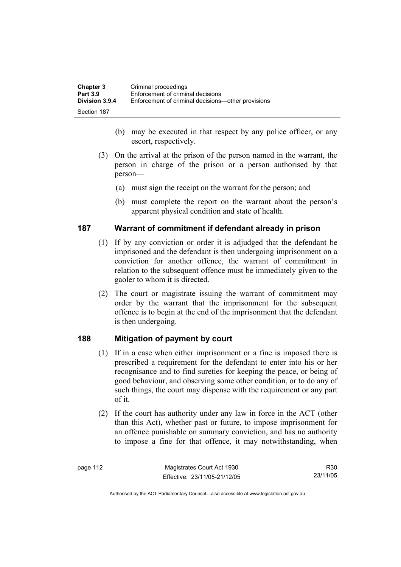| <b>Chapter 3</b> | Criminal proceedings                               |
|------------------|----------------------------------------------------|
| <b>Part 3.9</b>  | Enforcement of criminal decisions                  |
| Division 3.9.4   | Enforcement of criminal decisions—other provisions |
| Section 187      |                                                    |

- (b) may be executed in that respect by any police officer, or any escort, respectively.
- (3) On the arrival at the prison of the person named in the warrant, the person in charge of the prison or a person authorised by that person—
	- (a) must sign the receipt on the warrant for the person; and
	- (b) must complete the report on the warrant about the person's apparent physical condition and state of health.

#### **187 Warrant of commitment if defendant already in prison**

- (1) If by any conviction or order it is adjudged that the defendant be imprisoned and the defendant is then undergoing imprisonment on a conviction for another offence, the warrant of commitment in relation to the subsequent offence must be immediately given to the gaoler to whom it is directed.
- (2) The court or magistrate issuing the warrant of commitment may order by the warrant that the imprisonment for the subsequent offence is to begin at the end of the imprisonment that the defendant is then undergoing.

## **188 Mitigation of payment by court**

- (1) If in a case when either imprisonment or a fine is imposed there is prescribed a requirement for the defendant to enter into his or her recognisance and to find sureties for keeping the peace, or being of good behaviour, and observing some other condition, or to do any of such things, the court may dispense with the requirement or any part of it.
- (2) If the court has authority under any law in force in the ACT (other than this Act), whether past or future, to impose imprisonment for an offence punishable on summary conviction, and has no authority to impose a fine for that offence, it may notwithstanding, when

R30 23/11/05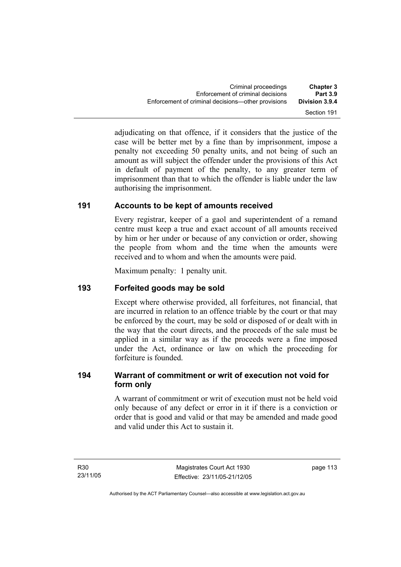adjudicating on that offence, if it considers that the justice of the case will be better met by a fine than by imprisonment, impose a penalty not exceeding 50 penalty units, and not being of such an amount as will subject the offender under the provisions of this Act in default of payment of the penalty, to any greater term of imprisonment than that to which the offender is liable under the law authorising the imprisonment.

## **191 Accounts to be kept of amounts received**

Every registrar, keeper of a gaol and superintendent of a remand centre must keep a true and exact account of all amounts received by him or her under or because of any conviction or order, showing the people from whom and the time when the amounts were received and to whom and when the amounts were paid.

Maximum penalty: 1 penalty unit.

## **193 Forfeited goods may be sold**

Except where otherwise provided, all forfeitures, not financial, that are incurred in relation to an offence triable by the court or that may be enforced by the court, may be sold or disposed of or dealt with in the way that the court directs, and the proceeds of the sale must be applied in a similar way as if the proceeds were a fine imposed under the Act, ordinance or law on which the proceeding for forfeiture is founded.

## **194 Warrant of commitment or writ of execution not void for form only**

A warrant of commitment or writ of execution must not be held void only because of any defect or error in it if there is a conviction or order that is good and valid or that may be amended and made good and valid under this Act to sustain it.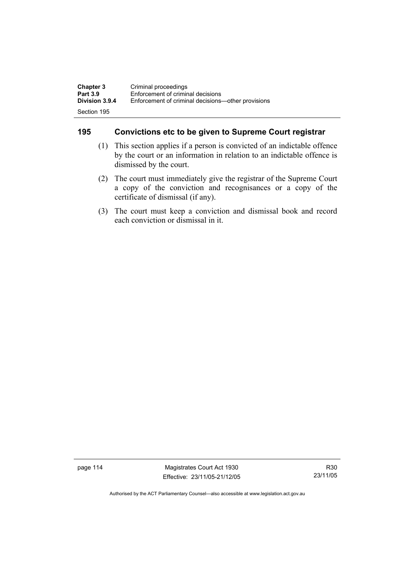| <b>Chapter 3</b>      | Criminal proceedings                               |
|-----------------------|----------------------------------------------------|
| <b>Part 3.9</b>       | Enforcement of criminal decisions                  |
| <b>Division 3.9.4</b> | Enforcement of criminal decisions—other provisions |
| Section 195           |                                                    |

## **195 Convictions etc to be given to Supreme Court registrar**

- (1) This section applies if a person is convicted of an indictable offence by the court or an information in relation to an indictable offence is dismissed by the court.
- (2) The court must immediately give the registrar of the Supreme Court a copy of the conviction and recognisances or a copy of the certificate of dismissal (if any).
- (3) The court must keep a conviction and dismissal book and record each conviction or dismissal in it.

page 114 Magistrates Court Act 1930 Effective: 23/11/05-21/12/05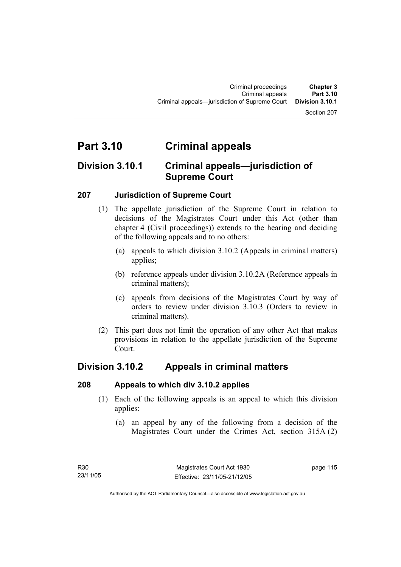#### Section 207

# **Part 3.10 Criminal appeals**

## **Division 3.10.1 Criminal appeals—jurisdiction of Supreme Court**

### **207 Jurisdiction of Supreme Court**

- (1) The appellate jurisdiction of the Supreme Court in relation to decisions of the Magistrates Court under this Act (other than chapter 4 (Civil proceedings)) extends to the hearing and deciding of the following appeals and to no others:
	- (a) appeals to which division 3.10.2 (Appeals in criminal matters) applies;
	- (b) reference appeals under division 3.10.2A (Reference appeals in criminal matters);
	- (c) appeals from decisions of the Magistrates Court by way of orders to review under division 3.10.3 (Orders to review in criminal matters).
- (2) This part does not limit the operation of any other Act that makes provisions in relation to the appellate jurisdiction of the Supreme Court.

## **Division 3.10.2 Appeals in criminal matters**

#### **208 Appeals to which div 3.10.2 applies**

- (1) Each of the following appeals is an appeal to which this division applies:
	- (a) an appeal by any of the following from a decision of the Magistrates Court under the Crimes Act, section 315A (2)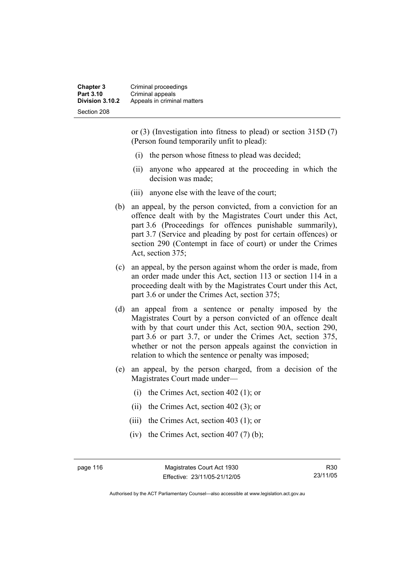**Chapter 3** Criminal proceedings **Part 3.10 Criminal appeals**<br>**Division 3.10.2** Appeals in crimin **Division 3.10.2** Appeals in criminal matters Section 208

> or (3) (Investigation into fitness to plead) or section 315D (7) (Person found temporarily unfit to plead):

- (i) the person whose fitness to plead was decided;
- (ii) anyone who appeared at the proceeding in which the decision was made;
- (iii) anyone else with the leave of the court;
- (b) an appeal, by the person convicted, from a conviction for an offence dealt with by the Magistrates Court under this Act, part 3.6 (Proceedings for offences punishable summarily), part 3.7 (Service and pleading by post for certain offences) or section 290 (Contempt in face of court) or under the Crimes Act, section 375;
- (c) an appeal, by the person against whom the order is made, from an order made under this Act, section 113 or section 114 in a proceeding dealt with by the Magistrates Court under this Act, part 3.6 or under the Crimes Act, section 375;
- (d) an appeal from a sentence or penalty imposed by the Magistrates Court by a person convicted of an offence dealt with by that court under this Act, section 90A, section 290, part 3.6 or part 3.7, or under the Crimes Act, section 375, whether or not the person appeals against the conviction in relation to which the sentence or penalty was imposed;
- (e) an appeal, by the person charged, from a decision of the Magistrates Court made under—
	- (i) the Crimes Act, section 402 (1); or
	- (ii) the Crimes Act, section 402 (3); or
	- (iii) the Crimes Act, section 403 (1); or
	- (iv) the Crimes Act, section  $407(7)$  (b);

page 116 Magistrates Court Act 1930 Effective: 23/11/05-21/12/05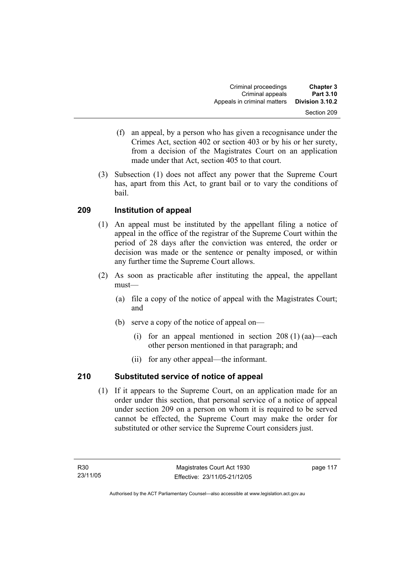- (f) an appeal, by a person who has given a recognisance under the Crimes Act, section 402 or section 403 or by his or her surety, from a decision of the Magistrates Court on an application made under that Act, section 405 to that court.
- (3) Subsection (1) does not affect any power that the Supreme Court has, apart from this Act, to grant bail or to vary the conditions of bail.

## **209 Institution of appeal**

- (1) An appeal must be instituted by the appellant filing a notice of appeal in the office of the registrar of the Supreme Court within the period of 28 days after the conviction was entered, the order or decision was made or the sentence or penalty imposed, or within any further time the Supreme Court allows.
- (2) As soon as practicable after instituting the appeal, the appellant must—
	- (a) file a copy of the notice of appeal with the Magistrates Court; and
	- (b) serve a copy of the notice of appeal on—
		- (i) for an appeal mentioned in section  $208(1)$  (aa)—each other person mentioned in that paragraph; and
		- (ii) for any other appeal—the informant.

## **210 Substituted service of notice of appeal**

 (1) If it appears to the Supreme Court, on an application made for an order under this section, that personal service of a notice of appeal under section 209 on a person on whom it is required to be served cannot be effected, the Supreme Court may make the order for substituted or other service the Supreme Court considers just.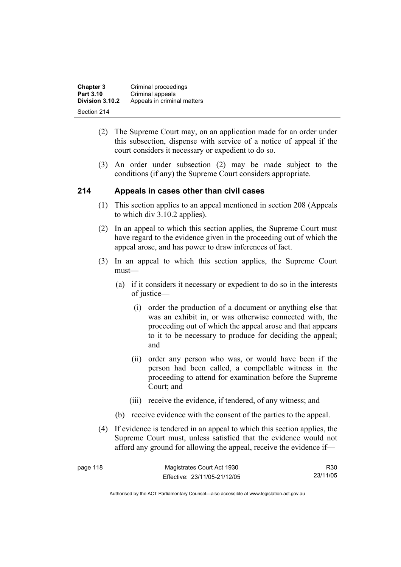| <b>Chapter 3</b> | Criminal proceedings        |
|------------------|-----------------------------|
| Part 3.10        | Criminal appeals            |
| Division 3.10.2  | Appeals in criminal matters |
| Section 214      |                             |

- (2) The Supreme Court may, on an application made for an order under this subsection, dispense with service of a notice of appeal if the court considers it necessary or expedient to do so.
- (3) An order under subsection (2) may be made subject to the conditions (if any) the Supreme Court considers appropriate.

#### **214 Appeals in cases other than civil cases**

- (1) This section applies to an appeal mentioned in section 208 (Appeals to which div 3.10.2 applies).
- (2) In an appeal to which this section applies, the Supreme Court must have regard to the evidence given in the proceeding out of which the appeal arose, and has power to draw inferences of fact.
- (3) In an appeal to which this section applies, the Supreme Court must—
	- (a) if it considers it necessary or expedient to do so in the interests of justice—
		- (i) order the production of a document or anything else that was an exhibit in, or was otherwise connected with, the proceeding out of which the appeal arose and that appears to it to be necessary to produce for deciding the appeal; and
		- (ii) order any person who was, or would have been if the person had been called, a compellable witness in the proceeding to attend for examination before the Supreme Court; and
		- (iii) receive the evidence, if tendered, of any witness; and
	- (b) receive evidence with the consent of the parties to the appeal.
- (4) If evidence is tendered in an appeal to which this section applies, the Supreme Court must, unless satisfied that the evidence would not afford any ground for allowing the appeal, receive the evidence if—

| page 118 | Magistrates Court Act 1930   | R30      |
|----------|------------------------------|----------|
|          | Effective: 23/11/05-21/12/05 | 23/11/05 |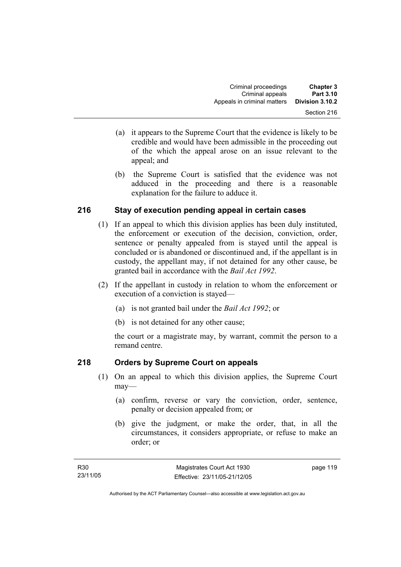- (a) it appears to the Supreme Court that the evidence is likely to be credible and would have been admissible in the proceeding out of the which the appeal arose on an issue relevant to the appeal; and
- (b) the Supreme Court is satisfied that the evidence was not adduced in the proceeding and there is a reasonable explanation for the failure to adduce it.

## **216 Stay of execution pending appeal in certain cases**

- (1) If an appeal to which this division applies has been duly instituted, the enforcement or execution of the decision, conviction, order, sentence or penalty appealed from is stayed until the appeal is concluded or is abandoned or discontinued and, if the appellant is in custody, the appellant may, if not detained for any other cause, be granted bail in accordance with the *Bail Act 1992*.
- (2) If the appellant in custody in relation to whom the enforcement or execution of a conviction is stayed—
	- (a) is not granted bail under the *Bail Act 1992*; or
	- (b) is not detained for any other cause;

the court or a magistrate may, by warrant, commit the person to a remand centre.

## **218 Orders by Supreme Court on appeals**

- (1) On an appeal to which this division applies, the Supreme Court may—
	- (a) confirm, reverse or vary the conviction, order, sentence, penalty or decision appealed from; or
	- (b) give the judgment, or make the order, that, in all the circumstances, it considers appropriate, or refuse to make an order; or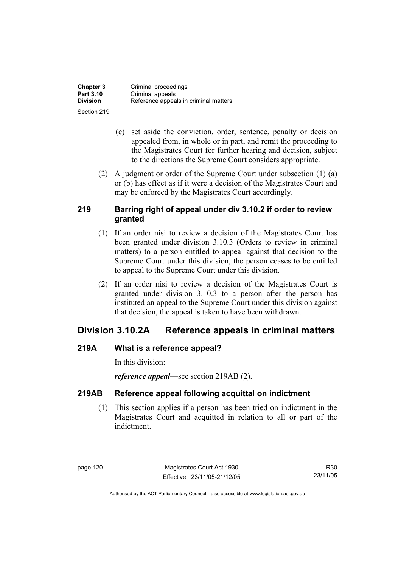| <b>Chapter 3</b> | Criminal proceedings                  |
|------------------|---------------------------------------|
| <b>Part 3.10</b> | Criminal appeals                      |
| <b>Division</b>  | Reference appeals in criminal matters |
| Section 219      |                                       |

- (c) set aside the conviction, order, sentence, penalty or decision appealed from, in whole or in part, and remit the proceeding to the Magistrates Court for further hearing and decision, subject to the directions the Supreme Court considers appropriate.
- (2) A judgment or order of the Supreme Court under subsection (1) (a) or (b) has effect as if it were a decision of the Magistrates Court and may be enforced by the Magistrates Court accordingly.

## **219 Barring right of appeal under div 3.10.2 if order to review granted**

- (1) If an order nisi to review a decision of the Magistrates Court has been granted under division 3.10.3 (Orders to review in criminal matters) to a person entitled to appeal against that decision to the Supreme Court under this division, the person ceases to be entitled to appeal to the Supreme Court under this division.
- (2) If an order nisi to review a decision of the Magistrates Court is granted under division 3.10.3 to a person after the person has instituted an appeal to the Supreme Court under this division against that decision, the appeal is taken to have been withdrawn.

## **Division 3.10.2A Reference appeals in criminal matters**

## **219A What is a reference appeal?**

In this division:

*reference appeal*—see section 219AB (2).

## **219AB Reference appeal following acquittal on indictment**

 (1) This section applies if a person has been tried on indictment in the Magistrates Court and acquitted in relation to all or part of the indictment.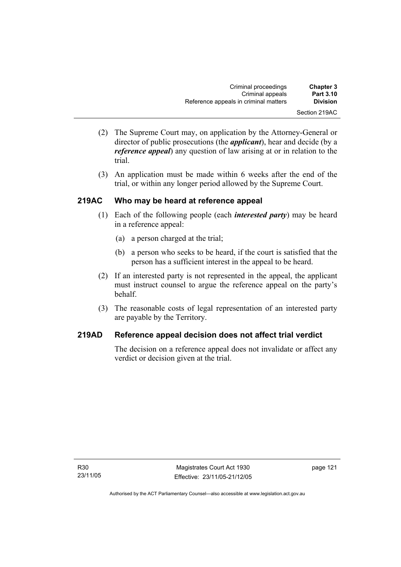| <b>Chapter 3</b> | Criminal proceedings                  |
|------------------|---------------------------------------|
| <b>Part 3.10</b> | Criminal appeals                      |
| <b>Division</b>  | Reference appeals in criminal matters |
| Section 219AC    |                                       |

- (2) The Supreme Court may, on application by the Attorney-General or director of public prosecutions (the *applicant*), hear and decide (by a *reference appeal*) any question of law arising at or in relation to the trial.
- (3) An application must be made within 6 weeks after the end of the trial, or within any longer period allowed by the Supreme Court.

## **219AC Who may be heard at reference appeal**

- (1) Each of the following people (each *interested party*) may be heard in a reference appeal:
	- (a) a person charged at the trial;
	- (b) a person who seeks to be heard, if the court is satisfied that the person has a sufficient interest in the appeal to be heard.
- (2) If an interested party is not represented in the appeal, the applicant must instruct counsel to argue the reference appeal on the party's behalf.
- (3) The reasonable costs of legal representation of an interested party are payable by the Territory.

## **219AD Reference appeal decision does not affect trial verdict**

The decision on a reference appeal does not invalidate or affect any verdict or decision given at the trial.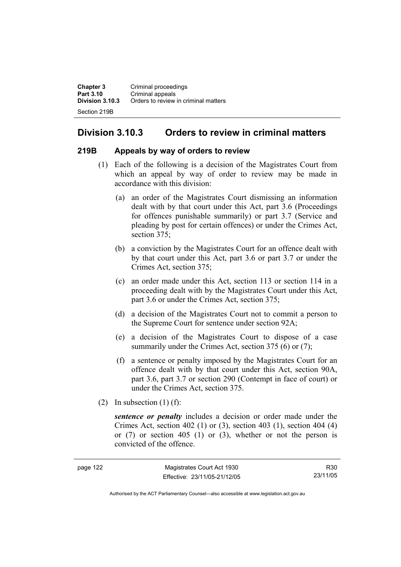**Chapter 3 Criminal proceedings**<br>**Part 3.10 Criminal appeals Part 3.10** Criminal appeals<br>**Division 3.10.3** Orders to review **Division 3.10.3** Orders to review in criminal matters Section 219B

## **Division 3.10.3 Orders to review in criminal matters**

#### **219B Appeals by way of orders to review**

- (1) Each of the following is a decision of the Magistrates Court from which an appeal by way of order to review may be made in accordance with this division:
	- (a) an order of the Magistrates Court dismissing an information dealt with by that court under this Act, part 3.6 (Proceedings for offences punishable summarily) or part 3.7 (Service and pleading by post for certain offences) or under the Crimes Act, section 375:
	- (b) a conviction by the Magistrates Court for an offence dealt with by that court under this Act, part 3.6 or part 3.7 or under the Crimes Act, section 375;
	- (c) an order made under this Act, section 113 or section 114 in a proceeding dealt with by the Magistrates Court under this Act, part 3.6 or under the Crimes Act, section 375;
	- (d) a decision of the Magistrates Court not to commit a person to the Supreme Court for sentence under section 92A;
	- (e) a decision of the Magistrates Court to dispose of a case summarily under the Crimes Act, section 375 (6) or (7);
	- (f) a sentence or penalty imposed by the Magistrates Court for an offence dealt with by that court under this Act, section 90A, part 3.6, part 3.7 or section 290 (Contempt in face of court) or under the Crimes Act, section 375.
- (2) In subsection  $(1)$  (f):

*sentence or penalty* includes a decision or order made under the Crimes Act, section 402 (1) or (3), section 403 (1), section 404 (4) or (7) or section 405 (1) or (3), whether or not the person is convicted of the offence.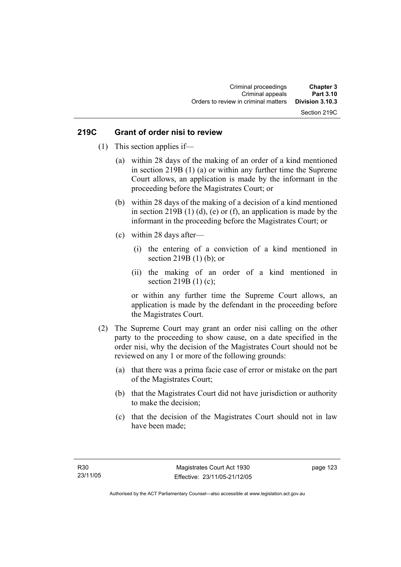## Section 219C

#### **219C Grant of order nisi to review**

- (1) This section applies if—
	- (a) within 28 days of the making of an order of a kind mentioned in section 219B (1) (a) or within any further time the Supreme Court allows, an application is made by the informant in the proceeding before the Magistrates Court; or
	- (b) within 28 days of the making of a decision of a kind mentioned in section 219B  $(1)$   $(d)$ ,  $(e)$  or  $(f)$ , an application is made by the informant in the proceeding before the Magistrates Court; or
	- (c) within 28 days after—
		- (i) the entering of a conviction of a kind mentioned in section 219B (1) (b); or
		- (ii) the making of an order of a kind mentioned in section 219B (1) (c);

or within any further time the Supreme Court allows, an application is made by the defendant in the proceeding before the Magistrates Court.

- (2) The Supreme Court may grant an order nisi calling on the other party to the proceeding to show cause, on a date specified in the order nisi, why the decision of the Magistrates Court should not be reviewed on any 1 or more of the following grounds:
	- (a) that there was a prima facie case of error or mistake on the part of the Magistrates Court;
	- (b) that the Magistrates Court did not have jurisdiction or authority to make the decision;
	- (c) that the decision of the Magistrates Court should not in law have been made;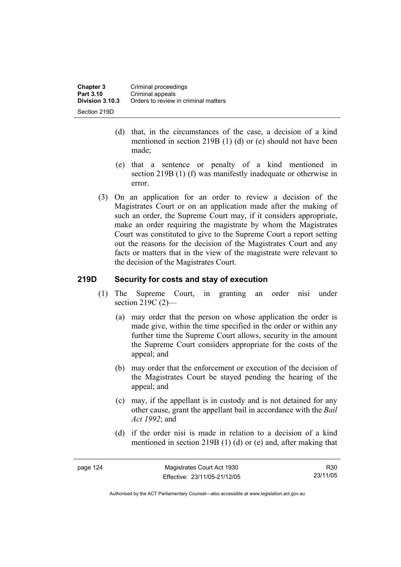- (d) that, in the circumstances of the case, a decision of a kind mentioned in section 219B (1) (d) or (e) should not have been made;
- (e) that a sentence or penalty of a kind mentioned in section 219B (1) (f) was manifestly inadequate or otherwise in error.
- (3) On an application for an order to review a decision of the Magistrates Court or on an application made after the making of such an order, the Supreme Court may, if it considers appropriate, make an order requiring the magistrate by whom the Magistrates Court was constituted to give to the Supreme Court a report setting out the reasons for the decision of the Magistrates Court and any facts or matters that in the view of the magistrate were relevant to the decision of the Magistrates Court.

## **219D Security for costs and stay of execution**

- (1) The Supreme Court, in granting an order nisi under section 219C (2)—
	- (a) may order that the person on whose application the order is made give, within the time specified in the order or within any further time the Supreme Court allows, security in the amount the Supreme Court considers appropriate for the costs of the appeal; and
	- (b) may order that the enforcement or execution of the decision of the Magistrates Court be stayed pending the hearing of the appeal; and
	- (c) may, if the appellant is in custody and is not detained for any other cause, grant the appellant bail in accordance with the *Bail Act 1992*; and
	- (d) if the order nisi is made in relation to a decision of a kind mentioned in section 219B (1) (d) or (e) and, after making that

| page |  |
|------|--|
|------|--|

R30 23/11/05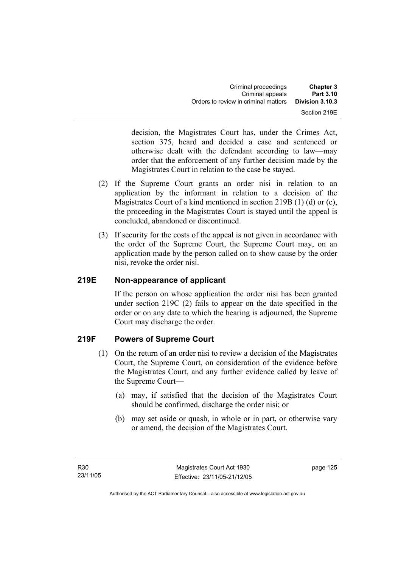| <b>Chapter 3</b> | Criminal proceedings                 |
|------------------|--------------------------------------|
| Part 3.10        | Criminal appeals                     |
| Division 3.10.3  | Orders to review in criminal matters |
| Section 219E     |                                      |

decision, the Magistrates Court has, under the Crimes Act, section 375, heard and decided a case and sentenced or otherwise dealt with the defendant according to law—may order that the enforcement of any further decision made by the Magistrates Court in relation to the case be stayed.

- (2) If the Supreme Court grants an order nisi in relation to an application by the informant in relation to a decision of the Magistrates Court of a kind mentioned in section 219B (1) (d) or (e), the proceeding in the Magistrates Court is stayed until the appeal is concluded, abandoned or discontinued.
- (3) If security for the costs of the appeal is not given in accordance with the order of the Supreme Court, the Supreme Court may, on an application made by the person called on to show cause by the order nisi, revoke the order nisi.

## **219E Non-appearance of applicant**

If the person on whose application the order nisi has been granted under section 219C (2) fails to appear on the date specified in the order or on any date to which the hearing is adjourned, the Supreme Court may discharge the order.

## **219F Powers of Supreme Court**

- (1) On the return of an order nisi to review a decision of the Magistrates Court, the Supreme Court, on consideration of the evidence before the Magistrates Court, and any further evidence called by leave of the Supreme Court—
	- (a) may, if satisfied that the decision of the Magistrates Court should be confirmed, discharge the order nisi; or
	- (b) may set aside or quash, in whole or in part, or otherwise vary or amend, the decision of the Magistrates Court.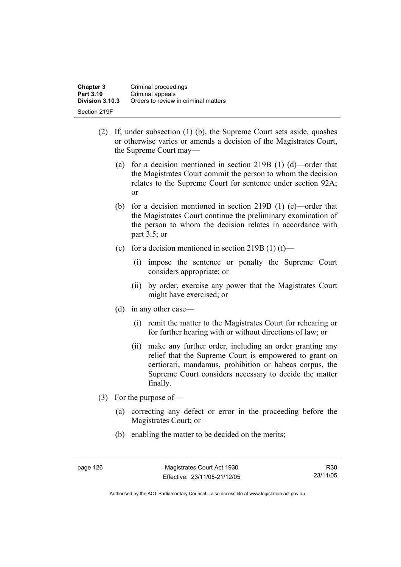| <b>Chapter 3</b> | Criminal proceedings                 |
|------------------|--------------------------------------|
| Part 3.10        | Criminal appeals                     |
| Division 3.10.3  | Orders to review in criminal matters |
| Section 219F     |                                      |

- (2) If, under subsection (1) (b), the Supreme Court sets aside, quashes or otherwise varies or amends a decision of the Magistrates Court, the Supreme Court may—
	- (a) for a decision mentioned in section 219B (1) (d)—order that the Magistrates Court commit the person to whom the decision relates to the Supreme Court for sentence under section 92A; or
	- (b) for a decision mentioned in section 219B (1) (e)—order that the Magistrates Court continue the preliminary examination of the person to whom the decision relates in accordance with part 3.5; or
	- (c) for a decision mentioned in section 219B (1) (f)—
		- (i) impose the sentence or penalty the Supreme Court considers appropriate; or
		- (ii) by order, exercise any power that the Magistrates Court might have exercised; or
	- (d) in any other case—
		- (i) remit the matter to the Magistrates Court for rehearing or for further hearing with or without directions of law; or
		- (ii) make any further order, including an order granting any relief that the Supreme Court is empowered to grant on certiorari, mandamus, prohibition or habeas corpus, the Supreme Court considers necessary to decide the matter finally.
- (3) For the purpose of—
	- (a) correcting any defect or error in the proceeding before the Magistrates Court; or
	- (b) enabling the matter to be decided on the merits;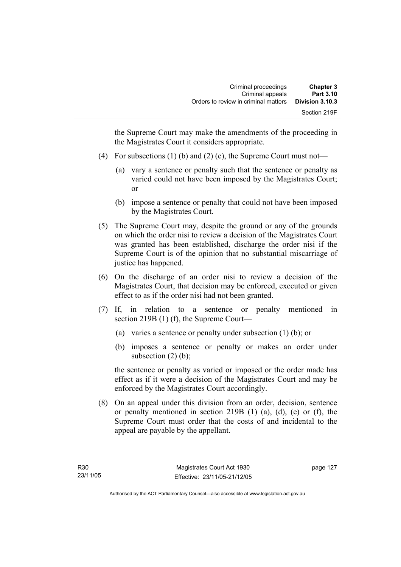the Supreme Court may make the amendments of the proceeding in the Magistrates Court it considers appropriate.

- (4) For subsections (1) (b) and (2) (c), the Supreme Court must not—
	- (a) vary a sentence or penalty such that the sentence or penalty as varied could not have been imposed by the Magistrates Court; or
	- (b) impose a sentence or penalty that could not have been imposed by the Magistrates Court.
- (5) The Supreme Court may, despite the ground or any of the grounds on which the order nisi to review a decision of the Magistrates Court was granted has been established, discharge the order nisi if the Supreme Court is of the opinion that no substantial miscarriage of justice has happened.
- (6) On the discharge of an order nisi to review a decision of the Magistrates Court, that decision may be enforced, executed or given effect to as if the order nisi had not been granted.
- (7) If, in relation to a sentence or penalty mentioned in section 219B (1) (f), the Supreme Court—
	- (a) varies a sentence or penalty under subsection (1) (b); or
	- (b) imposes a sentence or penalty or makes an order under subsection  $(2)$  (b);

the sentence or penalty as varied or imposed or the order made has effect as if it were a decision of the Magistrates Court and may be enforced by the Magistrates Court accordingly.

 (8) On an appeal under this division from an order, decision, sentence or penalty mentioned in section 219B (1) (a), (d), (e) or (f), the Supreme Court must order that the costs of and incidental to the appeal are payable by the appellant.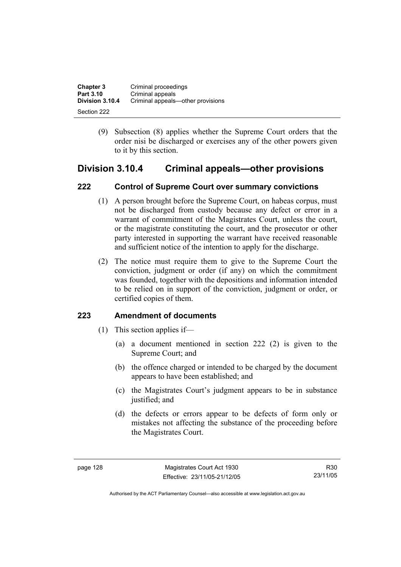| <b>Chapter 3</b> | Criminal proceedings              |
|------------------|-----------------------------------|
| Part 3.10        | Criminal appeals                  |
| Division 3.10.4  | Criminal appeals—other provisions |
| Section 222      |                                   |

 (9) Subsection (8) applies whether the Supreme Court orders that the order nisi be discharged or exercises any of the other powers given to it by this section.

## **Division 3.10.4 Criminal appeals—other provisions**

## **222 Control of Supreme Court over summary convictions**

- (1) A person brought before the Supreme Court, on habeas corpus, must not be discharged from custody because any defect or error in a warrant of commitment of the Magistrates Court, unless the court, or the magistrate constituting the court, and the prosecutor or other party interested in supporting the warrant have received reasonable and sufficient notice of the intention to apply for the discharge.
- (2) The notice must require them to give to the Supreme Court the conviction, judgment or order (if any) on which the commitment was founded, together with the depositions and information intended to be relied on in support of the conviction, judgment or order, or certified copies of them.

## **223 Amendment of documents**

- (1) This section applies if—
	- (a) a document mentioned in section 222 (2) is given to the Supreme Court; and
	- (b) the offence charged or intended to be charged by the document appears to have been established; and
	- (c) the Magistrates Court's judgment appears to be in substance justified; and
	- (d) the defects or errors appear to be defects of form only or mistakes not affecting the substance of the proceeding before the Magistrates Court.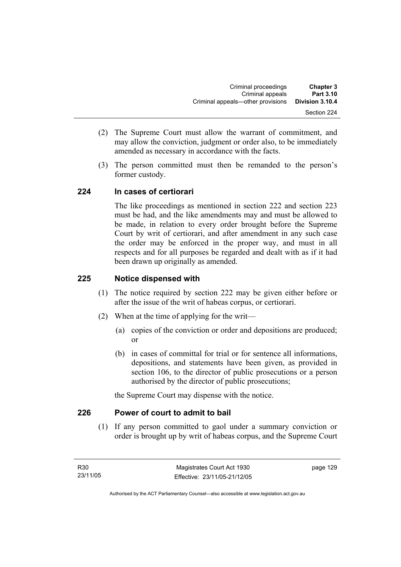- (2) The Supreme Court must allow the warrant of commitment, and may allow the conviction, judgment or order also, to be immediately amended as necessary in accordance with the facts.
- (3) The person committed must then be remanded to the person's former custody.

### **224 In cases of certiorari**

The like proceedings as mentioned in section 222 and section 223 must be had, and the like amendments may and must be allowed to be made, in relation to every order brought before the Supreme Court by writ of certiorari, and after amendment in any such case the order may be enforced in the proper way, and must in all respects and for all purposes be regarded and dealt with as if it had been drawn up originally as amended.

## **225 Notice dispensed with**

- (1) The notice required by section 222 may be given either before or after the issue of the writ of habeas corpus, or certiorari.
- (2) When at the time of applying for the writ—
	- (a) copies of the conviction or order and depositions are produced; or
	- (b) in cases of committal for trial or for sentence all informations, depositions, and statements have been given, as provided in section 106, to the director of public prosecutions or a person authorised by the director of public prosecutions;

the Supreme Court may dispense with the notice.

### **226 Power of court to admit to bail**

 (1) If any person committed to gaol under a summary conviction or order is brought up by writ of habeas corpus, and the Supreme Court

page 129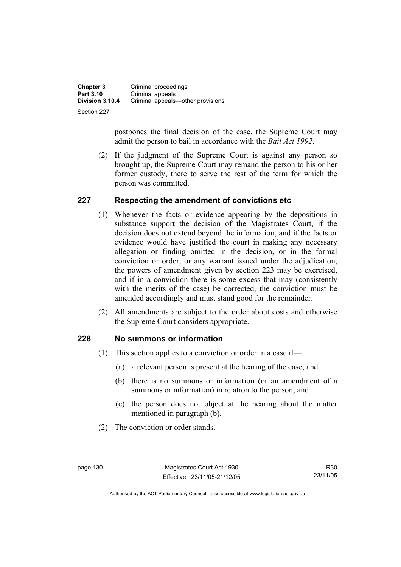| <b>Chapter 3</b> | Criminal proceedings              |
|------------------|-----------------------------------|
| Part 3.10        | Criminal appeals                  |
| Division 3.10.4  | Criminal appeals—other provisions |
| Section 227      |                                   |

postpones the final decision of the case, the Supreme Court may admit the person to bail in accordance with the *Bail Act 1992*.

 (2) If the judgment of the Supreme Court is against any person so brought up, the Supreme Court may remand the person to his or her former custody, there to serve the rest of the term for which the person was committed.

### **227 Respecting the amendment of convictions etc**

- (1) Whenever the facts or evidence appearing by the depositions in substance support the decision of the Magistrates Court, if the decision does not extend beyond the information, and if the facts or evidence would have justified the court in making any necessary allegation or finding omitted in the decision, or in the formal conviction or order, or any warrant issued under the adjudication, the powers of amendment given by section 223 may be exercised, and if in a conviction there is some excess that may (consistently with the merits of the case) be corrected, the conviction must be amended accordingly and must stand good for the remainder.
- (2) All amendments are subject to the order about costs and otherwise the Supreme Court considers appropriate.

### **228 No summons or information**

- (1) This section applies to a conviction or order in a case if—
	- (a) a relevant person is present at the hearing of the case; and
	- (b) there is no summons or information (or an amendment of a summons or information) in relation to the person; and
	- (c) the person does not object at the hearing about the matter mentioned in paragraph (b).
- (2) The conviction or order stands.

R30 23/11/05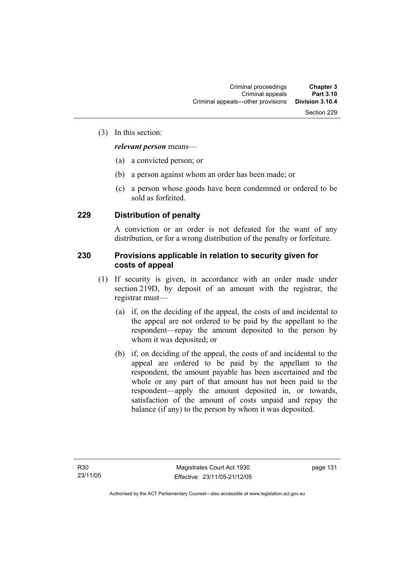### (3) In this section:

### *relevant person* means—

- (a) a convicted person; or
- (b) a person against whom an order has been made; or
- (c) a person whose goods have been condemned or ordered to be sold as forfeited.

### **229 Distribution of penalty**

A conviction or an order is not defeated for the want of any distribution, or for a wrong distribution of the penalty or forfeiture.

### **230 Provisions applicable in relation to security given for costs of appeal**

- (1) If security is given, in accordance with an order made under section 219D, by deposit of an amount with the registrar, the registrar must—
	- (a) if, on the deciding of the appeal, the costs of and incidental to the appeal are not ordered to be paid by the appellant to the respondent—repay the amount deposited to the person by whom it was deposited; or
	- (b) if, on deciding of the appeal, the costs of and incidental to the appeal are ordered to be paid by the appellant to the respondent, the amount payable has been ascertained and the whole or any part of that amount has not been paid to the respondent—apply the amount deposited in, or towards, satisfaction of the amount of costs unpaid and repay the balance (if any) to the person by whom it was deposited.

page 131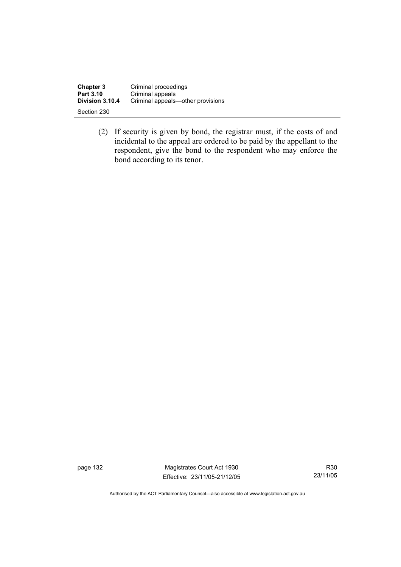| <b>Chapter 3</b> | Criminal proceedings              |
|------------------|-----------------------------------|
| Part 3.10        | Criminal appeals                  |
| Division 3.10.4  | Criminal appeals—other provisions |
| Section 230      |                                   |

 (2) If security is given by bond, the registrar must, if the costs of and incidental to the appeal are ordered to be paid by the appellant to the respondent, give the bond to the respondent who may enforce the bond according to its tenor.

page 132 Magistrates Court Act 1930 Effective: 23/11/05-21/12/05

R30 23/11/05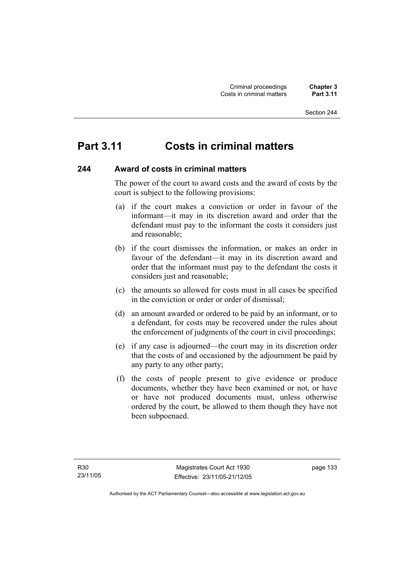# **Part 3.11 Costs in criminal matters**

### **244 Award of costs in criminal matters**

The power of the court to award costs and the award of costs by the court is subject to the following provisions:

- (a) if the court makes a conviction or order in favour of the informant—it may in its discretion award and order that the defendant must pay to the informant the costs it considers just and reasonable;
- (b) if the court dismisses the information, or makes an order in favour of the defendant—it may in its discretion award and order that the informant must pay to the defendant the costs it considers just and reasonable;
- (c) the amounts so allowed for costs must in all cases be specified in the conviction or order or order of dismissal;
- (d) an amount awarded or ordered to be paid by an informant, or to a defendant, for costs may be recovered under the rules about the enforcement of judgments of the court in civil proceedings;
- (e) if any case is adjourned—the court may in its discretion order that the costs of and occasioned by the adjournment be paid by any party to any other party;
- (f) the costs of people present to give evidence or produce documents, whether they have been examined or not, or have or have not produced documents must, unless otherwise ordered by the court, be allowed to them though they have not been subpoenaed.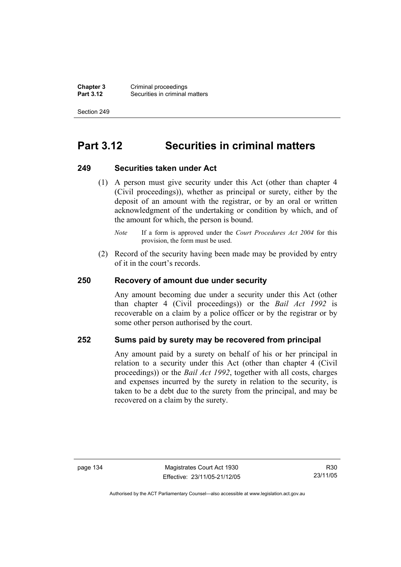**Chapter 3** Criminal proceedings<br>**Part 3.12** Securities in criminal **Securities in criminal matters** 

Section 249

# **Part 3.12 Securities in criminal matters**

#### **249 Securities taken under Act**

 (1) A person must give security under this Act (other than chapter 4 (Civil proceedings)), whether as principal or surety, either by the deposit of an amount with the registrar, or by an oral or written acknowledgment of the undertaking or condition by which, and of the amount for which, the person is bound.

 (2) Record of the security having been made may be provided by entry of it in the court's records.

### **250 Recovery of amount due under security**

Any amount becoming due under a security under this Act (other than chapter 4 (Civil proceedings)) or the *Bail Act 1992* is recoverable on a claim by a police officer or by the registrar or by some other person authorised by the court.

### **252 Sums paid by surety may be recovered from principal**

Any amount paid by a surety on behalf of his or her principal in relation to a security under this Act (other than chapter 4 (Civil proceedings)) or the *Bail Act 1992*, together with all costs, charges and expenses incurred by the surety in relation to the security, is taken to be a debt due to the surety from the principal, and may be recovered on a claim by the surety.

R30 23/11/05

*Note* If a form is approved under the *Court Procedures Act 2004* for this provision, the form must be used.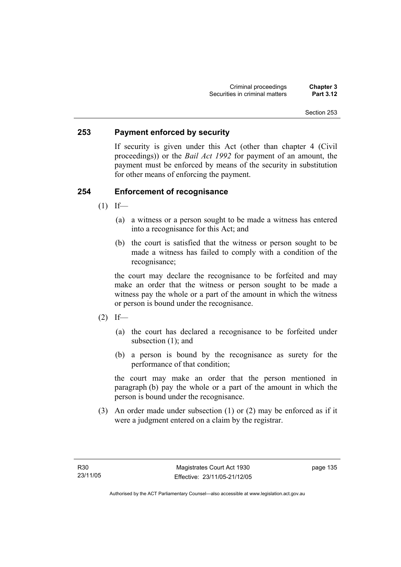### **253 Payment enforced by security**

If security is given under this Act (other than chapter 4 (Civil proceedings)) or the *Bail Act 1992* for payment of an amount, the payment must be enforced by means of the security in substitution for other means of enforcing the payment.

### **254 Enforcement of recognisance**

- $(1)$  If—
	- (a) a witness or a person sought to be made a witness has entered into a recognisance for this Act; and
	- (b) the court is satisfied that the witness or person sought to be made a witness has failed to comply with a condition of the recognisance;

the court may declare the recognisance to be forfeited and may make an order that the witness or person sought to be made a witness pay the whole or a part of the amount in which the witness or person is bound under the recognisance.

- $(2)$  If—
	- (a) the court has declared a recognisance to be forfeited under subsection (1); and
	- (b) a person is bound by the recognisance as surety for the performance of that condition;

the court may make an order that the person mentioned in paragraph (b) pay the whole or a part of the amount in which the person is bound under the recognisance.

 (3) An order made under subsection (1) or (2) may be enforced as if it were a judgment entered on a claim by the registrar.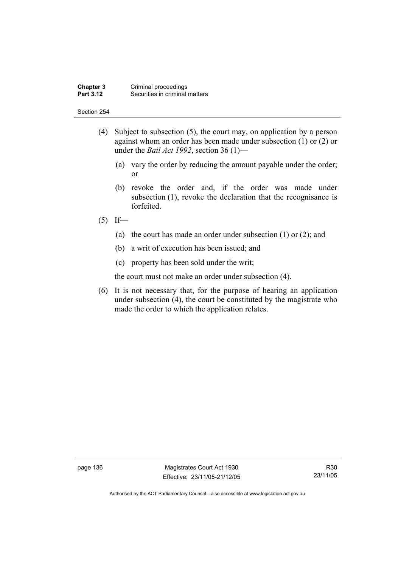#### **Chapter 3** Criminal proceedings<br>**Part 3.12** Securities in criminal **Securities in criminal matters**

#### Section 254

- (4) Subject to subsection (5), the court may, on application by a person against whom an order has been made under subsection (1) or (2) or under the *Bail Act 1992*, section 36 (1)—
	- (a) vary the order by reducing the amount payable under the order; or
	- (b) revoke the order and, if the order was made under subsection (1), revoke the declaration that the recognisance is forfeited.
- $(5)$  If—
	- (a) the court has made an order under subsection (1) or (2); and
	- (b) a writ of execution has been issued; and
	- (c) property has been sold under the writ;

the court must not make an order under subsection (4).

 (6) It is not necessary that, for the purpose of hearing an application under subsection (4), the court be constituted by the magistrate who made the order to which the application relates.

page 136 Magistrates Court Act 1930 Effective: 23/11/05-21/12/05

R30 23/11/05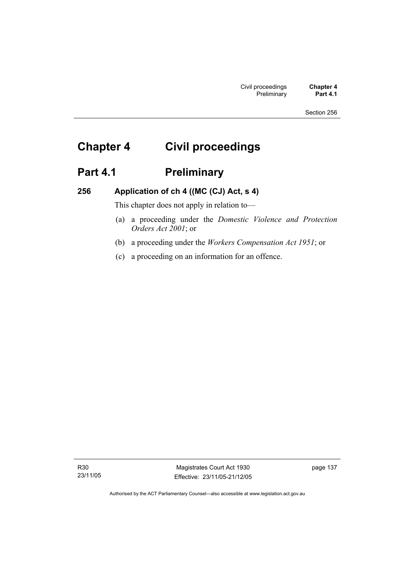# **Chapter 4 Civil proceedings**

# Part 4.1 **Preliminary**

## **256 Application of ch 4 ((MC (CJ) Act, s 4)**

This chapter does not apply in relation to—

- (a) a proceeding under the *Domestic Violence and Protection Orders Act 2001*; or
- (b) a proceeding under the *Workers Compensation Act 1951*; or
- (c) a proceeding on an information for an offence.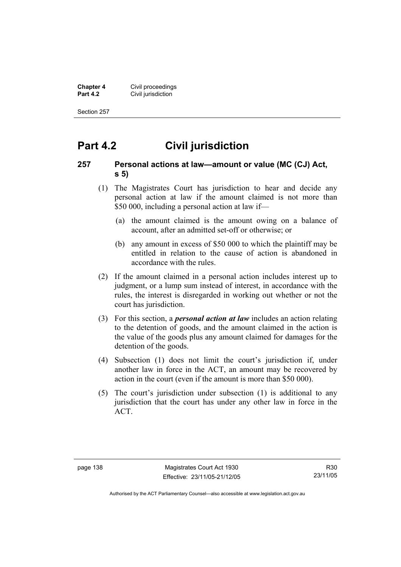**Chapter 4 Civil proceedings**<br>**Part 4.2 Civil jurisdiction Civil jurisdiction** 

Section 257

# **Part 4.2 Civil jurisdiction**

### **257 Personal actions at law—amount or value (MC (CJ) Act, s 5)**

- (1) The Magistrates Court has jurisdiction to hear and decide any personal action at law if the amount claimed is not more than \$50 000, including a personal action at law if—
	- (a) the amount claimed is the amount owing on a balance of account, after an admitted set-off or otherwise; or
	- (b) any amount in excess of \$50 000 to which the plaintiff may be entitled in relation to the cause of action is abandoned in accordance with the rules.
- (2) If the amount claimed in a personal action includes interest up to judgment, or a lump sum instead of interest, in accordance with the rules, the interest is disregarded in working out whether or not the court has jurisdiction.
- (3) For this section, a *personal action at law* includes an action relating to the detention of goods, and the amount claimed in the action is the value of the goods plus any amount claimed for damages for the detention of the goods.
- (4) Subsection (1) does not limit the court's jurisdiction if, under another law in force in the ACT, an amount may be recovered by action in the court (even if the amount is more than \$50 000).
- (5) The court's jurisdiction under subsection (1) is additional to any jurisdiction that the court has under any other law in force in the ACT.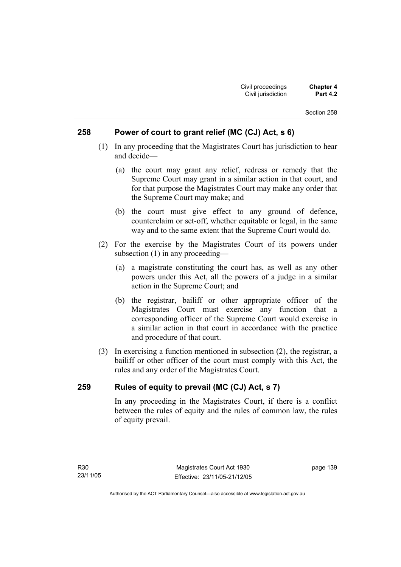### **258 Power of court to grant relief (MC (CJ) Act, s 6)**

- (1) In any proceeding that the Magistrates Court has jurisdiction to hear and decide—
	- (a) the court may grant any relief, redress or remedy that the Supreme Court may grant in a similar action in that court, and for that purpose the Magistrates Court may make any order that the Supreme Court may make; and
	- (b) the court must give effect to any ground of defence, counterclaim or set-off, whether equitable or legal, in the same way and to the same extent that the Supreme Court would do.
- (2) For the exercise by the Magistrates Court of its powers under subsection (1) in any proceeding—
	- (a) a magistrate constituting the court has, as well as any other powers under this Act, all the powers of a judge in a similar action in the Supreme Court; and
	- (b) the registrar, bailiff or other appropriate officer of the Magistrates Court must exercise any function that a corresponding officer of the Supreme Court would exercise in a similar action in that court in accordance with the practice and procedure of that court.
- (3) In exercising a function mentioned in subsection (2), the registrar, a bailiff or other officer of the court must comply with this Act, the rules and any order of the Magistrates Court.

### **259 Rules of equity to prevail (MC (CJ) Act, s 7)**

In any proceeding in the Magistrates Court, if there is a conflict between the rules of equity and the rules of common law, the rules of equity prevail.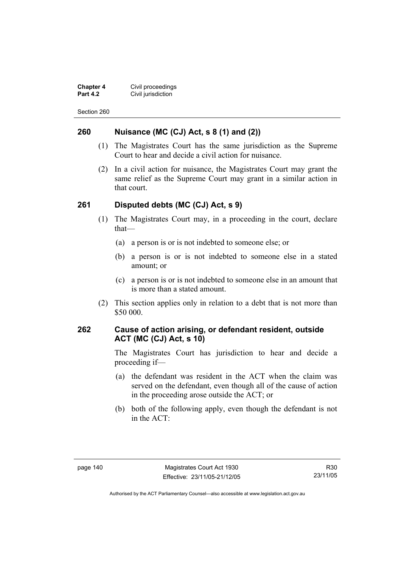**Chapter 4 Civil proceedings**<br>**Part 4.2 Civil jurisdiction Civil jurisdiction** 

Section 260

### **260 Nuisance (MC (CJ) Act, s 8 (1) and (2))**

- (1) The Magistrates Court has the same jurisdiction as the Supreme Court to hear and decide a civil action for nuisance.
- (2) In a civil action for nuisance, the Magistrates Court may grant the same relief as the Supreme Court may grant in a similar action in that court.

### **261 Disputed debts (MC (CJ) Act, s 9)**

- (1) The Magistrates Court may, in a proceeding in the court, declare that—
	- (a) a person is or is not indebted to someone else; or
	- (b) a person is or is not indebted to someone else in a stated amount; or
	- (c) a person is or is not indebted to someone else in an amount that is more than a stated amount.
- (2) This section applies only in relation to a debt that is not more than \$50 000.

### **262 Cause of action arising, or defendant resident, outside ACT (MC (CJ) Act, s 10)**

The Magistrates Court has jurisdiction to hear and decide a proceeding if—

- (a) the defendant was resident in the ACT when the claim was served on the defendant, even though all of the cause of action in the proceeding arose outside the ACT; or
- (b) both of the following apply, even though the defendant is not in the ACT:

R30 23/11/05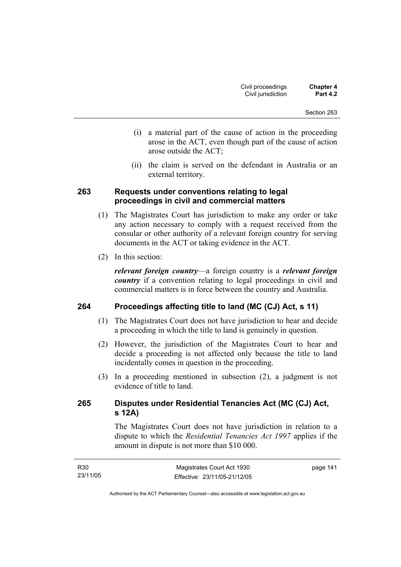- (i) a material part of the cause of action in the proceeding arose in the ACT, even though part of the cause of action arose outside the ACT;
- (ii) the claim is served on the defendant in Australia or an external territory.

### **263 Requests under conventions relating to legal proceedings in civil and commercial matters**

- (1) The Magistrates Court has jurisdiction to make any order or take any action necessary to comply with a request received from the consular or other authority of a relevant foreign country for serving documents in the ACT or taking evidence in the ACT.
- (2) In this section:

*relevant foreign country*—a foreign country is a *relevant foreign country* if a convention relating to legal proceedings in civil and commercial matters is in force between the country and Australia.

### **264 Proceedings affecting title to land (MC (CJ) Act, s 11)**

- (1) The Magistrates Court does not have jurisdiction to hear and decide a proceeding in which the title to land is genuinely in question.
- (2) However, the jurisdiction of the Magistrates Court to hear and decide a proceeding is not affected only because the title to land incidentally comes in question in the proceeding.
- (3) In a proceeding mentioned in subsection (2), a judgment is not evidence of title to land.

### **265 Disputes under Residential Tenancies Act (MC (CJ) Act, s 12A)**

The Magistrates Court does not have jurisdiction in relation to a dispute to which the *Residential Tenancies Act 1997* applies if the amount in dispute is not more than \$10 000.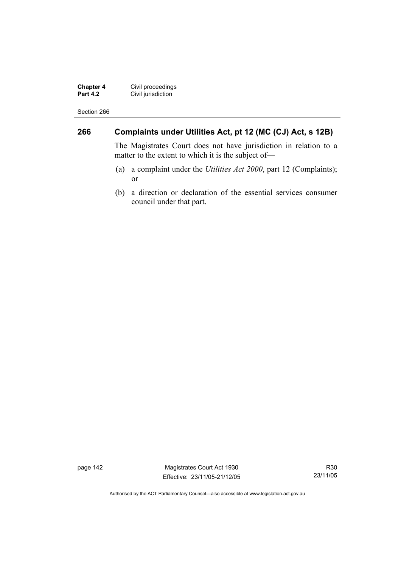**Chapter 4** Civil proceedings **Part 4.2 Civil jurisdiction** 

Section 266

## **266 Complaints under Utilities Act, pt 12 (MC (CJ) Act, s 12B)**

The Magistrates Court does not have jurisdiction in relation to a matter to the extent to which it is the subject of—

- (a) a complaint under the *Utilities Act 2000*, part 12 (Complaints); or
- (b) a direction or declaration of the essential services consumer council under that part.

page 142 Magistrates Court Act 1930 Effective: 23/11/05-21/12/05

R30 23/11/05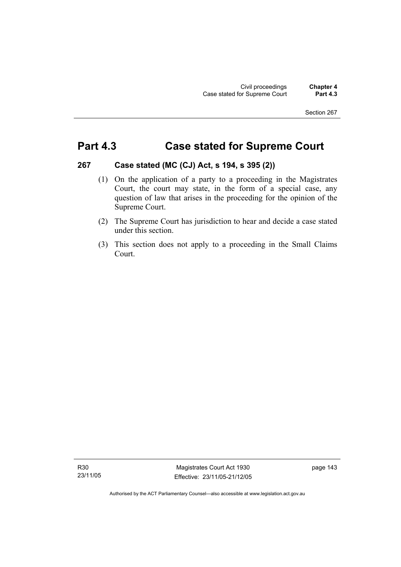# **Part 4.3 Case stated for Supreme Court**

### **267 Case stated (MC (CJ) Act, s 194, s 395 (2))**

- (1) On the application of a party to a proceeding in the Magistrates Court, the court may state, in the form of a special case, any question of law that arises in the proceeding for the opinion of the Supreme Court.
- (2) The Supreme Court has jurisdiction to hear and decide a case stated under this section.
- (3) This section does not apply to a proceeding in the Small Claims Court.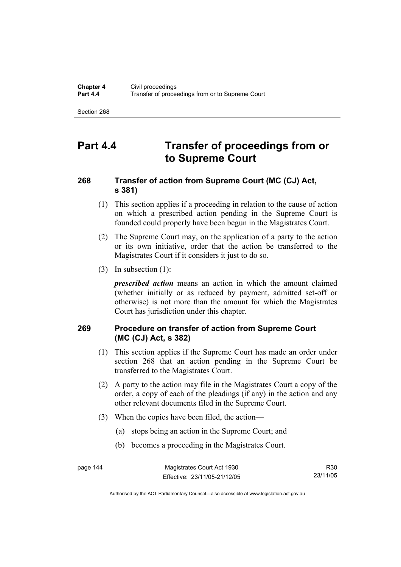# **Part 4.4 Transfer of proceedings from or to Supreme Court**

## **268 Transfer of action from Supreme Court (MC (CJ) Act, s 381)**

- (1) This section applies if a proceeding in relation to the cause of action on which a prescribed action pending in the Supreme Court is founded could properly have been begun in the Magistrates Court.
- (2) The Supreme Court may, on the application of a party to the action or its own initiative, order that the action be transferred to the Magistrates Court if it considers it just to do so.
- (3) In subsection (1):

*prescribed action* means an action in which the amount claimed (whether initially or as reduced by payment, admitted set-off or otherwise) is not more than the amount for which the Magistrates Court has jurisdiction under this chapter.

## **269 Procedure on transfer of action from Supreme Court (MC (CJ) Act, s 382)**

- (1) This section applies if the Supreme Court has made an order under section 268 that an action pending in the Supreme Court be transferred to the Magistrates Court.
- (2) A party to the action may file in the Magistrates Court a copy of the order, a copy of each of the pleadings (if any) in the action and any other relevant documents filed in the Supreme Court.
- (3) When the copies have been filed, the action—
	- (a) stops being an action in the Supreme Court; and
	- (b) becomes a proceeding in the Magistrates Court.

R30 23/11/05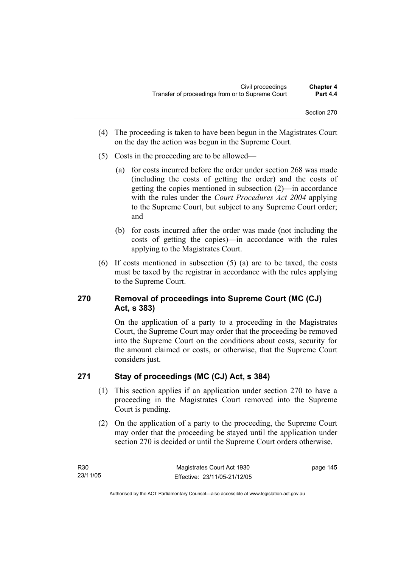- (4) The proceeding is taken to have been begun in the Magistrates Court on the day the action was begun in the Supreme Court.
- (5) Costs in the proceeding are to be allowed—
	- (a) for costs incurred before the order under section 268 was made (including the costs of getting the order) and the costs of getting the copies mentioned in subsection (2)—in accordance with the rules under the *Court Procedures Act 2004* applying to the Supreme Court, but subject to any Supreme Court order; and
	- (b) for costs incurred after the order was made (not including the costs of getting the copies)—in accordance with the rules applying to the Magistrates Court.
- (6) If costs mentioned in subsection (5) (a) are to be taxed, the costs must be taxed by the registrar in accordance with the rules applying to the Supreme Court.

## **270 Removal of proceedings into Supreme Court (MC (CJ) Act, s 383)**

On the application of a party to a proceeding in the Magistrates Court, the Supreme Court may order that the proceeding be removed into the Supreme Court on the conditions about costs, security for the amount claimed or costs, or otherwise, that the Supreme Court considers just.

## **271 Stay of proceedings (MC (CJ) Act, s 384)**

- (1) This section applies if an application under section 270 to have a proceeding in the Magistrates Court removed into the Supreme Court is pending.
- (2) On the application of a party to the proceeding, the Supreme Court may order that the proceeding be stayed until the application under section 270 is decided or until the Supreme Court orders otherwise.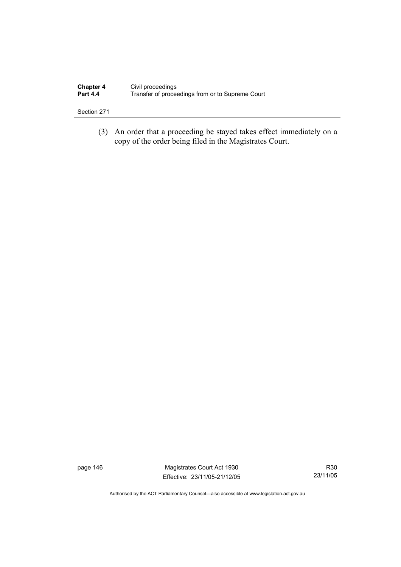| <b>Chapter 4</b> | Civil proceedings                                |
|------------------|--------------------------------------------------|
| <b>Part 4.4</b>  | Transfer of proceedings from or to Supreme Court |

 (3) An order that a proceeding be stayed takes effect immediately on a copy of the order being filed in the Magistrates Court.

page 146 Magistrates Court Act 1930 Effective: 23/11/05-21/12/05

R30 23/11/05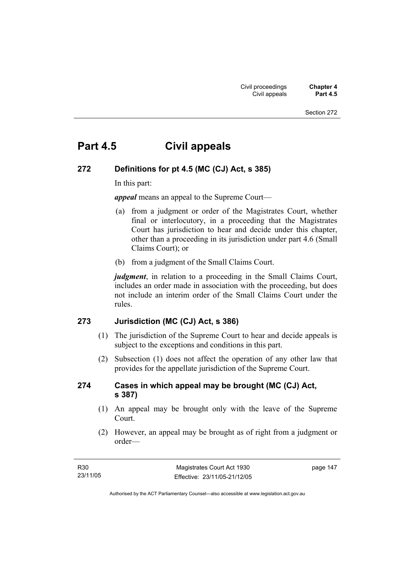# **Part 4.5 Civil appeals**

### **272 Definitions for pt 4.5 (MC (CJ) Act, s 385)**

In this part:

*appeal* means an appeal to the Supreme Court—

- (a) from a judgment or order of the Magistrates Court, whether final or interlocutory, in a proceeding that the Magistrates Court has jurisdiction to hear and decide under this chapter, other than a proceeding in its jurisdiction under part 4.6 (Small Claims Court); or
- (b) from a judgment of the Small Claims Court.

*judgment*, in relation to a proceeding in the Small Claims Court, includes an order made in association with the proceeding, but does not include an interim order of the Small Claims Court under the rules.

### **273 Jurisdiction (MC (CJ) Act, s 386)**

- (1) The jurisdiction of the Supreme Court to hear and decide appeals is subject to the exceptions and conditions in this part.
- (2) Subsection (1) does not affect the operation of any other law that provides for the appellate jurisdiction of the Supreme Court.

### **274 Cases in which appeal may be brought (MC (CJ) Act, s 387)**

- (1) An appeal may be brought only with the leave of the Supreme Court.
- (2) However, an appeal may be brought as of right from a judgment or order—

| R30      | Magistrates Court Act 1930   | page 147 |
|----------|------------------------------|----------|
| 23/11/05 | Effective: 23/11/05-21/12/05 |          |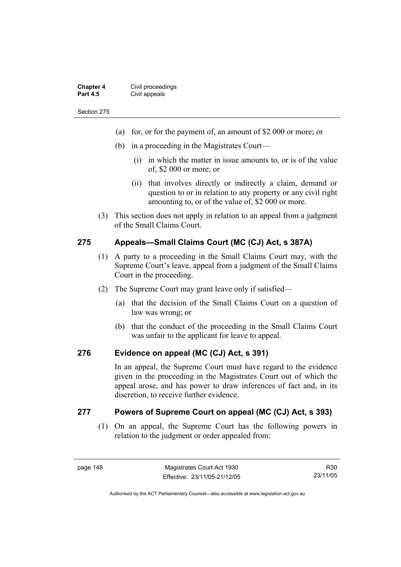| <b>Chapter 4</b> | Civil proceedings |
|------------------|-------------------|
| <b>Part 4.5</b>  | Civil appeals     |

- (a) for, or for the payment of, an amount of \$2 000 or more; or
- (b) in a proceeding in the Magistrates Court—
	- (i) in which the matter in issue amounts to, or is of the value of, \$2 000 or more; or
	- (ii) that involves directly or indirectly a claim, demand or question to or in relation to any property or any civil right amounting to, or of the value of, \$2 000 or more.
- (3) This section does not apply in relation to an appeal from a judgment of the Small Claims Court.

### **275 Appeals—Small Claims Court (MC (CJ) Act, s 387A)**

- (1) A party to a proceeding in the Small Claims Court may, with the Supreme Court's leave, appeal from a judgment of the Small Claims Court in the proceeding.
- (2) The Supreme Court may grant leave only if satisfied—
	- (a) that the decision of the Small Claims Court on a question of law was wrong; or
	- (b) that the conduct of the proceeding in the Small Claims Court was unfair to the applicant for leave to appeal.

### **276 Evidence on appeal (MC (CJ) Act, s 391)**

In an appeal, the Supreme Court must have regard to the evidence given in the proceeding in the Magistrates Court out of which the appeal arose, and has power to draw inferences of fact and, in its discretion, to receive further evidence.

### **277 Powers of Supreme Court on appeal (MC (CJ) Act, s 393)**

 (1) On an appeal, the Supreme Court has the following powers in relation to the judgment or order appealed from:

R30 23/11/05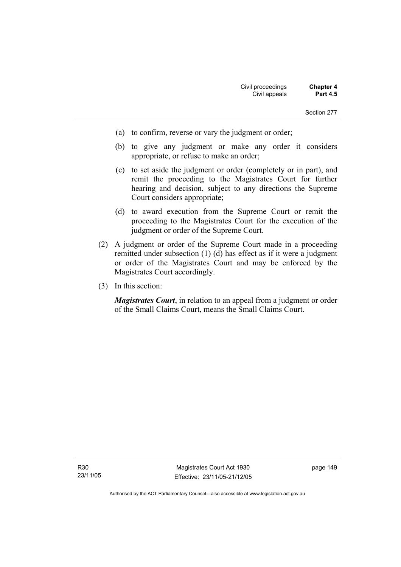- (a) to confirm, reverse or vary the judgment or order;
- (b) to give any judgment or make any order it considers appropriate, or refuse to make an order;
- (c) to set aside the judgment or order (completely or in part), and remit the proceeding to the Magistrates Court for further hearing and decision, subject to any directions the Supreme Court considers appropriate;
- (d) to award execution from the Supreme Court or remit the proceeding to the Magistrates Court for the execution of the judgment or order of the Supreme Court.
- (2) A judgment or order of the Supreme Court made in a proceeding remitted under subsection (1) (d) has effect as if it were a judgment or order of the Magistrates Court and may be enforced by the Magistrates Court accordingly.
- (3) In this section:

*Magistrates Court*, in relation to an appeal from a judgment or order of the Small Claims Court, means the Small Claims Court.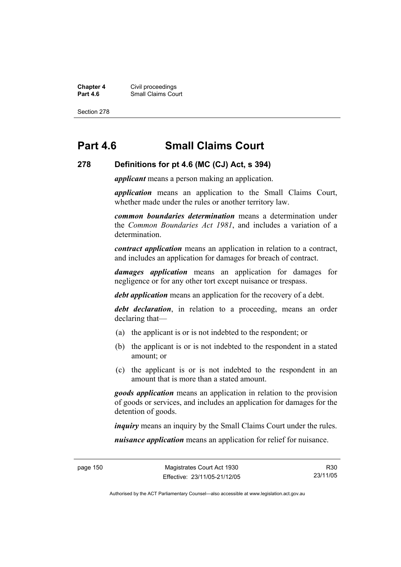**Chapter 4** Civil proceedings **Part 4.6 Part 4.6 Part 4.6 Part 4.6 Part 4.6 Part 4.6 Part 4.6 Part 4.6 Part 4.6 Part 4.6 Part 4.6 Part 4.6 Part 4.6 Part 4.6 Part 4.6 Part 4.6 Part 4.6 Part 4.6 Part 4.6 Part 4.6 Part 4.6 Part 4.6 Part 4.6 Part 4.6 Part** 

Section 278

# **Part 4.6 Small Claims Court**

#### **278 Definitions for pt 4.6 (MC (CJ) Act, s 394)**

*applicant* means a person making an application.

*application* means an application to the Small Claims Court, whether made under the rules or another territory law.

*common boundaries determination* means a determination under the *Common Boundaries Act 1981*, and includes a variation of a determination.

*contract application* means an application in relation to a contract, and includes an application for damages for breach of contract.

*damages application* means an application for damages for negligence or for any other tort except nuisance or trespass.

*debt application* means an application for the recovery of a debt.

*debt declaration*, in relation to a proceeding, means an order declaring that—

- (a) the applicant is or is not indebted to the respondent; or
- (b) the applicant is or is not indebted to the respondent in a stated amount; or
- (c) the applicant is or is not indebted to the respondent in an amount that is more than a stated amount.

*goods application* means an application in relation to the provision of goods or services, and includes an application for damages for the detention of goods.

*inquiry* means an inquiry by the Small Claims Court under the rules.

*nuisance application* means an application for relief for nuisance.

R30 23/11/05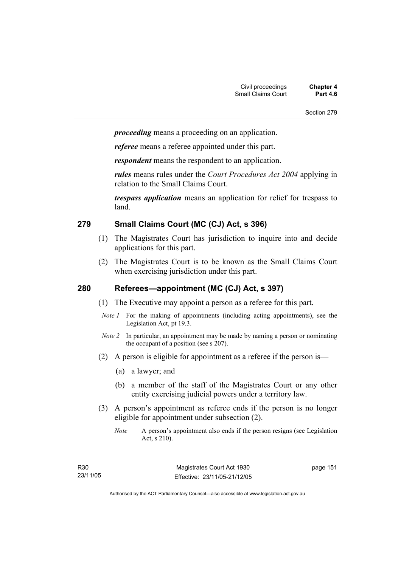*proceeding* means a proceeding on an application.

*referee* means a referee appointed under this part.

*respondent* means the respondent to an application.

*rules* means rules under the *Court Procedures Act 2004* applying in relation to the Small Claims Court.

*trespass application* means an application for relief for trespass to land.

### **279 Small Claims Court (MC (CJ) Act, s 396)**

- (1) The Magistrates Court has jurisdiction to inquire into and decide applications for this part.
- (2) The Magistrates Court is to be known as the Small Claims Court when exercising jurisdiction under this part.

### **280 Referees—appointment (MC (CJ) Act, s 397)**

- (1) The Executive may appoint a person as a referee for this part.
- *Note 1* For the making of appointments (including acting appointments), see the Legislation Act, pt 19.3.
- *Note 2* In particular, an appointment may be made by naming a person or nominating the occupant of a position (see s 207).
- (2) A person is eligible for appointment as a referee if the person is—
	- (a) a lawyer; and
	- (b) a member of the staff of the Magistrates Court or any other entity exercising judicial powers under a territory law.
- (3) A person's appointment as referee ends if the person is no longer eligible for appointment under subsection (2).
	- *Note* A person's appointment also ends if the person resigns (see Legislation Act, s 210).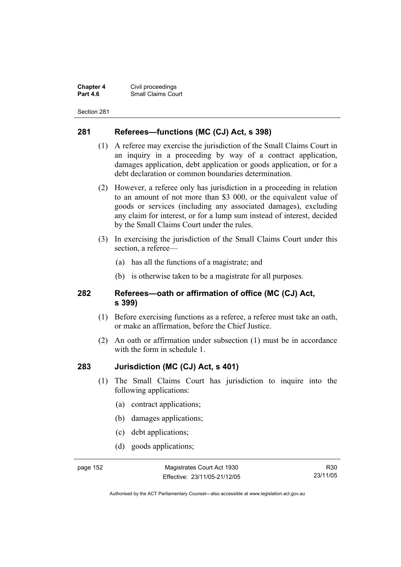**Chapter 4** Civil proceedings **Small Claims Court** 

Section 281

### **281 Referees—functions (MC (CJ) Act, s 398)**

- (1) A referee may exercise the jurisdiction of the Small Claims Court in an inquiry in a proceeding by way of a contract application, damages application, debt application or goods application, or for a debt declaration or common boundaries determination.
- (2) However, a referee only has jurisdiction in a proceeding in relation to an amount of not more than \$3 000, or the equivalent value of goods or services (including any associated damages), excluding any claim for interest, or for a lump sum instead of interest, decided by the Small Claims Court under the rules.
- (3) In exercising the jurisdiction of the Small Claims Court under this section, a referee—
	- (a) has all the functions of a magistrate; and
	- (b) is otherwise taken to be a magistrate for all purposes.

### **282 Referees—oath or affirmation of office (MC (CJ) Act, s 399)**

- (1) Before exercising functions as a referee, a referee must take an oath, or make an affirmation, before the Chief Justice.
- (2) An oath or affirmation under subsection (1) must be in accordance with the form in schedule 1.

### **283 Jurisdiction (MC (CJ) Act, s 401)**

- (1) The Small Claims Court has jurisdiction to inquire into the following applications:
	- (a) contract applications;
	- (b) damages applications;
	- (c) debt applications;
	- (d) goods applications;

page 152 Magistrates Court Act 1930 Effective: 23/11/05-21/12/05

R30 23/11/05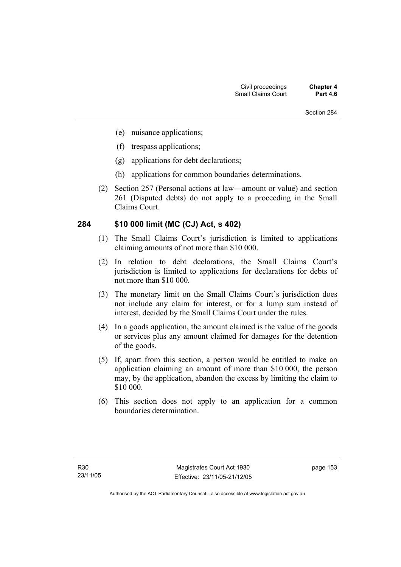- (e) nuisance applications;
- (f) trespass applications;
- (g) applications for debt declarations;
- (h) applications for common boundaries determinations.
- (2) Section 257 (Personal actions at law—amount or value) and section 261 (Disputed debts) do not apply to a proceeding in the Small Claims Court.

### **284 \$10 000 limit (MC (CJ) Act, s 402)**

- (1) The Small Claims Court's jurisdiction is limited to applications claiming amounts of not more than \$10 000.
- (2) In relation to debt declarations, the Small Claims Court's jurisdiction is limited to applications for declarations for debts of not more than \$10 000.
- (3) The monetary limit on the Small Claims Court's jurisdiction does not include any claim for interest, or for a lump sum instead of interest, decided by the Small Claims Court under the rules.
- (4) In a goods application, the amount claimed is the value of the goods or services plus any amount claimed for damages for the detention of the goods.
- (5) If, apart from this section, a person would be entitled to make an application claiming an amount of more than \$10 000, the person may, by the application, abandon the excess by limiting the claim to \$10 000.
- (6) This section does not apply to an application for a common boundaries determination.

page 153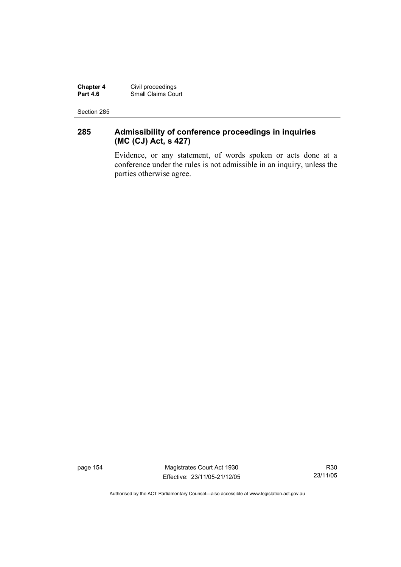**Chapter 4** Civil proceedings **Part 4.6** Small Claims Court

Section 285

## **285 Admissibility of conference proceedings in inquiries (MC (CJ) Act, s 427)**

Evidence, or any statement, of words spoken or acts done at a conference under the rules is not admissible in an inquiry, unless the parties otherwise agree.

page 154 Magistrates Court Act 1930 Effective: 23/11/05-21/12/05

R30 23/11/05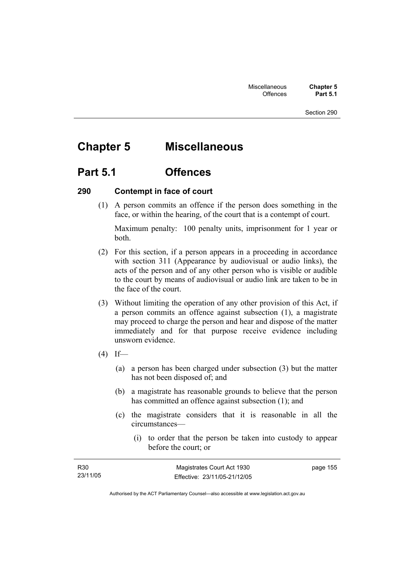# **Chapter 5 Miscellaneous**

# **Part 5.1 Offences**

### **290 Contempt in face of court**

 (1) A person commits an offence if the person does something in the face, or within the hearing, of the court that is a contempt of court.

Maximum penalty: 100 penalty units, imprisonment for 1 year or both.

- (2) For this section, if a person appears in a proceeding in accordance with section 311 (Appearance by audiovisual or audio links), the acts of the person and of any other person who is visible or audible to the court by means of audiovisual or audio link are taken to be in the face of the court.
- (3) Without limiting the operation of any other provision of this Act, if a person commits an offence against subsection (1), a magistrate may proceed to charge the person and hear and dispose of the matter immediately and for that purpose receive evidence including unsworn evidence.
- $(4)$  If—
	- (a) a person has been charged under subsection (3) but the matter has not been disposed of; and
	- (b) a magistrate has reasonable grounds to believe that the person has committed an offence against subsection (1); and
	- (c) the magistrate considers that it is reasonable in all the circumstances—
		- (i) to order that the person be taken into custody to appear before the court; or

| R <sub>30</sub> | Magistrates Court Act 1930   | page 155 |
|-----------------|------------------------------|----------|
| 23/11/05        | Effective: 23/11/05-21/12/05 |          |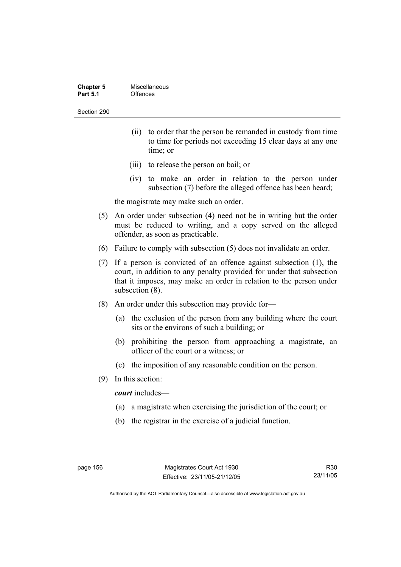| <b>Chapter 5</b> | Miscellaneous |
|------------------|---------------|
| <b>Part 5.1</b>  | Offences      |

- (ii) to order that the person be remanded in custody from time to time for periods not exceeding 15 clear days at any one time; or
- (iii) to release the person on bail; or
- (iv) to make an order in relation to the person under subsection (7) before the alleged offence has been heard;

the magistrate may make such an order.

- (5) An order under subsection (4) need not be in writing but the order must be reduced to writing, and a copy served on the alleged offender, as soon as practicable.
- (6) Failure to comply with subsection (5) does not invalidate an order.
- (7) If a person is convicted of an offence against subsection (1), the court, in addition to any penalty provided for under that subsection that it imposes, may make an order in relation to the person under subsection (8).
- (8) An order under this subsection may provide for—
	- (a) the exclusion of the person from any building where the court sits or the environs of such a building; or
	- (b) prohibiting the person from approaching a magistrate, an officer of the court or a witness; or
	- (c) the imposition of any reasonable condition on the person.
- (9) In this section:

*court* includes—

- (a) a magistrate when exercising the jurisdiction of the court; or
- (b) the registrar in the exercise of a judicial function.

R30 23/11/05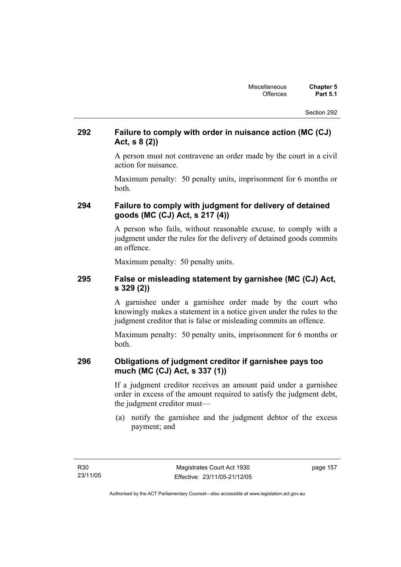### **292 Failure to comply with order in nuisance action (MC (CJ) Act, s 8 (2))**

A person must not contravene an order made by the court in a civil action for nuisance.

Maximum penalty: 50 penalty units, imprisonment for 6 months or both.

### **294 Failure to comply with judgment for delivery of detained goods (MC (CJ) Act, s 217 (4))**

A person who fails, without reasonable excuse, to comply with a judgment under the rules for the delivery of detained goods commits an offence.

Maximum penalty: 50 penalty units.

### **295 False or misleading statement by garnishee (MC (CJ) Act, s 329 (2))**

A garnishee under a garnishee order made by the court who knowingly makes a statement in a notice given under the rules to the judgment creditor that is false or misleading commits an offence.

Maximum penalty: 50 penalty units, imprisonment for 6 months or both.

### **296 Obligations of judgment creditor if garnishee pays too much (MC (CJ) Act, s 337 (1))**

If a judgment creditor receives an amount paid under a garnishee order in excess of the amount required to satisfy the judgment debt, the judgment creditor must—

 (a) notify the garnishee and the judgment debtor of the excess payment; and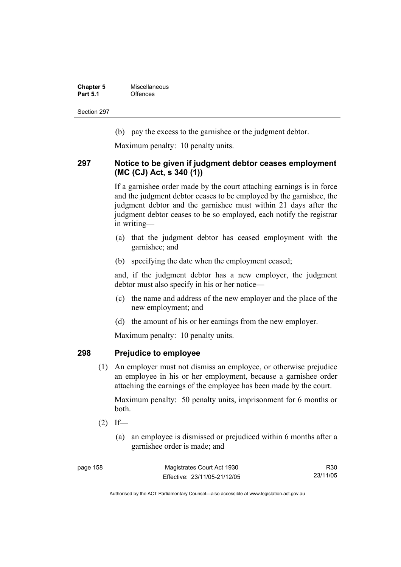**Chapter 5 Miscellaneous**<br>**Part 5.1** Offences **Part 5.1** Offences

Section 297

(b) pay the excess to the garnishee or the judgment debtor.

Maximum penalty: 10 penalty units.

### **297 Notice to be given if judgment debtor ceases employment (MC (CJ) Act, s 340 (1))**

If a garnishee order made by the court attaching earnings is in force and the judgment debtor ceases to be employed by the garnishee, the judgment debtor and the garnishee must within 21 days after the judgment debtor ceases to be so employed, each notify the registrar in writing—

- (a) that the judgment debtor has ceased employment with the garnishee; and
- (b) specifying the date when the employment ceased;

and, if the judgment debtor has a new employer, the judgment debtor must also specify in his or her notice—

- (c) the name and address of the new employer and the place of the new employment; and
- (d) the amount of his or her earnings from the new employer.

Maximum penalty: 10 penalty units.

### **298 Prejudice to employee**

 (1) An employer must not dismiss an employee, or otherwise prejudice an employee in his or her employment, because a garnishee order attaching the earnings of the employee has been made by the court.

Maximum penalty: 50 penalty units, imprisonment for 6 months or both.

- $(2)$  If—
	- (a) an employee is dismissed or prejudiced within 6 months after a garnishee order is made; and

| page 158 | Magistrates Court Act 1930   | R30      |
|----------|------------------------------|----------|
|          | Effective: 23/11/05-21/12/05 | 23/11/05 |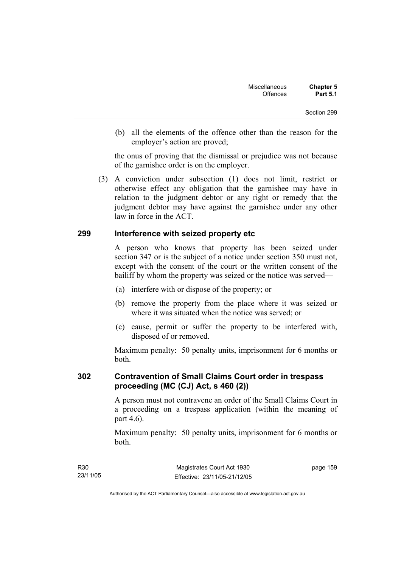(b) all the elements of the offence other than the reason for the employer's action are proved;

the onus of proving that the dismissal or prejudice was not because of the garnishee order is on the employer.

 (3) A conviction under subsection (1) does not limit, restrict or otherwise effect any obligation that the garnishee may have in relation to the judgment debtor or any right or remedy that the judgment debtor may have against the garnishee under any other law in force in the ACT.

### **299 Interference with seized property etc**

A person who knows that property has been seized under section 347 or is the subject of a notice under section 350 must not, except with the consent of the court or the written consent of the bailiff by whom the property was seized or the notice was served—

- (a) interfere with or dispose of the property; or
- (b) remove the property from the place where it was seized or where it was situated when the notice was served; or
- (c) cause, permit or suffer the property to be interfered with, disposed of or removed.

Maximum penalty: 50 penalty units, imprisonment for 6 months or both.

### **302 Contravention of Small Claims Court order in trespass proceeding (MC (CJ) Act, s 460 (2))**

A person must not contravene an order of the Small Claims Court in a proceeding on a trespass application (within the meaning of part 4.6).

Maximum penalty: 50 penalty units, imprisonment for 6 months or both.

page 159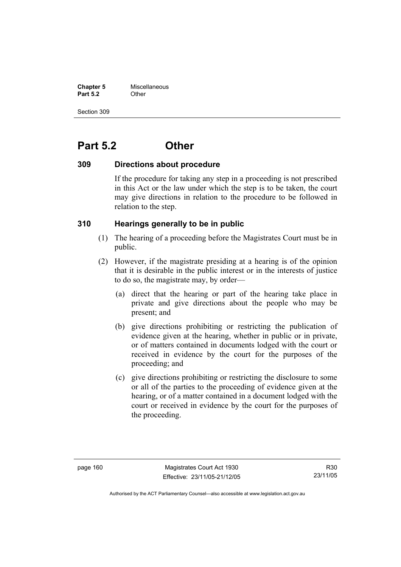**Chapter 5** Miscellaneous **Part 5.2** Other

Section 309

# **Part 5.2 Other**

### **309 Directions about procedure**

If the procedure for taking any step in a proceeding is not prescribed in this Act or the law under which the step is to be taken, the court may give directions in relation to the procedure to be followed in relation to the step.

### **310 Hearings generally to be in public**

- (1) The hearing of a proceeding before the Magistrates Court must be in public.
- (2) However, if the magistrate presiding at a hearing is of the opinion that it is desirable in the public interest or in the interests of justice to do so, the magistrate may, by order—
	- (a) direct that the hearing or part of the hearing take place in private and give directions about the people who may be present; and
	- (b) give directions prohibiting or restricting the publication of evidence given at the hearing, whether in public or in private, or of matters contained in documents lodged with the court or received in evidence by the court for the purposes of the proceeding; and
	- (c) give directions prohibiting or restricting the disclosure to some or all of the parties to the proceeding of evidence given at the hearing, or of a matter contained in a document lodged with the court or received in evidence by the court for the purposes of the proceeding.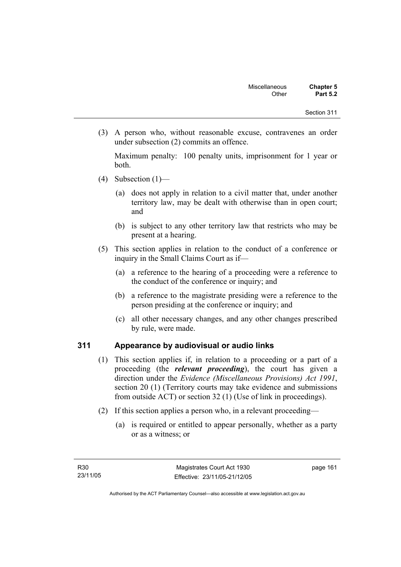(3) A person who, without reasonable excuse, contravenes an order under subsection (2) commits an offence.

Maximum penalty: 100 penalty units, imprisonment for 1 year or both.

- (4) Subsection  $(1)$ 
	- (a) does not apply in relation to a civil matter that, under another territory law, may be dealt with otherwise than in open court; and
	- (b) is subject to any other territory law that restricts who may be present at a hearing.
- (5) This section applies in relation to the conduct of a conference or inquiry in the Small Claims Court as if—
	- (a) a reference to the hearing of a proceeding were a reference to the conduct of the conference or inquiry; and
	- (b) a reference to the magistrate presiding were a reference to the person presiding at the conference or inquiry; and
	- (c) all other necessary changes, and any other changes prescribed by rule, were made.

### **311 Appearance by audiovisual or audio links**

- (1) This section applies if, in relation to a proceeding or a part of a proceeding (the *relevant proceeding*), the court has given a direction under the *Evidence (Miscellaneous Provisions) Act 1991*, section 20 (1) (Territory courts may take evidence and submissions from outside ACT) or section 32 (1) (Use of link in proceedings).
- (2) If this section applies a person who, in a relevant proceeding—
	- (a) is required or entitled to appear personally, whether as a party or as a witness; or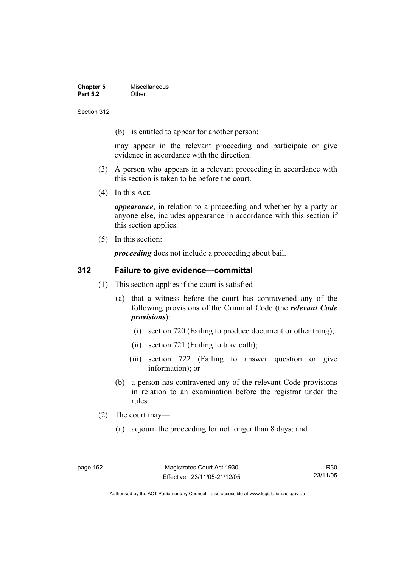| <b>Chapter 5</b> | Miscellaneous |
|------------------|---------------|
| <b>Part 5.2</b>  | Other         |

(b) is entitled to appear for another person;

may appear in the relevant proceeding and participate or give evidence in accordance with the direction.

- (3) A person who appears in a relevant proceeding in accordance with this section is taken to be before the court.
- (4) In this Act:

*appearance*, in relation to a proceeding and whether by a party or anyone else, includes appearance in accordance with this section if this section applies.

(5) In this section:

*proceeding* does not include a proceeding about bail.

### **312 Failure to give evidence—committal**

- (1) This section applies if the court is satisfied—
	- (a) that a witness before the court has contravened any of the following provisions of the Criminal Code (the *relevant Code provisions*):
		- (i) section 720 (Failing to produce document or other thing);
		- (ii) section 721 (Failing to take oath);
		- (iii) section 722 (Failing to answer question or give information); or
	- (b) a person has contravened any of the relevant Code provisions in relation to an examination before the registrar under the rules.
- (2) The court may—
	- (a) adjourn the proceeding for not longer than 8 days; and

R30 23/11/05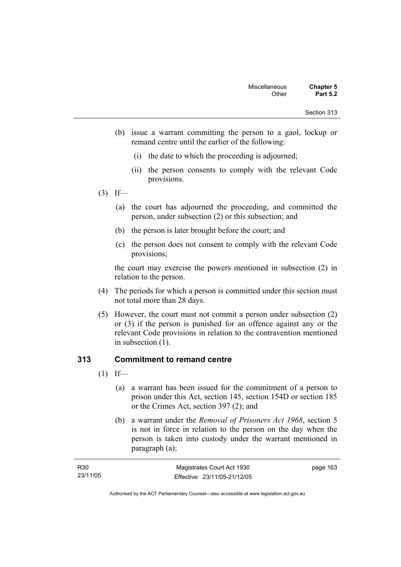- (b) issue a warrant committing the person to a gaol, lockup or remand centre until the earlier of the following:
	- (i) the date to which the proceeding is adjourned;
	- (ii) the person consents to comply with the relevant Code provisions.
- $(3)$  If—
	- (a) the court has adjourned the proceeding, and committed the person, under subsection (2) or this subsection; and
	- (b) the person is later brought before the court; and
	- (c) the person does not consent to comply with the relevant Code provisions;

the court may exercise the powers mentioned in subsection (2) in relation to the person.

- (4) The periods for which a person is committed under this section must not total more than 28 days.
- (5) However, the court must not commit a person under subsection (2) or (3) if the person is punished for an offence against any or the relevant Code provisions in relation to the contravention mentioned in subsection (1).

### **313 Commitment to remand centre**

- $(1)$  If—
	- (a) a warrant has been issued for the commitment of a person to prison under this Act, section 145, section 154D or section 185 or the Crimes Act, section 397 (2); and
	- (b) a warrant under the *Removal of Prisoners Act 1968*, section 5 is not in force in relation to the person on the day when the person is taken into custody under the warrant mentioned in paragraph (a);

| R30      | Magistrates Court Act 1930   | page 163 |
|----------|------------------------------|----------|
| 23/11/05 | Effective: 23/11/05-21/12/05 |          |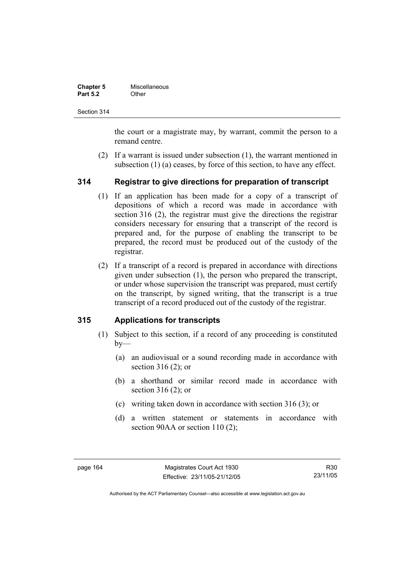| <b>Chapter 5</b> | Miscellaneous |
|------------------|---------------|
| <b>Part 5.2</b>  | Other         |

the court or a magistrate may, by warrant, commit the person to a remand centre.

 (2) If a warrant is issued under subsection (1), the warrant mentioned in subsection (1) (a) ceases, by force of this section, to have any effect.

### **314 Registrar to give directions for preparation of transcript**

- (1) If an application has been made for a copy of a transcript of depositions of which a record was made in accordance with section 316 (2), the registrar must give the directions the registrar considers necessary for ensuring that a transcript of the record is prepared and, for the purpose of enabling the transcript to be prepared, the record must be produced out of the custody of the registrar.
- (2) If a transcript of a record is prepared in accordance with directions given under subsection (1), the person who prepared the transcript, or under whose supervision the transcript was prepared, must certify on the transcript, by signed writing, that the transcript is a true transcript of a record produced out of the custody of the registrar.

### **315 Applications for transcripts**

- (1) Subject to this section, if a record of any proceeding is constituted  $bv$ —
	- (a) an audiovisual or a sound recording made in accordance with section 316 (2); or
	- (b) a shorthand or similar record made in accordance with section 316 (2); or
	- (c) writing taken down in accordance with section 316 (3); or
	- (d) a written statement or statements in accordance with section 90AA or section 110 (2);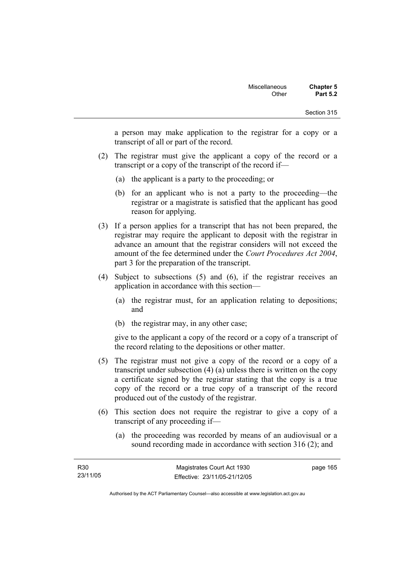a person may make application to the registrar for a copy or a transcript of all or part of the record.

- (2) The registrar must give the applicant a copy of the record or a transcript or a copy of the transcript of the record if—
	- (a) the applicant is a party to the proceeding; or
	- (b) for an applicant who is not a party to the proceeding—the registrar or a magistrate is satisfied that the applicant has good reason for applying.
- (3) If a person applies for a transcript that has not been prepared, the registrar may require the applicant to deposit with the registrar in advance an amount that the registrar considers will not exceed the amount of the fee determined under the *Court Procedures Act 2004*, part 3 for the preparation of the transcript.
- (4) Subject to subsections (5) and (6), if the registrar receives an application in accordance with this section—
	- (a) the registrar must, for an application relating to depositions; and
	- (b) the registrar may, in any other case;

give to the applicant a copy of the record or a copy of a transcript of the record relating to the depositions or other matter.

- (5) The registrar must not give a copy of the record or a copy of a transcript under subsection (4) (a) unless there is written on the copy a certificate signed by the registrar stating that the copy is a true copy of the record or a true copy of a transcript of the record produced out of the custody of the registrar.
- (6) This section does not require the registrar to give a copy of a transcript of any proceeding if—
	- (a) the proceeding was recorded by means of an audiovisual or a sound recording made in accordance with section 316 (2); and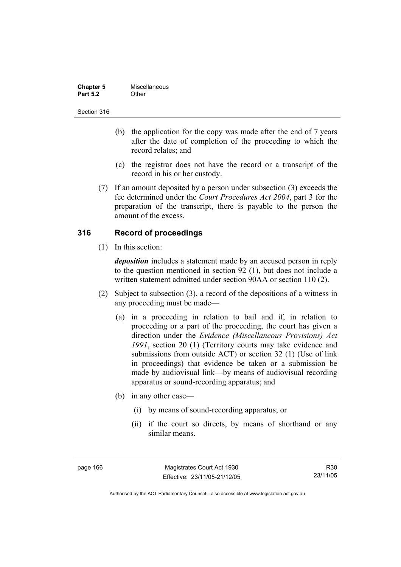| <b>Chapter 5</b> | Miscellaneous |
|------------------|---------------|
| <b>Part 5.2</b>  | Other         |

- (b) the application for the copy was made after the end of 7 years after the date of completion of the proceeding to which the record relates; and
- (c) the registrar does not have the record or a transcript of the record in his or her custody.
- (7) If an amount deposited by a person under subsection (3) exceeds the fee determined under the *Court Procedures Act 2004*, part 3 for the preparation of the transcript, there is payable to the person the amount of the excess.

# **316 Record of proceedings**

(1) In this section:

*deposition* includes a statement made by an accused person in reply to the question mentioned in section 92 (1), but does not include a written statement admitted under section 90AA or section 110 (2).

- (2) Subject to subsection (3), a record of the depositions of a witness in any proceeding must be made—
	- (a) in a proceeding in relation to bail and if, in relation to proceeding or a part of the proceeding, the court has given a direction under the *Evidence (Miscellaneous Provisions) Act 1991*, section 20 (1) (Territory courts may take evidence and submissions from outside ACT) or section 32 (1) (Use of link in proceedings) that evidence be taken or a submission be made by audiovisual link—by means of audiovisual recording apparatus or sound-recording apparatus; and
	- (b) in any other case—
		- (i) by means of sound-recording apparatus; or
		- (ii) if the court so directs, by means of shorthand or any similar means.

page 166 Magistrates Court Act 1930 Effective: 23/11/05-21/12/05

R30 23/11/05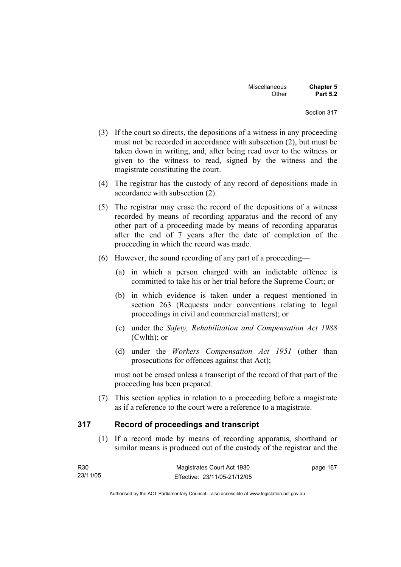- (3) If the court so directs, the depositions of a witness in any proceeding must not be recorded in accordance with subsection (2), but must be taken down in writing, and, after being read over to the witness or given to the witness to read, signed by the witness and the magistrate constituting the court.
- (4) The registrar has the custody of any record of depositions made in accordance with subsection (2).
- (5) The registrar may erase the record of the depositions of a witness recorded by means of recording apparatus and the record of any other part of a proceeding made by means of recording apparatus after the end of 7 years after the date of completion of the proceeding in which the record was made.
- (6) However, the sound recording of any part of a proceeding—
	- (a) in which a person charged with an indictable offence is committed to take his or her trial before the Supreme Court; or
	- (b) in which evidence is taken under a request mentioned in section 263 (Requests under conventions relating to legal proceedings in civil and commercial matters); or
	- (c) under the *Safety, Rehabilitation and Compensation Act 1988* (Cwlth); or
	- (d) under the *Workers Compensation Act 1951* (other than prosecutions for offences against that Act);

must not be erased unless a transcript of the record of that part of the proceeding has been prepared.

 (7) This section applies in relation to a proceeding before a magistrate as if a reference to the court were a reference to a magistrate.

# **317 Record of proceedings and transcript**

 (1) If a record made by means of recording apparatus, shorthand or similar means is produced out of the custody of the registrar and the

| R30      | Magistrates Court Act 1930   | page 167 |
|----------|------------------------------|----------|
| 23/11/05 | Effective: 23/11/05-21/12/05 |          |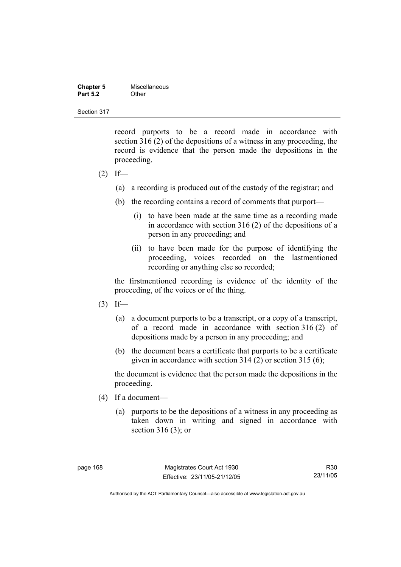| <b>Chapter 5</b> | Miscellaneous |
|------------------|---------------|
| <b>Part 5.2</b>  | Other         |

record purports to be a record made in accordance with section 316 (2) of the depositions of a witness in any proceeding, the record is evidence that the person made the depositions in the proceeding.

- $(2)$  If—
	- (a) a recording is produced out of the custody of the registrar; and
	- (b) the recording contains a record of comments that purport—
		- (i) to have been made at the same time as a recording made in accordance with section 316 (2) of the depositions of a person in any proceeding; and
		- (ii) to have been made for the purpose of identifying the proceeding, voices recorded on the lastmentioned recording or anything else so recorded;

the firstmentioned recording is evidence of the identity of the proceeding, of the voices or of the thing.

- $(3)$  If—
	- (a) a document purports to be a transcript, or a copy of a transcript, of a record made in accordance with section 316 (2) of depositions made by a person in any proceeding; and
	- (b) the document bears a certificate that purports to be a certificate given in accordance with section 314 (2) or section 315 (6);

the document is evidence that the person made the depositions in the proceeding.

- (4) If a document—
	- (a) purports to be the depositions of a witness in any proceeding as taken down in writing and signed in accordance with section 316 (3); or

R30 23/11/05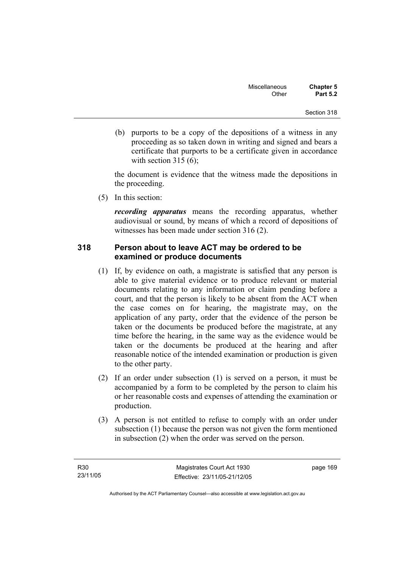(b) purports to be a copy of the depositions of a witness in any proceeding as so taken down in writing and signed and bears a certificate that purports to be a certificate given in accordance with section  $315(6)$ :

the document is evidence that the witness made the depositions in the proceeding.

(5) In this section:

*recording apparatus* means the recording apparatus, whether audiovisual or sound, by means of which a record of depositions of witnesses has been made under section 316 (2).

# **318 Person about to leave ACT may be ordered to be examined or produce documents**

- (1) If, by evidence on oath, a magistrate is satisfied that any person is able to give material evidence or to produce relevant or material documents relating to any information or claim pending before a court, and that the person is likely to be absent from the ACT when the case comes on for hearing, the magistrate may, on the application of any party, order that the evidence of the person be taken or the documents be produced before the magistrate, at any time before the hearing, in the same way as the evidence would be taken or the documents be produced at the hearing and after reasonable notice of the intended examination or production is given to the other party.
- (2) If an order under subsection (1) is served on a person, it must be accompanied by a form to be completed by the person to claim his or her reasonable costs and expenses of attending the examination or production.
- (3) A person is not entitled to refuse to comply with an order under subsection (1) because the person was not given the form mentioned in subsection (2) when the order was served on the person.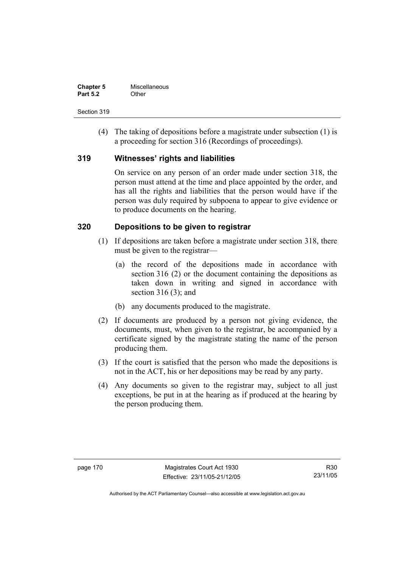| <b>Chapter 5</b> | Miscellaneous |
|------------------|---------------|
| <b>Part 5.2</b>  | Other         |

 (4) The taking of depositions before a magistrate under subsection (1) is a proceeding for section 316 (Recordings of proceedings).

# **319 Witnesses' rights and liabilities**

On service on any person of an order made under section 318, the person must attend at the time and place appointed by the order, and has all the rights and liabilities that the person would have if the person was duly required by subpoena to appear to give evidence or to produce documents on the hearing.

# **320 Depositions to be given to registrar**

- (1) If depositions are taken before a magistrate under section 318, there must be given to the registrar—
	- (a) the record of the depositions made in accordance with section 316 (2) or the document containing the depositions as taken down in writing and signed in accordance with section 316 (3); and
	- (b) any documents produced to the magistrate.
- (2) If documents are produced by a person not giving evidence, the documents, must, when given to the registrar, be accompanied by a certificate signed by the magistrate stating the name of the person producing them.
- (3) If the court is satisfied that the person who made the depositions is not in the ACT, his or her depositions may be read by any party.
- (4) Any documents so given to the registrar may, subject to all just exceptions, be put in at the hearing as if produced at the hearing by the person producing them.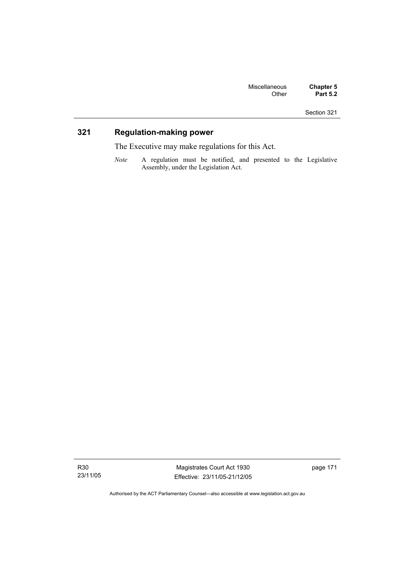# **321 Regulation-making power**

The Executive may make regulations for this Act.

*Note* A regulation must be notified, and presented to the Legislative Assembly, under the Legislation Act.

R30 23/11/05

Magistrates Court Act 1930 Effective: 23/11/05-21/12/05 page 171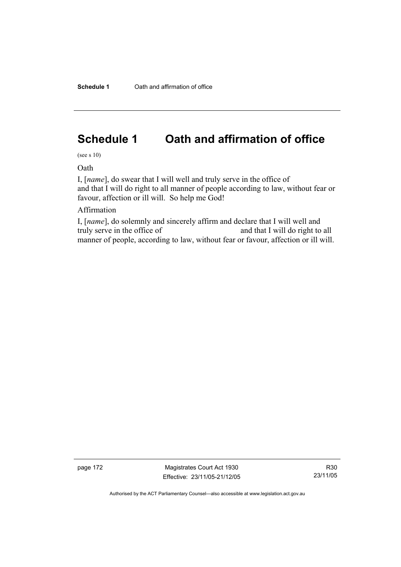# **Schedule 1 Oath and affirmation of office**

(see s 10)

Oath

I, [*name*], do swear that I will well and truly serve in the office of and that I will do right to all manner of people according to law, without fear or favour, affection or ill will. So help me God!

# Affirmation

I, [*name*], do solemnly and sincerely affirm and declare that I will well and truly serve in the office of and that I will do right to all manner of people, according to law, without fear or favour, affection or ill will.

page 172 Magistrates Court Act 1930 Effective: 23/11/05-21/12/05

R30 23/11/05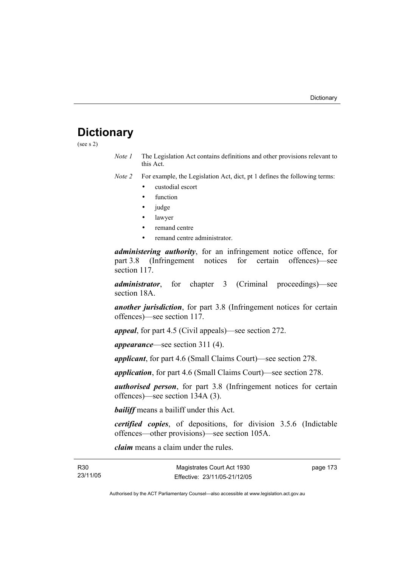# **Dictionary**

(see s 2)

*Note 1* The Legislation Act contains definitions and other provisions relevant to this Act.

*Note 2* For example, the Legislation Act, dict, pt 1 defines the following terms:

- custodial escort
- function
- judge
- lawyer
- remand centre
- remand centre administrator.

*administering authority*, for an infringement notice offence, for part 3.8 (Infringement notices for certain offences)—see section 117.

*administrator*, for chapter 3 (Criminal proceedings)—see section 18A.

*another jurisdiction*, for part 3.8 (Infringement notices for certain offences)—see section 117.

*appeal*, for part 4.5 (Civil appeals)—see section 272.

*appearance*—see section 311 (4).

*applicant*, for part 4.6 (Small Claims Court)—see section 278.

*application*, for part 4.6 (Small Claims Court)—see section 278.

*authorised person*, for part 3.8 (Infringement notices for certain offences)—see section 134A (3).

*bailiff* means a bailiff under this Act.

*certified copies*, of depositions, for division 3.5.6 (Indictable offences—other provisions)—see section 105A.

*claim* means a claim under the rules.

| R30 |          |
|-----|----------|
|     | 23/11/05 |

page 173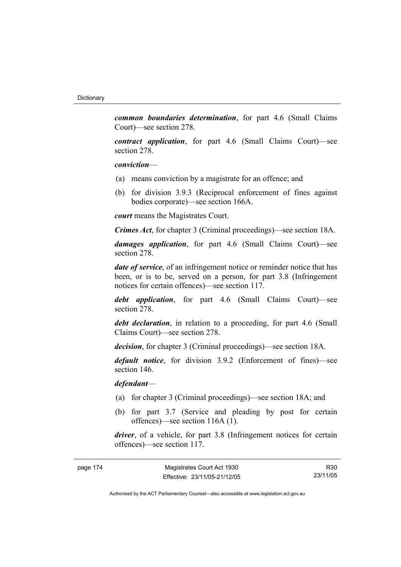*common boundaries determination*, for part 4.6 (Small Claims Court)—see section 278.

*contract application*, for part 4.6 (Small Claims Court)—see section 278.

#### *conviction*—

- (a) means conviction by a magistrate for an offence; and
- (b) for division 3.9.3 (Reciprocal enforcement of fines against bodies corporate)—see section 166A.

*court* means the Magistrates Court.

*Crimes Act*, for chapter 3 (Criminal proceedings)—see section 18A.

*damages application*, for part 4.6 (Small Claims Court)—see section 278.

*date of service*, of an infringement notice or reminder notice that has been, or is to be, served on a person, for part 3.8 (Infringement notices for certain offences)—see section 117.

*debt application*, for part 4.6 (Small Claims Court)—see section 278.

*debt declaration*, in relation to a proceeding, for part 4.6 (Small Claims Court)—see section 278.

*decision*, for chapter 3 (Criminal proceedings)—see section 18A.

*default notice*, for division 3.9.2 (Enforcement of fines)—see section 146.

*defendant*—

- (a) for chapter 3 (Criminal proceedings)—see section 18A; and
- (b) for part 3.7 (Service and pleading by post for certain offences)—see section 116A (1).

*driver*, of a vehicle, for part 3.8 (Infringement notices for certain offences)—see section 117.

| page 174 | Magistrates Court Act 1930   | R30      |
|----------|------------------------------|----------|
|          | Effective: 23/11/05-21/12/05 | 23/11/05 |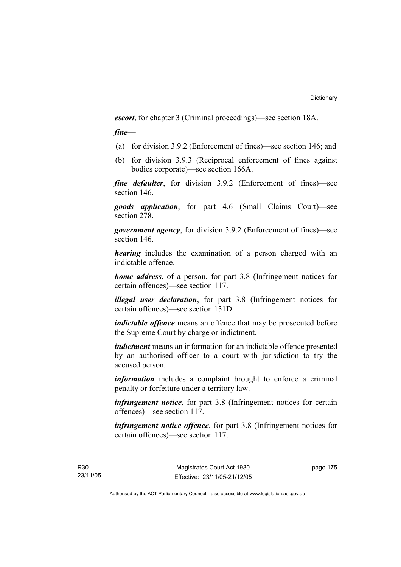*escort*, for chapter 3 (Criminal proceedings)—see section 18A.

*fine*—

- (a) for division 3.9.2 (Enforcement of fines)—see section 146; and
- (b) for division 3.9.3 (Reciprocal enforcement of fines against bodies corporate)—see section 166A.

*fine defaulter*, for division 3.9.2 (Enforcement of fines)—see section 146.

*goods application*, for part 4.6 (Small Claims Court)—see section 278.

*government agency*, for division 3.9.2 (Enforcement of fines)—see section 146.

*hearing* includes the examination of a person charged with an indictable offence.

*home address*, of a person, for part 3.8 (Infringement notices for certain offences)—see section 117.

*illegal user declaration*, for part 3.8 (Infringement notices for certain offences)—see section 131D.

*indictable offence* means an offence that may be prosecuted before the Supreme Court by charge or indictment.

*indictment* means an information for an indictable offence presented by an authorised officer to a court with jurisdiction to try the accused person.

*information* includes a complaint brought to enforce a criminal penalty or forfeiture under a territory law.

*infringement notice*, for part 3.8 (Infringement notices for certain offences)—see section 117.

*infringement notice offence*, for part 3.8 (Infringement notices for certain offences)—see section 117.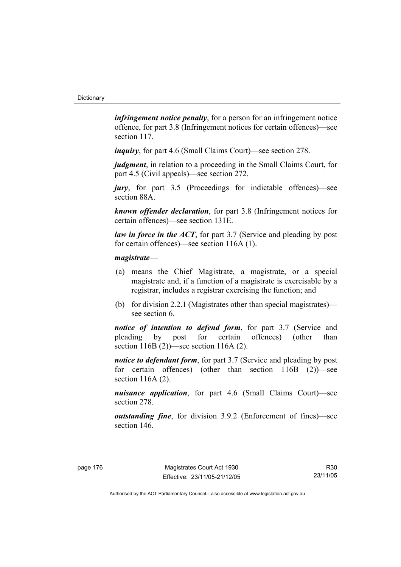*infringement notice penalty*, for a person for an infringement notice offence, for part 3.8 (Infringement notices for certain offences)—see section 117.

*inquiry*, for part 4.6 (Small Claims Court)—see section 278.

*judgment*, in relation to a proceeding in the Small Claims Court, for part 4.5 (Civil appeals)—see section 272.

*jury*, for part 3.5 (Proceedings for indictable offences)—see section 88A.

*known offender declaration*, for part 3.8 (Infringement notices for certain offences)—see section 131E.

*law in force in the ACT*, for part 3.7 (Service and pleading by post) for certain offences)—see section 116A (1).

#### *magistrate*—

- (a) means the Chief Magistrate, a magistrate, or a special magistrate and, if a function of a magistrate is exercisable by a registrar, includes a registrar exercising the function; and
- (b) for division 2.2.1 (Magistrates other than special magistrates) see section 6.

*notice of intention to defend form*, for part 3.7 (Service and pleading by post for certain offences) (other than section 116B (2))—see section 116A (2).

*notice to defendant form*, for part 3.7 (Service and pleading by post) for certain offences) (other than section 116B (2))—see section 116A (2).

*nuisance application*, for part 4.6 (Small Claims Court)—see section 278.

*outstanding fine*, for division 3.9.2 (Enforcement of fines)—see section 146.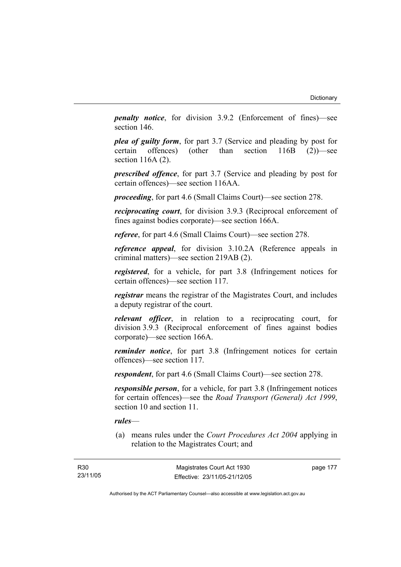*penalty notice*, for division 3.9.2 (Enforcement of fines)—see section 146.

*plea of guilty form*, for part 3.7 (Service and pleading by post for certain offences) (other than section 116B (2))—see section 116A (2).

*prescribed offence*, for part 3.7 (Service and pleading by post for certain offences)—see section 116AA.

*proceeding*, for part 4.6 (Small Claims Court)—see section 278.

*reciprocating court*, for division 3.9.3 (Reciprocal enforcement of fines against bodies corporate)—see section 166A.

*referee*, for part 4.6 (Small Claims Court)—see section 278.

*reference appeal*, for division 3.10.2A (Reference appeals in criminal matters)—see section 219AB (2).

*registered*, for a vehicle, for part 3.8 (Infringement notices for certain offences)—see section 117.

*registrar* means the registrar of the Magistrates Court, and includes a deputy registrar of the court.

*relevant officer*, in relation to a reciprocating court, for division 3.9.3 (Reciprocal enforcement of fines against bodies corporate)—see section 166A.

*reminder notice*, for part 3.8 (Infringement notices for certain offences)—see section 117.

*respondent*, for part 4.6 (Small Claims Court)—see section 278.

*responsible person*, for a vehicle, for part 3.8 (Infringement notices for certain offences)—see the *Road Transport (General) Act 1999*, section 10 and section 11.

### *rules*—

 (a) means rules under the *Court Procedures Act 2004* applying in relation to the Magistrates Court; and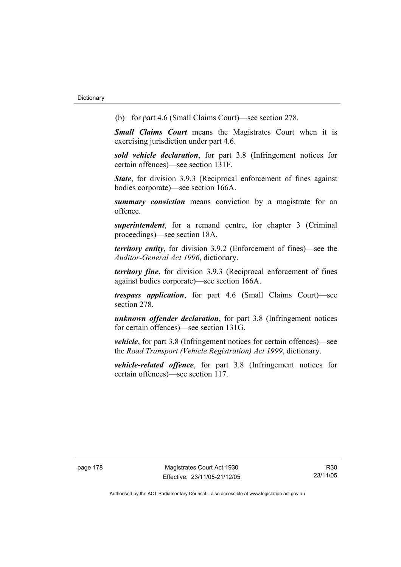(b) for part 4.6 (Small Claims Court)—see section 278.

*Small Claims Court* means the Magistrates Court when it is exercising jurisdiction under part 4.6.

*sold vehicle declaration*, for part 3.8 (Infringement notices for certain offences)—see section 131F.

*State*, for division 3.9.3 (Reciprocal enforcement of fines against bodies corporate)—see section 166A.

*summary conviction* means conviction by a magistrate for an offence.

*superintendent*, for a remand centre, for chapter 3 (Criminal proceedings)—see section 18A.

*territory entity*, for division 3.9.2 (Enforcement of fines)—see the *Auditor-General Act 1996*, dictionary.

*territory fine*, for division 3.9.3 (Reciprocal enforcement of fines against bodies corporate)—see section 166A.

*trespass application*, for part 4.6 (Small Claims Court)—see section 278.

*unknown offender declaration*, for part 3.8 (Infringement notices for certain offences)—see section 131G.

*vehicle*, for part 3.8 (Infringement notices for certain offences)—see the *Road Transport (Vehicle Registration) Act 1999*, dictionary.

*vehicle-related offence*, for part 3.8 (Infringement notices for certain offences)—see section 117.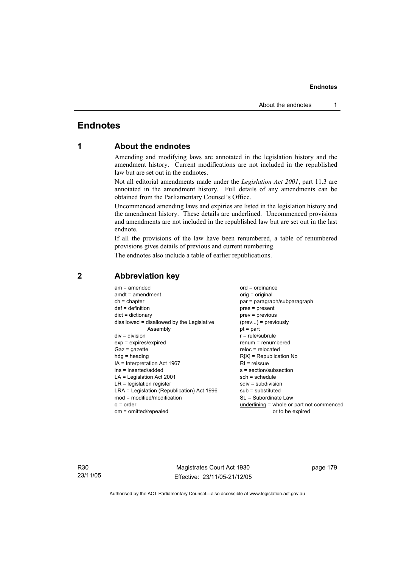# **Endnotes**

# **1 About the endnotes**

Amending and modifying laws are annotated in the legislation history and the amendment history. Current modifications are not included in the republished law but are set out in the endnotes.

Not all editorial amendments made under the *Legislation Act 2001*, part 11.3 are annotated in the amendment history. Full details of any amendments can be obtained from the Parliamentary Counsel's Office.

Uncommenced amending laws and expiries are listed in the legislation history and the amendment history. These details are underlined. Uncommenced provisions and amendments are not included in the republished law but are set out in the last endnote.

If all the provisions of the law have been renumbered, a table of renumbered provisions gives details of previous and current numbering.

The endnotes also include a table of earlier republications.

| $am = amended$                             | $ord = ordinance$                         |
|--------------------------------------------|-------------------------------------------|
| $amdt = amendment$                         | orig = original                           |
| $ch = chapter$                             | par = paragraph/subparagraph              |
| $def = definition$                         | $pres = present$                          |
| $dict = dictionary$                        | $prev = previous$                         |
| disallowed = disallowed by the Legislative | $(\text{prev}) = \text{previously}$       |
| Assembly                                   | $pt = part$                               |
| $div = division$                           | $r = rule/subrule$                        |
| $exp = expires/expired$                    | $renum = renumbered$                      |
| $Gaz = gazette$                            | $reloc = relocated$                       |
| $hdg =$ heading                            | $R[X]$ = Republication No                 |
| IA = Interpretation Act 1967               | $RI = reissue$                            |
| ins = inserted/added                       | s = section/subsection                    |
| $LA =$ Legislation Act 2001                | $sch = schedule$                          |
| $LR =$ legislation register                | $sdiv = subdivision$                      |
| LRA = Legislation (Republication) Act 1996 | $sub =$ substituted                       |
| $mod = modified/modification$              | SL = Subordinate Law                      |
| $o = order$                                | underlining = whole or part not commenced |
| om = omitted/repealed                      | or to be expired                          |
|                                            |                                           |

# **2 Abbreviation key**

R30 23/11/05

Magistrates Court Act 1930 Effective: 23/11/05-21/12/05 page 179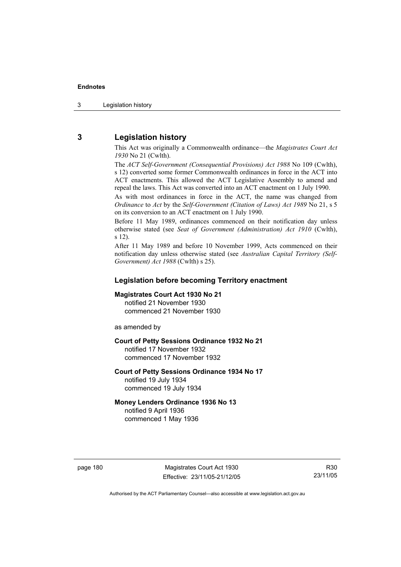3 Legislation history

# **3 Legislation history**

This Act was originally a Commonwealth ordinance—the *Magistrates Court Act 1930* No 21 (Cwlth).

The *ACT Self-Government (Consequential Provisions) Act 1988* No 109 (Cwlth), s 12) converted some former Commonwealth ordinances in force in the ACT into ACT enactments. This allowed the ACT Legislative Assembly to amend and repeal the laws. This Act was converted into an ACT enactment on 1 July 1990.

As with most ordinances in force in the ACT, the name was changed from *Ordinance* to *Act* by the *Self-Government (Citation of Laws) Act 1989* No 21, s 5 on its conversion to an ACT enactment on 1 July 1990.

Before 11 May 1989, ordinances commenced on their notification day unless otherwise stated (see *Seat of Government (Administration) Act 1910* (Cwlth), s 12).

After 11 May 1989 and before 10 November 1999, Acts commenced on their notification day unless otherwise stated (see *Australian Capital Territory (Self-Government) Act 1988* (Cwlth) s 25).

# **Legislation before becoming Territory enactment**

#### **Magistrates Court Act 1930 No 21**

notified 21 November 1930 commenced 21 November 1930

as amended by

### **Court of Petty Sessions Ordinance 1932 No 21**

notified 17 November 1932 commenced 17 November 1932

#### **Court of Petty Sessions Ordinance 1934 No 17**  notified 19 July 1934

commenced 19 July 1934

# **Money Lenders Ordinance 1936 No 13**

notified 9 April 1936 commenced 1 May 1936

page 180 Magistrates Court Act 1930 Effective: 23/11/05-21/12/05

R30 23/11/05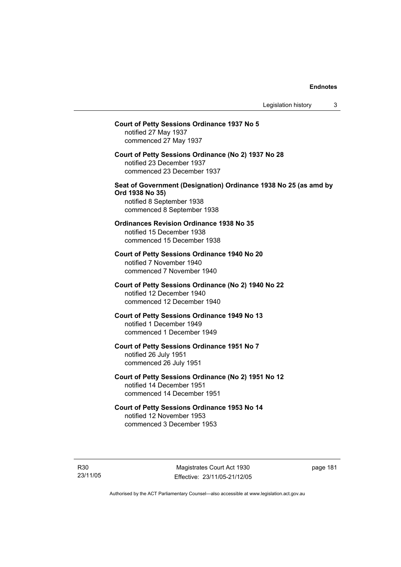# **Court of Petty Sessions Ordinance 1937 No 5**  notified 27 May 1937 commenced 27 May 1937 **Court of Petty Sessions Ordinance (No 2) 1937 No 28**  notified 23 December 1937 commenced 23 December 1937 **Seat of Government (Designation) Ordinance 1938 No 25 (as amd by Ord 1938 No 35)**  notified 8 September 1938 commenced 8 September 1938 **Ordinances Revision Ordinance 1938 No 35**  notified 15 December 1938 commenced 15 December 1938 **Court of Petty Sessions Ordinance 1940 No 20**  notified 7 November 1940 commenced 7 November 1940 **Court of Petty Sessions Ordinance (No 2) 1940 No 22**  notified 12 December 1940 commenced 12 December 1940 **Court of Petty Sessions Ordinance 1949 No 13**  notified 1 December 1949 commenced 1 December 1949 **Court of Petty Sessions Ordinance 1951 No 7**  notified 26 July 1951 commenced 26 July 1951 **Court of Petty Sessions Ordinance (No 2) 1951 No 12**  notified 14 December 1951 commenced 14 December 1951 **Court of Petty Sessions Ordinance 1953 No 14**  notified 12 November 1953 commenced 3 December 1953

R30 23/11/05

Magistrates Court Act 1930 Effective: 23/11/05-21/12/05 page 181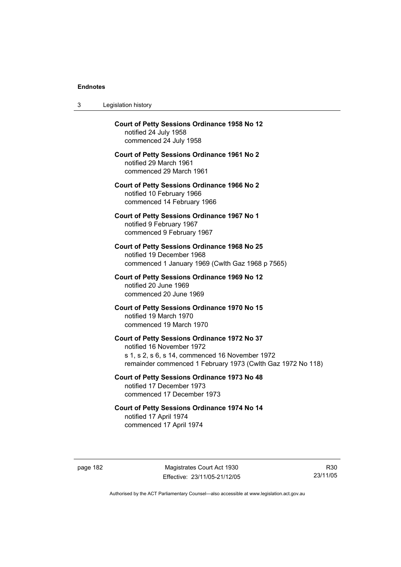$3<sub>l</sub>$ 

| 3        | Legislation history                                                                                                                                                                         |
|----------|---------------------------------------------------------------------------------------------------------------------------------------------------------------------------------------------|
|          | <b>Court of Petty Sessions Ordinance 1958 No 12</b><br>notified 24 July 1958<br>commenced 24 July 1958                                                                                      |
|          | <b>Court of Petty Sessions Ordinance 1961 No 2</b><br>notified 29 March 1961<br>commenced 29 March 1961                                                                                     |
|          | <b>Court of Petty Sessions Ordinance 1966 No 2</b><br>notified 10 February 1966<br>commenced 14 February 1966                                                                               |
|          | <b>Court of Petty Sessions Ordinance 1967 No 1</b><br>notified 9 February 1967<br>commenced 9 February 1967                                                                                 |
|          | <b>Court of Petty Sessions Ordinance 1968 No 25</b><br>notified 19 December 1968<br>commenced 1 January 1969 (Cwith Gaz 1968 p 7565)                                                        |
|          | <b>Court of Petty Sessions Ordinance 1969 No 12</b><br>notified 20 June 1969<br>commenced 20 June 1969                                                                                      |
|          | Court of Petty Sessions Ordinance 1970 No 15<br>notified 19 March 1970<br>commenced 19 March 1970                                                                                           |
|          | Court of Petty Sessions Ordinance 1972 No 37<br>notified 16 November 1972<br>s 1, s 2, s 6, s 14, commenced 16 November 1972<br>remainder commenced 1 February 1973 (Cwlth Gaz 1972 No 118) |
|          | Court of Petty Sessions Ordinance 1973 No 48<br>notified 17 December 1973<br>commenced 17 December 1973                                                                                     |
|          | Court of Petty Sessions Ordinance 1974 No 14<br>notified 17 April 1974<br>commenced 17 April 1974                                                                                           |
| page 182 | Magistrates Court Act 1930<br>23/1<br>Effective: 23/11/05-21/12/05                                                                                                                          |

R30 23/11/05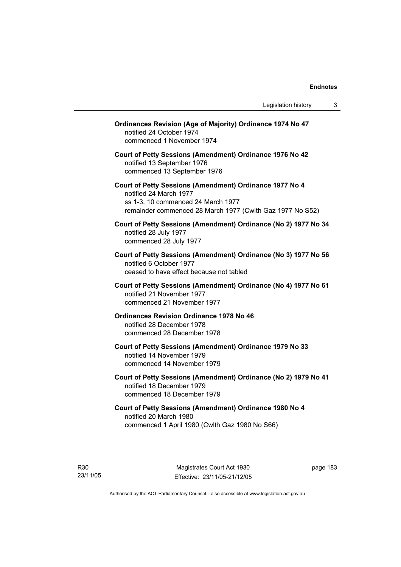| <b>Ordinances Revision (Age of Majority) Ordinance 1974 No 47</b><br>notified 24 October 1974<br>commenced 1 November 1974                                                           |
|--------------------------------------------------------------------------------------------------------------------------------------------------------------------------------------|
| Court of Petty Sessions (Amendment) Ordinance 1976 No 42<br>notified 13 September 1976<br>commenced 13 September 1976                                                                |
| Court of Petty Sessions (Amendment) Ordinance 1977 No 4<br>notified 24 March 1977<br>ss 1-3, 10 commenced 24 March 1977<br>remainder commenced 28 March 1977 (Cwlth Gaz 1977 No S52) |
| Court of Petty Sessions (Amendment) Ordinance (No 2) 1977 No 34<br>notified 28 July 1977<br>commenced 28 July 1977                                                                   |
| Court of Petty Sessions (Amendment) Ordinance (No 3) 1977 No 56<br>notified 6 October 1977<br>ceased to have effect because not tabled                                               |
| Court of Petty Sessions (Amendment) Ordinance (No 4) 1977 No 61<br>notified 21 November 1977<br>commenced 21 November 1977                                                           |
| <b>Ordinances Revision Ordinance 1978 No 46</b><br>notified 28 December 1978<br>commenced 28 December 1978                                                                           |
| Court of Petty Sessions (Amendment) Ordinance 1979 No 33<br>notified 14 November 1979<br>commenced 14 November 1979                                                                  |
| Court of Petty Sessions (Amendment) Ordinance (No 2) 1979 No 41<br>notified 18 December 1979<br>commenced 18 December 1979                                                           |
| Court of Petty Sessions (Amendment) Ordinance 1980 No 4<br>notified 20 March 1980<br>commenced 1 April 1980 (Cwlth Gaz 1980 No S66)                                                  |
|                                                                                                                                                                                      |

R30 23/11/05

Magistrates Court Act 1930 Effective: 23/11/05-21/12/05 page 183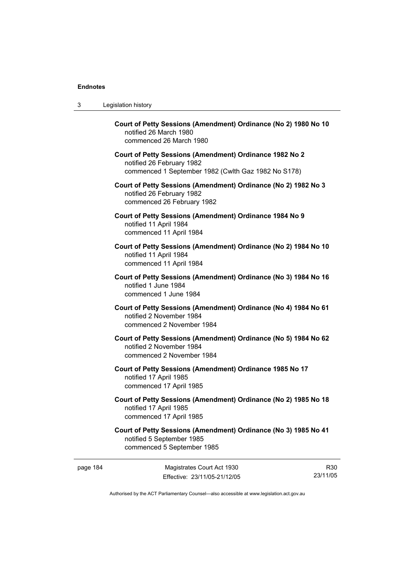| 3 | Legislation history                                                                                                                         |
|---|---------------------------------------------------------------------------------------------------------------------------------------------|
|   | Court of Petty Sessions (Amendment) Ordinance (No 2) 1980 No 10<br>notified 26 March 1980<br>commenced 26 March 1980                        |
|   | Court of Petty Sessions (Amendment) Ordinance 1982 No 2<br>notified 26 February 1982<br>commenced 1 September 1982 (Cwlth Gaz 1982 No S178) |
|   | Court of Petty Sessions (Amendment) Ordinance (No 2) 1982 No 3<br>notified 26 February 1982<br>commenced 26 February 1982                   |
|   | Court of Petty Sessions (Amendment) Ordinance 1984 No 9<br>notified 11 April 1984<br>commenced 11 April 1984                                |
|   | Court of Petty Sessions (Amendment) Ordinance (No 2) 1984 No 10<br>notified 11 April 1984<br>commenced 11 April 1984                        |
|   | Court of Petty Sessions (Amendment) Ordinance (No 3) 1984 No 16<br>notified 1 June 1984<br>commenced 1 June 1984                            |
|   | Court of Petty Sessions (Amendment) Ordinance (No 4) 1984 No 61<br>notified 2 November 1984<br>commenced 2 November 1984                    |
|   | Court of Petty Sessions (Amendment) Ordinance (No 5) 1984 No 62<br>notified 2 November 1984<br>commenced 2 November 1984                    |
|   | Court of Petty Sessions (Amendment) Ordinance 1985 No 17<br>notified 17 April 1985<br>commenced 17 April 1985                               |
|   | Court of Petty Sessions (Amendment) Ordinance (No 2) 1985 No 18<br>notified 17 April 1985<br>commenced 17 April 1985                        |
|   | Court of Petty Sessions (Amendment) Ordinance (No 3) 1985 No 41<br>notified 5 September 1985<br>commenced 5 September 1985                  |

page 184 Magistrates Court Act 1930 Effective: 23/11/05-21/12/05

R30 23/11/05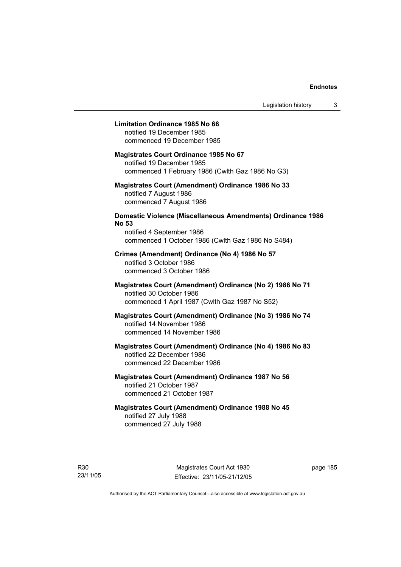#### **Limitation Ordinance 1985 No 66**

notified 19 December 1985 commenced 19 December 1985

#### **Magistrates Court Ordinance 1985 No 67**

notified 19 December 1985 commenced 1 February 1986 (Cwlth Gaz 1986 No G3)

#### **Magistrates Court (Amendment) Ordinance 1986 No 33**  notified 7 August 1986 commenced 7 August 1986

# **Domestic Violence (Miscellaneous Amendments) Ordinance 1986 No 53**

notified 4 September 1986 commenced 1 October 1986 (Cwlth Gaz 1986 No S484)

# **Crimes (Amendment) Ordinance (No 4) 1986 No 57**  notified 3 October 1986

commenced 3 October 1986

#### **Magistrates Court (Amendment) Ordinance (No 2) 1986 No 71**  notified 30 October 1986 commenced 1 April 1987 (Cwlth Gaz 1987 No S52)

#### **Magistrates Court (Amendment) Ordinance (No 3) 1986 No 74**  notified 14 November 1986 commenced 14 November 1986

# **Magistrates Court (Amendment) Ordinance (No 4) 1986 No 83**  notified 22 December 1986 commenced 22 December 1986

# **Magistrates Court (Amendment) Ordinance 1987 No 56**  notified 21 October 1987 commenced 21 October 1987

# **Magistrates Court (Amendment) Ordinance 1988 No 45**  notified 27 July 1988 commenced 27 July 1988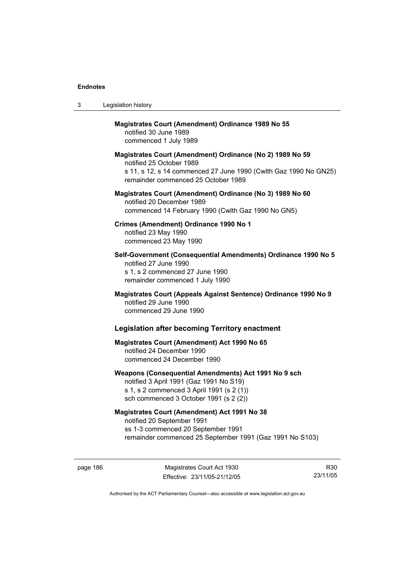| 3 | Legislation history                                                                                                                                                                              |
|---|--------------------------------------------------------------------------------------------------------------------------------------------------------------------------------------------------|
|   | <b>Magistrates Court (Amendment) Ordinance 1989 No 55</b><br>notified 30 June 1989<br>commenced 1 July 1989                                                                                      |
|   | Magistrates Court (Amendment) Ordinance (No 2) 1989 No 59<br>notified 25 October 1989<br>s 11, s 12, s 14 commenced 27 June 1990 (Cwlth Gaz 1990 No GN25)<br>remainder commenced 25 October 1989 |
|   | Magistrates Court (Amendment) Ordinance (No 3) 1989 No 60<br>notified 20 December 1989<br>commenced 14 February 1990 (Cwlth Gaz 1990 No GN5)                                                     |
|   | Crimes (Amendment) Ordinance 1990 No 1<br>notified 23 May 1990<br>commenced 23 May 1990                                                                                                          |
|   | Self-Government (Consequential Amendments) Ordinance 1990 No 5<br>notified 27 June 1990<br>s 1, s 2 commenced 27 June 1990<br>remainder commenced 1 July 1990                                    |
|   | Magistrates Court (Appeals Against Sentence) Ordinance 1990 No 9<br>notified 29 June 1990<br>commenced 29 June 1990                                                                              |
|   | <b>Legislation after becoming Territory enactment</b>                                                                                                                                            |
|   | <b>Magistrates Court (Amendment) Act 1990 No 65</b><br>notified 24 December 1990<br>commenced 24 December 1990                                                                                   |
|   | Weapons (Consequential Amendments) Act 1991 No 9 sch<br>notified 3 April 1991 (Gaz 1991 No S19)<br>s 1, s 2 commenced 3 April 1991 (s 2 (1))<br>sch commenced 3 October 1991 (s 2 (2))           |
|   | <b>Magistrates Court (Amendment) Act 1991 No 38</b><br>notified 20 September 1991<br>ss 1-3 commenced 20 September 1991<br>remainder commenced 25 September 1991 (Gaz 1991 No S103)              |

page 186 Magistrates Court Act 1930 Effective: 23/11/05-21/12/05

R30 23/11/05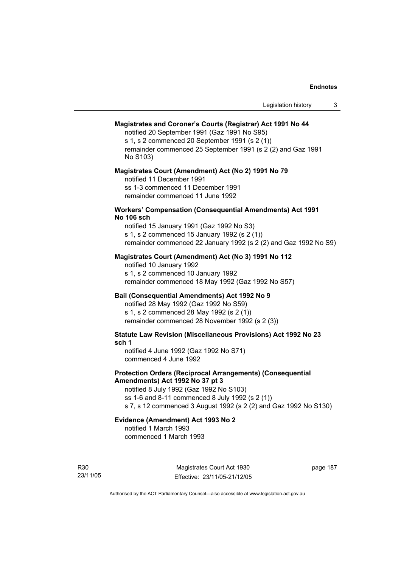#### **Magistrates and Coroner's Courts (Registrar) Act 1991 No 44**

notified 20 September 1991 (Gaz 1991 No S95) s 1, s 2 commenced 20 September 1991 (s 2 (1)) remainder commenced 25 September 1991 (s 2 (2) and Gaz 1991 No S103)

#### **Magistrates Court (Amendment) Act (No 2) 1991 No 79**

notified 11 December 1991 ss 1-3 commenced 11 December 1991 remainder commenced 11 June 1992

#### **Workers' Compensation (Consequential Amendments) Act 1991 No 106 sch**

notified 15 January 1991 (Gaz 1992 No S3) s 1, s 2 commenced 15 January 1992 (s 2 (1)) remainder commenced 22 January 1992 (s 2 (2) and Gaz 1992 No S9)

#### **Magistrates Court (Amendment) Act (No 3) 1991 No 112**

notified 10 January 1992 s 1, s 2 commenced 10 January 1992 remainder commenced 18 May 1992 (Gaz 1992 No S57)

### **Bail (Consequential Amendments) Act 1992 No 9**

notified 28 May 1992 (Gaz 1992 No S59) s 1, s 2 commenced 28 May 1992 (s 2 (1)) remainder commenced 28 November 1992 (s 2 (3))

**Statute Law Revision (Miscellaneous Provisions) Act 1992 No 23 sch 1** 

notified 4 June 1992 (Gaz 1992 No S71) commenced 4 June 1992

#### **Protection Orders (Reciprocal Arrangements) (Consequential Amendments) Act 1992 No 37 pt 3**

notified 8 July 1992 (Gaz 1992 No S103) ss 1-6 and 8-11 commenced 8 July 1992 (s 2 (1)) s 7, s 12 commenced 3 August 1992 (s 2 (2) and Gaz 1992 No S130)

# **Evidence (Amendment) Act 1993 No 2**

notified 1 March 1993 commenced 1 March 1993

R30 23/11/05

Magistrates Court Act 1930 Effective: 23/11/05-21/12/05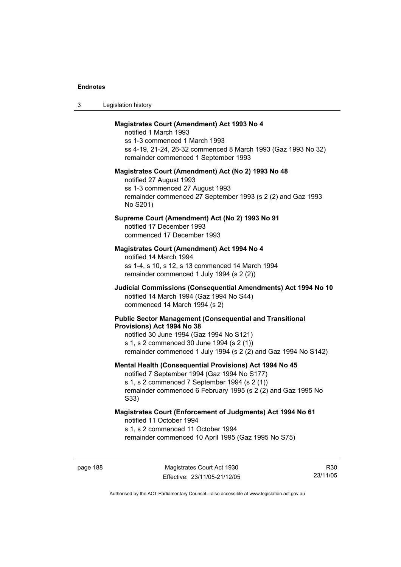| Legislation history<br>-3 |  |
|---------------------------|--|
|---------------------------|--|

#### **Magistrates Court (Amendment) Act 1993 No 4**

notified 1 March 1993 ss 1-3 commenced 1 March 1993 ss 4-19, 21-24, 26-32 commenced 8 March 1993 (Gaz 1993 No 32) remainder commenced 1 September 1993

#### **Magistrates Court (Amendment) Act (No 2) 1993 No 48**

notified 27 August 1993 ss 1-3 commenced 27 August 1993 remainder commenced 27 September 1993 (s 2 (2) and Gaz 1993 No S201)

#### **Supreme Court (Amendment) Act (No 2) 1993 No 91**

notified 17 December 1993 commenced 17 December 1993

#### **Magistrates Court (Amendment) Act 1994 No 4**

notified 14 March 1994 ss 1-4, s 10, s 12, s 13 commenced 14 March 1994 remainder commenced 1 July 1994 (s 2 (2))

#### **Judicial Commissions (Consequential Amendments) Act 1994 No 10**  notified 14 March 1994 (Gaz 1994 No S44) commenced 14 March 1994 (s 2)

#### **Public Sector Management (Consequential and Transitional Provisions) Act 1994 No 38**

notified 30 June 1994 (Gaz 1994 No S121) s 1, s 2 commenced 30 June 1994 (s 2 (1)) remainder commenced 1 July 1994 (s 2 (2) and Gaz 1994 No S142)

#### **Mental Health (Consequential Provisions) Act 1994 No 45**

notified 7 September 1994 (Gaz 1994 No S177) s 1, s 2 commenced 7 September 1994 (s 2 (1)) remainder commenced 6 February 1995 (s 2 (2) and Gaz 1995 No S33)

#### **Magistrates Court (Enforcement of Judgments) Act 1994 No 61**  notified 11 October 1994

s 1, s 2 commenced 11 October 1994

remainder commenced 10 April 1995 (Gaz 1995 No S75)

R30 23/11/05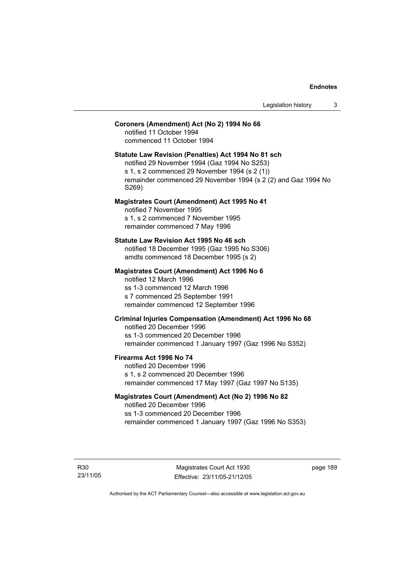#### **Coroners (Amendment) Act (No 2) 1994 No 66**

notified 11 October 1994 commenced 11 October 1994

#### **Statute Law Revision (Penalties) Act 1994 No 81 sch**

notified 29 November 1994 (Gaz 1994 No S253) s 1, s 2 commenced 29 November 1994 (s 2 (1)) remainder commenced 29 November 1994 (s 2 (2) and Gaz 1994 No S269)

#### **Magistrates Court (Amendment) Act 1995 No 41**

notified 7 November 1995 s 1, s 2 commenced 7 November 1995 remainder commenced 7 May 1996

#### **Statute Law Revision Act 1995 No 46 sch**

notified 18 December 1995 (Gaz 1995 No S306) amdts commenced 18 December 1995 (s 2)

#### **Magistrates Court (Amendment) Act 1996 No 6**

notified 12 March 1996 ss 1-3 commenced 12 March 1996 s 7 commenced 25 September 1991 remainder commenced 12 September 1996

# **Criminal Injuries Compensation (Amendment) Act 1996 No 68**

notified 20 December 1996 ss 1-3 commenced 20 December 1996 remainder commenced 1 January 1997 (Gaz 1996 No S352)

#### **Firearms Act 1996 No 74**

notified 20 December 1996 s 1, s 2 commenced 20 December 1996 remainder commenced 17 May 1997 (Gaz 1997 No S135)

# **Magistrates Court (Amendment) Act (No 2) 1996 No 82**

notified 20 December 1996 ss 1-3 commenced 20 December 1996 remainder commenced 1 January 1997 (Gaz 1996 No S353)

R30 23/11/05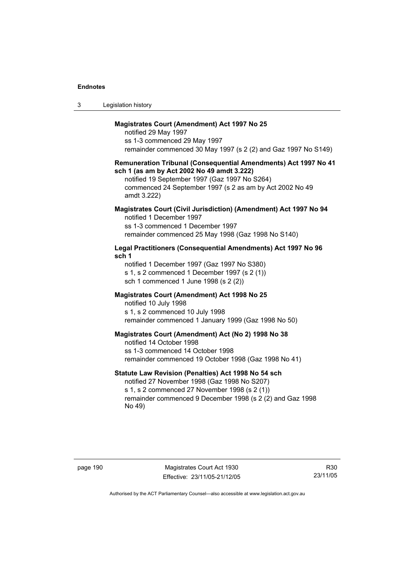| Legislation history<br>3 |  |
|--------------------------|--|
|--------------------------|--|

#### **Magistrates Court (Amendment) Act 1997 No 25**

notified 29 May 1997 ss 1-3 commenced 29 May 1997 remainder commenced 30 May 1997 (s 2 (2) and Gaz 1997 No S149)

#### **Remuneration Tribunal (Consequential Amendments) Act 1997 No 41 sch 1 (as am by Act 2002 No 49 amdt 3.222)**

notified 19 September 1997 (Gaz 1997 No S264) commenced 24 September 1997 (s 2 as am by Act 2002 No 49 amdt 3.222)

#### **Magistrates Court (Civil Jurisdiction) (Amendment) Act 1997 No 94**  notified 1 December 1997

ss 1-3 commenced 1 December 1997 remainder commenced 25 May 1998 (Gaz 1998 No S140)

#### **Legal Practitioners (Consequential Amendments) Act 1997 No 96 sch 1**

notified 1 December 1997 (Gaz 1997 No S380) s 1, s 2 commenced 1 December 1997 (s 2 (1)) sch 1 commenced 1 June 1998 (s 2 (2))

### **Magistrates Court (Amendment) Act 1998 No 25**

notified 10 July 1998 s 1, s 2 commenced 10 July 1998 remainder commenced 1 January 1999 (Gaz 1998 No 50)

#### **Magistrates Court (Amendment) Act (No 2) 1998 No 38**

notified 14 October 1998 ss 1-3 commenced 14 October 1998 remainder commenced 19 October 1998 (Gaz 1998 No 41)

#### **Statute Law Revision (Penalties) Act 1998 No 54 sch**

notified 27 November 1998 (Gaz 1998 No S207) s 1, s 2 commenced 27 November 1998 (s 2 (1)) remainder commenced 9 December 1998 (s 2 (2) and Gaz 1998 No 49)

page 190 Magistrates Court Act 1930 Effective: 23/11/05-21/12/05

R30 23/11/05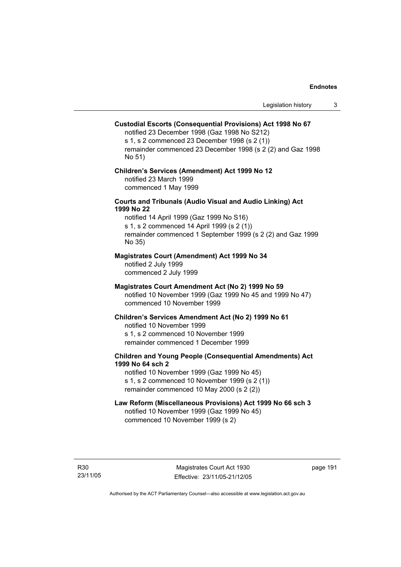# **Custodial Escorts (Consequential Provisions) Act 1998 No 67**

notified 23 December 1998 (Gaz 1998 No S212) s 1, s 2 commenced 23 December 1998 (s 2 (1)) remainder commenced 23 December 1998 (s 2 (2) and Gaz 1998 No 51)

#### **Children's Services (Amendment) Act 1999 No 12**  notified 23 March 1999 commenced 1 May 1999

#### **Courts and Tribunals (Audio Visual and Audio Linking) Act 1999 No 22**

notified 14 April 1999 (Gaz 1999 No S16) s 1, s 2 commenced 14 April 1999 (s 2 (1)) remainder commenced 1 September 1999 (s 2 (2) and Gaz 1999 No 35)

#### **Magistrates Court (Amendment) Act 1999 No 34**

notified 2 July 1999 commenced 2 July 1999

#### **Magistrates Court Amendment Act (No 2) 1999 No 59**

notified 10 November 1999 (Gaz 1999 No 45 and 1999 No 47) commenced 10 November 1999

#### **Children's Services Amendment Act (No 2) 1999 No 61**

notified 10 November 1999 s 1, s 2 commenced 10 November 1999 remainder commenced 1 December 1999

## **Children and Young People (Consequential Amendments) Act 1999 No 64 sch 2**

notified 10 November 1999 (Gaz 1999 No 45) s 1, s 2 commenced 10 November 1999 (s 2 (1)) remainder commenced 10 May 2000 (s 2 (2))

# **Law Reform (Miscellaneous Provisions) Act 1999 No 66 sch 3**

notified 10 November 1999 (Gaz 1999 No 45) commenced 10 November 1999 (s 2)

R30 23/11/05

Magistrates Court Act 1930 Effective: 23/11/05-21/12/05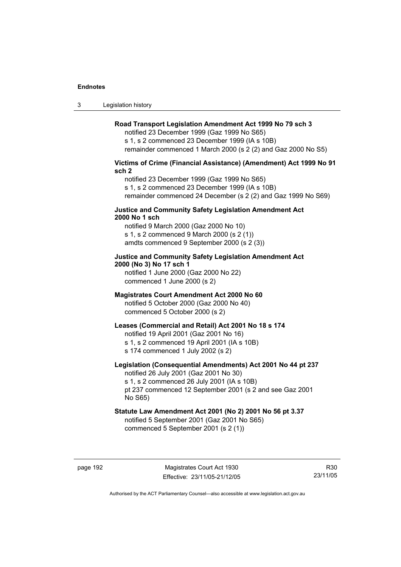3 Legislation history

#### **Road Transport Legislation Amendment Act 1999 No 79 sch 3**

notified 23 December 1999 (Gaz 1999 No S65) s 1, s 2 commenced 23 December 1999 (IA s 10B) remainder commenced 1 March 2000 (s 2 (2) and Gaz 2000 No S5)

### **Victims of Crime (Financial Assistance) (Amendment) Act 1999 No 91 sch 2**

notified 23 December 1999 (Gaz 1999 No S65) s 1, s 2 commenced 23 December 1999 (IA s 10B) remainder commenced 24 December (s 2 (2) and Gaz 1999 No S69)

#### **Justice and Community Safety Legislation Amendment Act 2000 No 1 sch**

notified 9 March 2000 (Gaz 2000 No 10) s 1, s 2 commenced 9 March 2000 (s 2 (1)) amdts commenced 9 September 2000 (s 2 (3))

# **Justice and Community Safety Legislation Amendment Act 2000 (No 3) No 17 sch 1**

notified 1 June 2000 (Gaz 2000 No 22) commenced 1 June 2000 (s 2)

#### **Magistrates Court Amendment Act 2000 No 60**

notified 5 October 2000 (Gaz 2000 No 40) commenced 5 October 2000 (s 2)

#### **Leases (Commercial and Retail) Act 2001 No 18 s 174**

notified 19 April 2001 (Gaz 2001 No 16)

s 1, s 2 commenced 19 April 2001 (IA s 10B)

s 174 commenced 1 July 2002 (s 2)

# **Legislation (Consequential Amendments) Act 2001 No 44 pt 237**

notified 26 July 2001 (Gaz 2001 No 30) s 1, s 2 commenced 26 July 2001 (IA s 10B)

pt 237 commenced 12 September 2001 (s 2 and see Gaz 2001 No S65)

# **Statute Law Amendment Act 2001 (No 2) 2001 No 56 pt 3.37**

notified 5 September 2001 (Gaz 2001 No S65) commenced 5 September 2001 (s 2 (1))

R30 23/11/05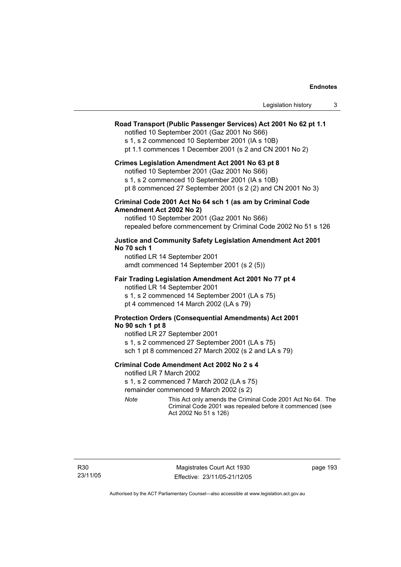| Legislation history |  |
|---------------------|--|
|---------------------|--|

#### **Road Transport (Public Passenger Services) Act 2001 No 62 pt 1.1**

notified 10 September 2001 (Gaz 2001 No S66)

s 1, s 2 commenced 10 September 2001 (IA s 10B)

pt 1.1 commences 1 December 2001 (s 2 and CN 2001 No 2)

#### **Crimes Legislation Amendment Act 2001 No 63 pt 8**

notified 10 September 2001 (Gaz 2001 No S66)

s 1, s 2 commenced 10 September 2001 (IA s 10B)

pt 8 commenced 27 September 2001 (s 2 (2) and CN 2001 No 3)

#### **Criminal Code 2001 Act No 64 sch 1 (as am by Criminal Code Amendment Act 2002 No 2)**

notified 10 September 2001 (Gaz 2001 No S66) repealed before commencement by Criminal Code 2002 No 51 s 126

#### **Justice and Community Safety Legislation Amendment Act 2001 No 70 sch 1**

notified LR 14 September 2001 amdt commenced 14 September 2001 (s 2 (5))

#### **Fair Trading Legislation Amendment Act 2001 No 77 pt 4**

notified LR 14 September 2001 s 1, s 2 commenced 14 September 2001 (LA s 75) pt 4 commenced 14 March 2002 (LA s 79)

#### **Protection Orders (Consequential Amendments) Act 2001 No 90 sch 1 pt 8**

notified LR 27 September 2001 s 1, s 2 commenced 27 September 2001 (LA s 75) sch 1 pt 8 commenced 27 March 2002 (s 2 and LA s 79)

#### **Criminal Code Amendment Act 2002 No 2 s 4**

notified LR 7 March 2002

s 1, s 2 commenced 7 March 2002 (LA s 75)

remainder commenced 9 March 2002 (s 2)

*Note* This Act only amends the Criminal Code 2001 Act No 64. The Criminal Code 2001 was repealed before it commenced (see Act 2002 No 51 s 126)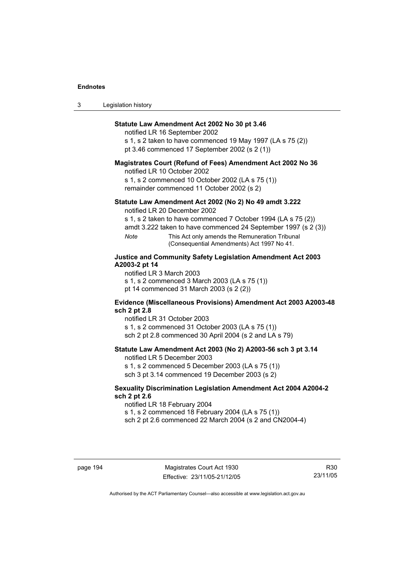| 3 | Legislation history |  |
|---|---------------------|--|
|---|---------------------|--|

#### **Statute Law Amendment Act 2002 No 30 pt 3.46**

notified LR 16 September 2002

s 1, s 2 taken to have commenced 19 May 1997 (LA s 75 (2)) pt 3.46 commenced 17 September 2002 (s 2 (1))

#### **Magistrates Court (Refund of Fees) Amendment Act 2002 No 36**

notified LR 10 October 2002

s 1, s 2 commenced 10 October 2002 (LA s 75 (1)) remainder commenced 11 October 2002 (s 2)

#### **Statute Law Amendment Act 2002 (No 2) No 49 amdt 3.222**

notified LR 20 December 2002

s 1, s 2 taken to have commenced 7 October 1994 (LA s 75 (2))

amdt 3.222 taken to have commenced 24 September 1997 (s 2 (3))

*Note* This Act only amends the Remuneration Tribunal (Consequential Amendments) Act 1997 No 41.

#### **Justice and Community Safety Legislation Amendment Act 2003 A2003-2 pt 14**

notified LR 3 March 2003

s 1, s 2 commenced 3 March 2003 (LA s 75 (1)) pt 14 commenced 31 March 2003 (s 2 (2))

## **Evidence (Miscellaneous Provisions) Amendment Act 2003 A2003-48 sch 2 pt 2.8**

notified LR 31 October 2003

s 1, s 2 commenced 31 October 2003 (LA s 75 (1)) sch 2 pt 2.8 commenced 30 April 2004 (s 2 and LA s 79)

# **Statute Law Amendment Act 2003 (No 2) A2003-56 sch 3 pt 3.14**

notified LR 5 December 2003 s 1, s 2 commenced 5 December 2003 (LA s 75 (1))

sch 3 pt 3.14 commenced 19 December 2003 (s 2)

#### **Sexuality Discrimination Legislation Amendment Act 2004 A2004-2 sch 2 pt 2.6**

notified LR 18 February 2004

s 1, s 2 commenced 18 February 2004 (LA s 75 (1))

sch 2 pt 2.6 commenced 22 March 2004 (s 2 and CN2004-4)

R30 23/11/05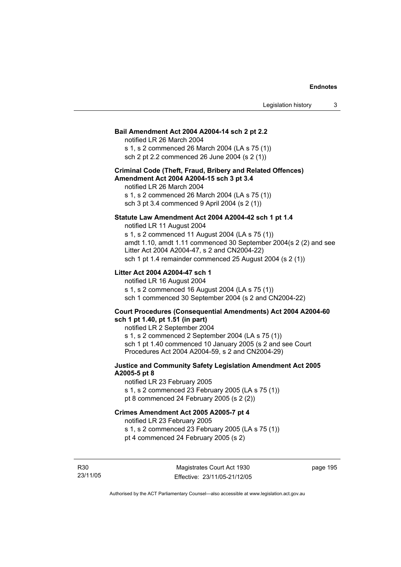#### **Bail Amendment Act 2004 A2004-14 sch 2 pt 2.2**

notified LR 26 March 2004 s 1, s 2 commenced 26 March 2004 (LA s 75 (1))

sch 2 pt 2.2 commenced 26 June 2004 (s 2 (1))

#### **Criminal Code (Theft, Fraud, Bribery and Related Offences) Amendment Act 2004 A2004-15 sch 3 pt 3.4**

notified LR 26 March 2004 s 1, s 2 commenced 26 March 2004 (LA s 75 (1)) sch 3 pt 3.4 commenced 9 April 2004 (s 2 (1))

#### **Statute Law Amendment Act 2004 A2004-42 sch 1 pt 1.4**

notified LR 11 August 2004 s 1, s 2 commenced 11 August 2004 (LA s 75 (1)) amdt 1.10, amdt 1.11 commenced 30 September 2004(s 2 (2) and see Litter Act 2004 A2004-47, s 2 and CN2004-22) sch 1 pt 1.4 remainder commenced 25 August 2004 (s 2 (1))

#### **Litter Act 2004 A2004-47 sch 1**

notified LR 16 August 2004 s 1, s 2 commenced 16 August 2004 (LA s 75 (1)) sch 1 commenced 30 September 2004 (s 2 and CN2004-22)

#### **Court Procedures (Consequential Amendments) Act 2004 A2004-60 sch 1 pt 1.40, pt 1.51 (in part)**

notified LR 2 September 2004 s 1, s 2 commenced 2 September 2004 (LA s 75 (1)) sch 1 pt 1.40 commenced 10 January 2005 (s 2 and see Court Procedures Act 2004 A2004-59, s 2 and CN2004-29)

### **Justice and Community Safety Legislation Amendment Act 2005 A2005-5 pt 8**

notified LR 23 February 2005 s 1, s 2 commenced 23 February 2005 (LA s 75 (1)) pt 8 commenced 24 February 2005 (s 2 (2))

### **Crimes Amendment Act 2005 A2005-7 pt 4**

notified LR 23 February 2005

s 1, s 2 commenced 23 February 2005 (LA s 75 (1)) pt 4 commenced 24 February 2005 (s 2)

R30 23/11/05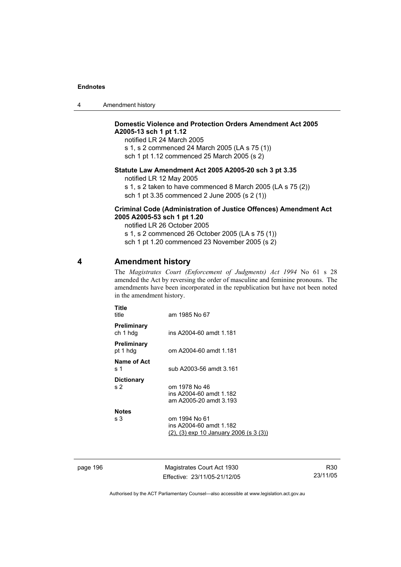| 4 | Amendment history |
|---|-------------------|
|---|-------------------|

# **Domestic Violence and Protection Orders Amendment Act 2005 A2005-13 sch 1 pt 1.12**

notified LR 24 March 2005 s 1, s 2 commenced 24 March 2005 (LA s 75 (1)) sch 1 pt 1.12 commenced 25 March 2005 (s 2)

# **Statute Law Amendment Act 2005 A2005-20 sch 3 pt 3.35**

notified LR 12 May 2005

s 1, s 2 taken to have commenced 8 March 2005 (LA s 75 (2)) sch 1 pt 3.35 commenced 2 June 2005 (s 2 (1))

#### **Criminal Code (Administration of Justice Offences) Amendment Act 2005 A2005-53 sch 1 pt 1.20**

notified LR 26 October 2005 s 1, s 2 commenced 26 October 2005 (LA s 75 (1)) sch 1 pt 1.20 commenced 23 November 2005 (s 2)

# **4 Amendment history**

The *Magistrates Court (Enforcement of Judgments) Act 1994* No 61 s 28 amended the Act by reversing the order of masculine and feminine pronouns. The amendments have been incorporated in the republication but have not been noted in the amendment history.

| Title<br>title                      | am 1985 No 67                                                                      |
|-------------------------------------|------------------------------------------------------------------------------------|
| Preliminary<br>ch 1 hdg             | ins A2004-60 amdt 1.181                                                            |
| Preliminary<br>pt 1 hdg             | om A2004-60 amdt 1.181                                                             |
| Name of Act<br>s 1                  | sub A2003-56 amdt 3.161                                                            |
| <b>Dictionary</b><br>s <sub>2</sub> | om 1978 No 46<br>ins A2004-60 amdt 1.182<br>am A2005-20 amdt 3.193                 |
| <b>Notes</b><br>s 3                 | om 1994 No 61<br>ins A2004-60 amdt 1.182<br>(2), (3) exp 10 January 2006 (s 3 (3)) |

page 196 Magistrates Court Act 1930 Effective: 23/11/05-21/12/05

R30 23/11/05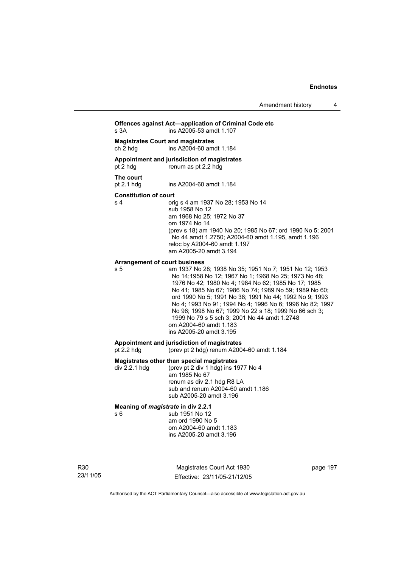**Offences against Act—application of Criminal Code etc**  s 3A ins A2005-53 amdt 1.107 **Magistrates Court and magistrates**  ch 2 hdg ins A2004-60 amdt 1.184

# **Appointment and jurisdiction of magistrates**

pt 2 hdg renum as pt 2.2 hdg

#### **The court**

pt 2.1 hdg ins A2004-60 amdt 1.184

#### **Constitution of court**

s 4 orig s 4 am 1937 No 28; 1953 No 14 sub 1958 No 12 am 1968 No 25; 1972 No 37 om 1974 No 14 (prev s 18) am 1940 No 20; 1985 No 67; ord 1990 No 5; 2001 No 44 amdt 1.2750; A2004-60 amdt 1.195, amdt 1.196 reloc by A2004-60 amdt 1.197 am A2005-20 amdt 3.194

#### **Arrangement of court business**

s 5 am 1937 No 28; 1938 No 35; 1951 No 7; 1951 No 12; 1953 No 14;1958 No 12; 1967 No 1; 1968 No 25; 1973 No 48; 1976 No 42; 1980 No 4; 1984 No 62; 1985 No 17; 1985 No 41; 1985 No 67; 1986 No 74; 1989 No 59; 1989 No 60; ord 1990 No 5; 1991 No 38; 1991 No 44; 1992 No 9; 1993 No 4; 1993 No 91; 1994 No 4; 1996 No 6; 1996 No 82; 1997 No 96; 1998 No 67; 1999 No 22 s 18; 1999 No 66 sch 3; 1999 No 79 s 5 sch 3; 2001 No 44 amdt 1.2748 om A2004-60 amdt 1.183 ins A2005-20 amdt 3.195

# **Appointment and jurisdiction of magistrates**

(prev pt 2 hdg) renum A2004-60 amdt  $1.184$ 

#### **Magistrates other than special magistrates**

div 2.2.1 hdg (prev pt 2 div 1 hdg) ins 1977 No 4 am 1985 No 67 renum as div 2.1 hdg R8 LA sub and renum A2004-60 amdt 1.186 sub A2005-20 amdt 3.196

#### **Meaning of** *magistrate* **in div 2.2.1**

s 6 sub 1951 No 12 am ord 1990 No 5 om A2004-60 amdt 1.183 ins A2005-20 amdt 3.196

R30 23/11/05

Magistrates Court Act 1930 Effective: 23/11/05-21/12/05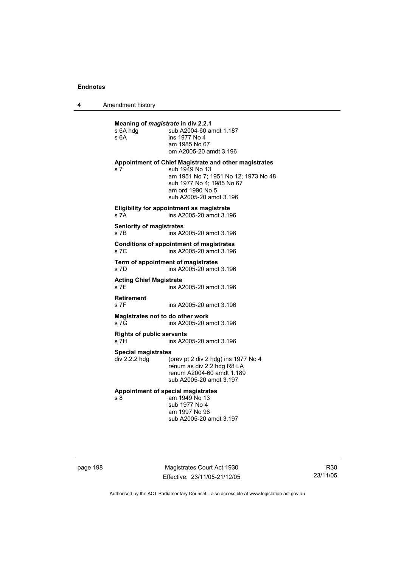4 Amendment history

| Meaning of <i>magistrate</i> in div 2.2.1<br>s 6A hdg<br>s 6A | sub A2004-60 amdt 1.187<br>ins 1977 No 4<br>am 1985 No 67<br>om A2005-20 amdt 3.196                                                                                                         |
|---------------------------------------------------------------|---------------------------------------------------------------------------------------------------------------------------------------------------------------------------------------------|
| s <sub>7</sub>                                                | Appointment of Chief Magistrate and other magistrates<br>sub 1949 No 13<br>am 1951 No 7; 1951 No 12; 1973 No 48<br>sub 1977 No 4; 1985 No 67<br>am ord 1990 No 5<br>sub A2005-20 amdt 3.196 |
| s 7A                                                          | Eligibility for appointment as magistrate<br>ins A2005-20 amdt 3.196                                                                                                                        |
| <b>Seniority of magistrates</b><br>s 7B                       | ins A2005-20 amdt 3.196                                                                                                                                                                     |
| S7C                                                           | <b>Conditions of appointment of magistrates</b><br>ins A2005-20 amdt 3.196                                                                                                                  |
| s 7D                                                          | Term of appointment of magistrates<br>ins A2005-20 amdt 3.196                                                                                                                               |
| <b>Acting Chief Magistrate</b><br>S 7F                        | ins A2005-20 amdt 3.196                                                                                                                                                                     |
| <b>Retirement</b><br>s 7F                                     | ins A2005-20 amdt 3.196                                                                                                                                                                     |
| Magistrates not to do other work<br>s 7G                      | ins A2005-20 amdt 3.196                                                                                                                                                                     |
| <b>Rights of public servants</b><br>s 7H                      | ins A2005-20 amdt 3.196                                                                                                                                                                     |
| <b>Special magistrates</b><br>div 2.2.2 hdg                   | (prev pt 2 div 2 hdg) ins 1977 No 4<br>renum as div 2.2 hdg R8 LA<br>renum A2004-60 amdt 1.189<br>sub A2005-20 amdt 3.197                                                                   |
| s 8                                                           | Appointment of special magistrates<br>am 1949 No 13<br>sub 1977 No 4<br>am 1997 No 96<br>sub A2005-20 amdt 3.197                                                                            |

page 198 Magistrates Court Act 1930 Effective: 23/11/05-21/12/05

R30 23/11/05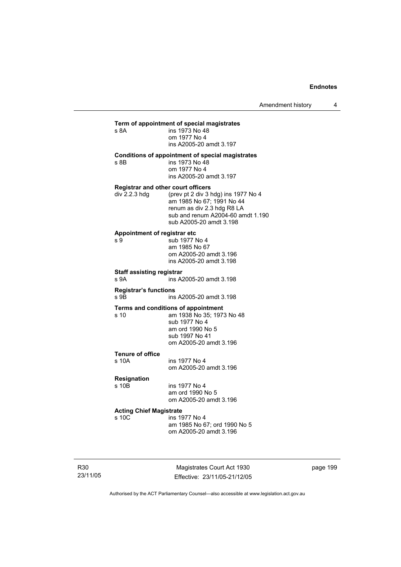Amendment history 4

#### **Term of appointment of special magistrates**  s 8A

| s 8A | ins 1973 No 48          |
|------|-------------------------|
|      | om 1977 No 4            |
|      | ins A2005-20 amdt 3.197 |
|      |                         |

#### **Conditions of appointment of special magistrates**

s 8B ins 1973 No 48 om 1977 No 4 ins A2005-20 amdt 3.197

#### **Registrar and other court officers**

| div 2.2.3 hdq | (prev pt 2 div 3 hdg) ins 1977 No 4 |
|---------------|-------------------------------------|
|               | am 1985 No 67: 1991 No 44           |
|               | renum as div 2.3 hdg R8 LA          |
|               | sub and renum A2004-60 amdt 1.190   |
|               | sub A2005-20 amdt 3.198             |

# **Appointment of registrar etc**

 $sub$  1977 No 4 am 1985 No 67 om A2005-20 amdt 3.196 ins A2005-20 amdt 3.198

#### **Staff assisting registrar**

s 9A ins A2005-20 amdt 3.198

#### **Registrar's functions**  ins A2005-20 amdt 3.198

# **Terms and conditions of appointment**<br>
s 10 am 1938 No 35: 1973

am 1938 No 35; 1973 No 48 sub 1977 No 4 am ord 1990 No 5 sub 1997 No 41 om A2005-20 amdt 3.196

#### **Tenure of office**

s 10A ins 1977 No 4 om A2005-20 amdt 3.196

# **Resignation**

s 10B ins 1977 No 4 am ord 1990 No 5 om A2005-20 amdt 3.196

# **Acting Chief Magistrate**

ins 1977 No 4 am 1985 No 67; ord 1990 No 5 om A2005-20 amdt 3.196

R30 23/11/05

Magistrates Court Act 1930 Effective: 23/11/05-21/12/05 page 199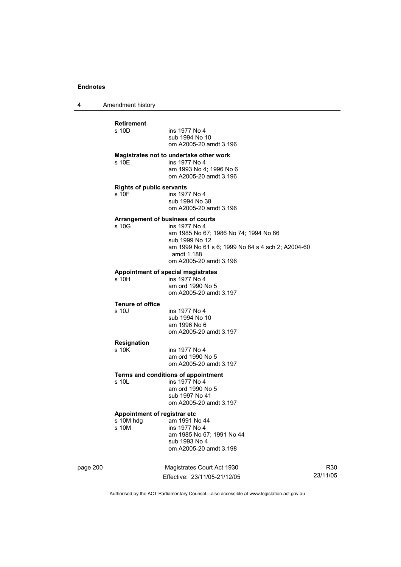4 Amendment history

|          | <b>Retirement</b><br>s 10D                | ins 1977 No 4<br>sub 1994 No 10<br>om A2005-20 amdt 3.196                                                                                                                                                         |                 |
|----------|-------------------------------------------|-------------------------------------------------------------------------------------------------------------------------------------------------------------------------------------------------------------------|-----------------|
|          | s 10E                                     | Magistrates not to undertake other work<br>ins 1977 No 4<br>am 1993 No 4; 1996 No 6<br>om A2005-20 amdt 3.196                                                                                                     |                 |
|          | <b>Rights of public servants</b><br>s 10F | ins 1977 No 4<br>sub 1994 No 38<br>om A2005-20 amdt 3.196                                                                                                                                                         |                 |
|          | s 10G                                     | <b>Arrangement of business of courts</b><br>ins 1977 No 4<br>am 1985 No 67; 1986 No 74; 1994 No 66<br>sub 1999 No 12<br>am 1999 No 61 s 6; 1999 No 64 s 4 sch 2; A2004-60<br>amdt 1.188<br>om A2005-20 amdt 3.196 |                 |
|          | s 10H                                     | Appointment of special magistrates<br>ins 1977 No 4<br>am ord 1990 No 5<br>om A2005-20 amdt 3.197                                                                                                                 |                 |
|          | <b>Tenure of office</b><br>s 10J          | ins 1977 No 4<br>sub 1994 No 10<br>am 1996 No 6<br>om A2005-20 amdt 3.197                                                                                                                                         |                 |
|          | <b>Resignation</b><br>s 10K               | ins 1977 No 4<br>am ord 1990 No 5<br>om A2005-20 amdt 3.197                                                                                                                                                       |                 |
|          | s 10L                                     | Terms and conditions of appointment<br>ins 1977 No 4<br>am ord 1990 No 5<br>sub 1997 No 41<br>om A2005-20 amdt 3.197                                                                                              |                 |
|          | Appointment of registrar etc<br>s 10M     | s 10M hdg am 1991 No 44<br>ins 1977 No 4<br>am 1985 No 67; 1991 No 44<br>sub 1993 No 4<br>om A2005-20 amdt 3.198                                                                                                  |                 |
| page 200 |                                           | Magistrates Court Act 1930<br>Effective: 23/11/05-21/12/05                                                                                                                                                        | R30<br>23/11/05 |

Authorised by the ACT Parliamentary Counsel—also accessible at www.legislation.act.gov.au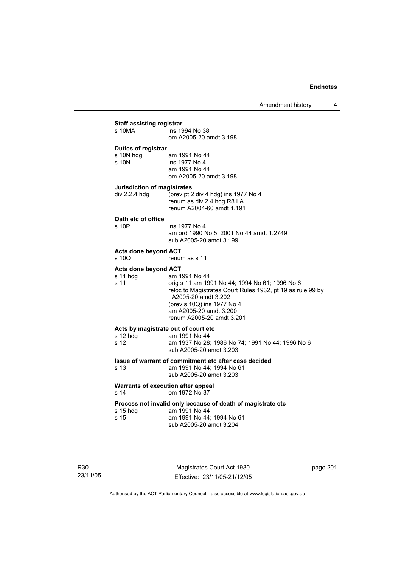# **Staff assisting registrar**

| s 10MA                                                   | ins 1994 No 38<br>om A2005-20 amdt 3.198                                                                                                                                                                                                  |
|----------------------------------------------------------|-------------------------------------------------------------------------------------------------------------------------------------------------------------------------------------------------------------------------------------------|
| Duties of registrar<br>s 10N hdg<br>s 10N                | am 1991 No 44<br>ins 1977 No 4<br>am 1991 No 44<br>om A2005-20 amdt 3.198                                                                                                                                                                 |
| <b>Jurisdiction of magistrates</b><br>div 2.2.4 hdg      | (prev pt 2 div 4 hdg) ins 1977 No 4<br>renum as div 2.4 hdg R8 LA<br>renum A2004-60 amdt 1.191                                                                                                                                            |
| Oath etc of office<br>s 10P                              | ins 1977 No 4<br>am ord 1990 No 5; 2001 No 44 amdt 1.2749<br>sub A2005-20 amdt 3.199                                                                                                                                                      |
| <b>Acts done beyond ACT</b><br>s 10Q                     | renum as s 11                                                                                                                                                                                                                             |
| <b>Acts done beyond ACT</b><br>s 11 hdg<br>s 11          | am 1991 No 44<br>orig s 11 am 1991 No 44; 1994 No 61; 1996 No 6<br>reloc to Magistrates Court Rules 1932, pt 19 as rule 99 by<br>A2005-20 amdt 3.202<br>(prev s 10Q) ins 1977 No 4<br>am A2005-20 amdt 3.200<br>renum A2005-20 amdt 3.201 |
| Acts by magistrate out of court etc.<br>s 12 hdg<br>s 12 | am 1991 No 44<br>am 1937 No 28; 1986 No 74; 1991 No 44; 1996 No 6<br>sub A2005-20 amdt 3.203                                                                                                                                              |
| s 13                                                     | Issue of warrant of commitment etc after case decided<br>am 1991 No 44; 1994 No 61<br>sub A2005-20 amdt 3.203                                                                                                                             |
| Warrants of execution after appeal<br>s 14               | om 1972 No 37                                                                                                                                                                                                                             |
| s 15 hdg<br>s 15                                         | Process not invalid only because of death of magistrate etc<br>am 1991 No 44<br>am 1991 No 44; 1994 No 61<br>sub A2005-20 amdt 3.204                                                                                                      |

R30 23/11/05

Magistrates Court Act 1930 Effective: 23/11/05-21/12/05 page 201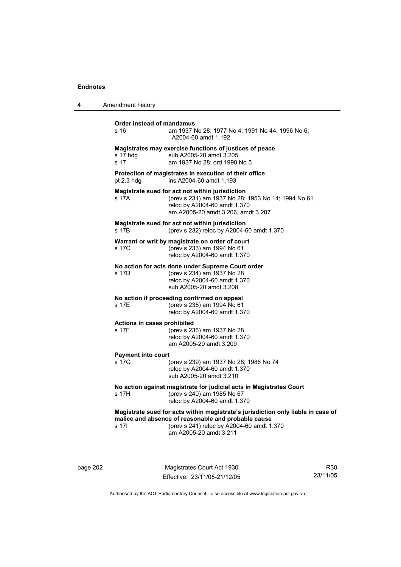| 4 | Amendment history                    |                                                                                                                                                                                                                |
|---|--------------------------------------|----------------------------------------------------------------------------------------------------------------------------------------------------------------------------------------------------------------|
|   | Order instead of mandamus<br>s 16    | am 1937 No 28; 1977 No 4; 1991 No 44; 1996 No 6;<br>A2004-60 amdt 1.192                                                                                                                                        |
|   | s 17 hdg<br>s 17                     | Magistrates may exercise functions of justices of peace<br>sub A2005-20 amdt 3.205<br>am 1937 No 28; ord 1990 No 5                                                                                             |
|   | pt 2.3 hdg                           | Protection of magistrates in execution of their office<br>ins A2004-60 amdt 1.193                                                                                                                              |
|   | s 17A                                | Magistrate sued for act not within jurisdiction<br>(prev s 231) am 1937 No 28; 1953 No 14; 1994 No 61<br>reloc by A2004-60 amdt 1.370<br>am A2005-20 amdt 3.206, amdt 3.207                                    |
|   | s 17B                                | Magistrate sued for act not within jurisdiction<br>(prev s 232) reloc by A2004-60 amdt 1.370                                                                                                                   |
|   | s 17C                                | Warrant or writ by magistrate on order of court<br>(prev s 233) am 1994 No 61<br>reloc by A2004-60 amdt 1.370                                                                                                  |
|   | s 17D                                | No action for acts done under Supreme Court order<br>(prev s 234) am 1937 No 28<br>reloc by A2004-60 amdt 1.370<br>sub A2005-20 amdt 3.208                                                                     |
|   | s 17E                                | No action if proceeding confirmed on appeal<br>(prev s 235) am 1994 No 61<br>reloc by A2004-60 amdt 1.370                                                                                                      |
|   | Actions in cases prohibited<br>s 17F | (prev s 236) am 1937 No 28<br>reloc by A2004-60 amdt 1.370<br>am A2005-20 amdt 3.209                                                                                                                           |
|   | <b>Payment into court</b><br>s 17G   | (prev s 239) am 1937 No 28; 1986 No 74<br>reloc by A2004-60 amdt 1.370<br>sub A2005-20 amdt 3.210                                                                                                              |
|   | s 17H                                | No action against magistrate for judicial acts in Magistrates Court<br>(prev s 240) am 1985 No 67<br>reloc by A2004-60 amdt 1.370                                                                              |
|   | s 17I                                | Magistrate sued for acts within magistrate's jurisdiction only liable in case of<br>malice and absence of reasonable and probable cause<br>(prev s 241) reloc by A2004-60 amdt 1.370<br>am A2005-20 amdt 3.211 |

page 202 Magistrates Court Act 1930 Effective: 23/11/05-21/12/05

R30 23/11/05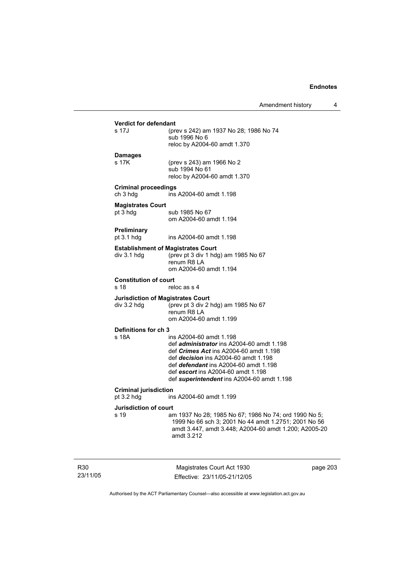# **Verdict for defendant**  (prev s 242) am 1937 No 28; 1986 No 74 sub 1996 No 6 reloc by A2004-60 amdt 1.370 **Damages**  s 17K (prev s 243) am 1966 No 2 sub 1994 No 61 reloc by A2004-60 amdt 1.370 **Criminal proceedings**  ch 3 hdg ins A2004-60 amdt 1.198 **Magistrates Court**  pt 3 hdg sub 1985 No 67 om A2004-60 amdt 1.194 **Preliminary**  pt 3.1 hdg ins A2004-60 amdt 1.198 **Establishment of Magistrates Court**  div 3.1 hdg (prev pt 3 div 1 hdg) am 1985 No 67 renum R8 LA om A2004-60 amdt 1.194 **Constitution of court**  s 18 reloc as s 4 **Jurisdiction of Magistrates Court**  div 3.2 hdg (prev pt 3 div 2 hdg) am 1985 No 67 renum R8 LA om A2004-60 amdt 1.199 **Definitions for ch 3**  ins A2004-60 amdt 1.198 def *administrator* ins A2004-60 amdt 1.198 def *Crimes Act* ins A2004-60 amdt 1.198 def *decision* ins A2004-60 amdt 1.198 def *defendant* ins A2004-60 amdt 1.198 def *escort* ins A2004-60 amdt 1.198 def *superintendent* ins A2004-60 amdt 1.198 **Criminal jurisdiction**  pt 3.2 hdg ins A2004-60 amdt 1.199 **Jurisdiction of court**  s 19 am 1937 No 28; 1985 No 67; 1986 No 74; ord 1990 No 5; 1999 No 66 sch 3; 2001 No 44 amdt 1.2751; 2001 No 56 amdt 3.447, amdt 3.448; A2004-60 amdt 1.200; A2005-20 amdt 3.212

R30 23/11/05

Magistrates Court Act 1930 Effective: 23/11/05-21/12/05 page 203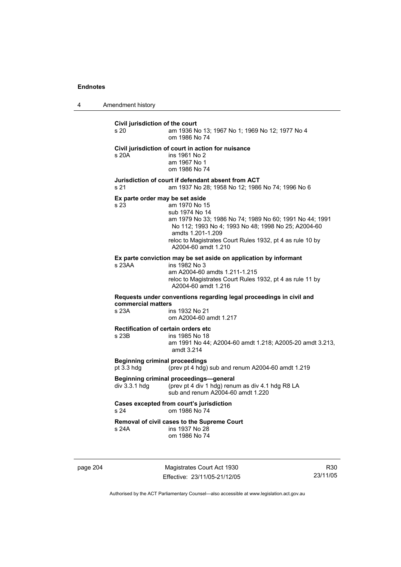4 Amendment history

**Civil jurisdiction of the court**  s 20 am 1936 No 13; 1967 No 1; 1969 No 12; 1977 No 4 om 1986 No 74 **Civil jurisdiction of court in action for nuisance**  s 20A ins 1961 No 2 am 1967 No 1 om 1986 No 74 **Jurisdiction of court if defendant absent from ACT**  s 21 am 1937 No 28; 1958 No 12; 1986 No 74; 1996 No 6 **Ex parte order may be set aside**  s 23 am 1970 No 15 sub 1974 No 14 am 1979 No 33; 1986 No 74; 1989 No 60; 1991 No 44; 1991 No 112; 1993 No 4; 1993 No 48; 1998 No 25; A2004-60 amdts 1.201-1.209 reloc to Magistrates Court Rules 1932, pt 4 as rule 10 by A2004-60 amdt 1.210 **Ex parte conviction may be set aside on application by informant**  s 23AA ins 1982 No 3 am A2004-60 amdts 1.211-1.215 reloc to Magistrates Court Rules 1932, pt 4 as rule 11 by A2004-60 amdt 1.216 **Requests under conventions regarding legal proceedings in civil and commercial matters**  ins 1932 No 21 om A2004-60 amdt 1.217 **Rectification of certain orders etc**  s 23B ins 1985 No 18 am 1991 No 44; A2004-60 amdt 1.218; A2005-20 amdt 3.213, amdt 3.214 **Beginning criminal proceedings**  pt 3.3 hdg (prev pt 4 hdg) sub and renum A2004-60 amdt 1.219 **Beginning criminal proceedings—general**  div 3.3.1 hdg (prev pt 4 div 1 hdg) renum as div 4.1 hdg R8 LA sub and renum A2004-60 amdt 1.220 **Cases excepted from court's jurisdiction**  s 24 om 1986 No 74 **Removal of civil cases to the Supreme Court**  s 24A ins 1937 No 28 om 1986 No 74

page 204 Magistrates Court Act 1930 Effective: 23/11/05-21/12/05

R30 23/11/05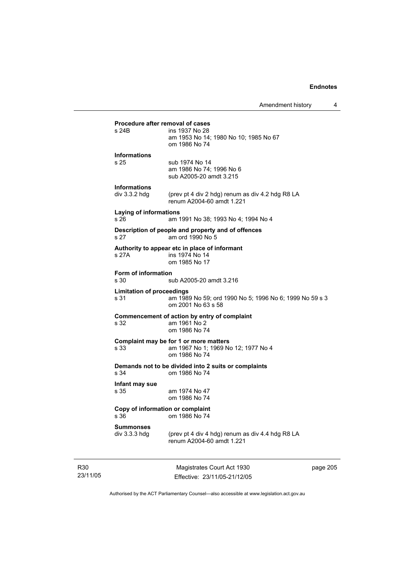| Amendment history |  |
|-------------------|--|
|-------------------|--|

# **Procedure after removal of cases**<br>s 24B ins 1937 No 28 ins 1937 No 28 am 1953 No 14; 1980 No 10; 1985 No 67 om 1986 No 74 **Informations**  s 25 sub 1974 No 14 am 1986 No 74; 1996 No 6 sub A2005-20 amdt 3.215 **Informations**  div 3.3.2 hdg (prev pt 4 div 2 hdg) renum as div 4.2 hdg R8 LA renum A2004-60 amdt 1.221 **Laying of informations**  s 26 am 1991 No 38; 1993 No 4; 1994 No 4 **Description of people and property and of offences**  s 27 am ord 1990 No 5 **Authority to appear etc in place of informant**  ins 1974 No 14 om 1985 No 17 **Form of information**  s 30 sub A2005-20 amdt 3.216 **Limitation of proceedings**  s 31 am 1989 No 59; ord 1990 No 5; 1996 No 6; 1999 No 59 s 3 om 2001 No 63 s 58 **Commencement of action by entry of complaint**  s 32 am 1961 No 2 om 1986 No 74 **Complaint may be for 1 or more matters**  s 33 am 1967 No 1; 1969 No 12; 1977 No 4 om 1986 No 74 **Demands not to be divided into 2 suits or complaints**  om 1986 No 74 **Infant may sue**  s 35 am 1974 No 47 om 1986 No 74 **Copy of information or complaint**  om 1986 No 74 **Summonses**  div 3.3.3 hdg (prev pt 4 div 4 hdg) renum as div 4.4 hdg R8 LA renum A2004-60 amdt 1.221

R30 23/11/05

Magistrates Court Act 1930 Effective: 23/11/05-21/12/05 page 205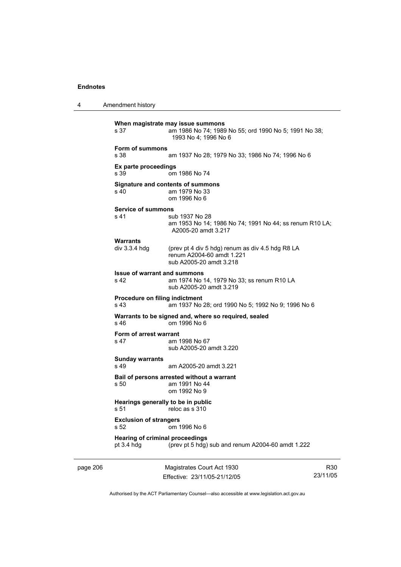4 Amendment history page 206 Magistrates Court Act 1930 **When magistrate may issue summons**  s 37 am 1986 No 74; 1989 No 55; ord 1990 No 5; 1991 No 38; 1993 No 4; 1996 No 6 **Form of summons**  s 38 am 1937 No 28; 1979 No 33; 1986 No 74; 1996 No 6 **Ex parte proceedings**  s 39 om 1986 No 74 **Signature and contents of summons**  s 40 am 1979 No 33 om 1996 No 6 **Service of summons**  s 41 sub 1937 No 28 am 1953 No 14; 1986 No 74; 1991 No 44; ss renum R10 LA; A2005-20 amdt 3.217 Warrants<br>div 3.3.4 hdg (prev pt 4 div 5 hdg) renum as div 4.5 hdg R8 LA renum A2004-60 amdt 1.221 sub A2005-20 amdt 3.218 **Issue of warrant and summons**  s 42 am 1974 No 14, 1979 No 33; ss renum R10 LA sub A2005-20 amdt 3.219 **Procedure on filing indictment**  s 43 am 1937 No 28; ord 1990 No 5; 1992 No 9; 1996 No 6 **Warrants to be signed and, where so required, sealed**  s 46 om 1996 No 6 **Form of arrest warrant**  s 47 am 1998 No 67 sub A2005-20 amdt 3.220 **Sunday warrants**  s 49 am A2005-20 amdt 3.221 **Bail of persons arrested without a warrant**  s 50 am 1991 No 44 om 1992 No 9 **Hearings generally to be in public**<br>s 51 reloc as s 310 reloc as s 310 **Exclusion of strangers**  s 52 om 1996 No 6 **Hearing of criminal proceedings**  pt 3.4 hdg (prev pt 5 hdg) sub and renum A2004-60 amdt 1.222

Effective: 23/11/05-21/12/05

R30 23/11/05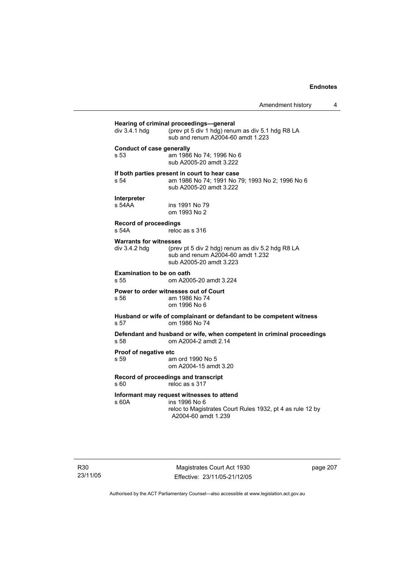| div 3.4.1 hdg                                  | Hearing of criminal proceedings-general<br>(prev pt 5 div 1 hdg) renum as div 5.1 hdg R8 LA<br>sub and renum A2004-60 amdt 1.223               |
|------------------------------------------------|------------------------------------------------------------------------------------------------------------------------------------------------|
| <b>Conduct of case generally</b><br>s 53       | am 1986 No 74; 1996 No 6<br>sub A2005-20 amdt 3.222                                                                                            |
| s 54                                           | If both parties present in court to hear case<br>am 1986 No 74; 1991 No 79; 1993 No 2; 1996 No 6<br>sub A2005-20 amdt 3.222                    |
| Interpreter<br>s 54AA                          | ins 1991 No 79<br>om 1993 No 2                                                                                                                 |
| <b>Record of proceedings</b><br>s 54A          | reloc as s 316                                                                                                                                 |
| <b>Warrants for witnesses</b><br>div 3.4.2 hdg | (prev pt 5 div 2 hdg) renum as div 5.2 hdg R8 LA<br>sub and renum A2004-60 amdt 1.232<br>sub A2005-20 amdt 3.223                               |
| <b>Examination to be on oath</b><br>s 55       | om A2005-20 amdt 3.224                                                                                                                         |
| s 56                                           | Power to order witnesses out of Court<br>am 1986 No 74<br>om 1996 No 6                                                                         |
| s 57                                           | Husband or wife of complainant or defandant to be competent witness<br>om 1986 No 74                                                           |
| s 58                                           | Defendant and husband or wife, when competent in criminal proceedings<br>om A2004-2 amdt 2.14                                                  |
| Proof of negative etc<br>s 59                  | am ord 1990 No 5<br>om A2004-15 amdt 3.20                                                                                                      |
| s 60                                           | Record of proceedings and transcript<br>reloc as s 317                                                                                         |
| s 60A                                          | Informant may request witnesses to attend<br>ins 1996 No 6<br>reloc to Magistrates Court Rules 1932, pt 4 as rule 12 by<br>A2004-60 amdt 1.239 |

R30 23/11/05

Magistrates Court Act 1930 Effective: 23/11/05-21/12/05 page 207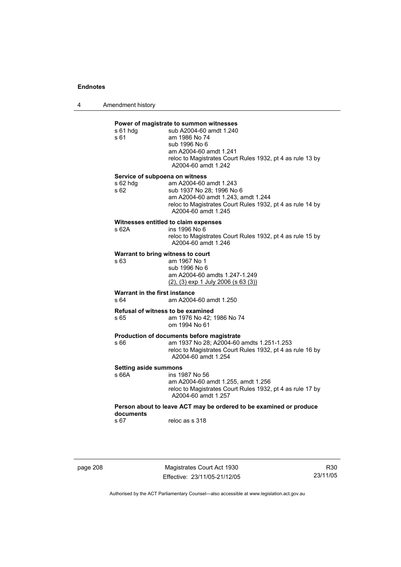4 Amendment history

## **Power of magistrate to summon witnesses**

| $s61$ hdg<br>s 61                                    | sub A2004-60 amdt 1.240<br>am 1986 No 74<br>sub 1996 No 6<br>am A2004-60 amdt 1.241<br>reloc to Magistrates Court Rules 1932, pt 4 as rule 13 by<br>A2004-60 amdt 1.242       |
|------------------------------------------------------|-------------------------------------------------------------------------------------------------------------------------------------------------------------------------------|
| Service of subpoena on witness<br>s 62 hdg<br>s 62   | am A2004-60 amdt 1.243<br>sub 1937 No 28; 1996 No 6<br>am A2004-60 amdt 1.243, amdt 1.244<br>reloc to Magistrates Court Rules 1932, pt 4 as rule 14 by<br>A2004-60 amdt 1.245 |
| s62A                                                 | Witnesses entitled to claim expenses<br>ins 1996 No 6<br>reloc to Magistrates Court Rules 1932, pt 4 as rule 15 by<br>A2004-60 amdt 1.246                                     |
| Warrant to bring witness to court<br>s <sub>63</sub> | am 1967 No 1<br>sub 1996 No 6<br>am A2004-60 amdts 1.247-1.249<br>$(2)$ , $(3)$ exp 1 July 2006 (s 63 $(3)$ )                                                                 |
| Warrant in the first instance<br>s 64                | am A2004-60 amdt 1.250                                                                                                                                                        |
| Refusal of witness to be examined<br>s 65            | am 1976 No 42; 1986 No 74<br>om 1994 No 61                                                                                                                                    |
| s 66                                                 | Production of documents before magistrate<br>am 1937 No 28; A2004-60 amdts 1.251-1.253<br>reloc to Magistrates Court Rules 1932, pt 4 as rule 16 by<br>A2004-60 amdt 1.254    |
| <b>Setting aside summons</b><br>s 66A                | ins 1987 No 56<br>am A2004-60 amdt 1.255, amdt 1.256<br>reloc to Magistrates Court Rules 1932, pt 4 as rule 17 by<br>A2004-60 amdt 1.257                                      |
| documents                                            | Person about to leave ACT may be ordered to be examined or produce                                                                                                            |
| s 67                                                 | reloc as s 318                                                                                                                                                                |
|                                                      |                                                                                                                                                                               |

page 208 Magistrates Court Act 1930 Effective: 23/11/05-21/12/05

R30 23/11/05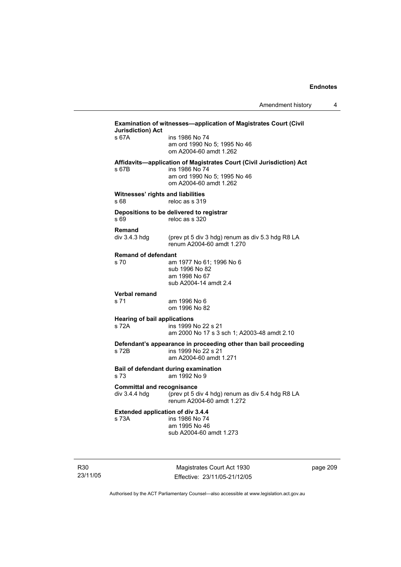|                                                    | Examination of witnesses-application of Magistrates Court (Civil                                                                                 |
|----------------------------------------------------|--------------------------------------------------------------------------------------------------------------------------------------------------|
| <b>Jurisdiction) Act</b><br>s 67A                  | ins 1986 No 74<br>am ord 1990 No 5; 1995 No 46<br>om A2004-60 amdt 1.262                                                                         |
| s 67B                                              | Affidavits-application of Magistrates Court (Civil Jurisdiction) Act<br>ins 1986 No 74<br>am ord 1990 No 5; 1995 No 46<br>om A2004-60 amdt 1.262 |
| Witnesses' rights and liabilities<br>s 68          | reloc as s 319                                                                                                                                   |
| s 69                                               | Depositions to be delivered to registrar<br>reloc as s 320                                                                                       |
| <b>Remand</b><br>div $3.4.3$ hdg                   | (prev pt 5 div 3 hdg) renum as div 5.3 hdg R8 LA<br>renum A2004-60 amdt 1.270                                                                    |
| <b>Remand of defendant</b><br>s 70                 | am 1977 No 61; 1996 No 6<br>sub 1996 No 82<br>am 1998 No 67<br>sub A2004-14 amdt 2.4                                                             |
| <b>Verbal remand</b><br>s 71                       | am 1996 No 6<br>om 1996 No 82                                                                                                                    |
| <b>Hearing of bail applications</b><br>s 72A       | ins 1999 No 22 s 21<br>am 2000 No 17 s 3 sch 1; A2003-48 amdt 2.10                                                                               |
| s 72B                                              | Defendant's appearance in proceeding other than bail proceeding<br>ins 1999 No 22 s 21<br>am A2004-60 amdt 1.271                                 |
| s 73                                               | Bail of defendant during examination<br>am 1992 No 9                                                                                             |
| <b>Committal and recognisance</b><br>div 3.4.4 hdg | (prev pt 5 div 4 hdg) renum as div 5.4 hdg R8 LA<br>renum A2004-60 amdt 1.272                                                                    |
| <b>Extended application of div 3.4.4</b><br>s 73A  | ins 1986 No 74<br>am 1995 No 46<br>sub A2004-60 amdt 1.273                                                                                       |
|                                                    | Magistrates Court Act 1930                                                                                                                       |

page 209

Authorised by the ACT Parliamentary Counsel—also accessible at www.legislation.act.gov.au

Effective: 23/11/05-21/12/05

R30 23/11/05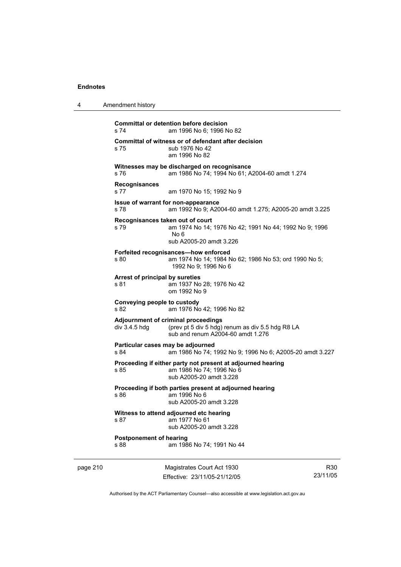4 Amendment history

|          | s 74                                                                                                  | <b>Committal or detention before decision</b><br>am 1996 No 6; 1996 No 82                                                    |                 |
|----------|-------------------------------------------------------------------------------------------------------|------------------------------------------------------------------------------------------------------------------------------|-----------------|
|          | s 75                                                                                                  | Committal of witness or of defendant after decision<br>sub 1976 No 42<br>am 1996 No 82                                       |                 |
|          | s 76                                                                                                  | Witnesses may be discharged on recognisance<br>am 1986 No 74; 1994 No 61; A2004-60 amdt 1.274                                |                 |
|          | <b>Recognisances</b><br>s 77                                                                          | am 1970 No 15; 1992 No 9                                                                                                     |                 |
|          | s 78                                                                                                  | Issue of warrant for non-appearance<br>am 1992 No 9; A2004-60 amdt 1.275; A2005-20 amdt 3.225                                |                 |
|          | Recognisances taken out of court<br>s 79                                                              | am 1974 No 14; 1976 No 42; 1991 No 44; 1992 No 9; 1996<br>No 6<br>sub A2005-20 amdt 3.226                                    |                 |
|          | s 80                                                                                                  | Forfeited recognisances-how enforced<br>am 1974 No 14; 1984 No 62; 1986 No 53; ord 1990 No 5;<br>1992 No 9; 1996 No 6        |                 |
|          | Arrest of principal by sureties<br>s 81                                                               | am 1937 No 28: 1976 No 42<br>om 1992 No 9                                                                                    |                 |
|          | Conveying people to custody<br>s 82                                                                   | am 1976 No 42; 1996 No 82                                                                                                    |                 |
|          | div $3.4.5$ hdg                                                                                       | Adjournment of criminal proceedings<br>(prev pt 5 div 5 hdg) renum as div 5.5 hdg R8 LA<br>sub and renum A2004-60 amdt 1.276 |                 |
|          | Particular cases may be adjourned<br>s 84<br>am 1986 No 74; 1992 No 9; 1996 No 6; A2005-20 amdt 3.227 |                                                                                                                              |                 |
|          | s 85                                                                                                  | Proceeding if either party not present at adjourned hearing<br>am 1986 No 74; 1996 No 6<br>sub A2005-20 amdt 3.228           |                 |
|          | s 86                                                                                                  | Proceeding if both parties present at adjourned hearing<br>am 1996 No 6<br>sub A2005-20 amdt 3.228                           |                 |
|          | s 87                                                                                                  | Witness to attend adjourned etc hearing<br>am 1977 No 61<br>sub A2005-20 amdt 3.228                                          |                 |
|          | <b>Postponement of hearing</b><br>s 88                                                                | am 1986 No 74; 1991 No 44                                                                                                    |                 |
| page 210 |                                                                                                       | Magistrates Court Act 1930<br>Effective: 23/11/05-21/12/05                                                                   | R30<br>23/11/05 |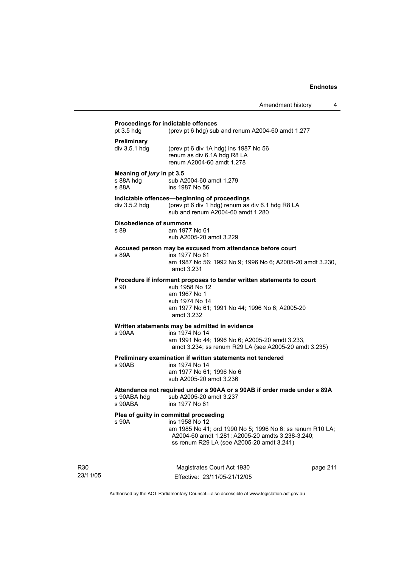Amendment history 4 **Proceedings for indictable offences**  pt 3.5 hdg (prev pt 6 hdg) sub and renum A2004-60 amdt 1.277 **Preliminary**  div 3.5.1 hdg (prev pt 6 div 1A hdg) ins 1987 No 56 renum as div 6.1A hdg R8 LA renum A2004-60 amdt 1.278 **Meaning of** *jury* **in pt 3.5**  s 88A hdg sub A2004-60 amdt 1.279<br>s 88A sins 1987 No 56 ins 1987 No 56 **Indictable offences—beginning of proceedings**  div 3.5.2 hdg (prev pt 6 div 1 hdg) renum as div 6.1 hdg R8 LA sub and renum A2004-60 amdt 1.280 **Disobedience of summons**  s 89 am 1977 No 61 sub A2005-20 amdt 3.229 **Accused person may be excused from attendance before court**  ins 1977 No 61 am 1987 No 56; 1992 No 9; 1996 No 6; A2005-20 amdt 3.230, amdt 3.231 **Procedure if informant proposes to tender written statements to court**  s 90 sub 1958 No 12 am 1967 No 1 sub 1974 No 14 am 1977 No 61; 1991 No 44; 1996 No 6; A2005-20 amdt 3.232 **Written statements may be admitted in evidence**  s 90AA ins 1974 No 14 am 1991 No 44; 1996 No 6; A2005-20 amdt 3.233, amdt 3.234; ss renum R29 LA (see A2005-20 amdt 3.235) **Preliminary examination if written statements not tendered**  ins 1974 No 14 am 1977 No 61; 1996 No 6 sub A2005-20 amdt 3.236 **Attendance not required under s 90AA or s 90AB if order made under s 89A**  s 90ABA hdg sub A2005-20 amdt 3.237<br>s 90ABA ins 1977 No 61 ins 1977 No 61 **Plea of guilty in committal proceeding**  s 90A ins 1958 No 12 am 1985 No 41; ord 1990 No 5; 1996 No 6; ss renum R10 LA; A2004-60 amdt 1.281; A2005-20 amdts 3.238-3.240; ss renum R29 LA (see A2005-20 amdt 3.241)

R30 23/11/05

Magistrates Court Act 1930 Effective: 23/11/05-21/12/05 page 211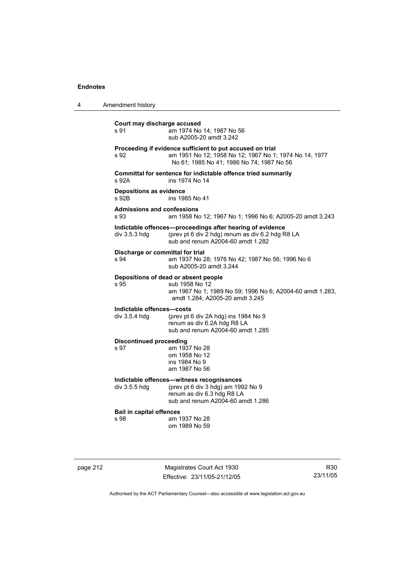| 4 | Amendment history                            |                                                                                                                                                                  |
|---|----------------------------------------------|------------------------------------------------------------------------------------------------------------------------------------------------------------------|
|   | Court may discharge accused<br>s 91          | am 1974 No 14; 1987 No 56<br>sub A2005-20 amdt 3.242                                                                                                             |
|   | s 92                                         | Proceeding if evidence sufficient to put accused on trial<br>am 1951 No 12; 1958 No 12; 1967 No 1; 1974 No 14; 1977<br>No 61; 1985 No 41; 1986 No 74; 1987 No 56 |
|   | s 92A                                        | Committal for sentence for indictable offence tried summarily<br>ins 1974 No 14                                                                                  |
|   | <b>Depositions as evidence</b><br>s 92B      | ins 1985 No 41                                                                                                                                                   |
|   | <b>Admissions and confessions</b><br>s.93    | am 1958 No 12; 1967 No 1; 1996 No 6; A2005-20 amdt 3.243                                                                                                         |
|   | div $3.5.3$ hdg                              | Indictable offences-proceedings after hearing of evidence<br>(prev pt 6 div 2 hdg) renum as div 6.2 hdg R8 LA<br>sub and renum A2004-60 amdt 1.282               |
|   | Discharge or committal for trial<br>s 94     | am 1937 No 28; 1976 No 42; 1987 No 56; 1996 No 6<br>sub A2005-20 amdt 3.244                                                                                      |
|   | s 95                                         | Depositions of dead or absent people<br>sub 1958 No 12<br>am 1967 No 1; 1989 No 59; 1996 No 6; A2004-60 amdt 1.283,<br>amdt 1.284; A2005-20 amdt 3.245           |
|   | Indictable offences-costs<br>div $3.5.4$ hdg | (prev pt 6 div 2A hdg) ins 1984 No 9<br>renum as div 6.2A hdg R8 LA<br>sub and renum A2004-60 amdt 1.285                                                         |
|   | <b>Discontinued proceeding</b><br>s 97       | am 1937 No 28<br>om 1958 No 12<br>ins 1984 No 9<br>am 1987 No 56                                                                                                 |
|   | div 3.5.5 hdg                                | Indictable offences-witness recognisances<br>(prev pt 6 div 3 hdg) am 1992 No 9<br>renum as div 6.3 hdg R8 LA<br>sub and renum A2004-60 amdt 1.286               |
|   | <b>Bail in capital offences</b><br>s 98      | am 1937 No 28<br>om 1989 No 59                                                                                                                                   |

page 212 Magistrates Court Act 1930 Effective: 23/11/05-21/12/05

R30 23/11/05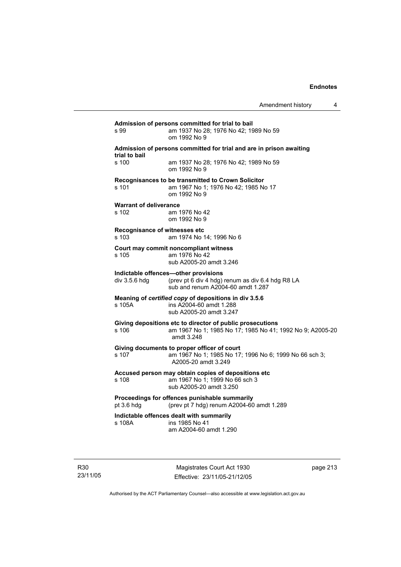| s 99                                   | am 1937 No 28; 1976 No 42; 1989 No 59<br>om 1992 No 9                                                                                |
|----------------------------------------|--------------------------------------------------------------------------------------------------------------------------------------|
| trial to bail                          | Admission of persons committed for trial and are in prison awaiting                                                                  |
| s 100                                  | am 1937 No 28; 1976 No 42; 1989 No 59<br>om 1992 No 9                                                                                |
| s 101                                  | Recognisances to be transmitted to Crown Solicitor<br>am 1967 No 1; 1976 No 42; 1985 No 17<br>om 1992 No 9                           |
| <b>Warrant of deliverance</b><br>s 102 | am 1976 No 42<br>om 1992 No 9                                                                                                        |
| s 103                                  | Recognisance of witnesses etc<br>am 1974 No 14; 1996 No 6                                                                            |
| s 105                                  | Court may commit noncompliant witness<br>am 1976 No 42<br>sub A2005-20 amdt 3.246                                                    |
| div 3.5.6 hdg                          | Indictable offences-other provisions<br>(prev pt 6 div 4 hdg) renum as div 6.4 hdg R8 LA<br>sub and renum A2004-60 amdt 1.287        |
| s 105A                                 | Meaning of certified copy of depositions in div 3.5.6<br>ins A2004-60 amdt 1.288<br>sub A2005-20 amdt 3.247                          |
| s 106                                  | Giving depositions etc to director of public prosecutions<br>am 1967 No 1; 1985 No 17; 1985 No 41; 1992 No 9; A2005-20<br>amdt 3.248 |
| s 107                                  | Giving documents to proper officer of court<br>am 1967 No 1; 1985 No 17; 1996 No 6; 1999 No 66 sch 3;<br>A2005-20 amdt 3.249         |
| s 108                                  | Accused person may obtain copies of depositions etc<br>am 1967 No 1; 1999 No 66 sch 3<br>sub A2005-20 amdt 3.250                     |
| pt 3.6 hdg                             | Proceedings for offences punishable summarily<br>(prev pt 7 hdg) renum A2004-60 amdt 1.289                                           |
| s 108A                                 | Indictable offences dealt with summarily<br>ins 1985 No 41<br>am A2004-60 amdt 1.290                                                 |

R30 23/11/05

Magistrates Court Act 1930 Effective: 23/11/05-21/12/05 page 213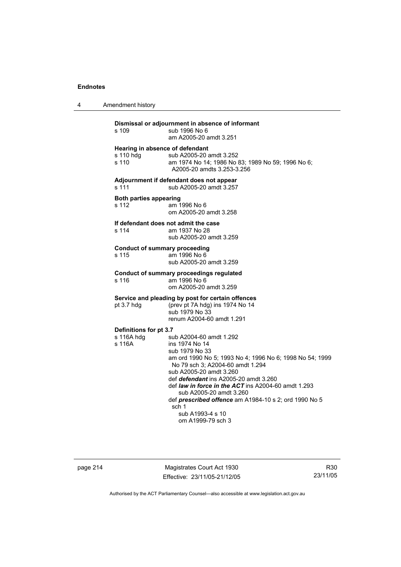4 Amendment history

| s 109                                                 | Dismissal or adjournment in absence of informant<br>sub 1996 No 6<br>am A2005-20 amdt 3.251                                                                                                                                                                                                                                                                                                                                         |
|-------------------------------------------------------|-------------------------------------------------------------------------------------------------------------------------------------------------------------------------------------------------------------------------------------------------------------------------------------------------------------------------------------------------------------------------------------------------------------------------------------|
| Hearing in absence of defendant<br>s 110 hdg<br>s 110 | sub A2005-20 amdt 3.252<br>am 1974 No 14; 1986 No 83; 1989 No 59; 1996 No 6;<br>A2005-20 amdts 3.253-3.256                                                                                                                                                                                                                                                                                                                          |
| s 111                                                 | Adjournment if defendant does not appear<br>sub A2005-20 amdt 3.257                                                                                                                                                                                                                                                                                                                                                                 |
| <b>Both parties appearing</b><br>s 112                | am 1996 No 6<br>om A2005-20 amdt 3.258                                                                                                                                                                                                                                                                                                                                                                                              |
| If defendant does not admit the case<br>s 114         | am 1937 No 28<br>sub A2005-20 amdt 3.259                                                                                                                                                                                                                                                                                                                                                                                            |
| <b>Conduct of summary proceeding</b><br>s 115         | am 1996 No 6<br>sub A2005-20 amdt 3.259                                                                                                                                                                                                                                                                                                                                                                                             |
| s 116                                                 | <b>Conduct of summary proceedings regulated</b><br>am 1996 No 6<br>om A2005-20 amdt 3.259                                                                                                                                                                                                                                                                                                                                           |
| pt 3.7 hdg                                            | Service and pleading by post for certain offences<br>(prev pt 7A hdg) ins 1974 No 14<br>sub 1979 No 33<br>renum A2004-60 amdt 1.291                                                                                                                                                                                                                                                                                                 |
| Definitions for pt 3.7                                |                                                                                                                                                                                                                                                                                                                                                                                                                                     |
| s 116A hdg<br>s 116A                                  | sub A2004-60 amdt 1.292<br>ins 1974 No 14<br>sub 1979 No 33<br>am ord 1990 No 5; 1993 No 4; 1996 No 6; 1998 No 54; 1999<br>No 79 sch 3; A2004-60 amdt 1.294<br>sub A2005-20 amdt 3.260<br>def defendant ins A2005-20 amdt 3.260<br>def <i>law in force in the ACT</i> ins A2004-60 amdt 1.293<br>sub A2005-20 amdt 3.260<br>def prescribed offence am A1984-10 s 2; ord 1990 No 5<br>sch 1<br>sub A1993-4 s 10<br>om A1999-79 sch 3 |

page 214 Magistrates Court Act 1930 Effective: 23/11/05-21/12/05

R30 23/11/05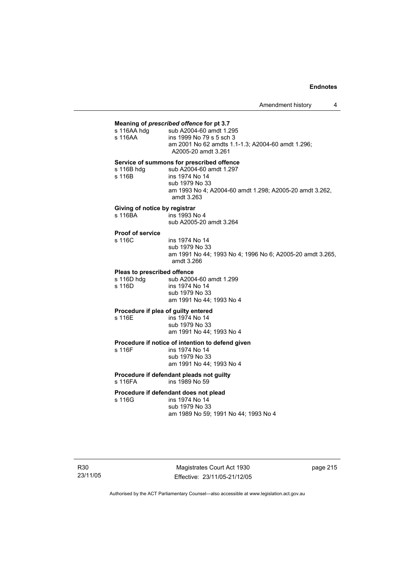Amendment history 4

### **Meaning of** *prescribed offence* **for pt 3.7**

| s 116AA | ins 1999 No 79 s 5 sch 3<br>am 2001 No 62 amdts 1.1-1.3; A2004-60 amdt 1.296; |
|---------|-------------------------------------------------------------------------------|

| s 116B hdg | sub A2004-60 amdt 1.297                                 |
|------------|---------------------------------------------------------|
| s 116B     | ins 1974 No 14                                          |
|            | sub 1979 No 33                                          |
|            | am 1993 No 4: A2004-60 amdt 1.298: A2005-20 amdt 3.262. |
|            | amdt 3.263                                              |

## **Giving of notice by registrar**

| s 116BA | ins 1993 No 4           |
|---------|-------------------------|
|         | sub A2005-20 amdt 3.264 |

# **Proof of service**

ins 1974 No 14 sub 1979 No 33 am 1991 No 44; 1993 No 4; 1996 No 6; A2005-20 amdt 3.265, amdt 3.266

### **Pleas to prescribed offence**

s 116D hdg sub A2004-60 amdt 1.299<br>s 116D ins 1974 No 14 ins 1974 No 14 sub 1979 No 33 am 1991 No 44; 1993 No 4

# **Procedure if plea of guilty entered**<br>s 116E **ins 1974** No 14

ins 1974 No 14 sub 1979 No 33 am 1991 No 44; 1993 No 4

# **Procedure if notice of intention to defend given**

ins 1974 No 14 sub 1979 No 33 am 1991 No 44; 1993 No 4

#### **Procedure if defendant pleads not guilty**  s 116FA ins 1989 No 59

#### **Procedure if defendant does not plead**

s 116G ins 1974 No 14 sub 1979 No 33 am 1989 No 59; 1991 No 44; 1993 No 4

page 215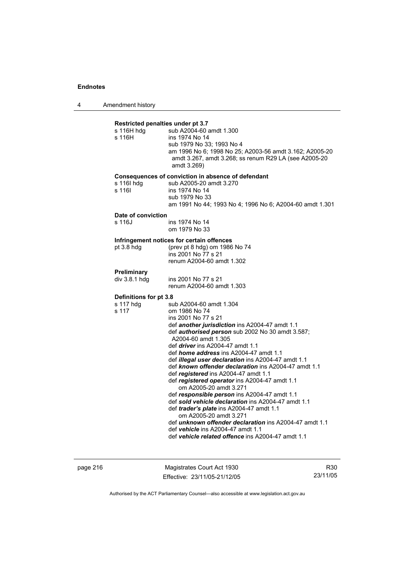4 Amendment history

| Restricted penalties under pt 3.7<br>s 116H hdg<br>s 116H | sub A2004-60 amdt 1.300<br>ins 1974 No 14<br>sub 1979 No 33; 1993 No 4<br>am 1996 No 6; 1998 No 25; A2003-56 amdt 3.162; A2005-20<br>amdt 3.267, amdt 3.268; ss renum R29 LA (see A2005-20<br>amdt 3.269)                                                                                                                                                                                                                                                                                                                                                                                                                                                                                                                                                                                                                                                                      |  |
|-----------------------------------------------------------|--------------------------------------------------------------------------------------------------------------------------------------------------------------------------------------------------------------------------------------------------------------------------------------------------------------------------------------------------------------------------------------------------------------------------------------------------------------------------------------------------------------------------------------------------------------------------------------------------------------------------------------------------------------------------------------------------------------------------------------------------------------------------------------------------------------------------------------------------------------------------------|--|
| s 116l hdg<br>s 116I                                      | Consequences of conviction in absence of defendant<br>sub A2005-20 amdt 3.270<br>ins 1974 No 14<br>sub 1979 No 33<br>am 1991 No 44; 1993 No 4; 1996 No 6; A2004-60 amdt 1.301                                                                                                                                                                                                                                                                                                                                                                                                                                                                                                                                                                                                                                                                                                  |  |
| Date of conviction                                        |                                                                                                                                                                                                                                                                                                                                                                                                                                                                                                                                                                                                                                                                                                                                                                                                                                                                                |  |
| s 116J                                                    | ins 1974 No 14<br>om 1979 No 33                                                                                                                                                                                                                                                                                                                                                                                                                                                                                                                                                                                                                                                                                                                                                                                                                                                |  |
|                                                           | Infringement notices for certain offences                                                                                                                                                                                                                                                                                                                                                                                                                                                                                                                                                                                                                                                                                                                                                                                                                                      |  |
| pt 3.8 h dq                                               | (prev pt 8 hdg) om 1986 No 74<br>ins 2001 No 77 s 21<br>renum A2004-60 amdt 1.302                                                                                                                                                                                                                                                                                                                                                                                                                                                                                                                                                                                                                                                                                                                                                                                              |  |
| Preliminary                                               |                                                                                                                                                                                                                                                                                                                                                                                                                                                                                                                                                                                                                                                                                                                                                                                                                                                                                |  |
| div 3.8.1 hdg                                             | ins 2001 No 77 s 21<br>renum A2004-60 amdt 1.303                                                                                                                                                                                                                                                                                                                                                                                                                                                                                                                                                                                                                                                                                                                                                                                                                               |  |
| Definitions for pt 3.8                                    |                                                                                                                                                                                                                                                                                                                                                                                                                                                                                                                                                                                                                                                                                                                                                                                                                                                                                |  |
| s 117 hdg<br>s 117                                        | sub A2004-60 amdt 1.304<br>om 1986 No 74<br>ins 2001 No 77 s 21<br>def another jurisdiction ins A2004-47 amdt 1.1<br>def <i>authorised person</i> sub 2002 No 30 amdt 3.587;<br>A2004-60 amdt 1.305<br>def <i>driver</i> ins A2004-47 amdt 1.1<br>def <i>home address</i> ins A2004-47 amdt 1.1<br>def <i>illegal user declaration</i> ins A2004-47 amdt 1.1<br>def known offender declaration ins A2004-47 amdt 1.1<br>def registered ins A2004-47 amdt 1.1<br>def registered operator ins A2004-47 amdt 1.1<br>om A2005-20 amdt 3.271<br>def responsible person ins A2004-47 amdt 1.1<br>def sold vehicle declaration ins A2004-47 amdt 1.1<br>def trader's plate ins A2004-47 amdt 1.1<br>om A2005-20 amdt 3.271<br>def <i>unknown offender declaration</i> ins A2004-47 amdt 1.1<br>def vehicle ins A2004-47 amdt 1.1<br>def vehicle related offence ins A2004-47 amdt 1.1 |  |

page 216 Magistrates Court Act 1930 Effective: 23/11/05-21/12/05

R30 23/11/05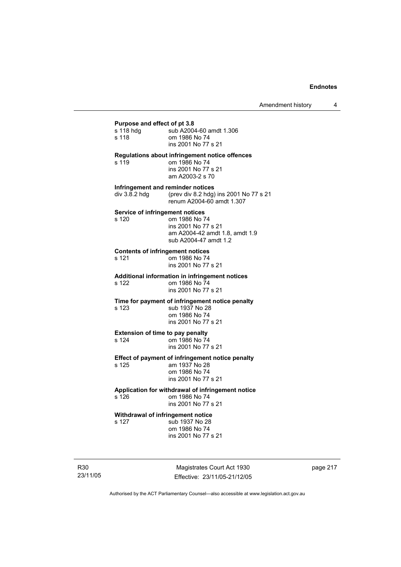## **Purpose and effect of pt 3.8**

| r urpose anu eneur or pr o.o            |                                                                                                                  |
|-----------------------------------------|------------------------------------------------------------------------------------------------------------------|
| s 118 hdg                               | sub A2004-60 amdt 1.306                                                                                          |
| s 118                                   | om 1986 No 74                                                                                                    |
|                                         | ins 2001 No 77 s 21                                                                                              |
| s 119                                   | <b>Regulations about infringement notice offences</b><br>om 1986 No 74<br>ins 2001 No 77 s 21<br>am A2003-2 s 70 |
| Infringement and reminder notices       |                                                                                                                  |
| div 3.8.2 hdg                           | (prev div 8.2 hdg) ins 2001 No 77 s 21<br>renum A2004-60 amdt 1.307                                              |
| <b>Service of infringement notices</b>  |                                                                                                                  |
| s 120                                   | om 1986 No 74                                                                                                    |
|                                         | ins 2001 No 77 s 21                                                                                              |
|                                         | am A2004-42 amdt 1.8, amdt 1.9                                                                                   |
|                                         | sub A2004-47 amdt 1.2                                                                                            |
| <b>Contents of infringement notices</b> |                                                                                                                  |
| s 121                                   | om 1986 No 74                                                                                                    |
|                                         | ins 2001 No 77 s 21                                                                                              |
|                                         | <b>Additional information in infringement notices</b>                                                            |
| s 122                                   | om 1986 No 74                                                                                                    |
|                                         | ins 2001 No 77 s 21                                                                                              |
|                                         | Time for payment of infringement notice penalty                                                                  |
| s 123                                   | sub 1937 No 28                                                                                                   |
|                                         | om 1986 No 74                                                                                                    |
|                                         | ins 2001 No 77 s 21                                                                                              |
| <b>Extension of time to pay penalty</b> |                                                                                                                  |
| s 124                                   | om 1986 No 74                                                                                                    |
|                                         | ins 2001 No 77 s 21                                                                                              |
|                                         | Effect of payment of infringement notice penalty                                                                 |
| s 125                                   | am 1937 No 28                                                                                                    |
|                                         | om 1986 No 74                                                                                                    |
|                                         | ins 2001 No 77 s 21                                                                                              |
|                                         | Application for withdrawal of infringement notice                                                                |
| s 126                                   | om 1986 No 74                                                                                                    |
|                                         | ins 2001 No 77 s 21                                                                                              |
| Withdrawal of infringement notice       |                                                                                                                  |
| s 127                                   | sub 1937 No 28                                                                                                   |
|                                         |                                                                                                                  |

 om 1986 No 74 ins 2001 No 77 s 21

R30 23/11/05

Magistrates Court Act 1930 Effective: 23/11/05-21/12/05 page 217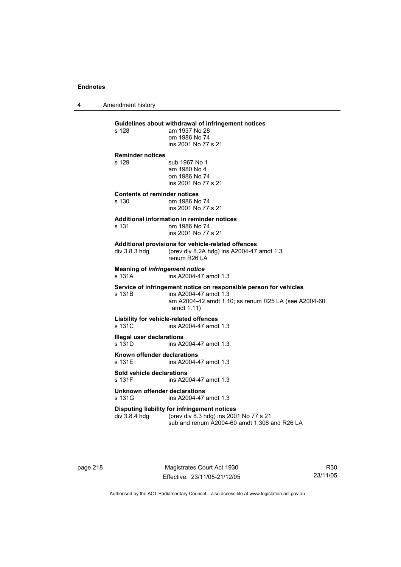4 Amendment history

**Guidelines about withdrawal of infringement notices**  am 1937 No 28 om 1986 No 74 ins 2001 No 77 s 21 **Reminder notices**  s 129 sub 1967 No 1 am 1980 No 4 om 1986 No 74 ins 2001 No 77 s 21 **Contents of reminder notices**  om 1986 No 74 ins 2001 No 77 s 21 **Additional information in reminder notices**  s 131 om 1986 No 74 ins 2001 No 77 s 21 **Additional provisions for vehicle-related offences**  div 3.8.3 hdg (prev div 8.2A hdg) ins A2004-47 amdt 1.3 renum R26 LA **Meaning of** *infringement notice*<br>s 131A ins A2004-47 ins A2004-47 amdt 1.3 **Service of infringement notice on responsible person for vehicles**  s 131B ins A2004-47 amdt 1.3 am A2004-42 amdt 1.10; ss renum R25 LA (see A2004-60 amdt 1.11) **Liability for vehicle-related offences**  s 131C ins A2004-47 amdt 1.3 **Illegal user declarations**  ins A2004-47 amdt 1.3 **Known offender declarations**  s 131E ins A2004-47 amdt 1.3 **Sold vehicle declarations**  ins A2004-47 amdt 1.3

**Unknown offender declarations**  s 131G ins A2004-47 amdt 1.3

**Disputing liability for infringement notices**<br>div 3.8.4 hdg (prev div 8.3 hdg) ins 200 (prev div 8.3 hdg) ins 2001 No 77 s 21

sub and renum A2004-60 amdt 1.308 and R26 LA

page 218 Magistrates Court Act 1930 Effective: 23/11/05-21/12/05

R30 23/11/05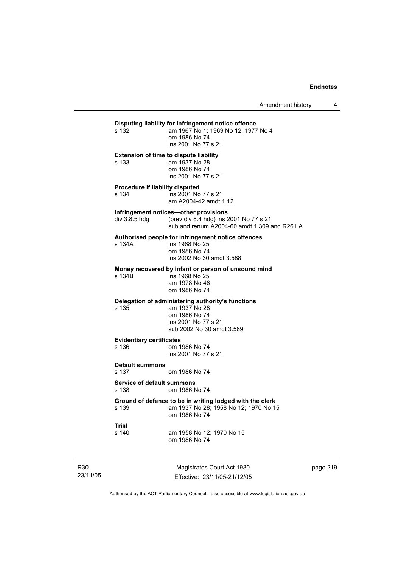**Disputing liability for infringement notice offence**  am 1967 No 1; 1969 No 12; 1977 No 4 om 1986 No 74 ins 2001 No 77 s 21 **Extension of time to dispute liability**  s 133 am 1937 No 28 om 1986 No 74 ins 2001 No 77 s 21 **Procedure if liability disputed**  s 134 ins 2001 No 77 s 21 am A2004-42 amdt 1.12 **Infringement notices—other provisions**<br>div 3.8.5 hdg (prev div 8.4 hdg) ins 2 (prev div 8.4 hdg) ins 2001 No 77 s 21 sub and renum A2004-60 amdt 1.309 and R26 LA **Authorised people for infringement notice offences**  s 134A ins 1968 No 25 om 1986 No 74 ins 2002 No 30 amdt 3.588 **Money recovered by infant or person of unsound mind**  ins 1968 No 25 am 1978 No 46 om 1986 No 74 **Delegation of administering authority's functions**  s 135 am 1937 No 28 om 1986 No 74 ins 2001 No 77 s 21 sub 2002 No 30 amdt 3.589 **Evidentiary certificates**  s 136 om 1986 No 74 ins 2001 No 77 s 21 **Default summons**  s 137 om 1986 No 74 **Service of default summons**  s 138 om 1986 No 74 **Ground of defence to be in writing lodged with the clerk**  s 139 am 1937 No 28; 1958 No 12; 1970 No 15 om 1986 No 74 **Trial**  s 140 am 1958 No 12; 1970 No 15 om 1986 No 74

R30 23/11/05

Magistrates Court Act 1930 Effective: 23/11/05-21/12/05 page 219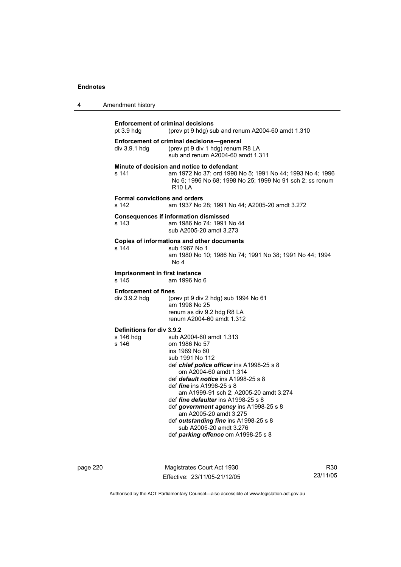|  | Amendment history |
|--|-------------------|
|--|-------------------|

| <b>Enforcement of criminal decisions</b><br>pt $3.9$ hdg | (prev pt 9 hdg) sub and renum A2004-60 amdt 1.310                                                                                                                                                                                                                                                                                                                                                                                                                                                      |  |  |
|----------------------------------------------------------|--------------------------------------------------------------------------------------------------------------------------------------------------------------------------------------------------------------------------------------------------------------------------------------------------------------------------------------------------------------------------------------------------------------------------------------------------------------------------------------------------------|--|--|
| div 3.9.1 hdg                                            | Enforcement of criminal decisions-general<br>(prev pt 9 div 1 hdg) renum R8 LA<br>sub and renum A2004-60 amdt 1.311                                                                                                                                                                                                                                                                                                                                                                                    |  |  |
| s 141                                                    | Minute of decision and notice to defendant<br>am 1972 No 37; ord 1990 No 5; 1991 No 44; 1993 No 4; 1996<br>No 6; 1996 No 68; 1998 No 25; 1999 No 91 sch 2; ss renum<br><b>R10 LA</b>                                                                                                                                                                                                                                                                                                                   |  |  |
| s 142                                                    | <b>Formal convictions and orders</b><br>am 1937 No 28; 1991 No 44; A2005-20 amdt 3.272                                                                                                                                                                                                                                                                                                                                                                                                                 |  |  |
| s 143                                                    | <b>Consequences if information dismissed</b><br>am 1986 No 74: 1991 No 44<br>sub A2005-20 amdt 3.273                                                                                                                                                                                                                                                                                                                                                                                                   |  |  |
| s 144                                                    | Copies of informations and other documents<br>sub 1967 No 1<br>am 1980 No 10; 1986 No 74; 1991 No 38; 1991 No 44; 1994<br>No 4                                                                                                                                                                                                                                                                                                                                                                         |  |  |
| Imprisonment in first instance<br>s 145                  | am 1996 No 6                                                                                                                                                                                                                                                                                                                                                                                                                                                                                           |  |  |
| <b>Enforcement of fines</b><br>div 3.9.2 hdg             | (prev pt 9 div 2 hdg) sub 1994 No 61<br>am 1998 No 25<br>renum as div 9.2 hdg R8 LA<br>renum A2004-60 amdt 1.312                                                                                                                                                                                                                                                                                                                                                                                       |  |  |
| Definitions for div 3.9.2<br>s 146 hdg<br>s 146          | sub A2004-60 amdt 1.313<br>om 1986 No 57<br>ins 1989 No 60<br>sub 1991 No 112<br>def chief police officer ins A1998-25 s 8<br>om A2004-60 amdt 1.314<br>def default notice ins A1998-25 s 8<br>def <i>fine</i> ins A1998-25 s 8<br>am A1999-91 sch 2; A2005-20 amdt 3.274<br>def <i>fine defaulter</i> ins A1998-25 s 8<br>def government agency ins A1998-25 s 8<br>am A2005-20 amdt 3.275<br>def outstanding fine ins A1998-25 s 8<br>sub A2005-20 amdt 3.276<br>def parking offence om A1998-25 s 8 |  |  |

page 220 Magistrates Court Act 1930 Effective: 23/11/05-21/12/05

R30 23/11/05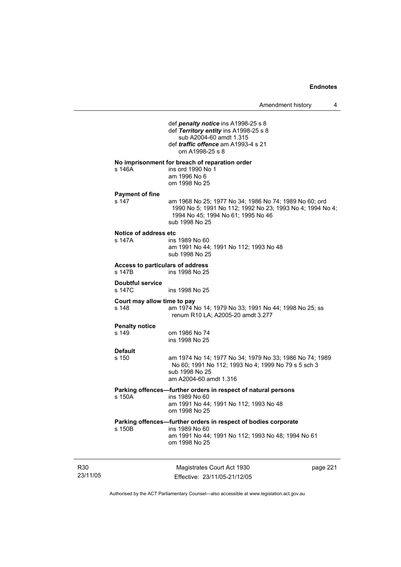|                             |                                            | def penalty notice ins A1998-25 s 8<br>def Territory entity ins A1998-25 s 8<br>sub A2004-60 amdt 1.315<br>def <i>traffic offence</i> am A1993-4 s 21<br>om A1998-25 s 8    |          |
|-----------------------------|--------------------------------------------|-----------------------------------------------------------------------------------------------------------------------------------------------------------------------------|----------|
|                             | s 146A                                     | No imprisonment for breach of reparation order<br>ins ord 1990 No 1<br>am 1996 No 6<br>om 1998 No 25                                                                        |          |
|                             | <b>Payment of fine</b><br>s 147            | am 1968 No 25; 1977 No 34; 1986 No 74; 1989 No 60; ord<br>1990 No 5; 1991 No 112; 1992 No 23; 1993 No 4; 1994 No 4;<br>1994 No 45; 1994 No 61; 1995 No 46<br>sub 1998 No 25 |          |
|                             | Notice of address etc<br>s 147A            | ins 1989 No 60<br>am 1991 No 44; 1991 No 112; 1993 No 48<br>sub 1998 No 25                                                                                                  |          |
|                             | Access to particulars of address<br>s 147B | ins 1998 No 25                                                                                                                                                              |          |
|                             | Doubtful service<br>s 147C                 | ins 1998 No 25                                                                                                                                                              |          |
|                             | Court may allow time to pay<br>s 148       | am 1974 No 14; 1979 No 33; 1991 No 44; 1998 No 25; ss<br>renum R10 LA; A2005-20 amdt 3.277                                                                                  |          |
|                             | <b>Penalty notice</b><br>s 149             | om 1986 No 74<br>ins 1998 No 25                                                                                                                                             |          |
|                             | <b>Default</b><br>s 150                    | am 1974 No 14; 1977 No 34; 1979 No 33; 1986 No 74; 1989<br>No 60; 1991 No 112; 1993 No 4; 1999 No 79 s 5 sch 3<br>sub 1998 No 25<br>am A2004-60 amdt 1.316                  |          |
|                             | s 150A                                     | Parking offences-further orders in respect of natural persons<br>ins 1989 No 60<br>am 1991 No 44; 1991 No 112; 1993 No 48<br>om 1998 No 25                                  |          |
|                             | s 150B                                     | Parking offences-further orders in respect of bodies corporate<br>ins 1989 No 60<br>am 1991 No 44; 1991 No 112; 1993 No 48; 1994 No 61<br>om 1998 No 25                     |          |
| R <sub>30</sub><br>23/11/05 |                                            | Magistrates Court Act 1930<br>Effective: 23/11/05-21/12/05                                                                                                                  | page 221 |

Authorised by the ACT Parliamentary Counsel—also accessible at www.legislation.act.gov.au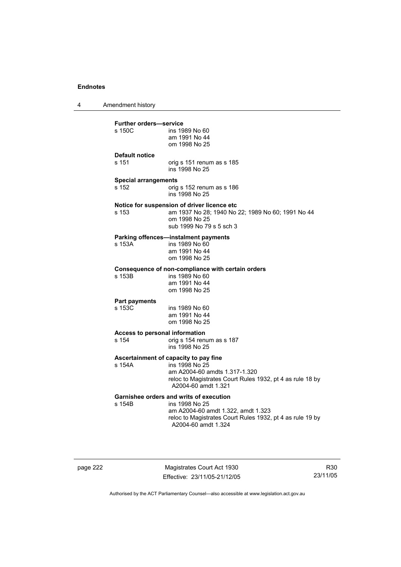4 Amendment history

| <b>Further orders-service</b> |                                                                                            |
|-------------------------------|--------------------------------------------------------------------------------------------|
| s 150C                        | ins 1989 No 60<br>am 1991 No 44<br>om 1998 No 25                                           |
| <b>Default notice</b>         |                                                                                            |
| s 151                         | orig s 151 renum as s 185<br>ins 1998 No 25                                                |
| <b>Special arrangements</b>   |                                                                                            |
| s 152                         | orig s 152 renum as s 186<br>ins 1998 No 25                                                |
|                               | Notice for suspension of driver licence etc                                                |
| s 153                         | am 1937 No 28; 1940 No 22; 1989 No 60; 1991 No 44                                          |
|                               | om 1998 No 25                                                                              |
|                               | sub 1999 No 79 s 5 sch 3                                                                   |
|                               | Parking offences-instalment payments                                                       |
| s 153A                        | ins 1989 No 60<br>am 1991 No 44                                                            |
|                               | om 1998 No 25                                                                              |
|                               |                                                                                            |
| s 153B                        | Consequence of non-compliance with certain orders<br>ins 1989 No 60                        |
|                               | am 1991 No 44                                                                              |
|                               | om 1998 No 25                                                                              |
| <b>Part payments</b>          |                                                                                            |
| s 153C                        | ins 1989 No 60                                                                             |
|                               | am 1991 No 44                                                                              |
|                               | om 1998 No 25                                                                              |
|                               | <b>Access to personal information</b>                                                      |
| s 154                         | orig s 154 renum as s 187                                                                  |
|                               | ins 1998 No 25                                                                             |
|                               | Ascertainment of capacity to pay fine                                                      |
| s 154A                        | ins 1998 No 25                                                                             |
|                               | am A2004-60 amdts 1.317-1.320<br>reloc to Magistrates Court Rules 1932, pt 4 as rule 18 by |
|                               | A2004-60 amdt 1.321                                                                        |
|                               | <b>Garnishee orders and writs of execution</b>                                             |
| s 154B                        | ins 1998 No 25                                                                             |
|                               | am A2004-60 amdt 1.322, amdt 1.323                                                         |
|                               | reloc to Magistrates Court Rules 1932, pt 4 as rule 19 by                                  |
|                               | A2004-60 amdt 1.324                                                                        |
|                               |                                                                                            |

page 222 Magistrates Court Act 1930 Effective: 23/11/05-21/12/05

R30 23/11/05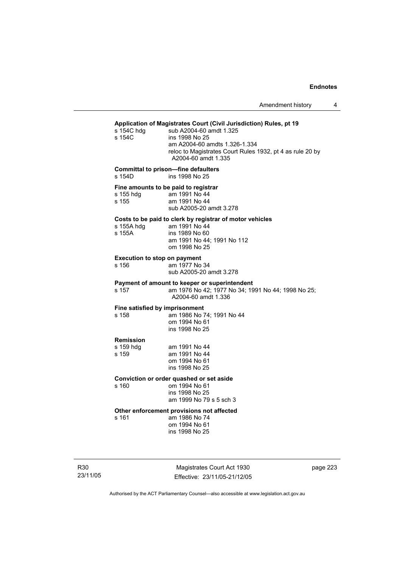## **Application of Magistrates Court (Civil Jurisdiction) Rules, pt 19**  s 154C hdg sub A2004-60 amdt 1.325

| s 154∪ nag<br>s 154C                         | sub A2004-60 amot 1.325<br>ins 1998 No 25<br>am A2004-60 amdts 1.326-1.334<br>reloc to Magistrates Court Rules 1932, pt 4 as rule 20 by<br>A2004-60 amdt 1.335 |
|----------------------------------------------|----------------------------------------------------------------------------------------------------------------------------------------------------------------|
| s 154D                                       | <b>Committal to prison-fine defaulters</b><br>ins 1998 No 25                                                                                                   |
| s 155 hdg<br>s 155                           | Fine amounts to be paid to registrar<br>am 1991 No 44<br>am 1991 No 44<br>sub A2005-20 amdt 3.278                                                              |
| s 155A hdg<br>s 155A                         | Costs to be paid to clerk by registrar of motor vehicles<br>am 1991 No 44<br>ins 1989 No 60<br>am 1991 No 44; 1991 No 112<br>om 1998 No 25                     |
| <b>Execution to stop on payment</b><br>s 156 | am 1977 No 34<br>sub A2005-20 amdt 3.278                                                                                                                       |
| s 157                                        | Payment of amount to keeper or superintendent<br>am 1976 No 42; 1977 No 34; 1991 No 44; 1998 No 25;<br>A2004-60 amdt 1.336                                     |
| Fine satisfied by imprisonment<br>s 158      | am 1986 No 74; 1991 No 44<br>om 1994 No 61<br>ins 1998 No 25                                                                                                   |
| <b>Remission</b><br>s 159 hdg<br>s 159       | am 1991 No 44<br>am 1991 No 44<br>om 1994 No 61<br>ins 1998 No 25                                                                                              |
| s 160                                        | Conviction or order quashed or set aside<br>om 1994 No 61<br>ins 1998 No 25<br>am 1999 No 79 s 5 sch 3                                                         |

# **Other enforcement provisions not affected**

am 1986 No 74 om 1994 No 61 ins 1998 No 25

R30 23/11/05

Magistrates Court Act 1930 Effective: 23/11/05-21/12/05 page 223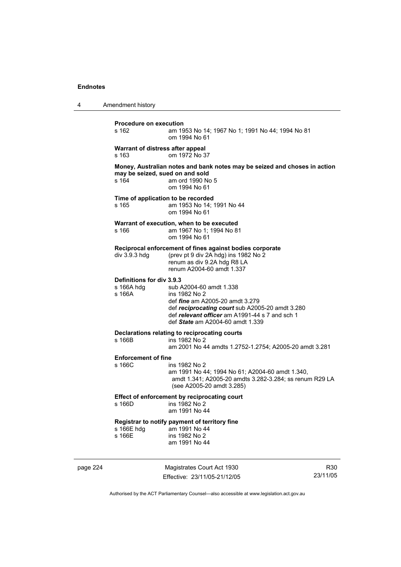| 4 | Amendment history                                 |                                                                                                                                                                                                                             |
|---|---------------------------------------------------|-----------------------------------------------------------------------------------------------------------------------------------------------------------------------------------------------------------------------------|
|   | <b>Procedure on execution</b><br>s 162            | am 1953 No 14; 1967 No 1; 1991 No 44; 1994 No 81<br>om 1994 No 61                                                                                                                                                           |
|   | Warrant of distress after appeal<br>s 163         | om 1972 No 37                                                                                                                                                                                                               |
|   | may be seized, sued on and sold<br>s 164          | Money, Australian notes and bank notes may be seized and choses in action<br>am ord 1990 No 5<br>om 1994 No 61                                                                                                              |
|   | s 165                                             | Time of application to be recorded<br>am 1953 No 14; 1991 No 44<br>om 1994 No 61                                                                                                                                            |
|   | s 166                                             | Warrant of execution, when to be executed<br>am 1967 No 1; 1994 No 81<br>om 1994 No 61                                                                                                                                      |
|   | div 3.9.3 hdg                                     | Reciprocal enforcement of fines against bodies corporate<br>(prev pt 9 div 2A hdg) ins 1982 No 2<br>renum as div 9.2A hdg R8 LA<br>renum A2004-60 amdt 1.337                                                                |
|   | Definitions for div 3.9.3<br>s 166A hdg<br>s 166A | sub A2004-60 amdt 1.338<br>ins 1982 No 2<br>def <i>fine</i> am A2005-20 amdt 3.279<br>def reciprocating court sub A2005-20 amdt 3.280<br>def relevant officer am A1991-44 s 7 and sch 1<br>def State am A2004-60 amdt 1.339 |
|   | s 166B                                            | Declarations relating to reciprocating courts<br>ins 1982 No 2<br>am 2001 No 44 amdts 1.2752-1.2754; A2005-20 amdt 3.281                                                                                                    |
|   | <b>Enforcement of fine</b><br>s 166C              | ins 1982 No 2<br>am 1991 No 44; 1994 No 61; A2004-60 amdt 1.340,<br>amdt 1.341; A2005-20 amdts 3.282-3.284; ss renum R29 LA<br>(see A2005-20 amdt 3.285)                                                                    |
|   | s 166D                                            | Effect of enforcement by reciprocating court<br>ins 1982 No 2<br>am 1991 No 44                                                                                                                                              |
|   | s 166E hdg<br>s 166E                              | Registrar to notify payment of territory fine<br>am 1991 No 44<br>ins 1982 No 2<br>am 1991 No 44                                                                                                                            |

page 224 Magistrates Court Act 1930 Effective: 23/11/05-21/12/05

R30 23/11/05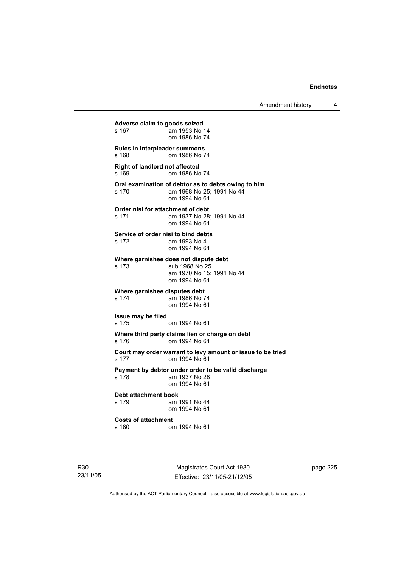Amendment history 4

**Adverse claim to goods seized**  am 1953 No 14 om 1986 No 74 **Rules in Interpleader summons**  s 168 om 1986 No 74 **Right of landlord not affected**  s 169 om 1986 No 74 **Oral examination of debtor as to debts owing to him**  s 170 am 1968 No 25; 1991 No 44 om 1994 No 61 **Order nisi for attachment of debt**<br>s 171 am 1937 No 28 am 1937 No 28; 1991 No 44 om 1994 No 61 **Service of order nisi to bind debts**  s 172 am 1993 No 4 om 1994 No 61 **Where garnishee does not dispute debt**  s 173 sub 1968 No 25 am 1970 No 15; 1991 No 44 om 1994 No 61 **Where garnishee disputes debt**  s 174 am 1986 No 74 om 1994 No 61 **Issue may be filed**  s 175 om 1994 No 61 **Where third party claims lien or charge on debt**  s 176 om 1994 No 61 **Court may order warrant to levy amount or issue to be tried**  s 177 om 1994 No 61 **Payment by debtor under order to be valid discharge**  s 178 am 1937 No 28 om 1994 No 61 **Debt attachment book**  s 179 am 1991 No 44 om 1994 No 61 **Costs of attachment**  s 180 om 1994 No 61

R30 23/11/05

Magistrates Court Act 1930 Effective: 23/11/05-21/12/05 page 225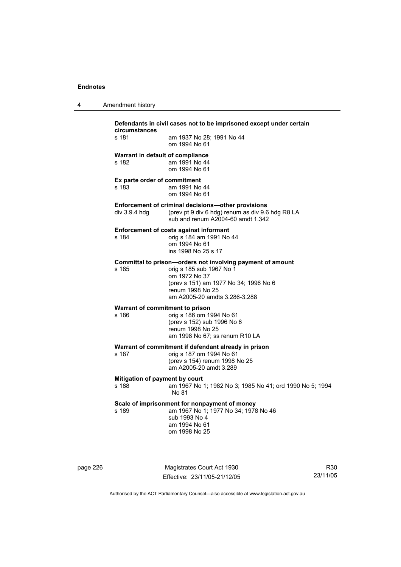| Amendment history |  |
|-------------------|--|
|                   |  |

| Defendants in civil cases not to be imprisoned except under certain<br>circumstances |                                                                                                                                                                                                       |  |
|--------------------------------------------------------------------------------------|-------------------------------------------------------------------------------------------------------------------------------------------------------------------------------------------------------|--|
| s 181                                                                                | am 1937 No 28; 1991 No 44<br>om 1994 No 61                                                                                                                                                            |  |
| Warrant in default of compliance<br>s 182                                            | am 1991 No 44<br>om 1994 No 61                                                                                                                                                                        |  |
| Ex parte order of commitment<br>s 183                                                | am 1991 No 44<br>om 1994 No 61                                                                                                                                                                        |  |
| div $3.9.4$ hdg                                                                      | Enforcement of criminal decisions-other provisions<br>(prev pt 9 div 6 hdg) renum as div 9.6 hdg R8 LA<br>sub and renum A2004-60 amdt 1.342                                                           |  |
| s 184                                                                                | <b>Enforcement of costs against informant</b><br>orig s 184 am 1991 No 44<br>om 1994 No 61<br>ins 1998 No 25 s 17                                                                                     |  |
| s 185                                                                                | Committal to prison-orders not involving payment of amount<br>orig s 185 sub 1967 No 1<br>om 1972 No 37<br>(prev s 151) am 1977 No 34; 1996 No 6<br>renum 1998 No 25<br>am A2005-20 amdts 3.286-3.288 |  |
| Warrant of commitment to prison<br>s 186                                             | orig s 186 om 1994 No 61<br>(prev s 152) sub 1996 No 6<br>renum 1998 No 25<br>am 1998 No 67; ss renum R10 LA                                                                                          |  |
| s 187                                                                                | Warrant of commitment if defendant already in prison<br>orig s 187 om 1994 No 61<br>(prev s 154) renum 1998 No 25<br>am A2005-20 amdt 3.289                                                           |  |
| Mitigation of payment by court<br>s 188                                              | am 1967 No 1; 1982 No 3; 1985 No 41; ord 1990 No 5; 1994<br>No 81                                                                                                                                     |  |
| s 189                                                                                | Scale of imprisonment for nonpayment of money<br>am 1967 No 1; 1977 No 34; 1978 No 46<br>sub 1993 No 4<br>am 1994 No 61<br>om 1998 No 25                                                              |  |

page 226 Magistrates Court Act 1930 Effective: 23/11/05-21/12/05

R30 23/11/05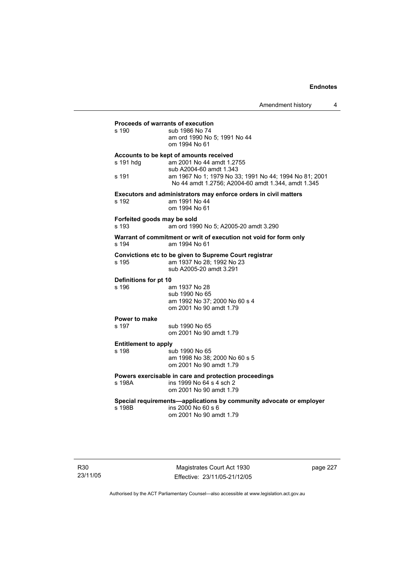| Proceeds of warrants of execution                                                                            |                                                                                                                |  |  |
|--------------------------------------------------------------------------------------------------------------|----------------------------------------------------------------------------------------------------------------|--|--|
| s 190                                                                                                        | sub 1986 No 74<br>am ord 1990 No 5; 1991 No 44<br>om 1994 No 61                                                |  |  |
| Accounts to be kept of amounts received<br>s 191 hdg<br>am 2001 No 44 amdt 1.2755<br>sub A2004-60 amdt 1.343 |                                                                                                                |  |  |
| s 191                                                                                                        | am 1967 No 1; 1979 No 33; 1991 No 44; 1994 No 81; 2001<br>No 44 amdt 1.2756; A2004-60 amdt 1.344, amdt 1.345   |  |  |
| s 192                                                                                                        | Executors and administrators may enforce orders in civil matters<br>am 1991 No 44                              |  |  |
|                                                                                                              | om 1994 No 61                                                                                                  |  |  |
| Forfeited goods may be sold<br>s 193                                                                         | am ord 1990 No 5; A2005-20 amdt 3.290                                                                          |  |  |
| s 194                                                                                                        | Warrant of commitment or writ of execution not void for form only<br>am 1994 No 61                             |  |  |
| s 195                                                                                                        | Convictions etc to be given to Supreme Court registrar<br>am 1937 No 28; 1992 No 23<br>sub A2005-20 amdt 3.291 |  |  |
| Definitions for pt 10<br>s 196                                                                               | am 1937 No 28                                                                                                  |  |  |
|                                                                                                              | sub 1990 No 65<br>am 1992 No 37; 2000 No 60 s 4                                                                |  |  |
|                                                                                                              | om 2001 No 90 amdt 1.79                                                                                        |  |  |
| Power to make<br>s 197                                                                                       | sub 1990 No 65                                                                                                 |  |  |
|                                                                                                              | om 2001 No 90 amdt 1.79                                                                                        |  |  |
| <b>Entitlement to apply</b>                                                                                  |                                                                                                                |  |  |
| s 198                                                                                                        | sub 1990 No 65<br>am 1998 No 38; 2000 No 60 s 5                                                                |  |  |
|                                                                                                              | om 2001 No 90 amdt 1.79                                                                                        |  |  |
| s 198A                                                                                                       | Powers exercisable in care and protection proceedings<br>ins 1999 No 64 s 4 sch 2<br>om 2001 No 90 amdt 1.79   |  |  |
| Special requirements-applications by community advocate or employer                                          |                                                                                                                |  |  |
| s 198B                                                                                                       | ins 2000 No 60 s 6<br>om 2001 No 90 amdt 1.79                                                                  |  |  |
|                                                                                                              |                                                                                                                |  |  |

Magistrates Court Act 1930 Effective: 23/11/05-21/12/05 page 227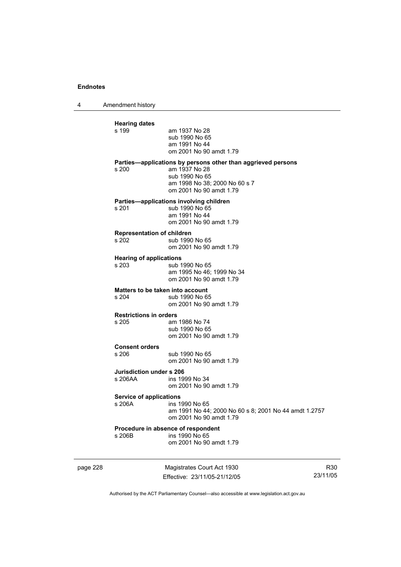4 Amendment history

| <b>Hearing dates</b><br>s 199            | am 1937 No 28<br>sub 1990 No 65<br>am 1991 No 44<br>om 2001 No 90 amdt 1.79                                                                                 |
|------------------------------------------|-------------------------------------------------------------------------------------------------------------------------------------------------------------|
| s 200                                    | Parties-applications by persons other than aggrieved persons<br>am 1937 No 28<br>sub 1990 No 65<br>am 1998 No 38; 2000 No 60 s 7<br>om 2001 No 90 amdt 1.79 |
| s 201                                    | Parties—applications involving children<br>sub 1990 No 65<br>am 1991 No 44<br>om 2001 No 90 amdt 1.79                                                       |
| Representation of children<br>s 202      | sub 1990 No 65<br>om 2001 No 90 amdt 1.79                                                                                                                   |
| <b>Hearing of applications</b><br>s 203  | sub 1990 No 65<br>am 1995 No 46: 1999 No 34<br>om 2001 No 90 amdt 1.79                                                                                      |
| s 204                                    | Matters to be taken into account<br>sub 1990 No 65<br>om 2001 No 90 amdt 1.79                                                                               |
| <b>Restrictions in orders</b><br>s 205   | am 1986 No 74<br>sub 1990 No 65<br>om 2001 No 90 amdt 1.79                                                                                                  |
| <b>Consent orders</b><br>s 206           | sub 1990 No 65<br>om 2001 No 90 amdt 1.79                                                                                                                   |
| Jurisdiction under s 206<br>s 206AA      | ins 1999 No 34<br>om 2001 No 90 amdt 1.79                                                                                                                   |
| <b>Service of applications</b><br>s 206A | ins 1990 No 65<br>am 1991 No 44; 2000 No 60 s 8; 2001 No 44 amdt 1.2757<br>om 2001 No 90 amdt 1.79                                                          |
| s 206B                                   | Procedure in absence of respondent<br>ins 1990 No 65<br>om 2001 No 90 amdt 1.79                                                                             |

page 228 Magistrates Court Act 1930 Effective: 23/11/05-21/12/05

R30 23/11/05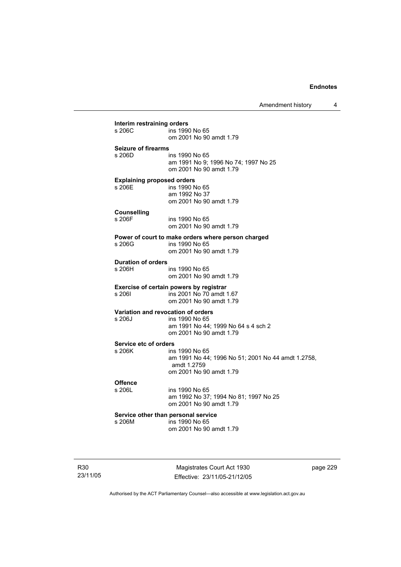Amendment history 4

| s 206C                            | ins 1990 No 65                                         |  |  |  |  |
|-----------------------------------|--------------------------------------------------------|--|--|--|--|
|                                   | om 2001 No 90 amdt 1.79                                |  |  |  |  |
| <b>Seizure of firearms</b>        |                                                        |  |  |  |  |
| s 206D                            | ins 1990 No 65<br>am 1991 No 9; 1996 No 74; 1997 No 25 |  |  |  |  |
|                                   | om 2001 No 90 amdt 1.79                                |  |  |  |  |
| <b>Explaining proposed orders</b> |                                                        |  |  |  |  |
| s 206E                            | ins 1990 No 65                                         |  |  |  |  |
|                                   | am 1992 No 37<br>om 2001 No 90 amdt 1.79               |  |  |  |  |
| <b>Counselling</b>                |                                                        |  |  |  |  |
| s 206F                            | ins 1990 No 65                                         |  |  |  |  |
|                                   | om 2001 No 90 amdt 1.79                                |  |  |  |  |
|                                   | Power of court to make orders where person charged     |  |  |  |  |
| s 206G                            | ins 1990 No 65<br>om 2001 No 90 amdt 1.79              |  |  |  |  |
| <b>Duration of orders</b>         |                                                        |  |  |  |  |
| s 206H                            | ins 1990 No 65                                         |  |  |  |  |
|                                   | om 2001 No 90 amdt 1.79                                |  |  |  |  |
|                                   | Exercise of certain powers by registrar                |  |  |  |  |
| s 2061                            | ins 2001 No 70 amdt 1.67<br>om 2001 No 90 amdt 1.79    |  |  |  |  |
|                                   | Variation and revocation of orders                     |  |  |  |  |
| s 206J                            | ins 1990 No 65                                         |  |  |  |  |
|                                   | am 1991 No 44; 1999 No 64 s 4 sch 2                    |  |  |  |  |
|                                   | om 2001 No 90 amdt 1.79                                |  |  |  |  |
| Service etc of orders<br>s 206K   | ins 1990 No 65                                         |  |  |  |  |
|                                   | am 1991 No 44; 1996 No 51; 2001 No 44 amdt 1.2758,     |  |  |  |  |
|                                   | amdt 1.2759                                            |  |  |  |  |
|                                   | om 2001 No 90 amdt 1.79                                |  |  |  |  |
| <b>Offence</b><br>s 206L          | ins 1990 No 65                                         |  |  |  |  |
|                                   | am 1992 No 37; 1994 No 81; 1997 No 25                  |  |  |  |  |
|                                   | om 2001 No 90 amdt 1.79                                |  |  |  |  |
|                                   | Service other than personal service                    |  |  |  |  |
| s 206M                            | ins 1990 No 65                                         |  |  |  |  |

R30 23/11/05

Magistrates Court Act 1930 Effective: 23/11/05-21/12/05 page 229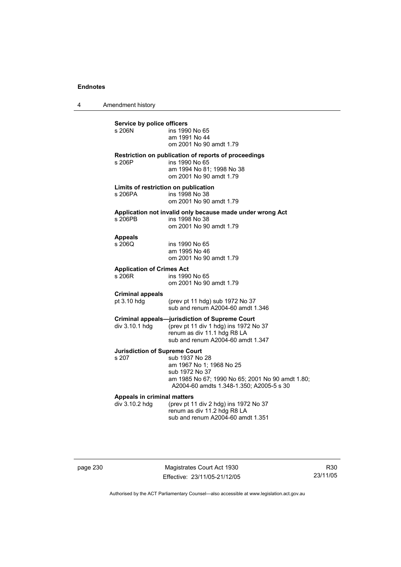4 Amendment history

**Service by police officers**  ins 1990 No 65 am 1991 No 44 om 2001 No 90 amdt 1.79 **Restriction on publication of reports of proceedings**  s 206P ins 1990 No 65 am 1994 No 81; 1998 No 38 om 2001 No 90 amdt 1.79 **Limits of restriction on publication**  s 206PA ins 1998 No 38 om 2001 No 90 amdt 1.79 **Application not invalid only because made under wrong Act**  ins 1998 No 38 om 2001 No 90 amdt 1.79 **Appeals**  ins 1990 No 65 am 1995 No 46 om 2001 No 90 amdt 1.79 **Application of Crimes Act**  ins 1990 No 65 om 2001 No 90 amdt 1.79 **Criminal appeals**  pt 3.10 hdg (prev pt 11 hdg) sub 1972 No 37 sub and renum A2004-60 amdt 1.346 **Criminal appeals—jurisdiction of Supreme Court**  div 3.10.1 hdg (prev pt 11 div 1 hdg) ins 1972 No 37 renum as div 11.1 hdg R8 LA sub and renum A2004-60 amdt 1.347 **Jurisdiction of Supreme Court**  sub 1937 No 28 am 1967 No 1; 1968 No 25 sub 1972 No 37 am 1985 No 67; 1990 No 65; 2001 No 90 amdt 1.80; A2004-60 amdts 1.348-1.350; A2005-5 s 30 **Appeals in criminal matters**  div 3.10.2 hdg (prev pt 11 div 2 hdg) ins 1972 No 37 renum as div 11.2 hdg R8 LA sub and renum A2004-60 amdt 1.351

|  | page 230 |  |
|--|----------|--|
|--|----------|--|

page 230 Magistrates Court Act 1930 Effective: 23/11/05-21/12/05

R30 23/11/05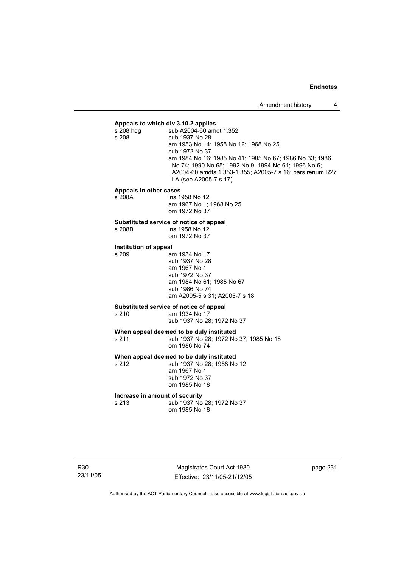**Appeals to which div 3.10.2 applies**  sub A2004-60 amdt 1.352 s 208 sub 1937 No 28 am 1953 No 14; 1958 No 12; 1968 No 25 sub 1972 No 37 am 1984 No 16; 1985 No 41; 1985 No 67; 1986 No 33; 1986 No 74; 1990 No 65; 1992 No 9; 1994 No 61; 1996 No 6; A2004-60 amdts 1.353-1.355; A2005-7 s 16; pars renum R27 LA (see A2005-7 s 17)

# **Appeals in other cases**

ins 1958 No 12 am 1967 No 1; 1968 No 25 om 1972 No 37

# **Substituted service of notice of appeal**

ins 1958 No 12

om 1972 No 37

# **Institution of appeal**

am 1934 No 17 sub 1937 No 28 am 1967 No 1 sub 1972 No 37 am 1984 No 61; 1985 No 67 sub 1986 No 74 am A2005-5 s 31; A2005-7 s 18

# **Substituted service of notice of appeal**

am 1934 No 17

sub 1937 No 28; 1972 No 37

**When appeal deemed to be duly instituted**  s 211 sub 1937 No 28; 1972 No 37; 1985 No 18 om 1986 No 74

**When appeal deemed to be duly instituted**<br>s 212 **by 1937 No 28: 1958 No** 

sub 1937 No 28; 1958 No 12 am 1967 No 1 sub 1972 No 37 om 1985 No 18

# **Increase in amount of security**<br>s 213 **ID** Sub 1937 No

sub 1937 No 28: 1972 No 37 om 1985 No 18

Magistrates Court Act 1930 Effective: 23/11/05-21/12/05 page 231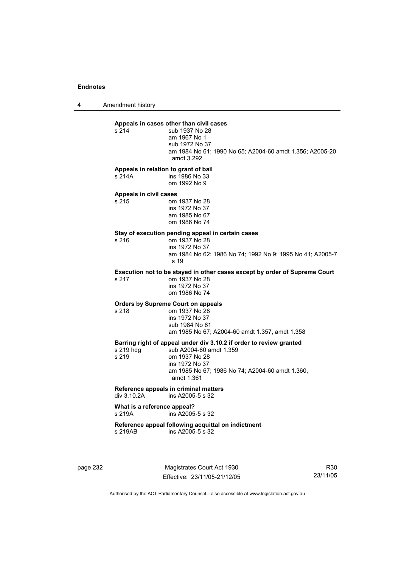4 Amendment history

**Appeals in cases other than civil cases**  sub 1937 No 28 am 1967 No 1 sub 1972 No 37 am 1984 No 61; 1990 No 65; A2004-60 amdt 1.356; A2005-20 amdt 3.292

#### **Appeals in relation to grant of bail**

s 214A ins 1986 No 33 om 1992 No 9

#### **Appeals in civil cases**

| s 215 | om 1937 No 28  |
|-------|----------------|
|       | ins 1972 No 37 |
|       | am 1985 No 67  |
|       | om 1986 No 74  |

# **Stay of execution pending appeal in certain cases**

 $\frac{1}{2}$  om 1937 No 28 ins 1972 No 37 am 1984 No 62; 1986 No 74; 1992 No 9; 1995 No 41; A2005-7 s 19

### **Execution not to be stayed in other cases except by order of Supreme Court**

s 217 om 1937 No 28 ins 1972 No 37 om 1986 No 74

## **Orders by Supreme Court on appeals**

s 218 om 1937 No 28 ins 1972 No 37 sub 1984 No 61

am 1985 No 67; A2004-60 amdt 1.357, amdt 1.358

**Barring right of appeal under div 3.10.2 if order to review granted**  .<br>sub A2004-60 amdt 1.359 s 219 om 1937 No 28 ins 1972 No 37 am 1985 No 67; 1986 No 74; A2004-60 amdt 1.360, amdt 1.361

#### **Reference appeals in criminal matters**<br>div 3.10.2A ins A2005-5 s.32  $ins A2005-5 s 32$

#### **What is a reference appeal?**  s 219A ins A2005-5 s 32

#### **Reference appeal following acquittal on indictment**   $ins A2005-5 s 32$

page 232 Magistrates Court Act 1930 Effective: 23/11/05-21/12/05

R30 23/11/05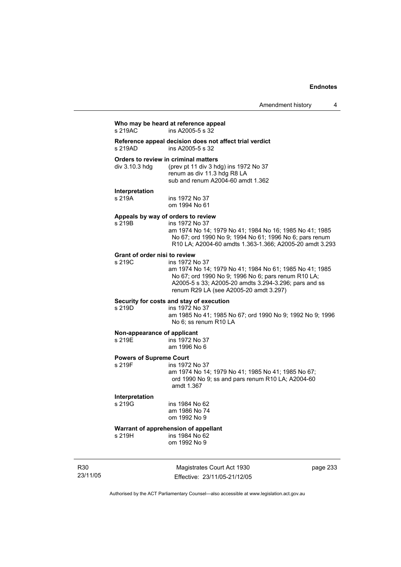# **Who may be heard at reference appeal**

 $ins$  A2005-5 s  $32$ 

**Reference appeal decision does not affect trial verdict**   $ins A2005-5 s 32$ 

**Orders to review in criminal matters**<br>div 3.10.3 hdg (prev pt 11 div 3 hd (prev pt 11 div 3 hdg) ins 1972 No  $37$  renum as div 11.3 hdg R8 LA sub and renum A2004-60 amdt 1.362

#### **Interpretation**

s 219A ins 1972 No 37 om 1994 No 61

## **Appeals by way of orders to review**

s 219B ins 1972 No 37 am 1974 No 14; 1979 No 41; 1984 No 16; 1985 No 41; 1985 No 67; ord 1990 No 9; 1994 No 61; 1996 No 6; pars renum R10 LA; A2004-60 amdts 1.363-1.366; A2005-20 amdt 3.293

## **Grant of order nisi to review**

s 219C ins 1972 No 37 am 1974 No 14; 1979 No 41; 1984 No 61; 1985 No 41; 1985 No 67; ord 1990 No 9; 1996 No 6; pars renum R10 LA; A2005-5 s 33; A2005-20 amdts 3.294-3.296; pars and ss renum R29 LA (see A2005-20 amdt 3.297)

## **Security for costs and stay of execution**

s 219D ins 1972 No 37 am 1985 No 41; 1985 No 67; ord 1990 No 9; 1992 No 9; 1996 No 6; ss renum R10 LA

#### **Non-appearance of applicant**

s 219E ins 1972 No 37 am 1996 No 6

# **Powers of Supreme Court**

ins 1972 No 37 am 1974 No 14; 1979 No 41; 1985 No 41; 1985 No 67; ord 1990 No 9; ss and pars renum R10 LA; A2004-60 amdt 1.367

# **Interpretation**

ins 1984 No 62 am 1986 No 74 om 1992 No 9

# **Warrant of apprehension of appellant**<br>s 219H **ins 1984 No 62**

 $ins$  1984 No 62 om 1992 No 9

R30 23/11/05

Magistrates Court Act 1930 Effective: 23/11/05-21/12/05 page 233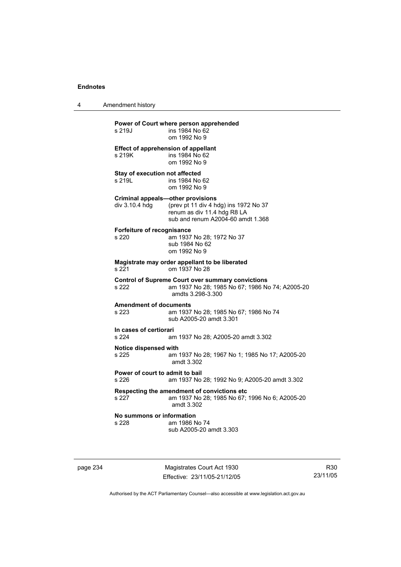4 Amendment history

| s 219J                                                     | Power of Court where person apprehended<br>ins 1984 No 62<br>om 1992 No 9                                                        |
|------------------------------------------------------------|----------------------------------------------------------------------------------------------------------------------------------|
| <b>Effect of apprehension of appellant</b><br>s 219K       | ins 1984 No 62<br>om 1992 No 9                                                                                                   |
| Stay of execution not affected<br>s 219L                   | ins 1984 No 62<br>om 1992 No 9                                                                                                   |
| <b>Criminal appeals-other provisions</b><br>div 3.10.4 hdg | (prev pt 11 div 4 hdg) ins 1972 No 37<br>renum as div 11.4 hdg R8 LA<br>sub and renum A2004-60 amdt 1.368                        |
| Forfeiture of recognisance<br>s 220                        | am 1937 No 28; 1972 No 37<br>sub 1984 No 62<br>om 1992 No 9                                                                      |
| s 221                                                      | Magistrate may order appellant to be liberated<br>om 1937 No 28                                                                  |
| s 222                                                      | <b>Control of Supreme Court over summary convictions</b><br>am 1937 No 28; 1985 No 67; 1986 No 74; A2005-20<br>amdts 3.298-3.300 |
| <b>Amendment of documents</b><br>s 223                     | am 1937 No 28; 1985 No 67; 1986 No 74<br>sub A2005-20 amdt 3.301                                                                 |
| In cases of certiorari<br>s 224                            | am 1937 No 28; A2005-20 amdt 3.302                                                                                               |
| Notice dispensed with<br>s 225                             | am 1937 No 28; 1967 No 1; 1985 No 17; A2005-20<br>amdt 3.302                                                                     |
| Power of court to admit to bail<br>s 226                   | am 1937 No 28; 1992 No 9; A2005-20 amdt 3.302                                                                                    |
| s 227                                                      | Respecting the amendment of convictions etc<br>am 1937 No 28; 1985 No 67; 1996 No 6; A2005-20<br>amdt 3.302                      |
| No summons or information<br>s 228                         | am 1986 No 74<br>sub A2005-20 amdt 3.303                                                                                         |

page 234 Magistrates Court Act 1930 Effective: 23/11/05-21/12/05

R30 23/11/05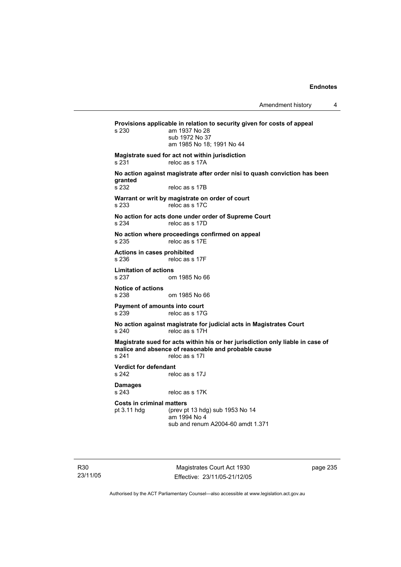Amendment history 4

**Provisions applicable in relation to security given for costs of appeal**  am 1937 No 28 sub 1972 No 37 am 1985 No 18; 1991 No 44 **Magistrate sued for act not within jurisdiction**  s 231 reloc as s 17A **No action against magistrate after order nisi to quash conviction has been granted**  reloc as s 17B **Warrant or writ by magistrate on order of court**  s 233 reloc as s 17C **No action for acts done under order of Supreme Court**  s 234 reloc as s 17D **No action where proceedings confirmed on appeal**  s 235 reloc as s 17E **Actions in cases prohibited**  s 236 reloc as s 17F **Limitation of actions**  s 237 om 1985 No 66 **Notice of actions**  s 238 om 1985 No 66 **Payment of amounts into court**  s 239 reloc as s 17G **No action against magistrate for judicial acts in Magistrates Court**  s 240 reloc as s 17H **Magistrate sued for acts within his or her jurisdiction only liable in case of malice and absence of reasonable and probable cause**  s 241 reloc as s 17I **Verdict for defendant**  s 242 reloc as s 17J **Damages**  s 243 reloc as s 17K **Costs in criminal matters**  pt 3.11 hdg (prev pt 13 hdg) sub 1953 No 14 am 1994 No 4 sub and renum A2004-60 amdt 1.371

R30 23/11/05

Magistrates Court Act 1930 Effective: 23/11/05-21/12/05 page 235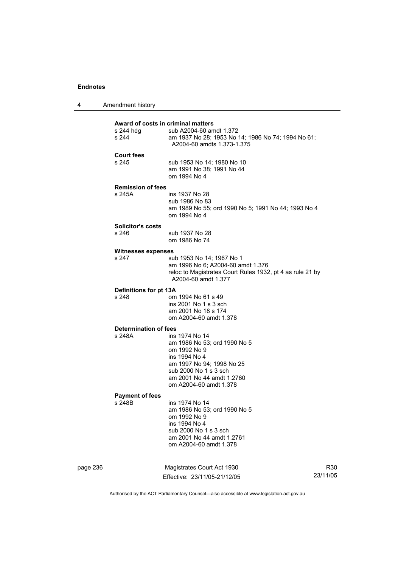| 4 | Amendment history |
|---|-------------------|
|---|-------------------|

|                                  | am 2001 No 44 amdt 1.2761<br>om A2004-60 amdt 1.378                                                                         |  |
|----------------------------------|-----------------------------------------------------------------------------------------------------------------------------|--|
|                                  | ins 1994 No 4<br>sub 2000 No 1 s 3 sch                                                                                      |  |
|                                  | am 1986 No 53; ord 1990 No 5<br>om 1992 No 9                                                                                |  |
| <b>Payment of fees</b><br>s 248B | ins 1974 No 14                                                                                                              |  |
|                                  | am 2001 No 44 amdt 1.2760<br>om A2004-60 amdt 1.378                                                                         |  |
|                                  | am 1997 No 94; 1998 No 25<br>sub 2000 No 1 s 3 sch                                                                          |  |
|                                  | om 1992 No 9<br>ins 1994 No 4                                                                                               |  |
| Determination of fees<br>s 248A  | ins 1974 No 14<br>am 1986 No 53; ord 1990 No 5                                                                              |  |
|                                  | am 2001 No 18 s 174<br>om A2004-60 amdt 1.378                                                                               |  |
| s 248                            | om 1994 No 61 s 49<br>ins 2001 No 1 s 3 sch                                                                                 |  |
| Definitions for pt 13A           | A2004-60 amdt 1.377                                                                                                         |  |
| s 247                            | sub 1953 No 14; 1967 No 1<br>am 1996 No 6; A2004-60 amdt 1.376<br>reloc to Magistrates Court Rules 1932, pt 4 as rule 21 by |  |
| <b>Witnesses expenses</b>        |                                                                                                                             |  |
| Solicitor's costs<br>s 246       | sub 1937 No 28<br>om 1986 No 74                                                                                             |  |
| s 245A                           | ins 1937 No 28<br>sub 1986 No 83<br>am 1989 No 55; ord 1990 No 5; 1991 No 44; 1993 No 4<br>om 1994 No 4                     |  |
| <b>Remission of fees</b>         |                                                                                                                             |  |
| <b>Court fees</b><br>s 245       | sub 1953 No 14; 1980 No 10<br>am 1991 No 38; 1991 No 44<br>om 1994 No 4                                                     |  |
|                                  | A2004-60 amdts 1.373-1.375                                                                                                  |  |
| s 244                            | am 1937 No 28; 1953 No 14; 1986 No 74; 1994 No 61;                                                                          |  |

Effective: 23/11/05-21/12/05 23/11/05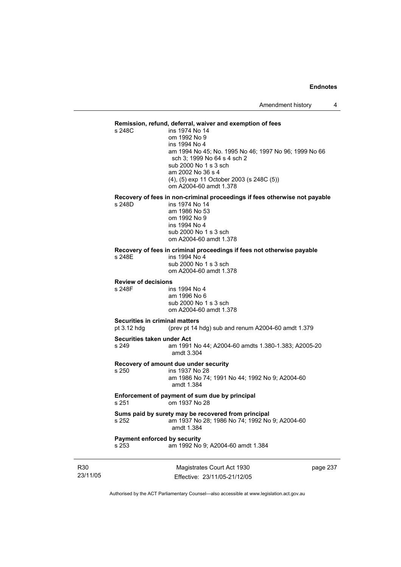### **Remission, refund, deferral, waiver and exemption of fees**

s 248C ins 1974 No 14 om 1992 No 9 ins 1994 No 4 am 1994 No 45; No. 1995 No 46; 1997 No 96; 1999 No 66 sch 3; 1999 No 64 s 4 sch 2 sub 2000 No 1 s 3 sch am 2002 No 36 s 4 (4), (5) exp 11 October 2003 (s 248C (5)) om A2004-60 amdt 1.378

# **Recovery of fees in non-criminal proceedings if fees otherwise not payable**

ins 1974 No 14 am 1986 No 53 om 1992 No 9 ins 1994 No 4 sub 2000 No 1 s 3 sch om A2004-60 amdt 1.378

### **Recovery of fees in criminal proceedings if fees not otherwise payable**

s 248E ins 1994 No 4 sub 2000 No 1 s 3 sch om A2004-60 amdt 1.378

## **Review of decisions**

s 248F ins 1994 No 4 am 1996 No 6 sub 2000 No 1 s 3 sch om A2004-60 amdt 1.378

## **Securities in criminal matters**

pt 3.12 hdg (prev pt 14 hdg) sub and renum A2004-60 amdt 1.379

#### **Securities taken under Act**

s 249 am 1991 No 44; A2004-60 amdts 1.380-1.383; A2005-20 amdt 3.304

### **Recovery of amount due under security**

s 250 ins 1937 No 28 am 1986 No 74; 1991 No 44; 1992 No 9; A2004-60 amdt 1.384

**Enforcement of payment of sum due by principal**  s 251 om 1937 No 28

#### **Sums paid by surety may be recovered from principal**  s 252 am 1937 No 28; 1986 No 74; 1992 No 9; A2004-60 amdt 1.384

# **Payment enforced by security**

s 253 am 1992 No 9; A2004-60 amdt 1.384

R30 23/11/05

Magistrates Court Act 1930 Effective: 23/11/05-21/12/05 page 237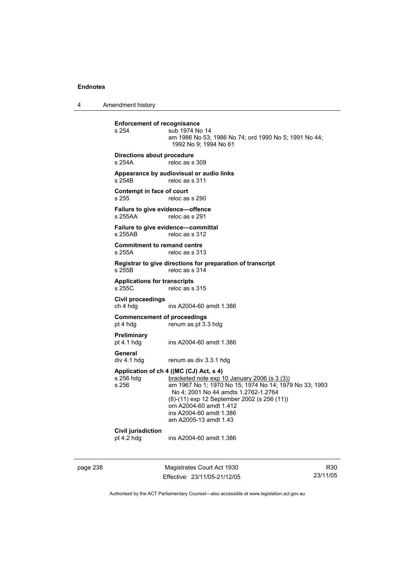4 Amendment history

**Enforcement of recognisance**<br>s 254 **Sub 1974** No sub 1974 No 14 am 1986 No 53; 1986 No 74; ord 1990 No 5; 1991 No 44; 1992 No 9; 1994 No 61 **Directions about procedure**  s 254A reloc as s 309 **Appearance by audiovisual or audio links**  s 254B reloc as s 311 **Contempt in face of court**  s 255 reloc as s 290 **Failure to give evidence—offence**  reloc as s 291 **Failure to give evidence—committal**  s 255AB reloc as s 312 **Commitment to remand centre**  s 255A reloc as s 313 **Registrar to give directions for preparation of transcript**  reloc as s 314 **Applications for transcripts**   $reloc$  as s 315 **Civil proceedings**  ins A2004-60 amdt 1.386 **Commencement of proceedings**  pt 4 hdg renum as pt 3.3 hdg **Preliminary**  ins A2004-60 amdt 1.386 General<br>div 4.1 hdg renum as div 3.3.1 hdg **Application of ch 4 ((MC (CJ) Act, s 4)**  s 256 hdg bracketed note exp 10 January 2006 (s 3 (3))<br>s 256 am 1967 No 1; 1970 No 15; 1974 No 14; 197 am 1967 No 1; 1970 No 15; 1974 No 14; 1979 No 33; 1993 No 4; 2001 No 44 amdts 1.2762-1.2764 (8)-(11) exp 12 September 2002 (s 256 (11)) om A2004-60 amdt 1.412 ins A2004-60 amdt 1.386 am A2005-13 amdt 1.43 **Civil jurisdiction**  pt 4.2 hdg ins A2004-60 amdt 1.386

page 238 Magistrates Court Act 1930 Effective: 23/11/05-21/12/05

R30 23/11/05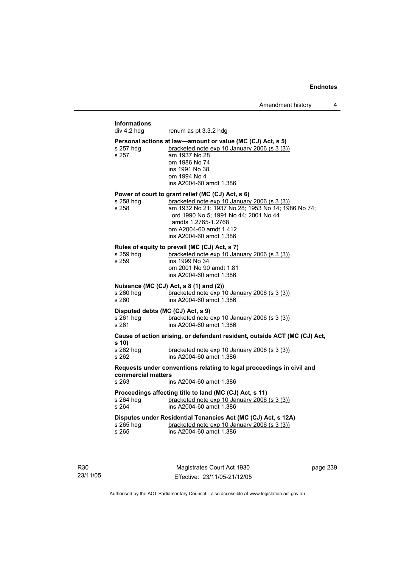## **Informations**  renum as pt 3.3.2 hdg **Personal actions at law—amount or value (MC (CJ) Act, s 5)**  s 257 hdg bracketed note exp 10 January 2006 (s 3 (3)) s 257 am 1937 No 28 om 1986 No 74 ins 1991 No 38 om 1994 No 4 ins A2004-60 amdt 1.386 **Power of court to grant relief (MC (CJ) Act, s 6)**<br>s 258 hdg **bracketed note exp 10 January** bracketed note exp 10 January 2006 (s 3 (3)) s 258 am 1932 No 21; 1937 No 28; 1953 No 14; 1986 No 74; ord 1990 No 5; 1991 No 44; 2001 No 44 amdts 1.2765-1.2768 om A2004-60 amdt 1.412 ins A2004-60 amdt 1.386 **Rules of equity to prevail (MC (CJ) Act, s 7)**<br>s 259 hdg bracketed note exp 10 Jan s 259 hdg bracketed note exp 10 January 2006 (s 3 (3))<br>s 259 bracketed note exp 10 January 2006 (s 3 (3)) ins 1999 No 34 om 2001 No 90 amdt 1.81 ins A2004-60 amdt 1.386 **Nuisance (MC (CJ) Act, s 8 (1) and (2))**  s 260 hdg bracketed note exp 10 January 2006 (s 3 (3)) s 260 ins A2004-60 amdt 1.386 **Disputed debts (MC (CJ) Act, s 9)**  s 261 hdg bracketed note exp 10 January 2006 (s 3 (3)) s 261 ins A2004-60 amdt 1.386 **Cause of action arising, or defendant resident, outside ACT (MC (CJ) Act, s 10)**  bracketed note exp  $10$  January 2006 (s  $3$  (3)) s 262 ins A2004-60 amdt 1.386 **Requests under conventions relating to legal proceedings in civil and commercial matters**  s 263 ins A2004-60 amdt 1.386 **Proceedings affecting title to land (MC (CJ) Act, s 11)**  s 264 hdg bracketed note exp 10 January 2006 (s 3 (3)) s 264 ins A2004-60 amdt 1.386 **Disputes under Residential Tenancies Act (MC (CJ) Act, s 12A)**  s 265 hdg bracketed note exp 10 January 2006 (s 3 (3))<br>s 265 bracketed note exp 10 January 2006 (s 3 (3)) ins A2004-60 amdt 1.386

R30 23/11/05

Magistrates Court Act 1930 Effective: 23/11/05-21/12/05 page 239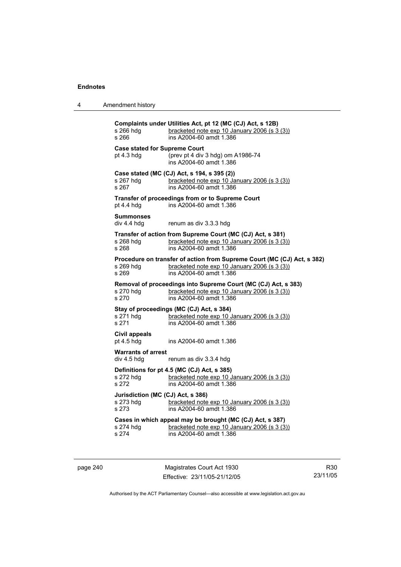| 4 | Amendment history |
|---|-------------------|
|---|-------------------|

| s 266 hdg<br>s 266                                                 | Complaints under Utilities Act, pt 12 (MC (CJ) Act, s 12B)<br>bracketed note exp 10 January 2006 (s 3 (3))<br>ins A2004-60 amdt 1.386              |  |
|--------------------------------------------------------------------|----------------------------------------------------------------------------------------------------------------------------------------------------|--|
| <b>Case stated for Supreme Court</b><br>pt 4.3 hdg                 | (prev pt 4 div 3 hdg) om A1986-74<br>ins A2004-60 amdt 1.386                                                                                       |  |
| s 267 hdg<br>s 267                                                 | Case stated (MC (CJ) Act, s 194, s 395 (2))<br>bracketed note exp 10 January 2006 (s 3 (3))<br>ins A2004-60 amdt 1.386                             |  |
| pt $4.4$ hdg                                                       | Transfer of proceedings from or to Supreme Court<br>ins A2004-60 amdt 1.386                                                                        |  |
| <b>Summonses</b><br>div 4.4 hdg                                    | renum as div 3.3.3 hdg                                                                                                                             |  |
| s 268 hdg<br>s 268                                                 | Transfer of action from Supreme Court (MC (CJ) Act, s 381)<br>bracketed note exp 10 January 2006 (s 3 (3))<br>ins A2004-60 amdt 1.386              |  |
| s 269 hdq<br>s 269                                                 | Procedure on transfer of action from Supreme Court (MC (CJ) Act, s 382)<br>bracketed note exp 10 January 2006 (s 3 (3))<br>ins A2004-60 amdt 1.386 |  |
| s 270 hdg<br>s 270                                                 | Removal of proceedings into Supreme Court (MC (CJ) Act, s 383)<br>bracketed note exp 10 January 2006 (s 3 (3))<br>ins A2004-60 amdt 1.386          |  |
| s 271 hdg<br>s 271                                                 | Stay of proceedings (MC (CJ) Act, s 384)<br>bracketed note exp 10 January 2006 (s 3 (3))<br>ins A2004-60 amdt 1.386                                |  |
| Civil appeals<br>pt 4.5 hdg                                        | ins A2004-60 amdt 1.386                                                                                                                            |  |
| <b>Warrants of arrest</b><br>div 4.5 hdg<br>renum as div 3.3.4 hdg |                                                                                                                                                    |  |
| s 272 hdg<br>s 272                                                 | Definitions for pt 4.5 (MC (CJ) Act, s 385)<br>bracketed note exp 10 January 2006 (s 3 (3))<br>ins A2004-60 amdt 1.386                             |  |
| Jurisdiction (MC (CJ) Act, s 386)<br>s 273 hdg<br>s 273            | bracketed note exp 10 January 2006 (s 3 (3))<br>ins A2004-60 amdt 1.386                                                                            |  |
| s 274 hdg<br>s 274                                                 | Cases in which appeal may be brought (MC (CJ) Act, s 387)<br>bracketed note exp 10 January 2006 (s 3 (3))<br>ins A2004-60 amdt 1.386               |  |
|                                                                    |                                                                                                                                                    |  |

page 240 Magistrates Court Act 1930 Effective: 23/11/05-21/12/05

R30 23/11/05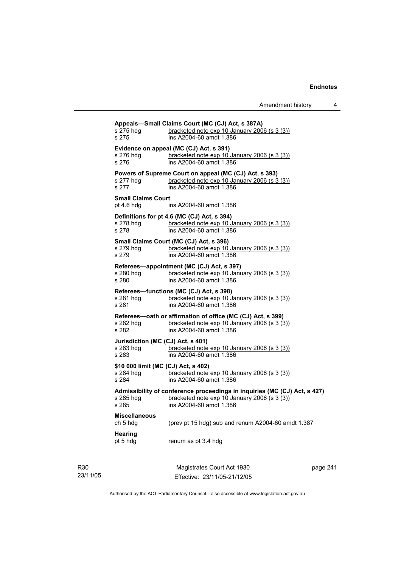| s 275 hdg<br>s 275                                        | Appeals-Small Claims Court (MC (CJ) Act, s 387A)<br>bracketed note exp 10 January 2006 (s 3 (3))<br>ins A2004-60 amdt 1.386                          |
|-----------------------------------------------------------|------------------------------------------------------------------------------------------------------------------------------------------------------|
| s 276 hdg<br>s 276                                        | Evidence on appeal (MC (CJ) Act, s 391)<br>bracketed note exp 10 January 2006 (s 3 (3))<br>ins A2004-60 amdt 1.386                                   |
| s 277 hdq<br>s 277                                        | Powers of Supreme Court on appeal (MC (CJ) Act, s 393)<br>bracketed note exp 10 January 2006 (s 3 (3))<br>ins A2004-60 amdt 1.386                    |
| <b>Small Claims Court</b><br>pt 4.6 hdg                   | ins A2004-60 amdt 1.386                                                                                                                              |
| s 278 hdg<br>s 278                                        | Definitions for pt 4.6 (MC (CJ) Act, s 394)<br>bracketed note exp 10 January 2006 (s 3 (3))<br>ins A2004-60 amdt 1.386                               |
| s 279 hdg<br>s 279                                        | Small Claims Court (MC (CJ) Act, s 396)<br>bracketed note exp 10 January 2006 (s 3 (3))<br>ins A2004-60 amdt 1.386                                   |
| s 280 hdg<br>s 280                                        | Referees-appointment (MC (CJ) Act, s 397)<br>bracketed note exp 10 January 2006 (s 3 (3))<br>ins A2004-60 amdt 1.386                                 |
| s 281 hdq<br>s 281                                        | Referees-functions (MC (CJ) Act, s 398)<br>bracketed note exp 10 January 2006 (s 3 (3))<br>ins A2004-60 amdt 1.386                                   |
| s 282 hdg<br>s 282                                        | Referees-oath or affirmation of office (MC (CJ) Act, s 399)<br>bracketed note exp 10 January 2006 (s 3 (3))<br>ins A2004-60 amdt 1.386               |
| Jurisdiction (MC (CJ) Act, s 401)<br>s 283 hdg<br>s 283   | bracketed note exp 10 January 2006 (s 3 (3))<br>ins A2004-60 amdt 1.386                                                                              |
| \$10 000 limit (MC (CJ) Act, s 402)<br>s 284 hdg<br>s 284 | bracketed note exp 10 January 2006 (s 3 (3))<br>ins A2004-60 amdt 1.386                                                                              |
| s 285 hdg<br>s 285                                        | Admissibility of conference proceedings in inquiries (MC (CJ) Act, s 427)<br>bracketed note exp 10 January 2006 (s 3 (3))<br>ins A2004-60 amdt 1.386 |
| <b>Miscellaneous</b><br>ch 5 hdg                          | (prev pt 15 hdg) sub and renum A2004-60 amdt 1.387                                                                                                   |
| Hearing<br>pt 5 hdg                                       | renum as pt 3.4 hdg                                                                                                                                  |
|                                                           |                                                                                                                                                      |

R30 23/11/05

Magistrates Court Act 1930 Effective: 23/11/05-21/12/05 page 241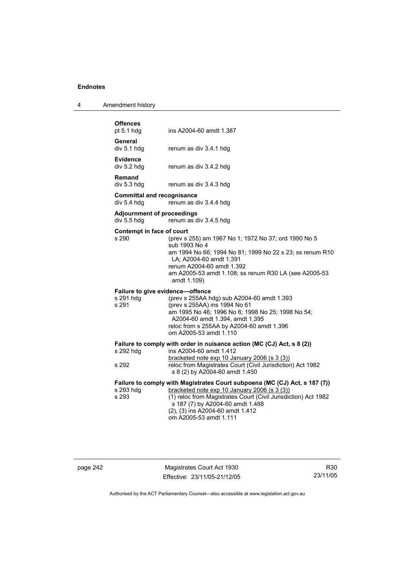| 4 | Amendment history |
|---|-------------------|
|---|-------------------|

| <b>Offences</b><br>pt 5.1 hdg                          | ins A2004-60 amdt 1.387                                                                                                                                                                                                                                                                                                          |
|--------------------------------------------------------|----------------------------------------------------------------------------------------------------------------------------------------------------------------------------------------------------------------------------------------------------------------------------------------------------------------------------------|
| General<br>div 5.1 hdg                                 | renum as div 3.4.1 hdg                                                                                                                                                                                                                                                                                                           |
| <b>Evidence</b><br>div 5.2 hdg                         | renum as div 3.4.2 hdg                                                                                                                                                                                                                                                                                                           |
| Remand<br>div 5.3 hdg                                  | renum as div 3.4.3 hdg                                                                                                                                                                                                                                                                                                           |
| <b>Committal and recognisance</b><br>div 5.4 hdg       | renum as div 3.4.4 hdg                                                                                                                                                                                                                                                                                                           |
| <b>Adjournment of proceedings</b><br>div 5.5 hdg       | renum as div 3.4.5 hdg                                                                                                                                                                                                                                                                                                           |
| Contempt in face of court<br>s 290                     | (prev s 255) am 1967 No 1; 1972 No 37; ord 1990 No 5<br>sub 1993 No 4<br>am 1994 No 66; 1994 No 81; 1999 No 22 s 23; ss renum R10<br>LA; A2004-60 amdt 1.391<br>renum A2004-60 amdt 1.392<br>am A2005-53 amdt 1.108; ss renum R30 LA (see A2005-53<br>amdt 1.109)                                                                |
| Failure to give evidence-offence<br>s 291 hdg<br>s 291 | (prev s 255AA hdg) sub A2004-60 amdt 1.393<br>(prev s 255AA) ins 1994 No 61<br>am 1995 No 46; 1996 No 6; 1998 No 25; 1998 No 54;<br>A2004-60 amdt 1.394, amdt 1.395<br>reloc from s 255AA by A2004-60 amdt 1.396<br>om A2005-53 amdt 1.110                                                                                       |
| s 292 hdg<br>s 292                                     | Failure to comply with order in nuisance action (MC (CJ) Act, s 8 (2))<br>ins A2004-60 amdt 1.412<br>bracketed note exp 10 January 2006 (s 3 (3))<br>reloc from Magistrates Court (Civil Jurisdiction) Act 1982                                                                                                                  |
| s 293 hdg<br>s 293                                     | s 8 (2) by A2004-60 amdt 1.450<br>Failure to comply with Magistrates Court subpoena (MC (CJ) Act, s 187 (7))<br>bracketed note exp 10 January 2006 (s 3 (3))<br>(1) reloc from Magistrates Court (Civil Jurisdiction) Act 1982<br>s 187 (7) by A2004-60 amdt 1.488<br>(2), (3) ins A2004-60 amdt 1.412<br>om A2005-53 amdt 1.111 |

page 242 Magistrates Court Act 1930 Effective: 23/11/05-21/12/05

R30 23/11/05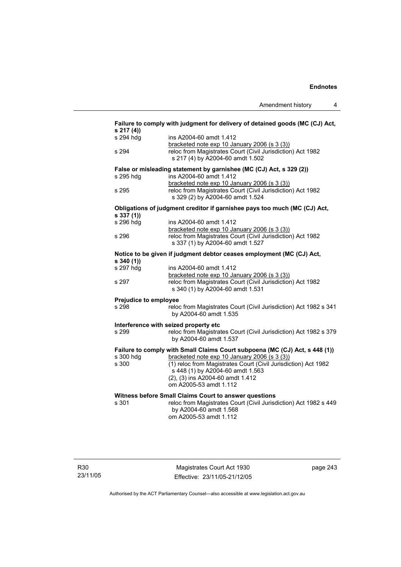| s 217 (4))            | Failure to comply with judgment for delivery of detained goods (MC (CJ) Act, |
|-----------------------|------------------------------------------------------------------------------|
| s 294 hdg             | ins A2004-60 amdt 1.412                                                      |
|                       | bracketed note exp 10 January 2006 (s 3 (3))                                 |
| s 294                 | reloc from Magistrates Court (Civil Jurisdiction) Act 1982                   |
|                       | s 217 (4) by A2004-60 amdt 1.502                                             |
|                       | False or misleading statement by garnishee (MC (CJ) Act, s 329 (2))          |
| s 295 hdg             | ins A2004-60 amdt 1.412                                                      |
|                       | bracketed note exp 10 January 2006 (s 3 (3))                                 |
| s 295                 | reloc from Magistrates Court (Civil Jurisdiction) Act 1982                   |
|                       | s 329 (2) by A2004-60 amdt 1.524                                             |
| s 337(1)              | Obligations of judgment creditor if garnishee pays too much (MC (CJ) Act,    |
| s 296 hdg             | ins A2004-60 amdt 1.412                                                      |
|                       | bracketed note exp 10 January 2006 (s 3 (3))                                 |
| s 296                 | reloc from Magistrates Court (Civil Jurisdiction) Act 1982                   |
|                       | s 337 (1) by A2004-60 amdt 1.527                                             |
| s340(1)               | Notice to be given if judgment debtor ceases employment (MC (CJ) Act,        |
| s 297 hdg             | ins A2004-60 amdt 1.412                                                      |
|                       | bracketed note exp 10 January 2006 (s 3 (3))                                 |
| s 297                 | reloc from Magistrates Court (Civil Jurisdiction) Act 1982                   |
|                       | s 340 (1) by A2004-60 amdt 1.531                                             |
| Prejudice to employee |                                                                              |
| s 298                 | reloc from Magistrates Court (Civil Jurisdiction) Act 1982 s 341             |
|                       | by A2004-60 amdt 1.535                                                       |
|                       | Interference with seized property etc                                        |
| s 299                 | reloc from Magistrates Court (Civil Jurisdiction) Act 1982 s 379             |
|                       | by A2004-60 amdt 1.537                                                       |
|                       | Failure to comply with Small Claims Court subpoena (MC (CJ) Act, s 448 (1))  |
| s 300 hdg             | bracketed note exp 10 January 2006 (s 3 (3))                                 |
| s 300                 | (1) reloc from Magistrates Court (Civil Jurisdiction) Act 1982               |
|                       | s 448 (1) by A2004-60 amdt 1.563                                             |
|                       | (2), (3) ins A2004-60 amdt 1.412                                             |
|                       | om A2005-53 amdt 1.112                                                       |
|                       | Witness before Small Claims Court to answer questions                        |
| s 301                 | reloc from Magistrates Court (Civil Jurisdiction) Act 1982 s 449             |
|                       | by A2004-60 amdt 1.568                                                       |
|                       | om A2005-53 amdt 1.112                                                       |
|                       |                                                                              |

Magistrates Court Act 1930 Effective: 23/11/05-21/12/05 page 243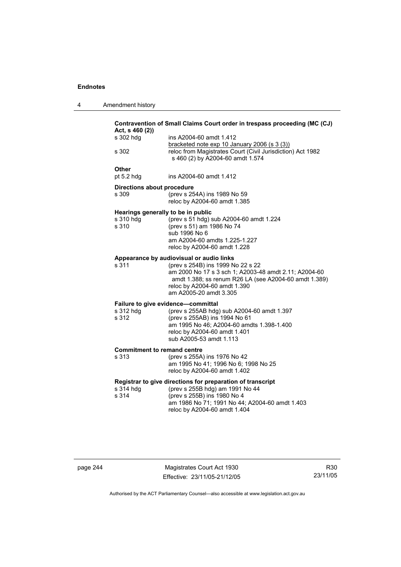4 Amendment history

| Act, s 460 (2))<br>s 302 hdg       | ins A2004-60 amdt 1.412                                                                                                                                                                                                                                   |
|------------------------------------|-----------------------------------------------------------------------------------------------------------------------------------------------------------------------------------------------------------------------------------------------------------|
|                                    | bracketed note exp 10 January 2006 (s 3 (3))                                                                                                                                                                                                              |
| s 302                              | reloc from Magistrates Court (Civil Jurisdiction) Act 1982<br>s 460 (2) by A2004-60 amdt 1.574                                                                                                                                                            |
| Other<br>pt 5.2 hdg                | ins A2004-60 amdt 1.412                                                                                                                                                                                                                                   |
| <b>Directions about procedure</b>  |                                                                                                                                                                                                                                                           |
| s 309                              | (prev s 254A) ins 1989 No 59<br>reloc by A2004-60 amdt 1.385                                                                                                                                                                                              |
|                                    | Hearings generally to be in public                                                                                                                                                                                                                        |
| s 310 hdg<br>s 310                 | (prev s 51 hdg) sub A2004-60 amdt 1.224<br>(prev s 51) am 1986 No 74                                                                                                                                                                                      |
|                                    | sub 1996 No 6                                                                                                                                                                                                                                             |
|                                    | am A2004-60 amdts 1.225-1.227<br>reloc by A2004-60 amdt 1.228                                                                                                                                                                                             |
|                                    |                                                                                                                                                                                                                                                           |
| s 311                              | Appearance by audiovisual or audio links<br>(prev s 254B) ins 1999 No 22 s 22<br>am 2000 No 17 s 3 sch 1; A2003-48 amdt 2.11; A2004-60<br>amdt 1.388; ss renum R26 LA (see A2004-60 amdt 1.389)<br>reloc by A2004-60 amdt 1.390<br>am A2005-20 amdt 3.305 |
|                                    | Failure to give evidence-committal                                                                                                                                                                                                                        |
| s 312 hdg                          | (prev s 255AB hdg) sub A2004-60 amdt 1.397                                                                                                                                                                                                                |
| s 312                              | (prev s 255AB) ins 1994 No 61<br>am 1995 No 46; A2004-60 amdts 1.398-1.400                                                                                                                                                                                |
|                                    | reloc by A2004-60 amdt 1.401                                                                                                                                                                                                                              |
|                                    | sub A2005-53 amdt 1.113                                                                                                                                                                                                                                   |
| <b>Commitment to remand centre</b> |                                                                                                                                                                                                                                                           |
| s 313                              | (prev s 255A) ins 1976 No 42                                                                                                                                                                                                                              |
|                                    | am 1995 No 41; 1996 No 6; 1998 No 25<br>reloc by A2004-60 amdt 1.402                                                                                                                                                                                      |
|                                    | Registrar to give directions for preparation of transcript                                                                                                                                                                                                |
| s 314 hdg                          | (prev s 255B hdg) am 1991 No 44                                                                                                                                                                                                                           |
| s 314                              | (prev s 255B) ins 1980 No 4<br>am 1986 No 71; 1991 No 44; A2004-60 amdt 1.403                                                                                                                                                                             |
|                                    | reloc by A2004-60 amdt 1.404                                                                                                                                                                                                                              |

page 244 Magistrates Court Act 1930 Effective: 23/11/05-21/12/05

R30 23/11/05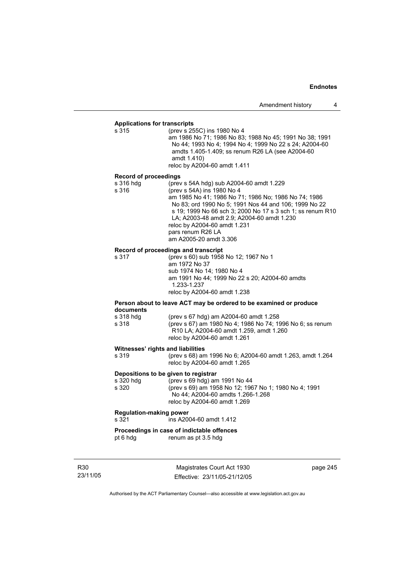# **Applications for transcripts**

s 315 (prev s 255C) ins 1980 No 4 am 1986 No 71; 1986 No 83; 1988 No 45; 1991 No 38; 1991 No 44; 1993 No 4; 1994 No 4; 1999 No 22 s 24; A2004-60 amdts 1.405-1.409; ss renum R26 LA (see A2004-60 amdt 1.410) reloc by A2004-60 amdt 1.411

### **Record of proceedings**

| s 316 hdg | (prev s 54A hdg) sub A2004-60 amdt 1.229                   |
|-----------|------------------------------------------------------------|
| s 316     | (prev s 54A) ins 1980 No 4                                 |
|           | am 1985 No 41; 1986 No 71; 1986 No; 1986 No 74; 1986       |
|           | No 83; ord 1990 No 5; 1991 Nos 44 and 106; 1999 No 22      |
|           | s 19: 1999 No 66 sch 3: 2000 No 17 s 3 sch 1: ss renum R10 |
|           | LA: A2003-48 amdt 2.9: A2004-60 amdt 1.230                 |
|           | reloc by A2004-60 amdt 1.231                               |
|           | pars renum R26 LA                                          |
|           | am A2005-20 amdt 3.306                                     |

# **Record of proceedings and transcript**

s 317 (prev s 60) sub 1958 No 12; 1967 No 1 am 1972 No 37 sub 1974 No 14; 1980 No 4 am 1991 No 44; 1999 No 22 s 20; A2004-60 amdts 1.233-1.237 reloc by A2004-60 amdt 1.238

## **Person about to leave ACT may be ordered to be examined or produce documents**

| s 318 hda | (prev s 67 hdg) am A2004-60 amdt 1.258                           |
|-----------|------------------------------------------------------------------|
| s 318     | (prev s 67) am 1980 No 4: 1986 No 74: 1996 No 6: ss renum        |
|           | R <sub>10</sub> LA: A <sub>2004</sub> -60 amdt 1.259, amdt 1.260 |
|           | reloc by A2004-60 amdt 1.261                                     |

### **Witnesses' rights and liabilities**

| s 319 | (prev s 68) am 1996 No 6; A2004-60 amdt 1.263, amdt 1.264 |
|-------|-----------------------------------------------------------|
|       | reloc by A2004-60 amdt 1.265                              |

### **Depositions to be given to registrar**

| s 320 hdq | (prev s 69 hdg) am 1991 No 44                         |
|-----------|-------------------------------------------------------|
| s 320     | (prev s 69) am 1958 No 12; 1967 No 1; 1980 No 4; 1991 |
|           | No 44; A2004-60 amdts 1.266-1.268                     |
|           | reloc by A2004-60 amdt 1.269                          |

### **Regulation-making power**

s 321 ins A2004-60 amdt 1.412

## **Proceedings in case of indictable offences**

pt 6 hdg renum as pt 3.5 hdg

R30 23/11/05

Magistrates Court Act 1930 Effective: 23/11/05-21/12/05 page 245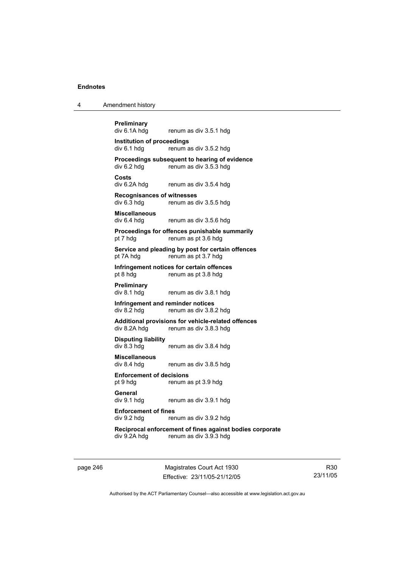|  | Amendment history |
|--|-------------------|
|--|-------------------|

**Preliminary**  renum as div 3.5.1 hdg **Institution of proceedings**  div 6.1 hdg renum as div 3.5.2 hdg **Proceedings subsequent to hearing of evidence**<br>div 6.2 hdg renum as div 3.5.3 hdg renum as div 3.5.3 hdg **Costs**  div 6.2A hdg renum as div 3.5.4 hdg **Recognisances of witnesses**  renum as div 3.5.5 hdg **Miscellaneous**  div 6.4 hdg renum as div 3.5.6 hdg **Proceedings for offences punishable summarily**  pt 7 hdg renum as pt 3.6 hdg **Service and pleading by post for certain offences**  pt 7A hdg renum as pt 3.7 hdg **Infringement notices for certain offences**<br>pt 8 hdg<br>renum as pt 3.8 hdg renum as pt 3.8 hdg **Preliminary**  div 8.1 hdg renum as div 3.8.1 hdg **Infringement and reminder notices**  div 8.2 hdg renum as div 3.8.2 hdg **Additional provisions for vehicle-related offences**  div 8.2A hdg renum as div 3.8.3 hdg **Disputing liability**  renum as div 3.8.4 hdg **Miscellaneous**  div 8.4 hdg renum as div 3.8.5 hdg **Enforcement of decisions**  pt 9 hdg renum as pt 3.9 hdg **General**  div 9.1 hdg renum as div 3.9.1 hdg **Enforcement of fines**<br>div 9.2 hdg<br>rer renum as div 3.9.2 hdg **Reciprocal enforcement of fines against bodies corporate**  div 9.2A hdg renum as div 3.9.3 hdg

page 246 Magistrates Court Act 1930 Effective: 23/11/05-21/12/05

R30 23/11/05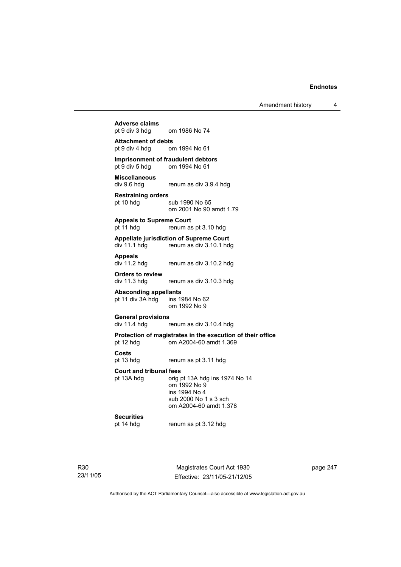Amendment history 4

# **Adverse claims**  om 1986 No 74 **Attachment of debts**  pt 9 div 4 hdg om 1994 No 61 **Imprisonment of fraudulent debtors**<br>
pt 9 div 5 hdg om 1994 No 61 om 1994 No 61 **Miscellaneous**  div 9.6 hdg renum as div 3.9.4 hdg **Restraining orders**  sub 1990 No 65 om 2001 No 90 amdt 1.79 **Appeals to Supreme Court**  pt 11 hdg renum as pt 3.10 hdg **Appellate jurisdiction of Supreme Court**  div 11.1 hdg renum as div 3.10.1 hdg **Appeals**  renum as div 3.10.2 hdg **Orders to review**  div 11.3 hdg renum as div 3.10.3 hdg **Absconding appellants**  pt 11 div  $3A$  hdg om 1992 No 9 **General provisions**  div 11.4 hdg renum as div 3.10.4 hdg **Protection of magistrates in the execution of their office**  pt 12 hdg om A2004-60 amdt 1.369 **Costs**  pt 13 hdg renum as pt 3.11 hdg **Court and tribunal fees**  pt 13A hdg orig pt 13A hdg ins 1974 No 14 om 1992 No 9 ins 1994 No 4 sub 2000 No 1 s 3 sch om A2004-60 amdt 1.378 **Securities**  renum as pt 3.12 hdg

R30 23/11/05

Magistrates Court Act 1930 Effective: 23/11/05-21/12/05 page 247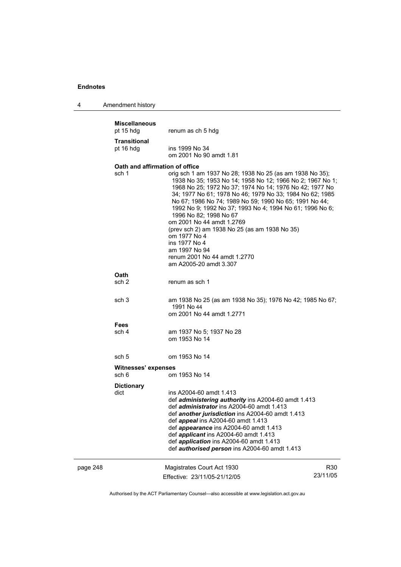4 Amendment history

|          | <b>Miscellaneous</b><br>pt 15 hdg             | renum as ch 5 hdg                                                                                                                                                                                                                                                                                                                                                                                                                                                                                                                                            |                 |  |  |
|----------|-----------------------------------------------|--------------------------------------------------------------------------------------------------------------------------------------------------------------------------------------------------------------------------------------------------------------------------------------------------------------------------------------------------------------------------------------------------------------------------------------------------------------------------------------------------------------------------------------------------------------|-----------------|--|--|
|          | <b>Transitional</b><br>pt 16 hdg              | ins 1999 No 34<br>om 2001 No 90 amdt 1.81                                                                                                                                                                                                                                                                                                                                                                                                                                                                                                                    |                 |  |  |
|          | Oath and affirmation of office<br>sch 1       | orig sch 1 am 1937 No 28; 1938 No 25 (as am 1938 No 35);<br>1938 No 35; 1953 No 14; 1958 No 12; 1966 No 2; 1967 No 1;<br>1968 No 25; 1972 No 37; 1974 No 14; 1976 No 42; 1977 No<br>34; 1977 No 61; 1978 No 46; 1979 No 33; 1984 No 62; 1985<br>No 67; 1986 No 74; 1989 No 59; 1990 No 65; 1991 No 44;<br>1992 No 9; 1992 No 37; 1993 No 4; 1994 No 61; 1996 No 6;<br>1996 No 82; 1998 No 67<br>om 2001 No 44 amdt 1.2769<br>(prev sch 2) am 1938 No 25 (as am 1938 No 35)<br>om 1977 No 4<br>ins 1977 No 4<br>am 1997 No 94<br>renum 2001 No 44 amdt 1.2770 |                 |  |  |
|          | Oath<br>sch <sub>2</sub>                      | am A2005-20 amdt 3.307<br>renum as sch 1                                                                                                                                                                                                                                                                                                                                                                                                                                                                                                                     |                 |  |  |
|          | sch <sub>3</sub>                              | am 1938 No 25 (as am 1938 No 35); 1976 No 42; 1985 No 67;<br>1991 No 44<br>om 2001 No 44 amdt 1.2771                                                                                                                                                                                                                                                                                                                                                                                                                                                         |                 |  |  |
|          | <b>Fees</b><br>sch 4                          | am 1937 No 5; 1937 No 28<br>om 1953 No 14                                                                                                                                                                                                                                                                                                                                                                                                                                                                                                                    |                 |  |  |
|          | sch <sub>5</sub>                              | om 1953 No 14                                                                                                                                                                                                                                                                                                                                                                                                                                                                                                                                                |                 |  |  |
|          | Witnesses' expenses<br>sch 6<br>om 1953 No 14 |                                                                                                                                                                                                                                                                                                                                                                                                                                                                                                                                                              |                 |  |  |
|          | <b>Dictionary</b><br>dict                     | ins A2004-60 amdt 1.413<br>def administering authority ins A2004-60 amdt 1.413<br>def administrator ins A2004-60 amdt 1.413<br>def another jurisdiction ins A2004-60 amdt 1.413<br>def <i>appeal</i> ins A2004-60 amdt 1.413<br>def appearance ins A2004-60 amdt 1.413<br>def <i>applicant</i> ins A2004-60 amdt 1.413<br>def <i>application</i> ins A2004-60 amdt 1.413<br>def <i>authorised person</i> ins A2004-60 amdt 1.413                                                                                                                             |                 |  |  |
| page 248 |                                               | Magistrates Court Act 1930<br>Effective: 23/11/05-21/12/05                                                                                                                                                                                                                                                                                                                                                                                                                                                                                                   | R30<br>23/11/05 |  |  |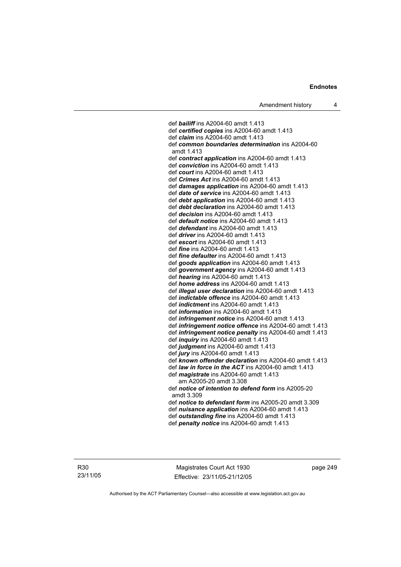def *bailiff* ins A2004-60 amdt 1.413 def *certified copies* ins A2004-60 amdt 1.413 def *claim* ins A2004-60 amdt 1.413 def *common boundaries determination* ins A2004-60 amdt 1.413 def *contract application* ins A2004-60 amdt 1.413 def *conviction* ins A2004-60 amdt 1.413 def *court* ins A2004-60 amdt 1.413 def *Crimes Act* ins A2004-60 amdt 1.413 def *damages application* ins A2004-60 amdt 1.413 def *date of service* ins A2004-60 amdt 1.413 def *debt application* ins A2004-60 amdt 1.413 def *debt declaration* ins A2004-60 amdt 1.413 def *decision* ins A2004-60 amdt 1.413 def *default notice* ins A2004-60 amdt 1.413 def *defendant* ins A2004-60 amdt 1.413 def *driver* ins A2004-60 amdt 1.413 def *escort* ins A2004-60 amdt 1.413 def *fine* ins A2004-60 amdt 1.413 def *fine defaulter* ins A2004-60 amdt 1.413 def *goods application* ins A2004-60 amdt 1.413 def *government agency* ins A2004-60 amdt 1.413 def *hearing* ins A2004-60 amdt 1.413 def *home address* ins A2004-60 amdt 1.413 def *illegal user declaration* ins A2004-60 amdt 1.413 def *indictable offence* ins A2004-60 amdt 1.413 def *indictment* ins A2004-60 amdt 1.413 def *information* ins A2004-60 amdt 1.413 def *infringement notice* ins A2004-60 amdt 1.413 def *infringement notice offence* ins A2004-60 amdt 1.413 def *infringement notice penalty* ins A2004-60 amdt 1.413 def *inquiry* ins A2004-60 amdt 1.413 def *judgment* ins A2004-60 amdt 1.413 def *jury* ins A2004-60 amdt 1.413 def *known offender declaration* ins A2004-60 amdt 1.413 def *law in force in the ACT* ins A2004-60 amdt 1.413 def *magistrate* ins A2004-60 amdt 1.413 am A2005-20 amdt 3.308 def *notice of intention to defend form* ins A2005-20 amdt 3.309 def *notice to defendant form* ins A2005-20 amdt 3.309 def *nuisance application* ins A2004-60 amdt 1.413 def *outstanding fine* ins A2004-60 amdt 1.413 def *penalty notice* ins A2004-60 amdt 1.413

R30 23/11/05

Magistrates Court Act 1930 Effective: 23/11/05-21/12/05 page 249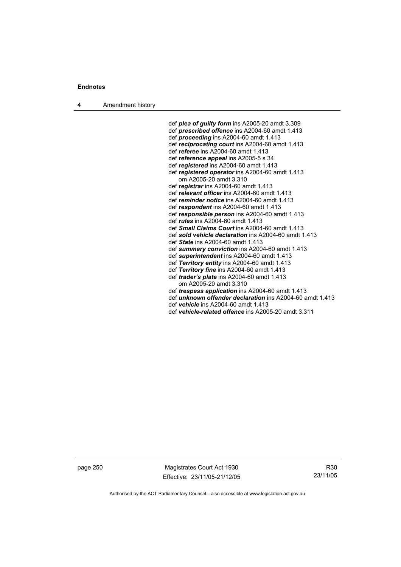4 Amendment history

 def *plea of guilty form* ins A2005-20 amdt 3.309 def *prescribed offence* ins A2004-60 amdt 1.413 def *proceeding* ins A2004-60 amdt 1.413 def *reciprocating court* ins A2004-60 amdt 1.413 def *referee* ins A2004-60 amdt 1.413 def *reference appeal* ins A2005-5 s 34 def *registered* ins A2004-60 amdt 1.413 def *registered operator* ins A2004-60 amdt 1.413 om A2005-20 amdt 3.310 def *registrar* ins A2004-60 amdt 1.413 def *relevant officer* ins A2004-60 amdt 1.413 def *reminder notice* ins A2004-60 amdt 1.413 def *respondent* ins A2004-60 amdt 1.413 def *responsible person* ins A2004-60 amdt 1.413 def *rules* ins A2004-60 amdt 1.413 def *Small Claims Court* ins A2004-60 amdt 1.413 def *sold vehicle declaration* ins A2004-60 amdt 1.413 def *State* ins A2004-60 amdt 1.413 def *summary conviction* ins A2004-60 amdt 1.413 def *superintendent* ins A2004-60 amdt 1.413 def *Territory entity* ins A2004-60 amdt 1.413 def *Territory fine* ins A2004-60 amdt 1.413 def *trader's plate* ins A2004-60 amdt 1.413 om A2005-20 amdt 3.310 def *trespass application* ins A2004-60 amdt 1.413 def *unknown offender declaration* ins A2004-60 amdt 1.413 def *vehicle* ins A2004-60 amdt 1.413 def *vehicle-related offence* ins A2005-20 amdt 3.311

page 250 Magistrates Court Act 1930 Effective: 23/11/05-21/12/05

R30 23/11/05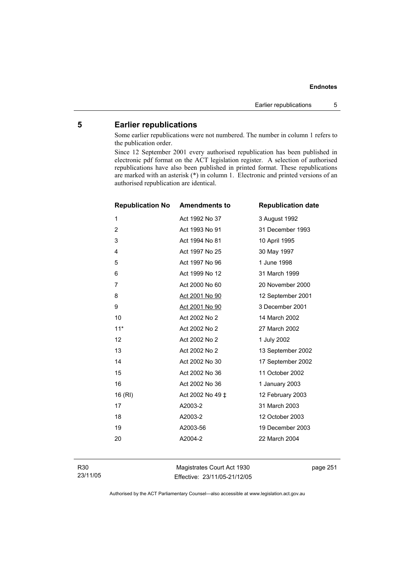# **5 Earlier republications**

Some earlier republications were not numbered. The number in column 1 refers to the publication order.

Since 12 September 2001 every authorised republication has been published in electronic pdf format on the ACT legislation register. A selection of authorised republications have also been published in printed format. These republications are marked with an asterisk (\*) in column 1. Electronic and printed versions of an authorised republication are identical.

| <b>Republication No</b> | <b>Amendments to</b> | <b>Republication date</b> |
|-------------------------|----------------------|---------------------------|
| 1                       | Act 1992 No 37       | 3 August 1992             |
| $\overline{2}$          | Act 1993 No 91       | 31 December 1993          |
| 3                       | Act 1994 No 81       | 10 April 1995             |
| 4                       | Act 1997 No 25       | 30 May 1997               |
| 5                       | Act 1997 No 96       | 1 June 1998               |
| 6                       | Act 1999 No 12       | 31 March 1999             |
| $\overline{7}$          | Act 2000 No 60       | 20 November 2000          |
| 8                       | Act 2001 No 90       | 12 September 2001         |
| 9                       | Act 2001 No 90       | 3 December 2001           |
| 10                      | Act 2002 No 2        | 14 March 2002             |
| $11*$                   | Act 2002 No 2        | 27 March 2002             |
| 12                      | Act 2002 No 2        | 1 July 2002               |
| 13                      | Act 2002 No 2        | 13 September 2002         |
| 14                      | Act 2002 No 30       | 17 September 2002         |
| 15                      | Act 2002 No 36       | 11 October 2002           |
| 16                      | Act 2002 No 36       | 1 January 2003            |
| 16 (RI)                 | Act 2002 No 49 ‡     | 12 February 2003          |
| 17                      | A2003-2              | 31 March 2003             |
| 18                      | A2003-2              | 12 October 2003           |
| 19                      | A2003-56             | 19 December 2003          |
| 20                      | A2004-2              | 22 March 2004             |
|                         |                      |                           |

R30 23/11/05

Magistrates Court Act 1930 Effective: 23/11/05-21/12/05 page 251